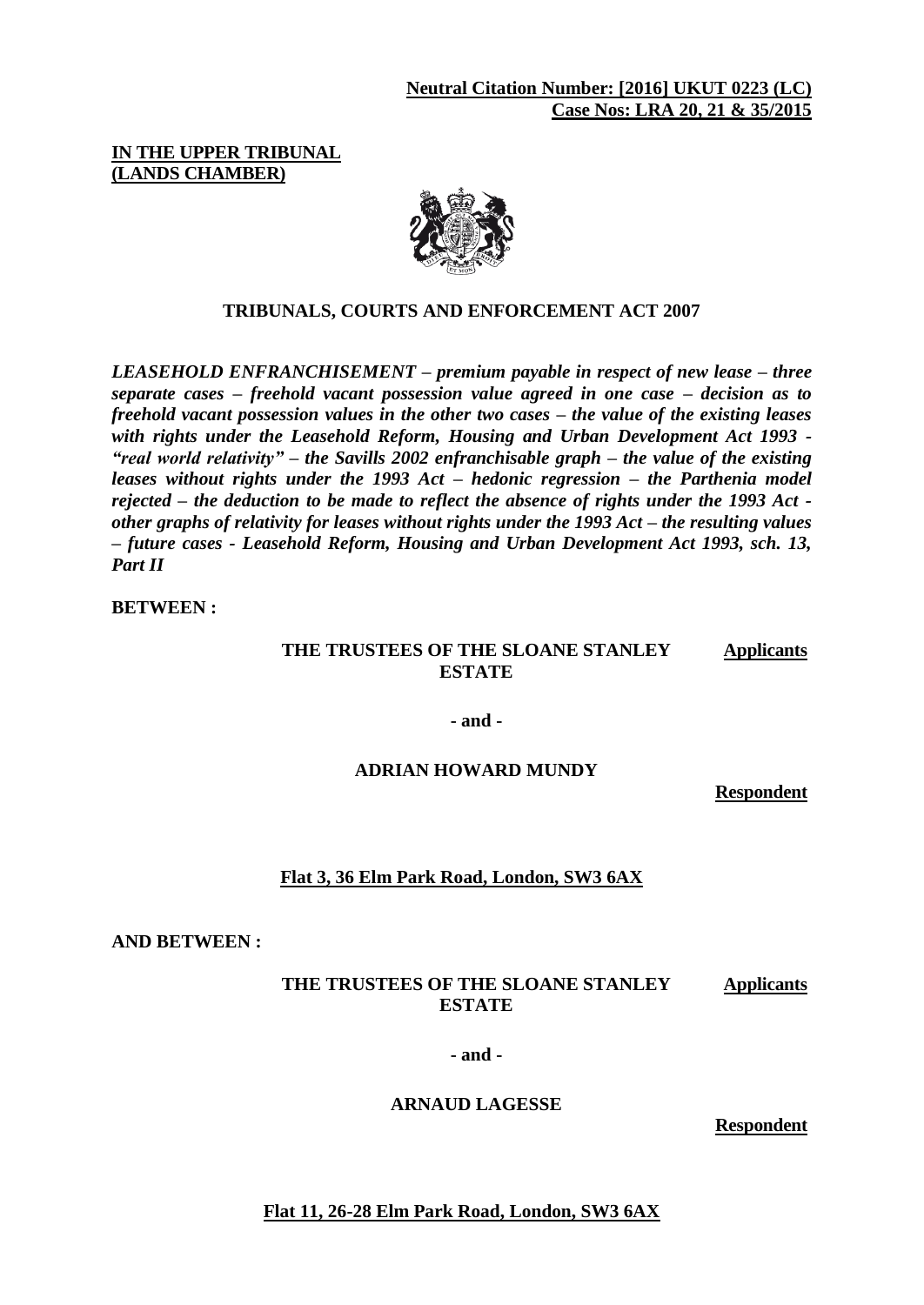**IN THE UPPER TRIBUNAL (LANDS CHAMBER)**



#### **TRIBUNALS, COURTS AND ENFORCEMENT ACT 2007**

*LEASEHOLD ENFRANCHISEMENT – premium payable in respect of new lease – three separate cases – freehold vacant possession value agreed in one case – decision as to freehold vacant possession values in the other two cases – the value of the existing leases with rights under the Leasehold Reform, Housing and Urban Development Act 1993 - "real world relativity" – the Savills 2002 enfranchisable graph – the value of the existing leases without rights under the 1993 Act – hedonic regression – the Parthenia model rejected – the deduction to be made to reflect the absence of rights under the 1993 Act other graphs of relativity for leases without rights under the 1993 Act – the resulting values – future cases - Leasehold Reform, Housing and Urban Development Act 1993, sch. 13, Part II*

**BETWEEN :**

#### **THE TRUSTEES OF THE SLOANE STANLEY ESTATE Applicants**

**- and -**

#### **ADRIAN HOWARD MUNDY**

**Respondent**

# **Flat 3, 36 Elm Park Road, London, SW3 6AX**

**AND BETWEEN :**

#### **THE TRUSTEES OF THE SLOANE STANLEY ESTATE Applicants**

**- and -**

#### **ARNAUD LAGESSE**

**Respondent**

#### **Flat 11, 26-28 Elm Park Road, London, SW3 6AX**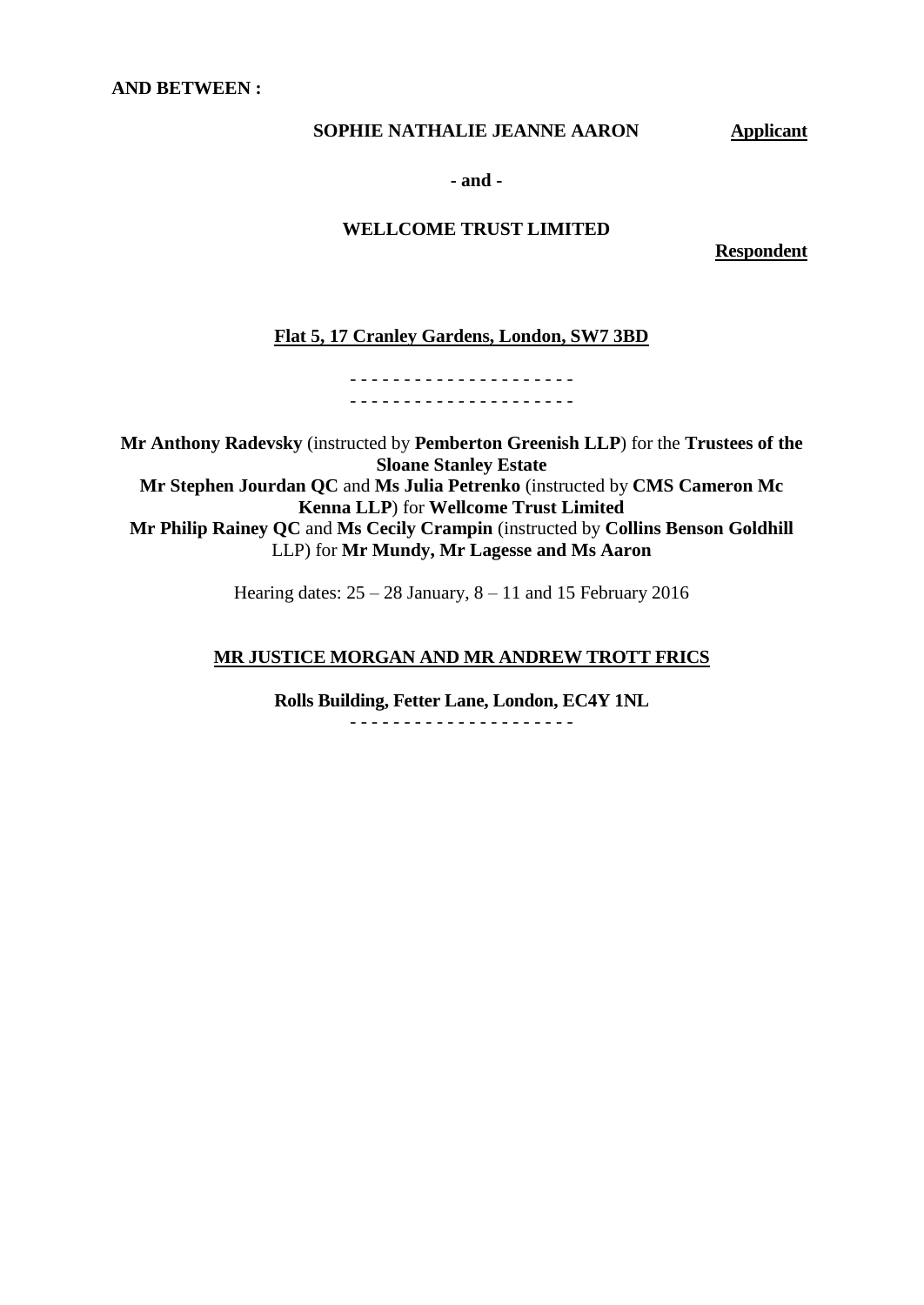#### **AND BETWEEN :**

#### **SOPHIE NATHALIE JEANNE AARON Applicant**

**- and -**

## **WELLCOME TRUST LIMITED**

**Respondent**

#### **Flat 5, 17 Cranley Gardens, London, SW7 3BD**

- - - - - - - - - - - - - - - - - - - - - - - - - - - - - - - - - - - - - - - - - -

**Mr Anthony Radevsky** (instructed by **Pemberton Greenish LLP**) for the **Trustees of the Sloane Stanley Estate Mr Stephen Jourdan QC** and **Ms Julia Petrenko** (instructed by **CMS Cameron Mc Kenna LLP**) for **Wellcome Trust Limited Mr Philip Rainey QC** and **Ms Cecily Crampin** (instructed by **Collins Benson Goldhill**  LLP) for **Mr Mundy, Mr Lagesse and Ms Aaron**

Hearing dates:  $25 - 28$  January,  $8 - 11$  and 15 February 2016

#### **MR JUSTICE MORGAN AND MR ANDREW TROTT FRICS**

**Rolls Building, Fetter Lane, London, EC4Y 1NL** - - - - - - - - - - - - - - - - - - - - -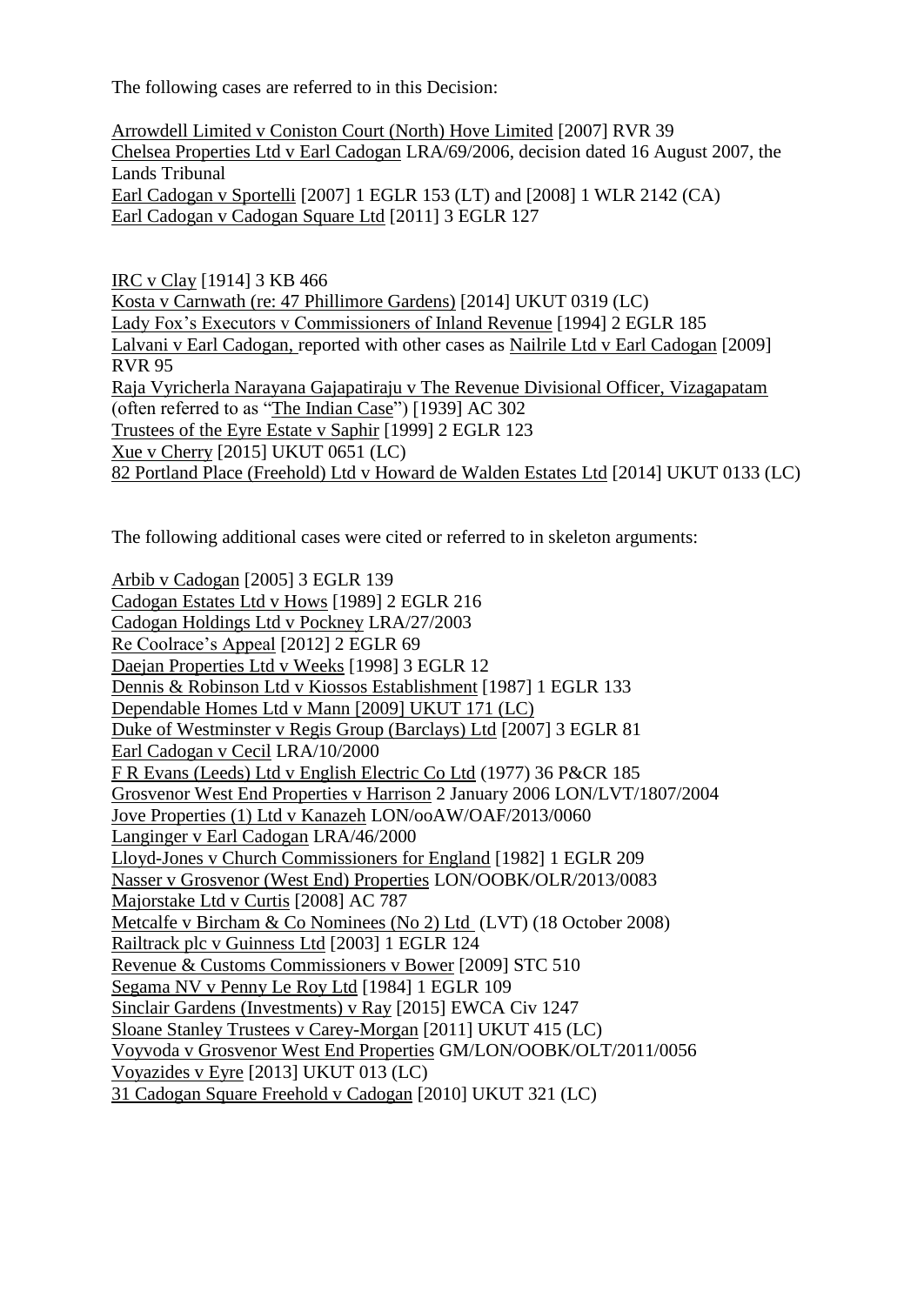The following cases are referred to in this Decision:

Arrowdell Limited v Coniston Court (North) Hove Limited [2007] RVR 39 Chelsea Properties Ltd v Earl Cadogan LRA/69/2006, decision dated 16 August 2007, the Lands Tribunal Earl Cadogan v Sportelli [2007] 1 EGLR 153 (LT) and [2008] 1 WLR 2142 (CA) Earl Cadogan v Cadogan Square Ltd [2011] 3 EGLR 127

IRC v Clay [1914] 3 KB 466 Kosta v Carnwath (re: 47 Phillimore Gardens) [2014] UKUT 0319 (LC) Lady Fox's Executors v Commissioners of Inland Revenue [1994] 2 EGLR 185 Lalvani v Earl Cadogan, reported with other cases as Nailrile Ltd v Earl Cadogan [2009] RVR 95 Raja Vyricherla Narayana Gajapatiraju v The Revenue Divisional Officer, Vizagapatam (often referred to as "The Indian Case") [1939] AC 302 Trustees of the Eyre Estate v Saphir [1999] 2 EGLR 123 Xue v Cherry [2015] UKUT 0651 (LC) 82 Portland Place (Freehold) Ltd v Howard de Walden Estates Ltd [2014] UKUT 0133 (LC)

The following additional cases were cited or referred to in skeleton arguments:

Arbib v Cadogan [2005] 3 EGLR 139 Cadogan Estates Ltd v Hows [1989] 2 EGLR 216 Cadogan Holdings Ltd v Pockney LRA/27/2003 Re Coolrace's Appeal [2012] 2 EGLR 69 Daejan Properties Ltd v Weeks [1998] 3 EGLR 12 Dennis & Robinson Ltd v Kiossos Establishment [1987] 1 EGLR 133 Dependable Homes Ltd v Mann [2009] UKUT 171 (LC) Duke of Westminster v Regis Group (Barclays) Ltd [2007] 3 EGLR 81 Earl Cadogan v Cecil LRA/10/2000 F R Evans (Leeds) Ltd v English Electric Co Ltd (1977) 36 P&CR 185 Grosvenor West End Properties v Harrison 2 January 2006 LON/LVT/1807/2004 Jove Properties (1) Ltd v Kanazeh LON/ooAW/OAF/2013/0060 Langinger v Earl Cadogan LRA/46/2000 Lloyd-Jones v Church Commissioners for England [1982] 1 EGLR 209 Nasser v Grosvenor (West End) Properties LON/OOBK/OLR/2013/0083 Majorstake Ltd v Curtis [2008] AC 787 Metcalfe v Bircham & Co Nominees (No 2) Ltd (LVT) (18 October 2008) Railtrack plc v Guinness Ltd [2003] 1 EGLR 124 Revenue & Customs Commissioners v Bower [2009] STC 510 Segama NV v Penny Le Roy Ltd [1984] 1 EGLR 109 Sinclair Gardens (Investments) v Ray [2015] EWCA Civ 1247 Sloane Stanley Trustees v Carey-Morgan [2011] UKUT 415 (LC) Voyvoda v Grosvenor West End Properties GM/LON/OOBK/OLT/2011/0056 Voyazides v Eyre [2013] UKUT 013 (LC) 31 Cadogan Square Freehold v Cadogan [2010] UKUT 321 (LC)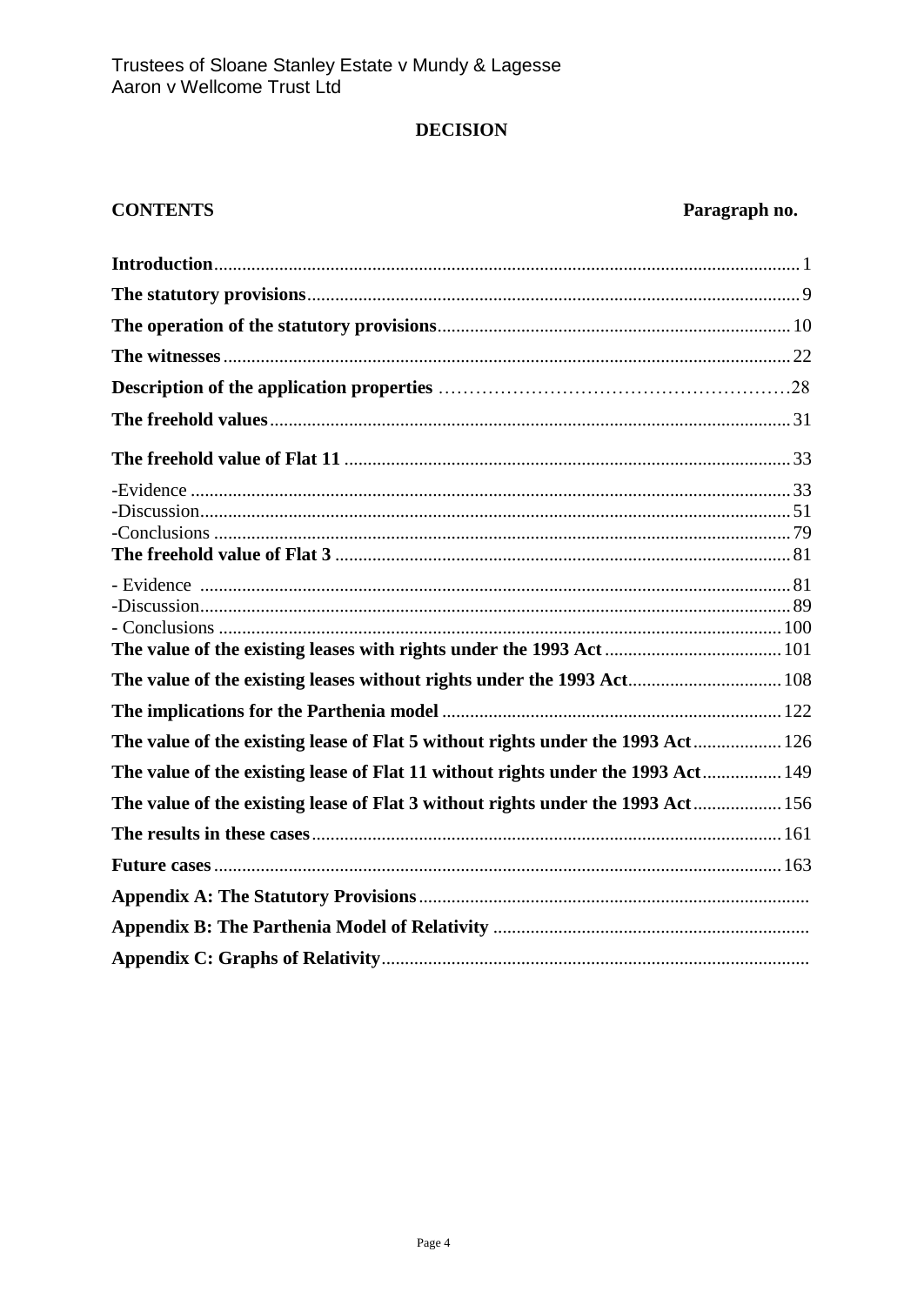# **DECISION**

# **CONTENTS**

# Paragraph no.

| The value of the existing lease of Flat 5 without rights under the 1993 Act 126  |  |
|----------------------------------------------------------------------------------|--|
| The value of the existing lease of Flat 11 without rights under the 1993 Act 149 |  |
| The value of the existing lease of Flat 3 without rights under the 1993 Act 156  |  |
|                                                                                  |  |
|                                                                                  |  |
|                                                                                  |  |
|                                                                                  |  |
|                                                                                  |  |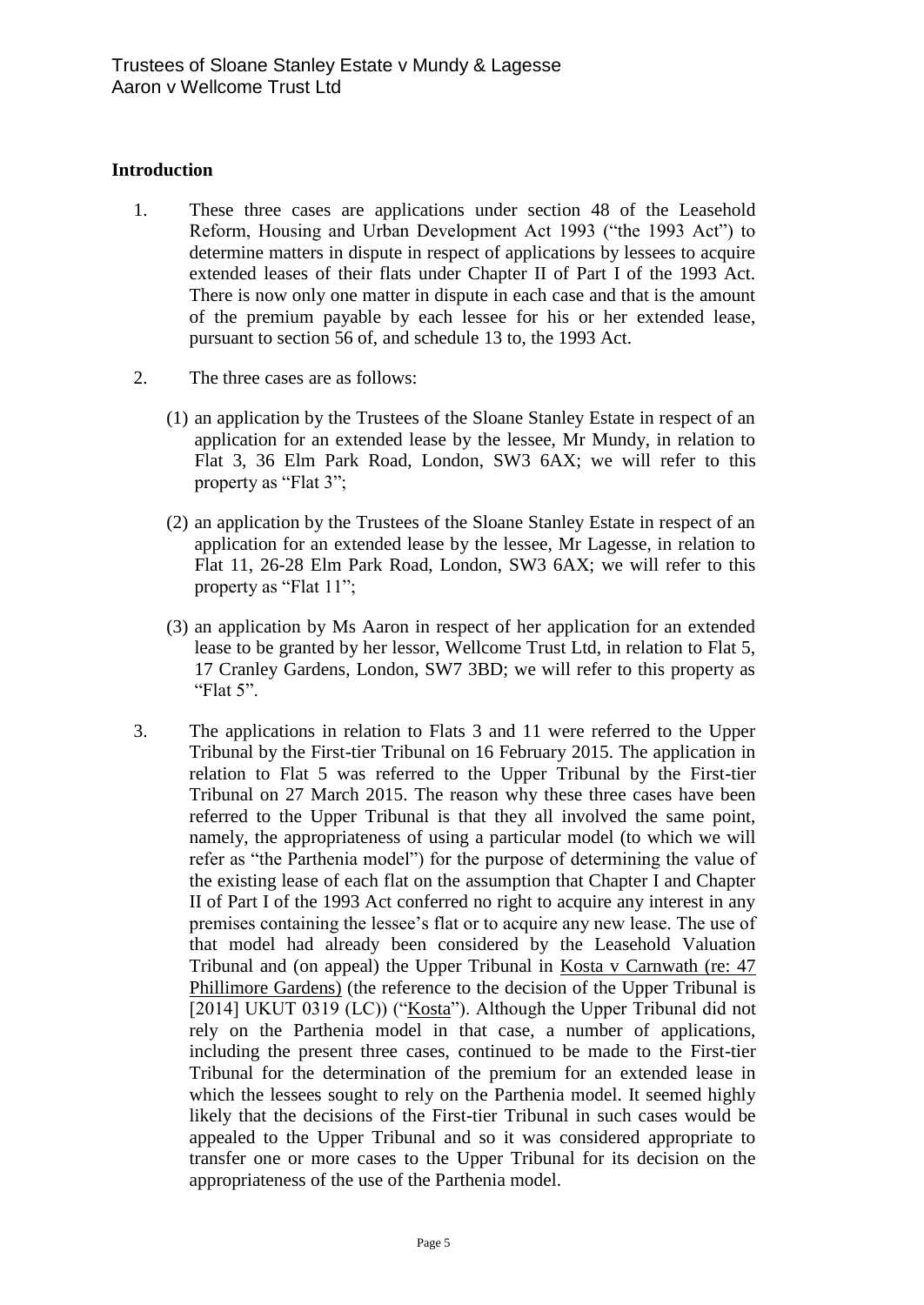## **Introduction**

- 1. These three cases are applications under section 48 of the Leasehold Reform, Housing and Urban Development Act 1993 ("the 1993 Act") to determine matters in dispute in respect of applications by lessees to acquire extended leases of their flats under Chapter II of Part I of the 1993 Act. There is now only one matter in dispute in each case and that is the amount of the premium payable by each lessee for his or her extended lease, pursuant to section 56 of, and schedule 13 to, the 1993 Act.
- 2. The three cases are as follows:
	- (1) an application by the Trustees of the Sloane Stanley Estate in respect of an application for an extended lease by the lessee, Mr Mundy, in relation to Flat 3, 36 Elm Park Road, London, SW3 6AX; we will refer to this property as "Flat 3";
	- (2) an application by the Trustees of the Sloane Stanley Estate in respect of an application for an extended lease by the lessee, Mr Lagesse, in relation to Flat 11, 26-28 Elm Park Road, London, SW3 6AX; we will refer to this property as "Flat 11";
	- (3) an application by Ms Aaron in respect of her application for an extended lease to be granted by her lessor, Wellcome Trust Ltd, in relation to Flat 5, 17 Cranley Gardens, London, SW7 3BD; we will refer to this property as "Flat 5".
- 3. The applications in relation to Flats 3 and 11 were referred to the Upper Tribunal by the First-tier Tribunal on 16 February 2015. The application in relation to Flat 5 was referred to the Upper Tribunal by the First-tier Tribunal on 27 March 2015. The reason why these three cases have been referred to the Upper Tribunal is that they all involved the same point, namely, the appropriateness of using a particular model (to which we will refer as "the Parthenia model") for the purpose of determining the value of the existing lease of each flat on the assumption that Chapter I and Chapter II of Part I of the 1993 Act conferred no right to acquire any interest in any premises containing the lessee's flat or to acquire any new lease. The use of that model had already been considered by the Leasehold Valuation Tribunal and (on appeal) the Upper Tribunal in Kosta v Carnwath (re: 47 Phillimore Gardens) (the reference to the decision of the Upper Tribunal is [2014] UKUT 0319 (LC)) ("Kosta"). Although the Upper Tribunal did not rely on the Parthenia model in that case, a number of applications, including the present three cases, continued to be made to the First-tier Tribunal for the determination of the premium for an extended lease in which the lessees sought to rely on the Parthenia model. It seemed highly likely that the decisions of the First-tier Tribunal in such cases would be appealed to the Upper Tribunal and so it was considered appropriate to transfer one or more cases to the Upper Tribunal for its decision on the appropriateness of the use of the Parthenia model.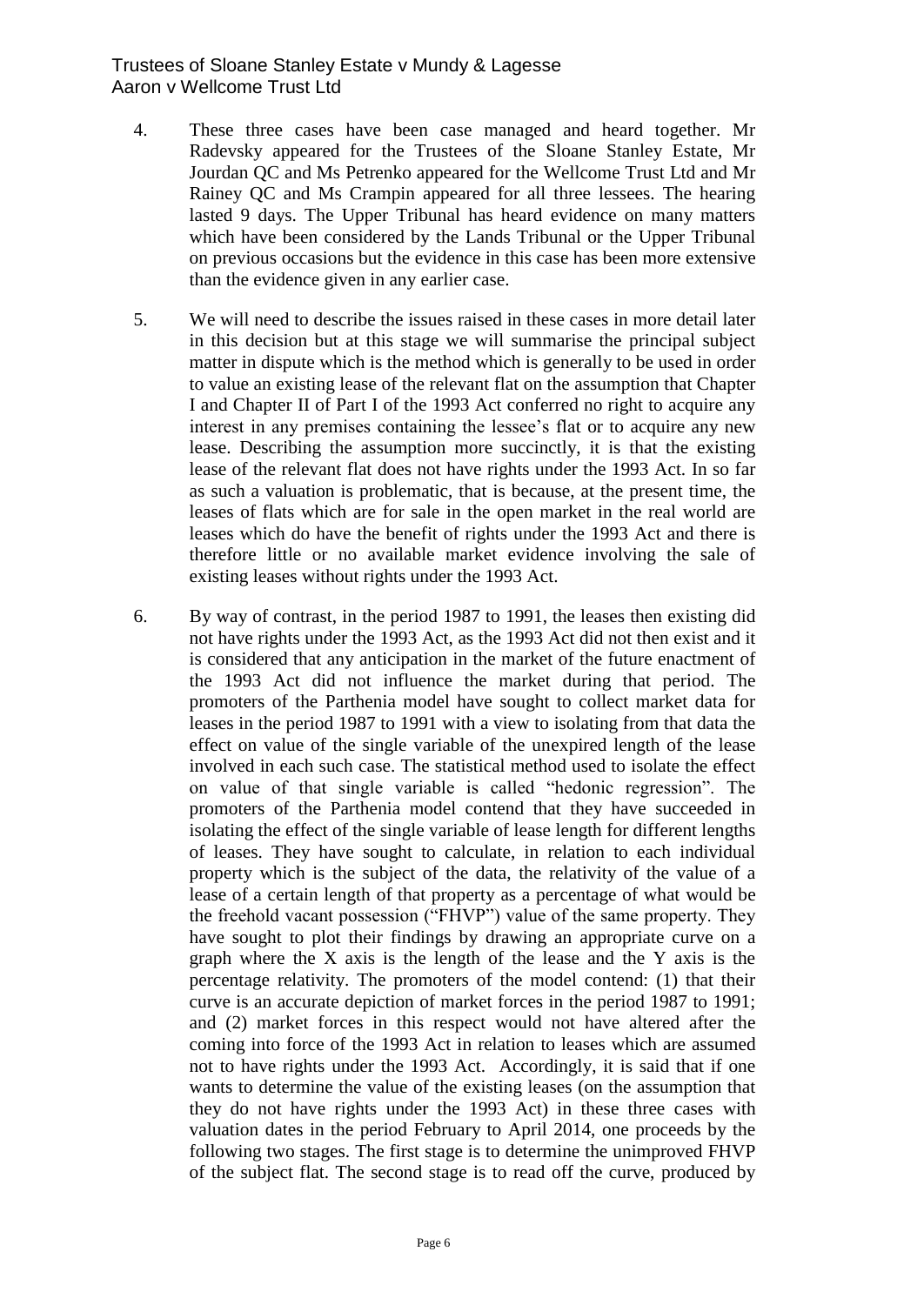## Trustees of Sloane Stanley Estate v Mundy & Lagesse Aaron v Wellcome Trust Ltd

- 4. These three cases have been case managed and heard together. Mr Radevsky appeared for the Trustees of the Sloane Stanley Estate, Mr Jourdan QC and Ms Petrenko appeared for the Wellcome Trust Ltd and Mr Rainey QC and Ms Crampin appeared for all three lessees. The hearing lasted 9 days. The Upper Tribunal has heard evidence on many matters which have been considered by the Lands Tribunal or the Upper Tribunal on previous occasions but the evidence in this case has been more extensive than the evidence given in any earlier case.
- 5. We will need to describe the issues raised in these cases in more detail later in this decision but at this stage we will summarise the principal subject matter in dispute which is the method which is generally to be used in order to value an existing lease of the relevant flat on the assumption that Chapter I and Chapter II of Part I of the 1993 Act conferred no right to acquire any interest in any premises containing the lessee's flat or to acquire any new lease. Describing the assumption more succinctly, it is that the existing lease of the relevant flat does not have rights under the 1993 Act. In so far as such a valuation is problematic, that is because, at the present time, the leases of flats which are for sale in the open market in the real world are leases which do have the benefit of rights under the 1993 Act and there is therefore little or no available market evidence involving the sale of existing leases without rights under the 1993 Act.
- 6. By way of contrast, in the period 1987 to 1991, the leases then existing did not have rights under the 1993 Act, as the 1993 Act did not then exist and it is considered that any anticipation in the market of the future enactment of the 1993 Act did not influence the market during that period. The promoters of the Parthenia model have sought to collect market data for leases in the period 1987 to 1991 with a view to isolating from that data the effect on value of the single variable of the unexpired length of the lease involved in each such case. The statistical method used to isolate the effect on value of that single variable is called "hedonic regression". The promoters of the Parthenia model contend that they have succeeded in isolating the effect of the single variable of lease length for different lengths of leases. They have sought to calculate, in relation to each individual property which is the subject of the data, the relativity of the value of a lease of a certain length of that property as a percentage of what would be the freehold vacant possession ("FHVP") value of the same property. They have sought to plot their findings by drawing an appropriate curve on a graph where the X axis is the length of the lease and the Y axis is the percentage relativity. The promoters of the model contend: (1) that their curve is an accurate depiction of market forces in the period 1987 to 1991; and (2) market forces in this respect would not have altered after the coming into force of the 1993 Act in relation to leases which are assumed not to have rights under the 1993 Act. Accordingly, it is said that if one wants to determine the value of the existing leases (on the assumption that they do not have rights under the 1993 Act) in these three cases with valuation dates in the period February to April 2014, one proceeds by the following two stages. The first stage is to determine the unimproved FHVP of the subject flat. The second stage is to read off the curve, produced by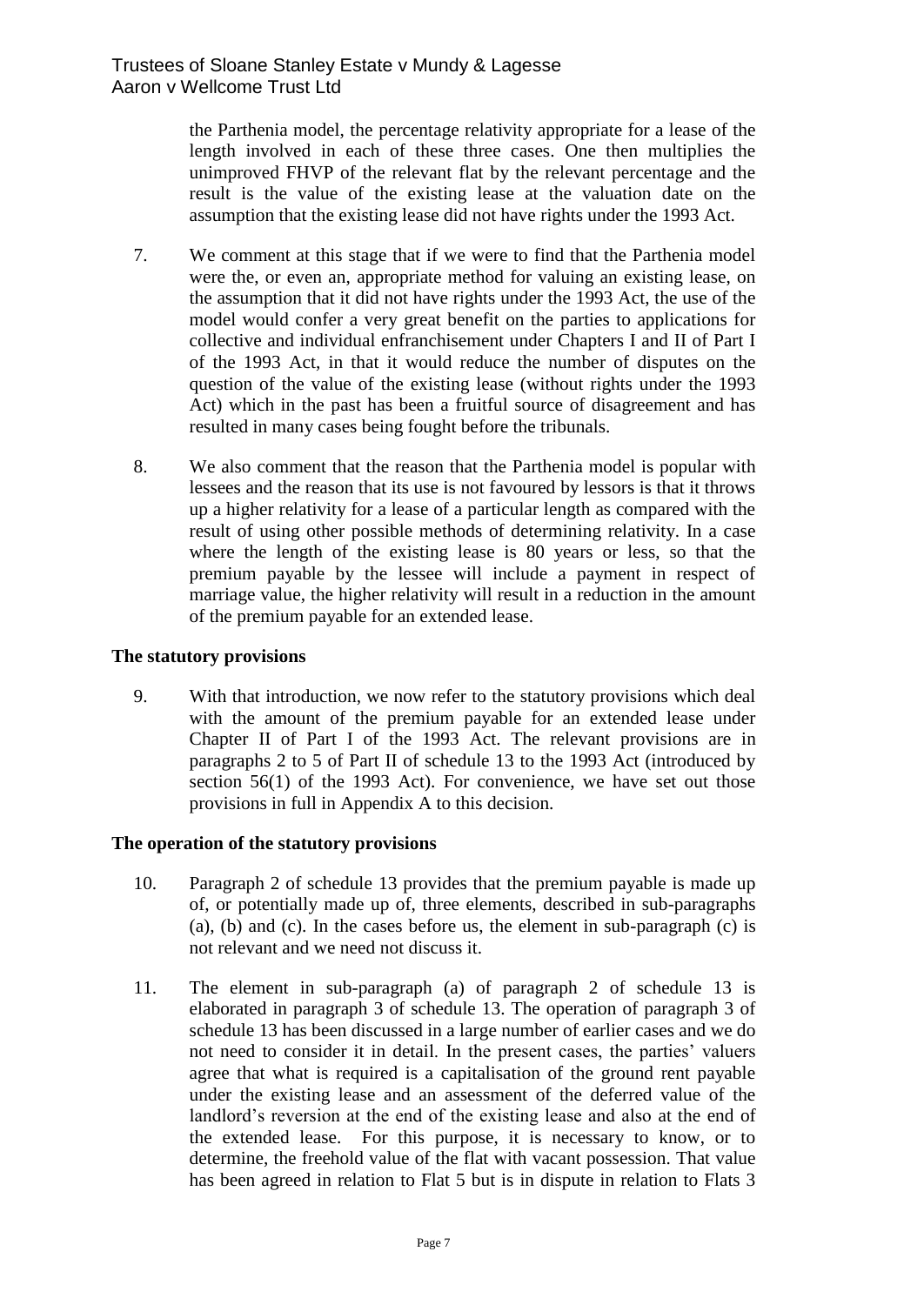the Parthenia model, the percentage relativity appropriate for a lease of the length involved in each of these three cases. One then multiplies the unimproved FHVP of the relevant flat by the relevant percentage and the result is the value of the existing lease at the valuation date on the assumption that the existing lease did not have rights under the 1993 Act.

- 7. We comment at this stage that if we were to find that the Parthenia model were the, or even an, appropriate method for valuing an existing lease, on the assumption that it did not have rights under the 1993 Act, the use of the model would confer a very great benefit on the parties to applications for collective and individual enfranchisement under Chapters I and II of Part I of the 1993 Act, in that it would reduce the number of disputes on the question of the value of the existing lease (without rights under the 1993 Act) which in the past has been a fruitful source of disagreement and has resulted in many cases being fought before the tribunals.
- 8. We also comment that the reason that the Parthenia model is popular with lessees and the reason that its use is not favoured by lessors is that it throws up a higher relativity for a lease of a particular length as compared with the result of using other possible methods of determining relativity. In a case where the length of the existing lease is 80 years or less, so that the premium payable by the lessee will include a payment in respect of marriage value, the higher relativity will result in a reduction in the amount of the premium payable for an extended lease.

## **The statutory provisions**

9. With that introduction, we now refer to the statutory provisions which deal with the amount of the premium payable for an extended lease under Chapter II of Part I of the 1993 Act. The relevant provisions are in paragraphs 2 to 5 of Part II of schedule 13 to the 1993 Act (introduced by section 56(1) of the 1993 Act). For convenience, we have set out those provisions in full in Appendix A to this decision.

# **The operation of the statutory provisions**

- 10. Paragraph 2 of schedule 13 provides that the premium payable is made up of, or potentially made up of, three elements, described in sub-paragraphs (a), (b) and (c). In the cases before us, the element in sub-paragraph (c) is not relevant and we need not discuss it.
- 11. The element in sub-paragraph (a) of paragraph 2 of schedule 13 is elaborated in paragraph 3 of schedule 13. The operation of paragraph 3 of schedule 13 has been discussed in a large number of earlier cases and we do not need to consider it in detail. In the present cases, the parties' valuers agree that what is required is a capitalisation of the ground rent payable under the existing lease and an assessment of the deferred value of the landlord's reversion at the end of the existing lease and also at the end of the extended lease. For this purpose, it is necessary to know, or to determine, the freehold value of the flat with vacant possession. That value has been agreed in relation to Flat 5 but is in dispute in relation to Flats 3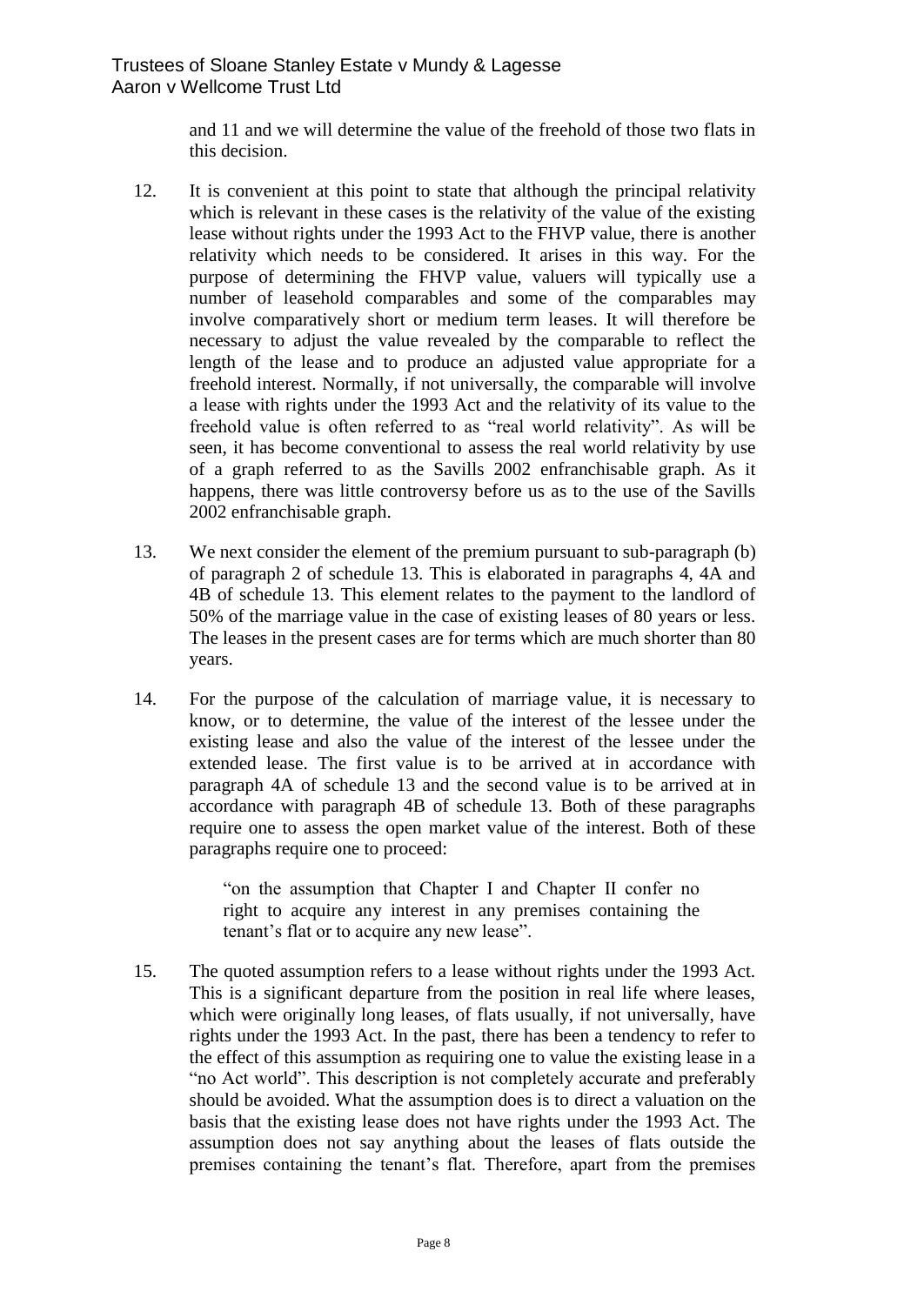and 11 and we will determine the value of the freehold of those two flats in this decision.

- 12. It is convenient at this point to state that although the principal relativity which is relevant in these cases is the relativity of the value of the existing lease without rights under the 1993 Act to the FHVP value, there is another relativity which needs to be considered. It arises in this way. For the purpose of determining the FHVP value, valuers will typically use a number of leasehold comparables and some of the comparables may involve comparatively short or medium term leases. It will therefore be necessary to adjust the value revealed by the comparable to reflect the length of the lease and to produce an adjusted value appropriate for a freehold interest. Normally, if not universally, the comparable will involve a lease with rights under the 1993 Act and the relativity of its value to the freehold value is often referred to as "real world relativity". As will be seen, it has become conventional to assess the real world relativity by use of a graph referred to as the Savills 2002 enfranchisable graph. As it happens, there was little controversy before us as to the use of the Savills 2002 enfranchisable graph.
- 13. We next consider the element of the premium pursuant to sub-paragraph (b) of paragraph 2 of schedule 13. This is elaborated in paragraphs 4, 4A and 4B of schedule 13. This element relates to the payment to the landlord of 50% of the marriage value in the case of existing leases of 80 years or less. The leases in the present cases are for terms which are much shorter than 80 years.
- 14. For the purpose of the calculation of marriage value, it is necessary to know, or to determine, the value of the interest of the lessee under the existing lease and also the value of the interest of the lessee under the extended lease. The first value is to be arrived at in accordance with paragraph 4A of schedule 13 and the second value is to be arrived at in accordance with paragraph 4B of schedule 13. Both of these paragraphs require one to assess the open market value of the interest. Both of these paragraphs require one to proceed:

"on the assumption that Chapter I and Chapter II confer no right to acquire any interest in any premises containing the tenant's flat or to acquire any new lease".

15. The quoted assumption refers to a lease without rights under the 1993 Act. This is a significant departure from the position in real life where leases, which were originally long leases, of flats usually, if not universally, have rights under the 1993 Act. In the past, there has been a tendency to refer to the effect of this assumption as requiring one to value the existing lease in a "no Act world". This description is not completely accurate and preferably should be avoided. What the assumption does is to direct a valuation on the basis that the existing lease does not have rights under the 1993 Act. The assumption does not say anything about the leases of flats outside the premises containing the tenant's flat. Therefore, apart from the premises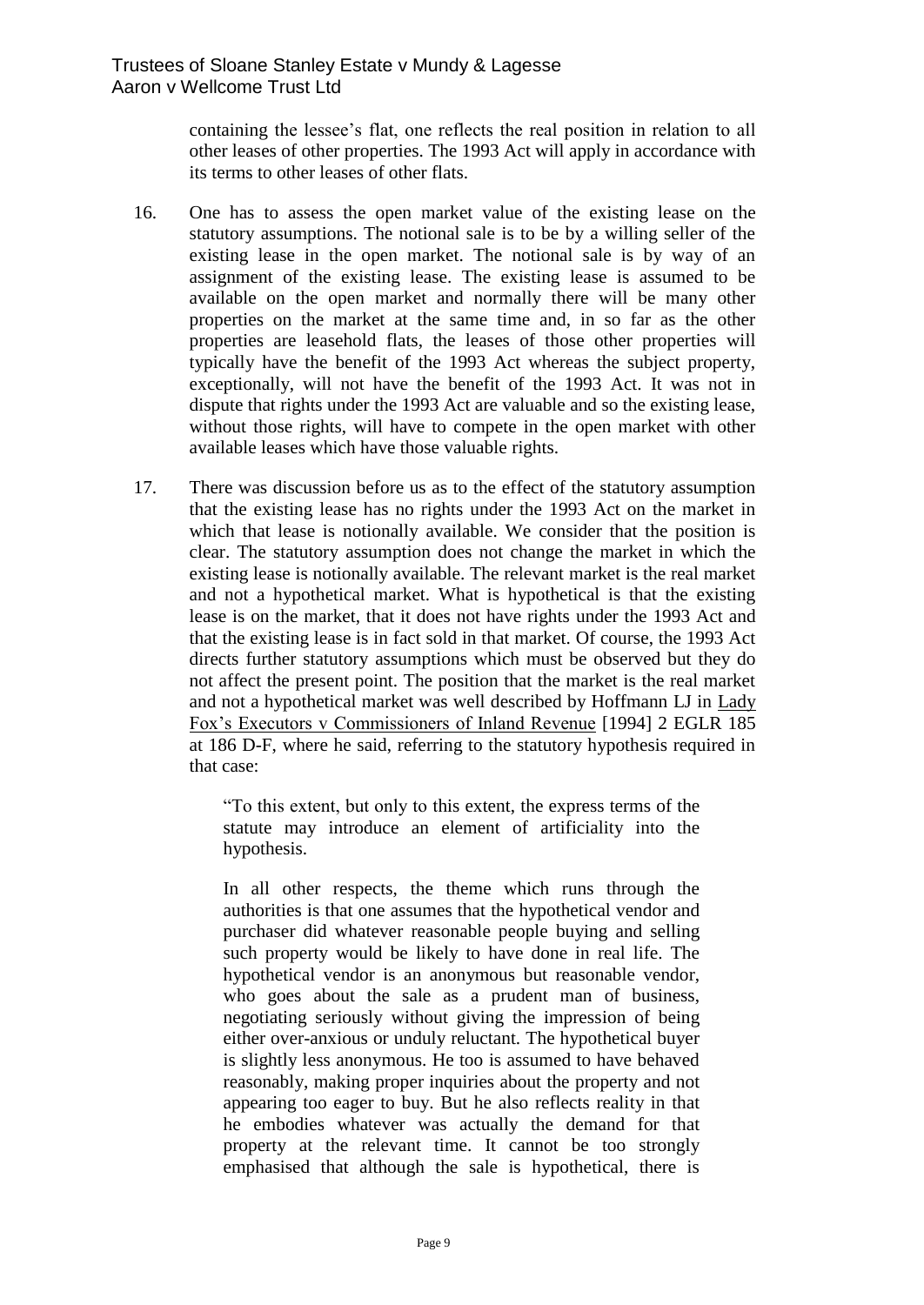containing the lessee's flat, one reflects the real position in relation to all other leases of other properties. The 1993 Act will apply in accordance with its terms to other leases of other flats.

- 16. One has to assess the open market value of the existing lease on the statutory assumptions. The notional sale is to be by a willing seller of the existing lease in the open market. The notional sale is by way of an assignment of the existing lease. The existing lease is assumed to be available on the open market and normally there will be many other properties on the market at the same time and, in so far as the other properties are leasehold flats, the leases of those other properties will typically have the benefit of the 1993 Act whereas the subject property, exceptionally, will not have the benefit of the 1993 Act. It was not in dispute that rights under the 1993 Act are valuable and so the existing lease, without those rights, will have to compete in the open market with other available leases which have those valuable rights.
- 17. There was discussion before us as to the effect of the statutory assumption that the existing lease has no rights under the 1993 Act on the market in which that lease is notionally available. We consider that the position is clear. The statutory assumption does not change the market in which the existing lease is notionally available. The relevant market is the real market and not a hypothetical market. What is hypothetical is that the existing lease is on the market, that it does not have rights under the 1993 Act and that the existing lease is in fact sold in that market. Of course, the 1993 Act directs further statutory assumptions which must be observed but they do not affect the present point. The position that the market is the real market and not a hypothetical market was well described by Hoffmann LJ in Lady Fox's Executors v Commissioners of Inland Revenue [1994] 2 EGLR 185 at 186 D-F, where he said, referring to the statutory hypothesis required in that case:

"To this extent, but only to this extent, the express terms of the statute may introduce an element of artificiality into the hypothesis.

In all other respects, the theme which runs through the authorities is that one assumes that the hypothetical vendor and purchaser did whatever reasonable people buying and selling such property would be likely to have done in real life. The hypothetical vendor is an anonymous but reasonable vendor, who goes about the sale as a prudent man of business, negotiating seriously without giving the impression of being either over-anxious or unduly reluctant. The hypothetical buyer is slightly less anonymous. He too is assumed to have behaved reasonably, making proper inquiries about the property and not appearing too eager to buy. But he also reflects reality in that he embodies whatever was actually the demand for that property at the relevant time. It cannot be too strongly emphasised that although the sale is hypothetical, there is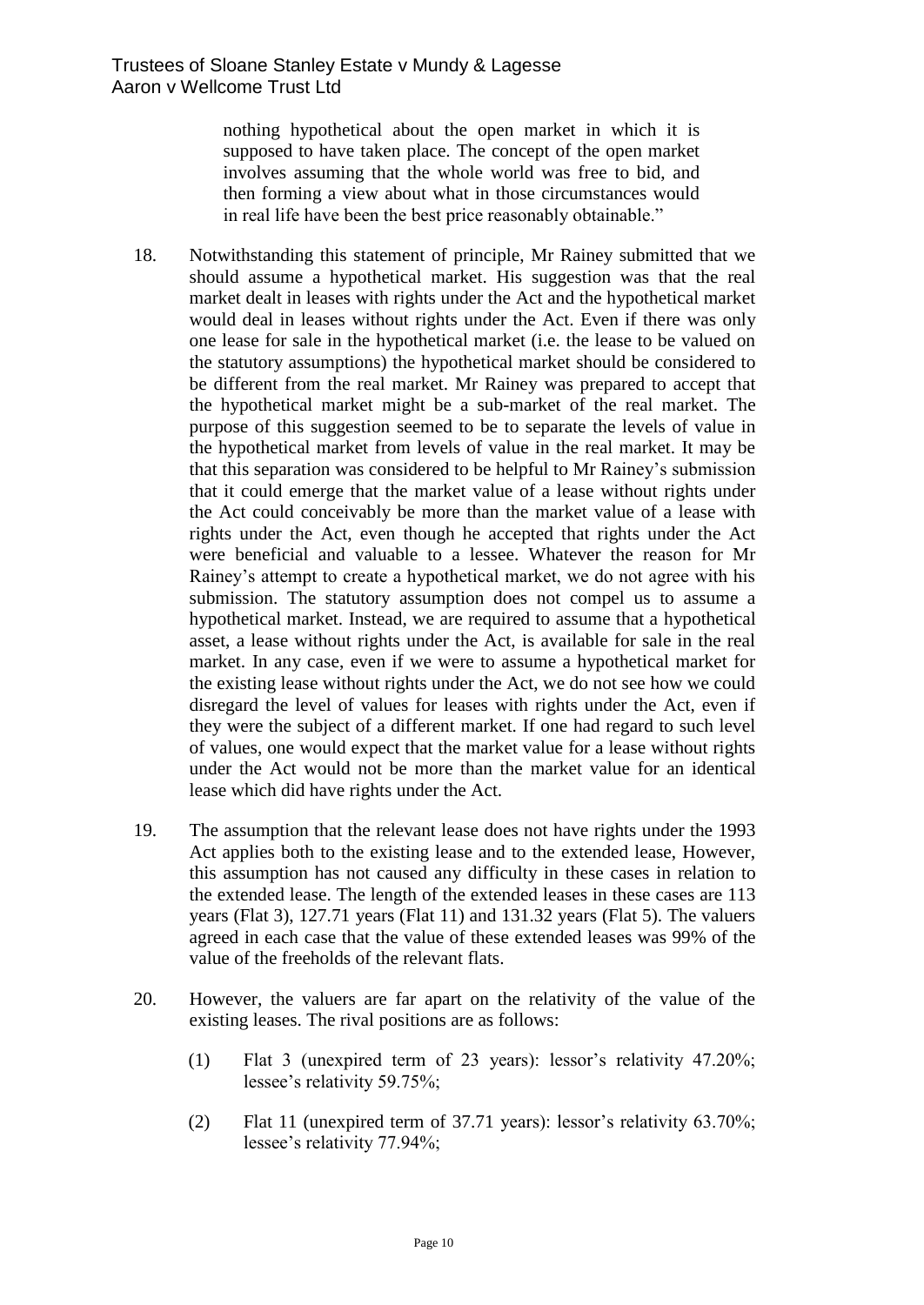nothing hypothetical about the open market in which it is supposed to have taken place. The concept of the open market involves assuming that the whole world was free to bid, and then forming a view about what in those circumstances would in real life have been the best price reasonably obtainable."

- 18. Notwithstanding this statement of principle, Mr Rainey submitted that we should assume a hypothetical market. His suggestion was that the real market dealt in leases with rights under the Act and the hypothetical market would deal in leases without rights under the Act. Even if there was only one lease for sale in the hypothetical market (i.e. the lease to be valued on the statutory assumptions) the hypothetical market should be considered to be different from the real market. Mr Rainey was prepared to accept that the hypothetical market might be a sub-market of the real market. The purpose of this suggestion seemed to be to separate the levels of value in the hypothetical market from levels of value in the real market. It may be that this separation was considered to be helpful to Mr Rainey's submission that it could emerge that the market value of a lease without rights under the Act could conceivably be more than the market value of a lease with rights under the Act, even though he accepted that rights under the Act were beneficial and valuable to a lessee. Whatever the reason for Mr Rainey's attempt to create a hypothetical market, we do not agree with his submission. The statutory assumption does not compel us to assume a hypothetical market. Instead, we are required to assume that a hypothetical asset, a lease without rights under the Act, is available for sale in the real market. In any case, even if we were to assume a hypothetical market for the existing lease without rights under the Act, we do not see how we could disregard the level of values for leases with rights under the Act, even if they were the subject of a different market. If one had regard to such level of values, one would expect that the market value for a lease without rights under the Act would not be more than the market value for an identical lease which did have rights under the Act.
- 19. The assumption that the relevant lease does not have rights under the 1993 Act applies both to the existing lease and to the extended lease, However, this assumption has not caused any difficulty in these cases in relation to the extended lease. The length of the extended leases in these cases are 113 years (Flat 3), 127.71 years (Flat 11) and 131.32 years (Flat 5). The valuers agreed in each case that the value of these extended leases was 99% of the value of the freeholds of the relevant flats.
- 20. However, the valuers are far apart on the relativity of the value of the existing leases. The rival positions are as follows:
	- (1) Flat 3 (unexpired term of 23 years): lessor's relativity 47.20%; lessee's relativity 59.75%;
	- (2) Flat 11 (unexpired term of 37.71 years): lessor's relativity 63.70%; lessee's relativity 77.94%;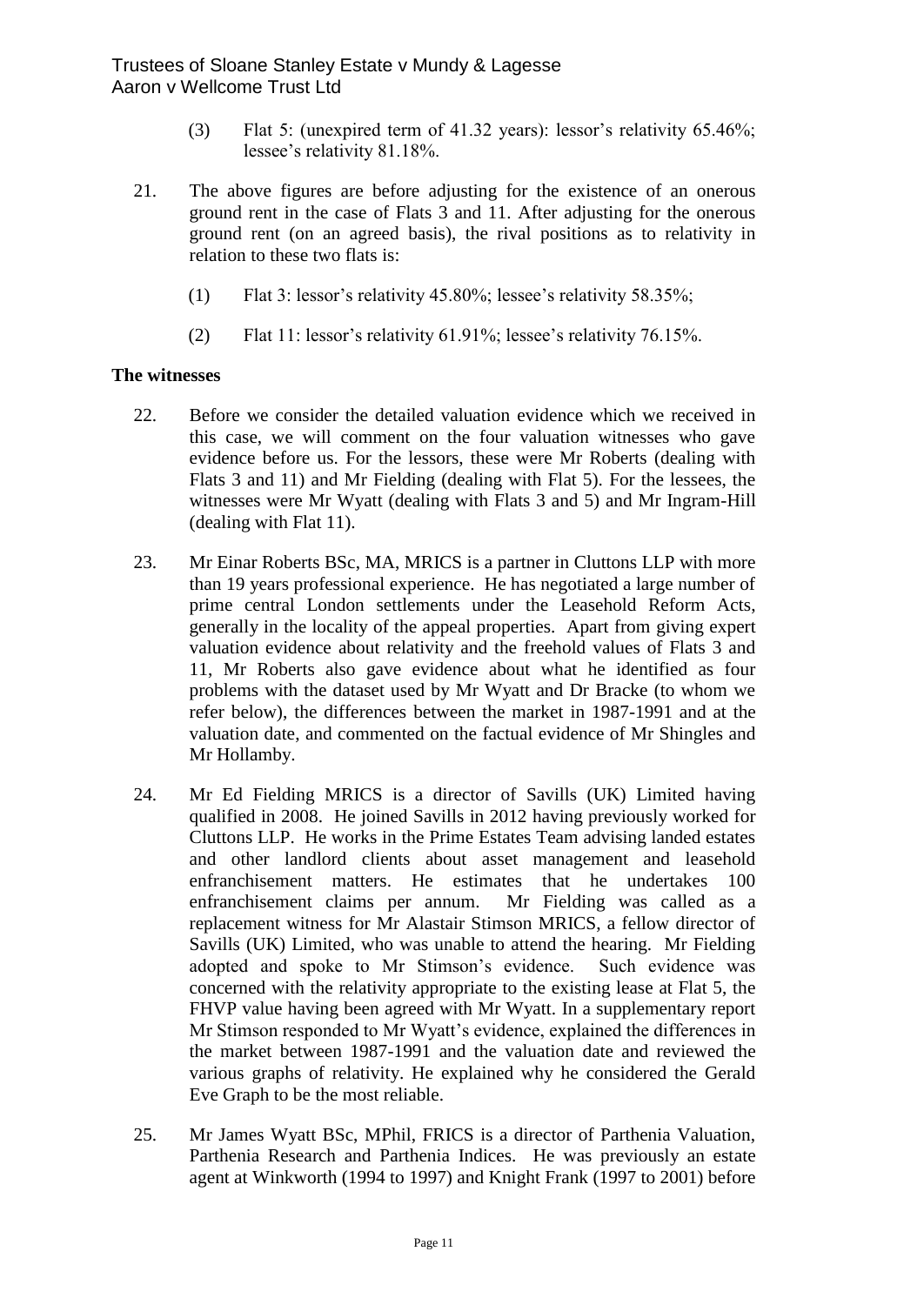- (3) Flat 5: (unexpired term of 41.32 years): lessor's relativity 65.46%; lessee's relativity 81.18%.
- 21. The above figures are before adjusting for the existence of an onerous ground rent in the case of Flats 3 and 11. After adjusting for the onerous ground rent (on an agreed basis), the rival positions as to relativity in relation to these two flats is:
	- (1) Flat 3: lessor's relativity 45.80%; lessee's relativity 58.35%;
	- (2) Flat 11: lessor's relativity 61.91%; lessee's relativity 76.15%.

#### **The witnesses**

- 22. Before we consider the detailed valuation evidence which we received in this case, we will comment on the four valuation witnesses who gave evidence before us. For the lessors, these were Mr Roberts (dealing with Flats 3 and 11) and Mr Fielding (dealing with Flat 5). For the lessees, the witnesses were Mr Wyatt (dealing with Flats 3 and 5) and Mr Ingram-Hill (dealing with Flat 11).
- 23. Mr Einar Roberts BSc, MA, MRICS is a partner in Cluttons LLP with more than 19 years professional experience. He has negotiated a large number of prime central London settlements under the Leasehold Reform Acts, generally in the locality of the appeal properties. Apart from giving expert valuation evidence about relativity and the freehold values of Flats 3 and 11, Mr Roberts also gave evidence about what he identified as four problems with the dataset used by Mr Wyatt and Dr Bracke (to whom we refer below), the differences between the market in 1987-1991 and at the valuation date, and commented on the factual evidence of Mr Shingles and Mr Hollamby.
- 24. Mr Ed Fielding MRICS is a director of Savills (UK) Limited having qualified in 2008. He joined Savills in 2012 having previously worked for Cluttons LLP. He works in the Prime Estates Team advising landed estates and other landlord clients about asset management and leasehold enfranchisement matters. He estimates that he undertakes 100 enfranchisement claims per annum. Mr Fielding was called as a replacement witness for Mr Alastair Stimson MRICS, a fellow director of Savills (UK) Limited, who was unable to attend the hearing. Mr Fielding adopted and spoke to Mr Stimson's evidence. Such evidence was concerned with the relativity appropriate to the existing lease at Flat 5, the FHVP value having been agreed with Mr Wyatt. In a supplementary report Mr Stimson responded to Mr Wyatt's evidence, explained the differences in the market between 1987-1991 and the valuation date and reviewed the various graphs of relativity. He explained why he considered the Gerald Eve Graph to be the most reliable.
- 25. Mr James Wyatt BSc, MPhil, FRICS is a director of Parthenia Valuation, Parthenia Research and Parthenia Indices. He was previously an estate agent at Winkworth (1994 to 1997) and Knight Frank (1997 to 2001) before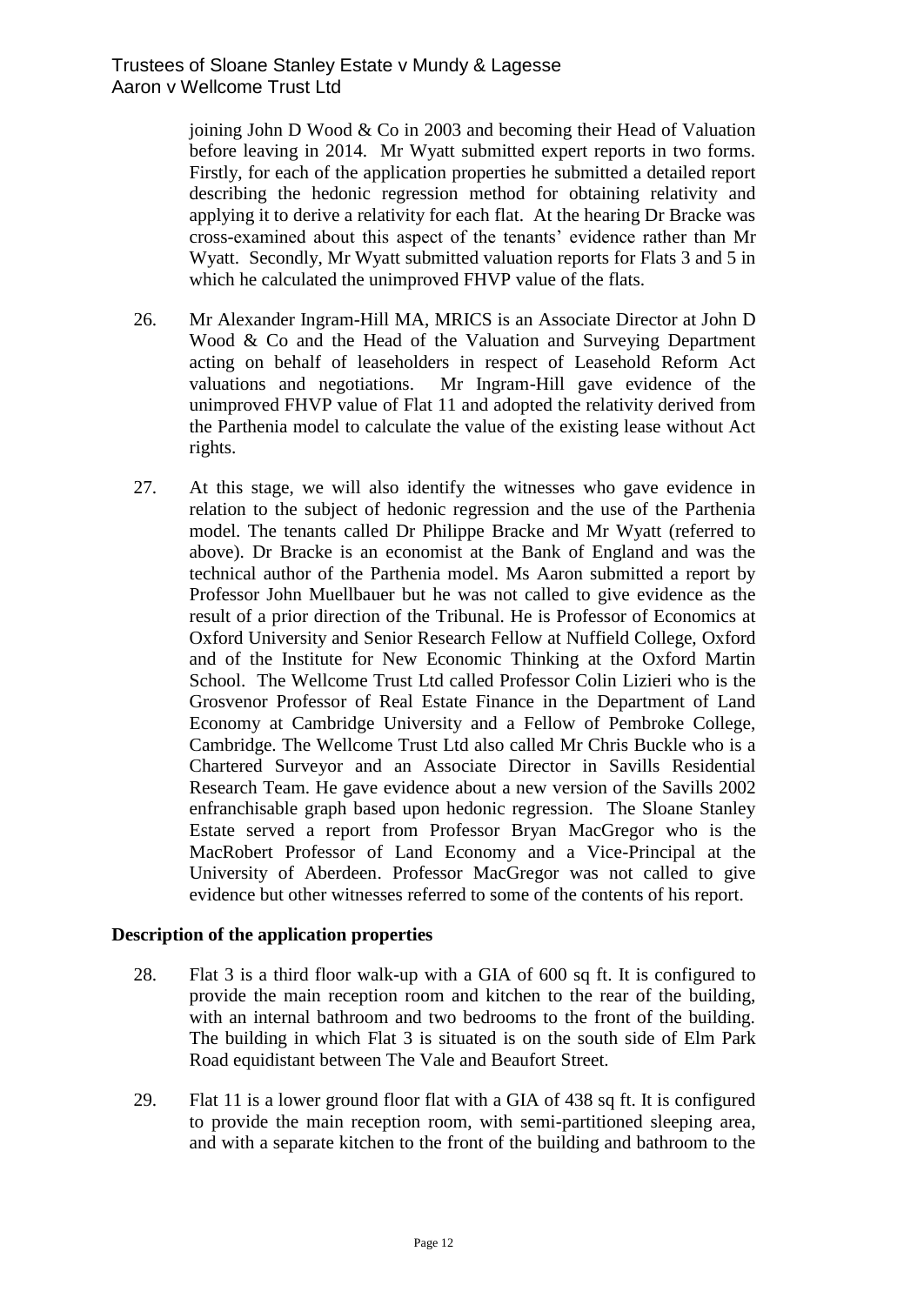joining John D Wood & Co in 2003 and becoming their Head of Valuation before leaving in 2014. Mr Wyatt submitted expert reports in two forms. Firstly, for each of the application properties he submitted a detailed report describing the hedonic regression method for obtaining relativity and applying it to derive a relativity for each flat. At the hearing Dr Bracke was cross-examined about this aspect of the tenants' evidence rather than Mr Wyatt. Secondly, Mr Wyatt submitted valuation reports for Flats 3 and 5 in which he calculated the unimproved FHVP value of the flats.

- 26. Mr Alexander Ingram-Hill MA, MRICS is an Associate Director at John D Wood & Co and the Head of the Valuation and Surveying Department acting on behalf of leaseholders in respect of Leasehold Reform Act valuations and negotiations. Mr Ingram-Hill gave evidence of the unimproved FHVP value of Flat 11 and adopted the relativity derived from the Parthenia model to calculate the value of the existing lease without Act rights.
- 27. At this stage, we will also identify the witnesses who gave evidence in relation to the subject of hedonic regression and the use of the Parthenia model. The tenants called Dr Philippe Bracke and Mr Wyatt (referred to above). Dr Bracke is an economist at the Bank of England and was the technical author of the Parthenia model. Ms Aaron submitted a report by Professor John Muellbauer but he was not called to give evidence as the result of a prior direction of the Tribunal. He is Professor of Economics at Oxford University and Senior Research Fellow at Nuffield College, Oxford and of the Institute for New Economic Thinking at the Oxford Martin School. The Wellcome Trust Ltd called Professor Colin Lizieri who is the Grosvenor Professor of Real Estate Finance in the Department of Land Economy at Cambridge University and a Fellow of Pembroke College, Cambridge. The Wellcome Trust Ltd also called Mr Chris Buckle who is a Chartered Surveyor and an Associate Director in Savills Residential Research Team. He gave evidence about a new version of the Savills 2002 enfranchisable graph based upon hedonic regression. The Sloane Stanley Estate served a report from Professor Bryan MacGregor who is the MacRobert Professor of Land Economy and a Vice-Principal at the University of Aberdeen. Professor MacGregor was not called to give evidence but other witnesses referred to some of the contents of his report.

#### **Description of the application properties**

- 28. Flat 3 is a third floor walk-up with a GIA of 600 sq ft. It is configured to provide the main reception room and kitchen to the rear of the building, with an internal bathroom and two bedrooms to the front of the building. The building in which Flat 3 is situated is on the south side of Elm Park Road equidistant between The Vale and Beaufort Street.
- 29. Flat 11 is a lower ground floor flat with a GIA of 438 sq ft. It is configured to provide the main reception room, with semi-partitioned sleeping area, and with a separate kitchen to the front of the building and bathroom to the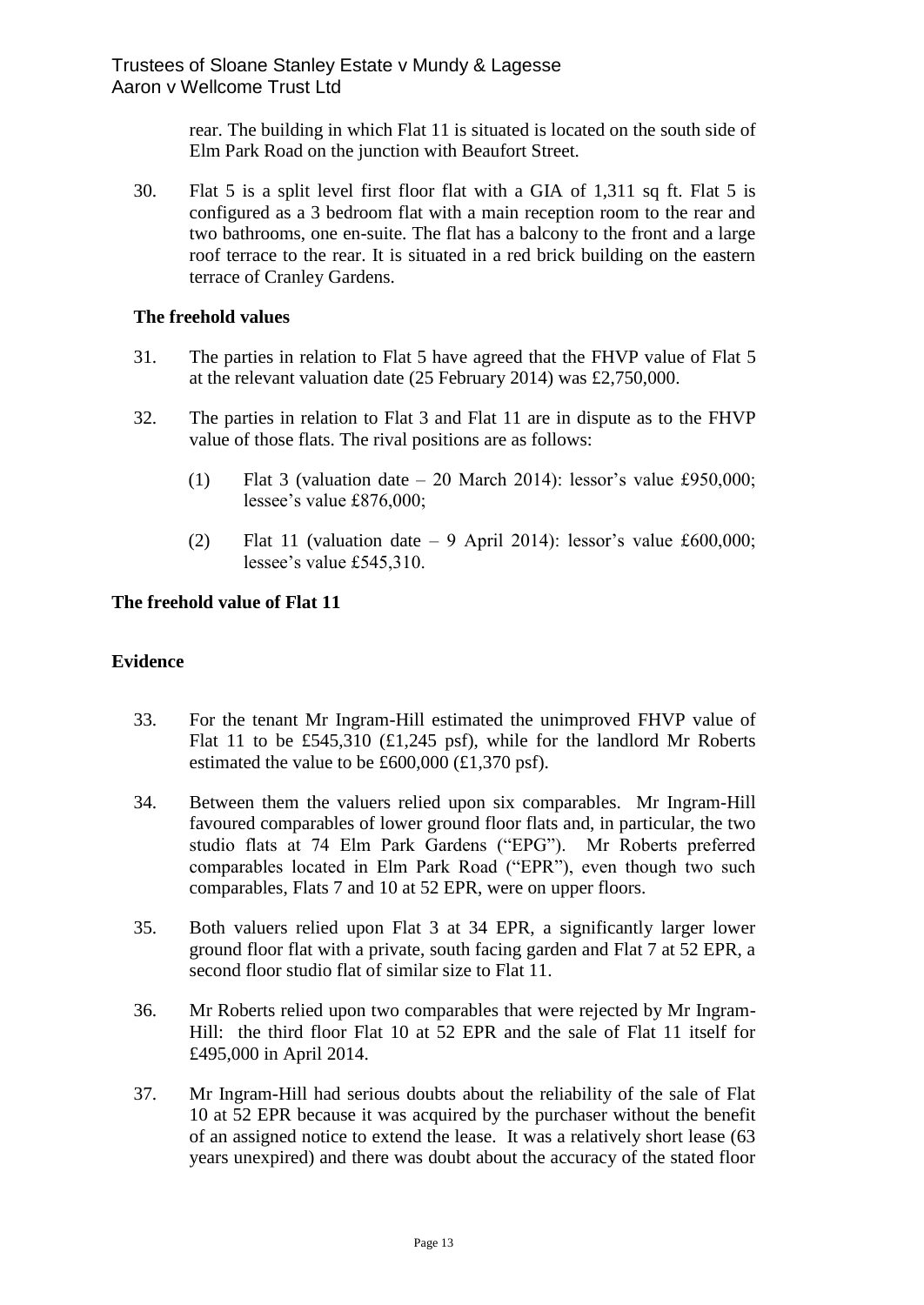rear. The building in which Flat 11 is situated is located on the south side of Elm Park Road on the junction with Beaufort Street.

30. Flat 5 is a split level first floor flat with a GIA of 1,311 sq ft. Flat 5 is configured as a 3 bedroom flat with a main reception room to the rear and two bathrooms, one en-suite. The flat has a balcony to the front and a large roof terrace to the rear. It is situated in a red brick building on the eastern terrace of Cranley Gardens.

#### **The freehold values**

- 31. The parties in relation to Flat 5 have agreed that the FHVP value of Flat 5 at the relevant valuation date (25 February 2014) was £2,750,000.
- 32. The parties in relation to Flat 3 and Flat 11 are in dispute as to the FHVP value of those flats. The rival positions are as follows:
	- (1) Flat 3 (valuation date  $-20$  March 2014): lessor's value £950,000; lessee's value £876,000;
	- (2) Flat 11 (valuation date  $-9$  April 2014): lessor's value £600,000; lessee's value £545,310.

# **The freehold value of Flat 11**

## **Evidence**

- 33. For the tenant Mr Ingram-Hill estimated the unimproved FHVP value of Flat 11 to be £545,310 (£1,245 psf), while for the landlord Mr Roberts estimated the value to be £600,000 (£1,370 psf).
- 34. Between them the valuers relied upon six comparables. Mr Ingram-Hill favoured comparables of lower ground floor flats and, in particular, the two studio flats at 74 Elm Park Gardens ("EPG"). Mr Roberts preferred comparables located in Elm Park Road ("EPR"), even though two such comparables, Flats 7 and 10 at 52 EPR, were on upper floors.
- 35. Both valuers relied upon Flat 3 at 34 EPR, a significantly larger lower ground floor flat with a private, south facing garden and Flat 7 at 52 EPR, a second floor studio flat of similar size to Flat 11.
- 36. Mr Roberts relied upon two comparables that were rejected by Mr Ingram-Hill: the third floor Flat 10 at 52 EPR and the sale of Flat 11 itself for £495,000 in April 2014.
- 37. Mr Ingram-Hill had serious doubts about the reliability of the sale of Flat 10 at 52 EPR because it was acquired by the purchaser without the benefit of an assigned notice to extend the lease. It was a relatively short lease (63 years unexpired) and there was doubt about the accuracy of the stated floor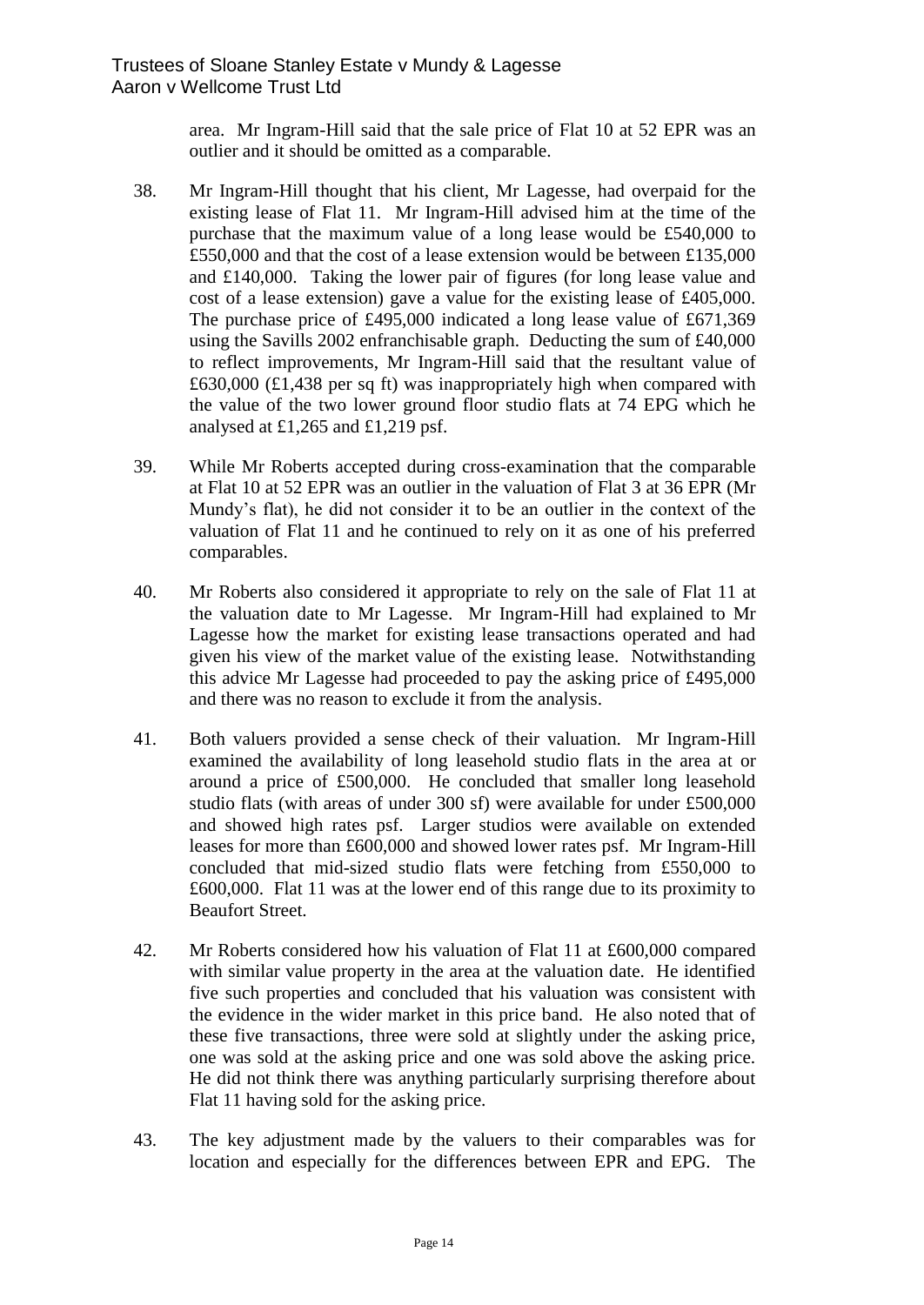area. Mr Ingram-Hill said that the sale price of Flat 10 at 52 EPR was an outlier and it should be omitted as a comparable.

- 38. Mr Ingram-Hill thought that his client, Mr Lagesse, had overpaid for the existing lease of Flat 11. Mr Ingram-Hill advised him at the time of the purchase that the maximum value of a long lease would be £540,000 to £550,000 and that the cost of a lease extension would be between £135,000 and £140,000. Taking the lower pair of figures (for long lease value and cost of a lease extension) gave a value for the existing lease of £405,000. The purchase price of £495,000 indicated a long lease value of £671,369 using the Savills 2002 enfranchisable graph. Deducting the sum of £40,000 to reflect improvements, Mr Ingram-Hill said that the resultant value of  $£630,000$  (£1,438 per sq ft) was inappropriately high when compared with the value of the two lower ground floor studio flats at 74 EPG which he analysed at £1,265 and £1,219 psf.
- 39. While Mr Roberts accepted during cross-examination that the comparable at Flat 10 at 52 EPR was an outlier in the valuation of Flat 3 at 36 EPR (Mr Mundy's flat), he did not consider it to be an outlier in the context of the valuation of Flat 11 and he continued to rely on it as one of his preferred comparables.
- 40. Mr Roberts also considered it appropriate to rely on the sale of Flat 11 at the valuation date to Mr Lagesse. Mr Ingram-Hill had explained to Mr Lagesse how the market for existing lease transactions operated and had given his view of the market value of the existing lease. Notwithstanding this advice Mr Lagesse had proceeded to pay the asking price of £495,000 and there was no reason to exclude it from the analysis.
- 41. Both valuers provided a sense check of their valuation. Mr Ingram-Hill examined the availability of long leasehold studio flats in the area at or around a price of £500,000. He concluded that smaller long leasehold studio flats (with areas of under 300 sf) were available for under £500,000 and showed high rates psf. Larger studios were available on extended leases for more than £600,000 and showed lower rates psf. Mr Ingram-Hill concluded that mid-sized studio flats were fetching from £550,000 to £600,000. Flat 11 was at the lower end of this range due to its proximity to Beaufort Street.
- 42. Mr Roberts considered how his valuation of Flat 11 at £600,000 compared with similar value property in the area at the valuation date. He identified five such properties and concluded that his valuation was consistent with the evidence in the wider market in this price band. He also noted that of these five transactions, three were sold at slightly under the asking price, one was sold at the asking price and one was sold above the asking price. He did not think there was anything particularly surprising therefore about Flat 11 having sold for the asking price.
- 43. The key adjustment made by the valuers to their comparables was for location and especially for the differences between EPR and EPG. The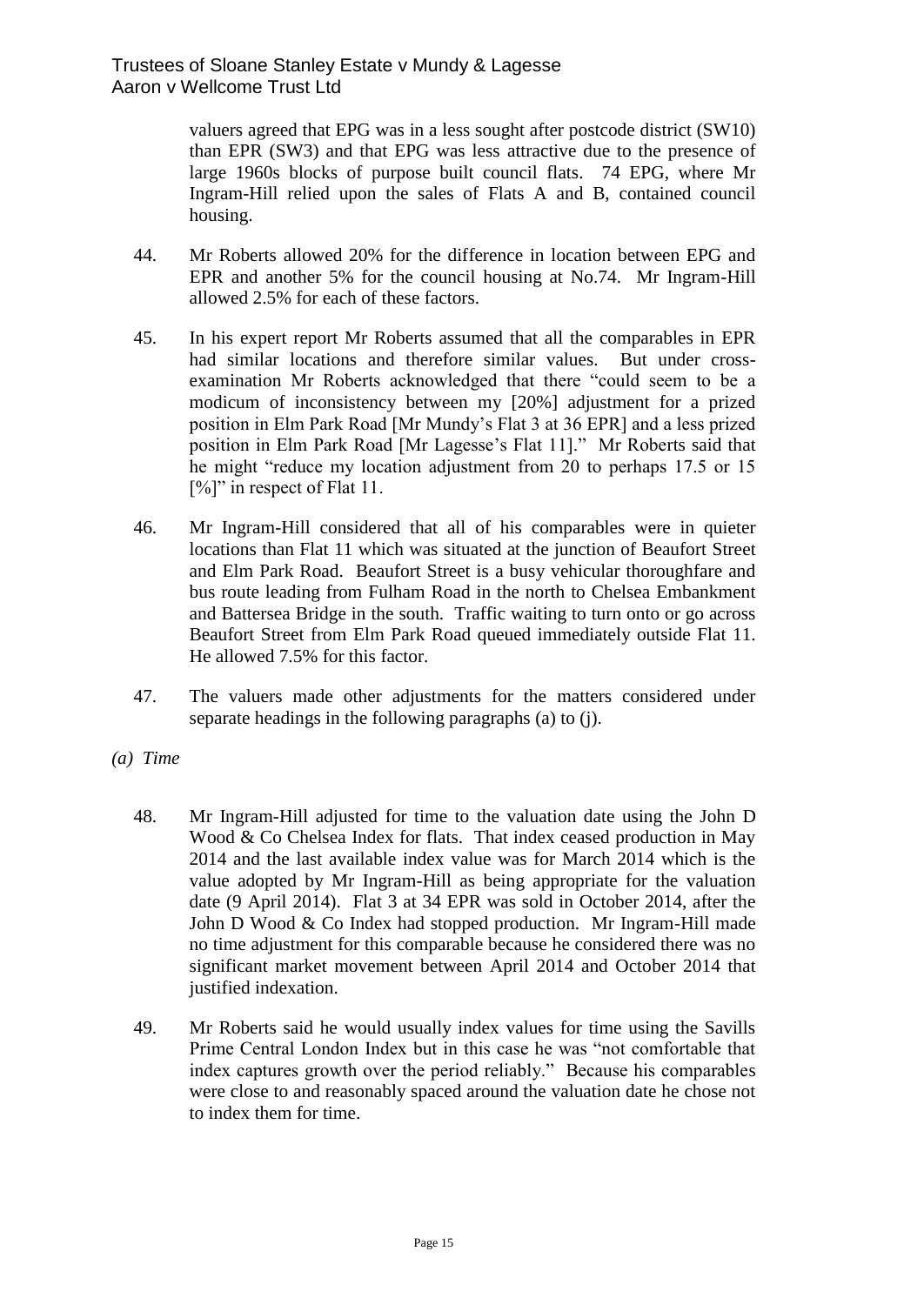valuers agreed that EPG was in a less sought after postcode district (SW10) than EPR (SW3) and that EPG was less attractive due to the presence of large 1960s blocks of purpose built council flats. 74 EPG, where Mr Ingram-Hill relied upon the sales of Flats A and B, contained council housing.

- 44. Mr Roberts allowed 20% for the difference in location between EPG and EPR and another 5% for the council housing at No.74. Mr Ingram-Hill allowed 2.5% for each of these factors.
- 45. In his expert report Mr Roberts assumed that all the comparables in EPR had similar locations and therefore similar values. But under crossexamination Mr Roberts acknowledged that there "could seem to be a modicum of inconsistency between my [20%] adjustment for a prized position in Elm Park Road [Mr Mundy's Flat 3 at 36 EPR] and a less prized position in Elm Park Road [Mr Lagesse's Flat 11]." Mr Roberts said that he might "reduce my location adjustment from 20 to perhaps 17.5 or 15 [%]" in respect of Flat 11.
- 46. Mr Ingram-Hill considered that all of his comparables were in quieter locations than Flat 11 which was situated at the junction of Beaufort Street and Elm Park Road. Beaufort Street is a busy vehicular thoroughfare and bus route leading from Fulham Road in the north to Chelsea Embankment and Battersea Bridge in the south. Traffic waiting to turn onto or go across Beaufort Street from Elm Park Road queued immediately outside Flat 11. He allowed 7.5% for this factor.
- 47. The valuers made other adjustments for the matters considered under separate headings in the following paragraphs (a) to (j).
- *(a) Time*
	- 48. Mr Ingram-Hill adjusted for time to the valuation date using the John D Wood & Co Chelsea Index for flats. That index ceased production in May 2014 and the last available index value was for March 2014 which is the value adopted by Mr Ingram-Hill as being appropriate for the valuation date (9 April 2014). Flat 3 at 34 EPR was sold in October 2014, after the John D Wood & Co Index had stopped production. Mr Ingram-Hill made no time adjustment for this comparable because he considered there was no significant market movement between April 2014 and October 2014 that justified indexation.
	- 49. Mr Roberts said he would usually index values for time using the Savills Prime Central London Index but in this case he was "not comfortable that index captures growth over the period reliably." Because his comparables were close to and reasonably spaced around the valuation date he chose not to index them for time.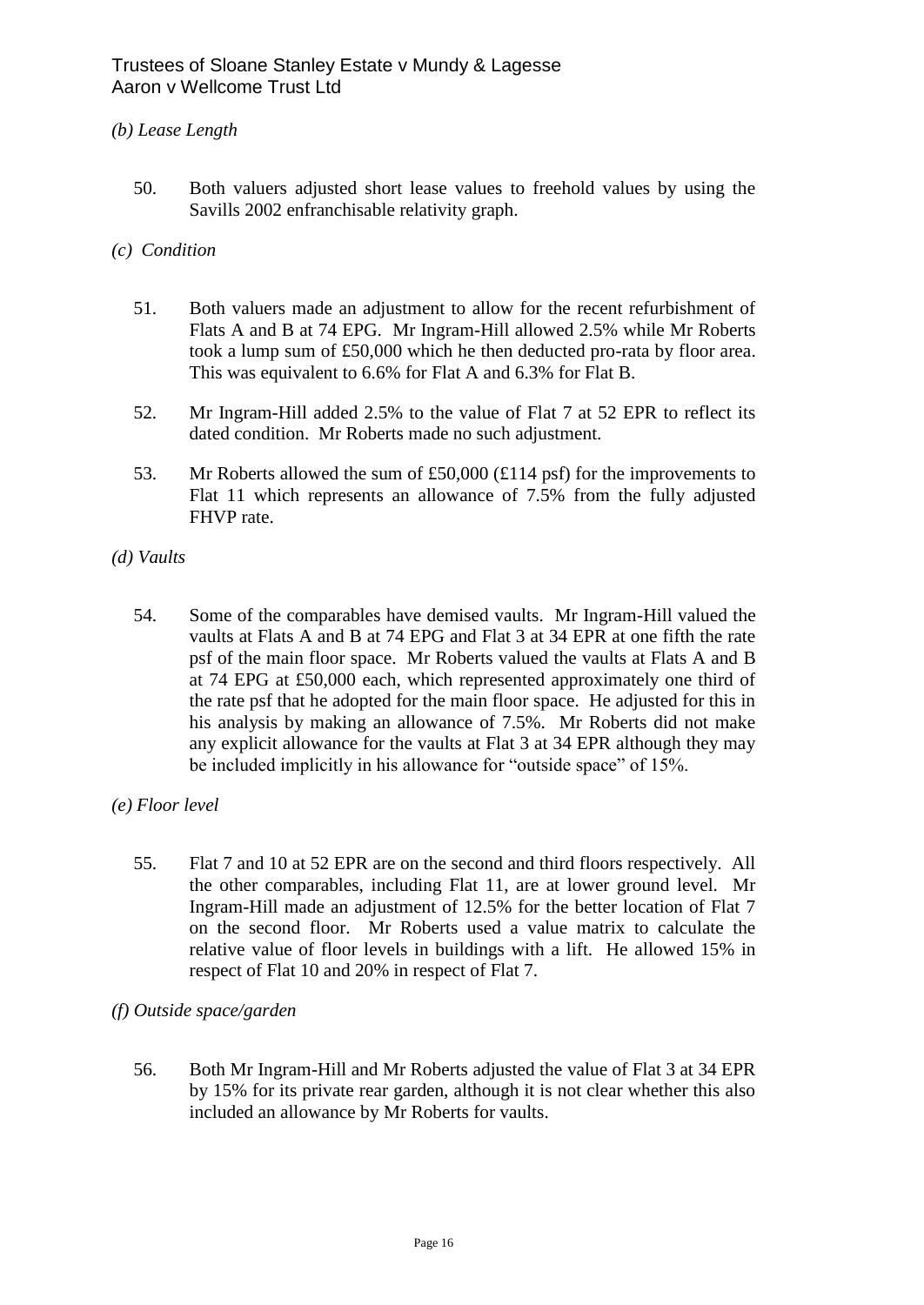## *(b) Lease Length*

50. Both valuers adjusted short lease values to freehold values by using the Savills 2002 enfranchisable relativity graph.

#### *(c) Condition*

- 51. Both valuers made an adjustment to allow for the recent refurbishment of Flats A and B at 74 EPG. Mr Ingram-Hill allowed 2.5% while Mr Roberts took a lump sum of £50,000 which he then deducted pro-rata by floor area. This was equivalent to 6.6% for Flat A and 6.3% for Flat B.
- 52. Mr Ingram-Hill added 2.5% to the value of Flat 7 at 52 EPR to reflect its dated condition. Mr Roberts made no such adjustment.
- 53. Mr Roberts allowed the sum of £50,000 (£114 psf) for the improvements to Flat 11 which represents an allowance of 7.5% from the fully adjusted FHVP rate.
- *(d) Vaults*
	- 54. Some of the comparables have demised vaults. Mr Ingram-Hill valued the vaults at Flats A and B at 74 EPG and Flat 3 at 34 EPR at one fifth the rate psf of the main floor space. Mr Roberts valued the vaults at Flats A and B at 74 EPG at £50,000 each, which represented approximately one third of the rate psf that he adopted for the main floor space. He adjusted for this in his analysis by making an allowance of 7.5%. Mr Roberts did not make any explicit allowance for the vaults at Flat 3 at 34 EPR although they may be included implicitly in his allowance for "outside space" of 15%.

# *(e) Floor level*

- 55. Flat 7 and 10 at 52 EPR are on the second and third floors respectively. All the other comparables, including Flat 11, are at lower ground level. Mr Ingram-Hill made an adjustment of 12.5% for the better location of Flat 7 on the second floor. Mr Roberts used a value matrix to calculate the relative value of floor levels in buildings with a lift. He allowed 15% in respect of Flat 10 and 20% in respect of Flat 7.
- *(f) Outside space/garden*
	- 56. Both Mr Ingram-Hill and Mr Roberts adjusted the value of Flat 3 at 34 EPR by 15% for its private rear garden, although it is not clear whether this also included an allowance by Mr Roberts for vaults.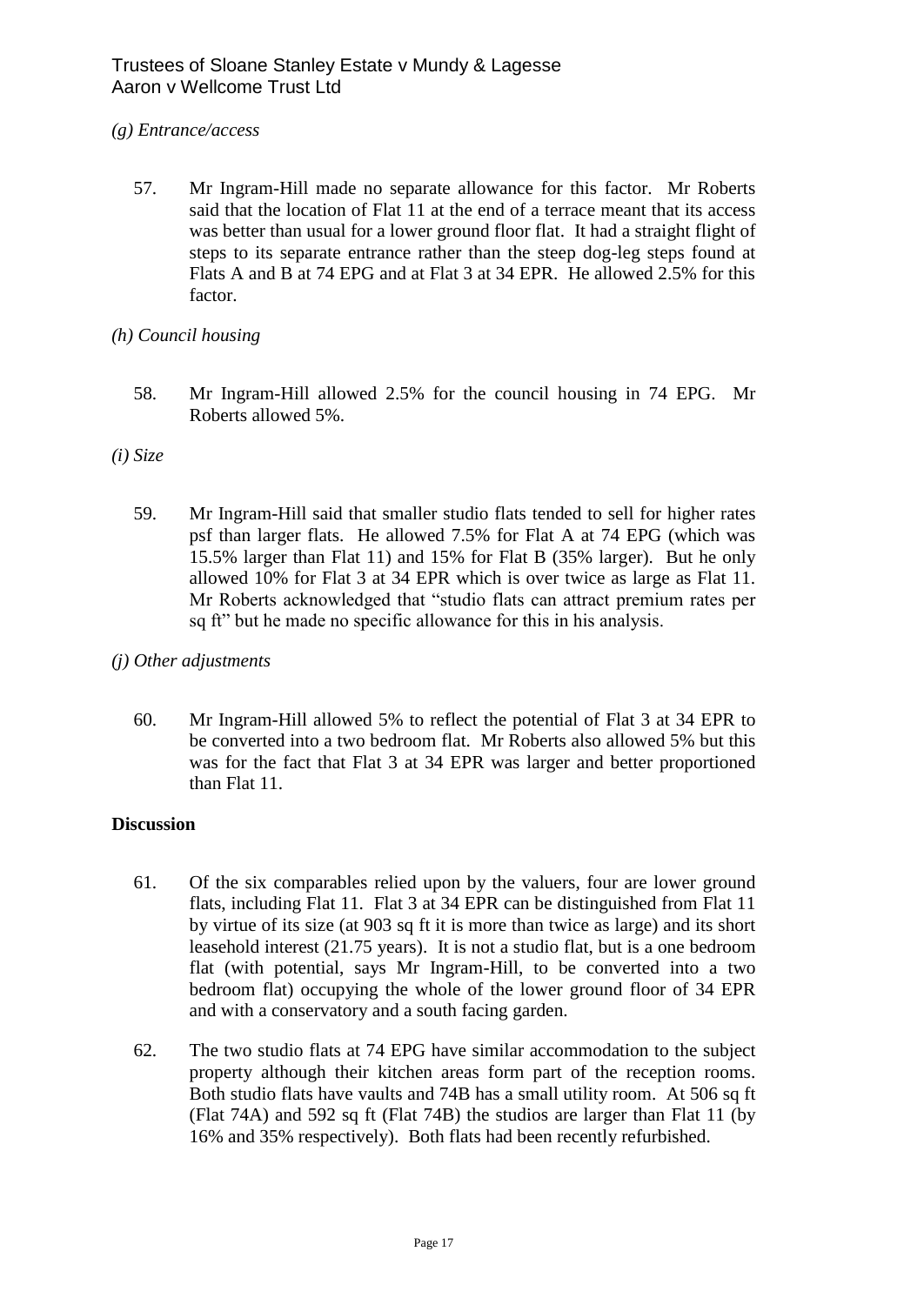## *(g) Entrance/access*

57. Mr Ingram-Hill made no separate allowance for this factor. Mr Roberts said that the location of Flat 11 at the end of a terrace meant that its access was better than usual for a lower ground floor flat. It had a straight flight of steps to its separate entrance rather than the steep dog-leg steps found at Flats A and B at 74 EPG and at Flat 3 at 34 EPR. He allowed 2.5% for this factor.

## *(h) Council housing*

58. Mr Ingram-Hill allowed 2.5% for the council housing in 74 EPG. Mr Roberts allowed 5%.

#### *(i) Size*

59. Mr Ingram-Hill said that smaller studio flats tended to sell for higher rates psf than larger flats. He allowed 7.5% for Flat A at 74 EPG (which was 15.5% larger than Flat 11) and 15% for Flat B (35% larger). But he only allowed 10% for Flat 3 at 34 EPR which is over twice as large as Flat 11. Mr Roberts acknowledged that "studio flats can attract premium rates per sq ft" but he made no specific allowance for this in his analysis.

#### *(j) Other adjustments*

60. Mr Ingram-Hill allowed 5% to reflect the potential of Flat 3 at 34 EPR to be converted into a two bedroom flat. Mr Roberts also allowed 5% but this was for the fact that Flat 3 at 34 EPR was larger and better proportioned than Flat 11.

#### **Discussion**

- 61. Of the six comparables relied upon by the valuers, four are lower ground flats, including Flat 11. Flat 3 at 34 EPR can be distinguished from Flat 11 by virtue of its size (at 903 sq ft it is more than twice as large) and its short leasehold interest (21.75 years). It is not a studio flat, but is a one bedroom flat (with potential, says Mr Ingram-Hill, to be converted into a two bedroom flat) occupying the whole of the lower ground floor of 34 EPR and with a conservatory and a south facing garden.
- 62. The two studio flats at 74 EPG have similar accommodation to the subject property although their kitchen areas form part of the reception rooms. Both studio flats have vaults and 74B has a small utility room. At 506 sq ft (Flat 74A) and 592 sq ft (Flat 74B) the studios are larger than Flat 11 (by 16% and 35% respectively). Both flats had been recently refurbished.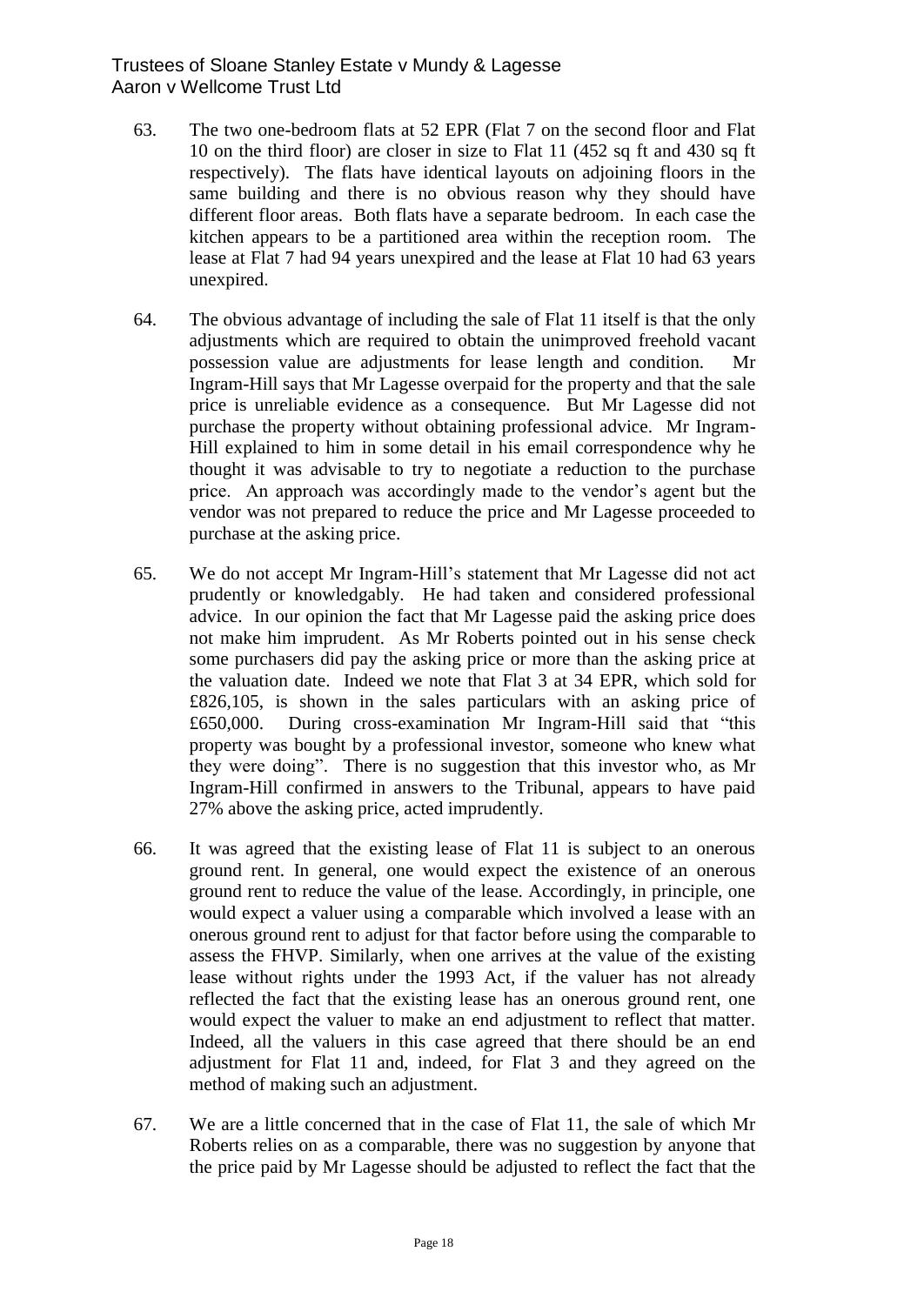## Trustees of Sloane Stanley Estate v Mundy & Lagesse Aaron v Wellcome Trust Ltd

- 63. The two one-bedroom flats at 52 EPR (Flat 7 on the second floor and Flat 10 on the third floor) are closer in size to Flat 11 (452 sq ft and 430 sq ft respectively). The flats have identical layouts on adjoining floors in the same building and there is no obvious reason why they should have different floor areas. Both flats have a separate bedroom. In each case the kitchen appears to be a partitioned area within the reception room. The lease at Flat 7 had 94 years unexpired and the lease at Flat 10 had 63 years unexpired.
- 64. The obvious advantage of including the sale of Flat 11 itself is that the only adjustments which are required to obtain the unimproved freehold vacant possession value are adjustments for lease length and condition. Mr Ingram-Hill says that Mr Lagesse overpaid for the property and that the sale price is unreliable evidence as a consequence. But Mr Lagesse did not purchase the property without obtaining professional advice. Mr Ingram-Hill explained to him in some detail in his email correspondence why he thought it was advisable to try to negotiate a reduction to the purchase price. An approach was accordingly made to the vendor's agent but the vendor was not prepared to reduce the price and Mr Lagesse proceeded to purchase at the asking price.
- 65. We do not accept Mr Ingram-Hill's statement that Mr Lagesse did not act prudently or knowledgably. He had taken and considered professional advice. In our opinion the fact that Mr Lagesse paid the asking price does not make him imprudent. As Mr Roberts pointed out in his sense check some purchasers did pay the asking price or more than the asking price at the valuation date. Indeed we note that Flat 3 at 34 EPR, which sold for £826,105, is shown in the sales particulars with an asking price of £650,000. During cross-examination Mr Ingram-Hill said that "this property was bought by a professional investor, someone who knew what they were doing". There is no suggestion that this investor who, as Mr Ingram-Hill confirmed in answers to the Tribunal, appears to have paid 27% above the asking price, acted imprudently.
- 66. It was agreed that the existing lease of Flat 11 is subject to an onerous ground rent. In general, one would expect the existence of an onerous ground rent to reduce the value of the lease. Accordingly, in principle, one would expect a valuer using a comparable which involved a lease with an onerous ground rent to adjust for that factor before using the comparable to assess the FHVP. Similarly, when one arrives at the value of the existing lease without rights under the 1993 Act, if the valuer has not already reflected the fact that the existing lease has an onerous ground rent, one would expect the valuer to make an end adjustment to reflect that matter. Indeed, all the valuers in this case agreed that there should be an end adjustment for Flat 11 and, indeed, for Flat 3 and they agreed on the method of making such an adjustment.
- 67. We are a little concerned that in the case of Flat 11, the sale of which Mr Roberts relies on as a comparable, there was no suggestion by anyone that the price paid by Mr Lagesse should be adjusted to reflect the fact that the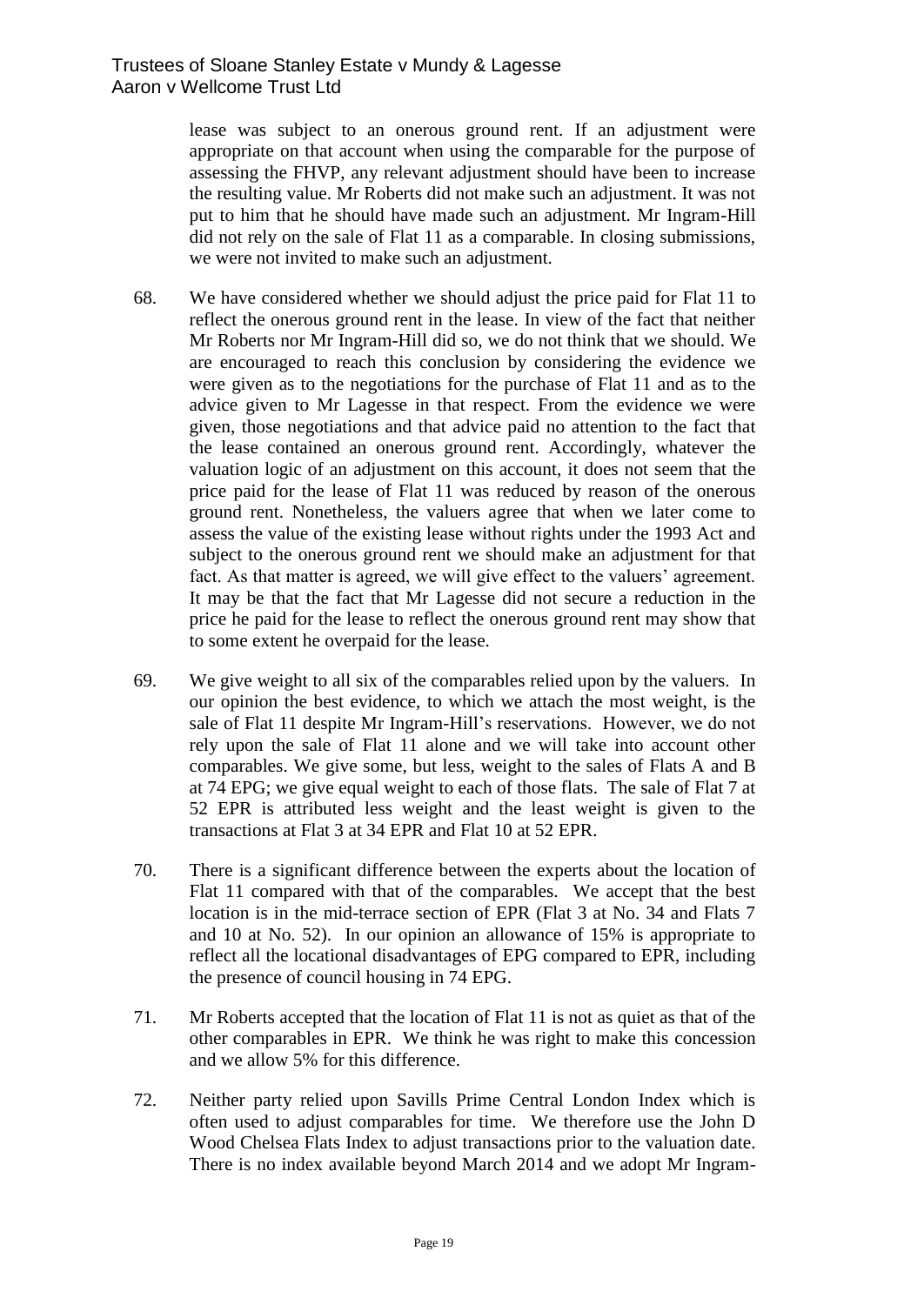lease was subject to an onerous ground rent. If an adjustment were appropriate on that account when using the comparable for the purpose of assessing the FHVP, any relevant adjustment should have been to increase the resulting value. Mr Roberts did not make such an adjustment. It was not put to him that he should have made such an adjustment. Mr Ingram-Hill did not rely on the sale of Flat 11 as a comparable. In closing submissions, we were not invited to make such an adjustment.

- 68. We have considered whether we should adjust the price paid for Flat 11 to reflect the onerous ground rent in the lease. In view of the fact that neither Mr Roberts nor Mr Ingram-Hill did so, we do not think that we should. We are encouraged to reach this conclusion by considering the evidence we were given as to the negotiations for the purchase of Flat 11 and as to the advice given to Mr Lagesse in that respect. From the evidence we were given, those negotiations and that advice paid no attention to the fact that the lease contained an onerous ground rent. Accordingly, whatever the valuation logic of an adjustment on this account, it does not seem that the price paid for the lease of Flat 11 was reduced by reason of the onerous ground rent. Nonetheless, the valuers agree that when we later come to assess the value of the existing lease without rights under the 1993 Act and subject to the onerous ground rent we should make an adjustment for that fact. As that matter is agreed, we will give effect to the valuers' agreement. It may be that the fact that Mr Lagesse did not secure a reduction in the price he paid for the lease to reflect the onerous ground rent may show that to some extent he overpaid for the lease.
- 69. We give weight to all six of the comparables relied upon by the valuers. In our opinion the best evidence, to which we attach the most weight, is the sale of Flat 11 despite Mr Ingram-Hill's reservations. However, we do not rely upon the sale of Flat 11 alone and we will take into account other comparables. We give some, but less, weight to the sales of Flats A and B at 74 EPG; we give equal weight to each of those flats. The sale of Flat 7 at 52 EPR is attributed less weight and the least weight is given to the transactions at Flat 3 at 34 EPR and Flat 10 at 52 EPR.
- 70. There is a significant difference between the experts about the location of Flat 11 compared with that of the comparables. We accept that the best location is in the mid-terrace section of EPR (Flat 3 at No. 34 and Flats 7 and 10 at No. 52). In our opinion an allowance of 15% is appropriate to reflect all the locational disadvantages of EPG compared to EPR, including the presence of council housing in 74 EPG.
- 71. Mr Roberts accepted that the location of Flat 11 is not as quiet as that of the other comparables in EPR. We think he was right to make this concession and we allow 5% for this difference.
- 72. Neither party relied upon Savills Prime Central London Index which is often used to adjust comparables for time. We therefore use the John D Wood Chelsea Flats Index to adjust transactions prior to the valuation date. There is no index available beyond March 2014 and we adopt Mr Ingram-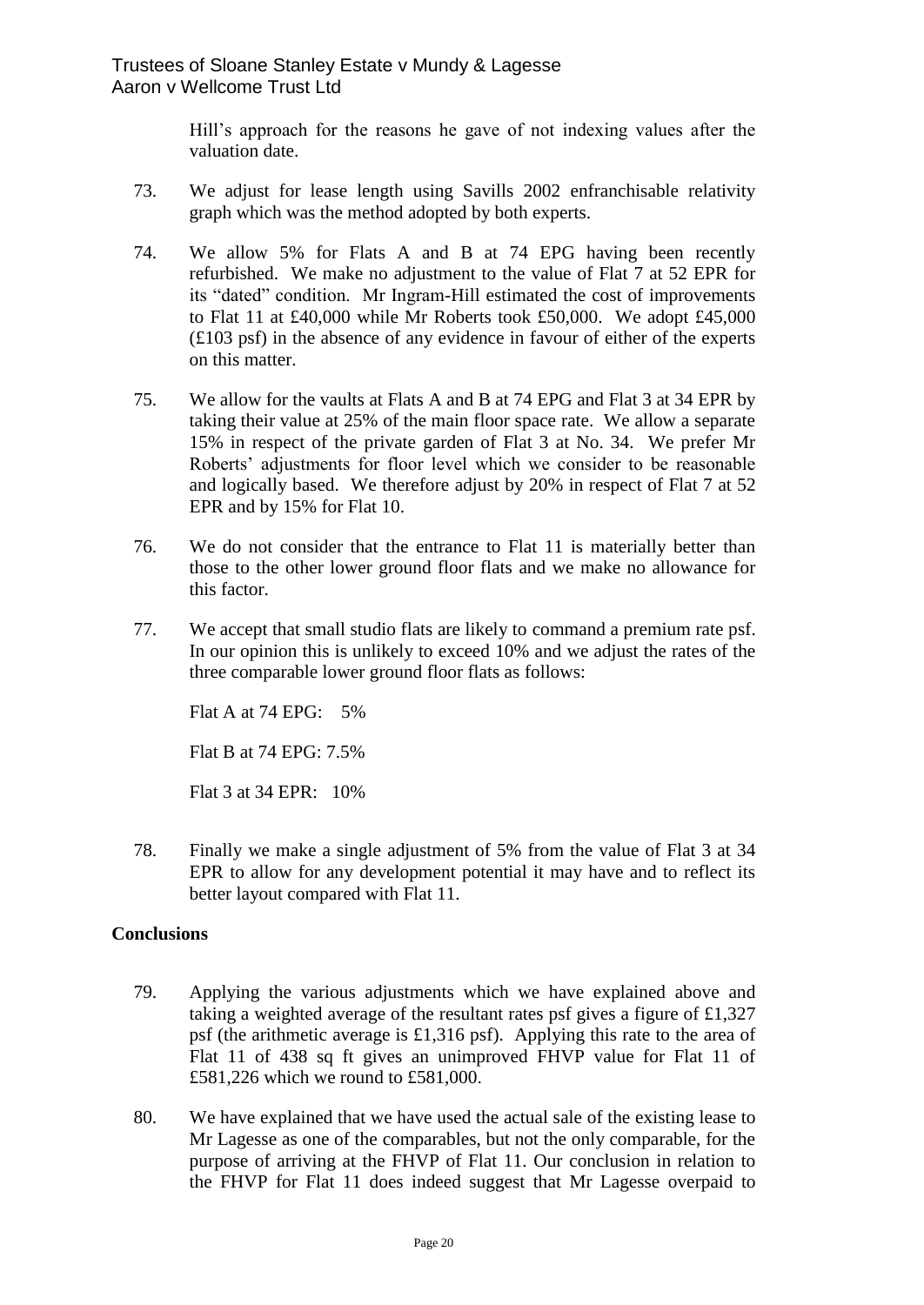Hill's approach for the reasons he gave of not indexing values after the valuation date.

- 73. We adjust for lease length using Savills 2002 enfranchisable relativity graph which was the method adopted by both experts.
- 74. We allow 5% for Flats A and B at 74 EPG having been recently refurbished. We make no adjustment to the value of Flat 7 at 52 EPR for its "dated" condition. Mr Ingram-Hill estimated the cost of improvements to Flat 11 at £40,000 while Mr Roberts took £50,000. We adopt £45,000 (£103 psf) in the absence of any evidence in favour of either of the experts on this matter.
- 75. We allow for the vaults at Flats A and B at 74 EPG and Flat 3 at 34 EPR by taking their value at 25% of the main floor space rate. We allow a separate 15% in respect of the private garden of Flat 3 at No. 34. We prefer Mr Roberts' adjustments for floor level which we consider to be reasonable and logically based. We therefore adjust by 20% in respect of Flat 7 at 52 EPR and by 15% for Flat 10.
- 76. We do not consider that the entrance to Flat 11 is materially better than those to the other lower ground floor flats and we make no allowance for this factor.
- 77. We accept that small studio flats are likely to command a premium rate psf. In our opinion this is unlikely to exceed 10% and we adjust the rates of the three comparable lower ground floor flats as follows:

Flat A at 74 EPG: 5% Flat B at 74 EPG: 7.5%

Flat 3 at 34 EPR: 10%

78. Finally we make a single adjustment of 5% from the value of Flat 3 at 34 EPR to allow for any development potential it may have and to reflect its better layout compared with Flat 11.

# **Conclusions**

- 79. Applying the various adjustments which we have explained above and taking a weighted average of the resultant rates psf gives a figure of £1,327 psf (the arithmetic average is £1,316 psf). Applying this rate to the area of Flat 11 of 438 sq ft gives an unimproved FHVP value for Flat 11 of £581,226 which we round to £581,000.
- 80. We have explained that we have used the actual sale of the existing lease to Mr Lagesse as one of the comparables, but not the only comparable, for the purpose of arriving at the FHVP of Flat 11. Our conclusion in relation to the FHVP for Flat 11 does indeed suggest that Mr Lagesse overpaid to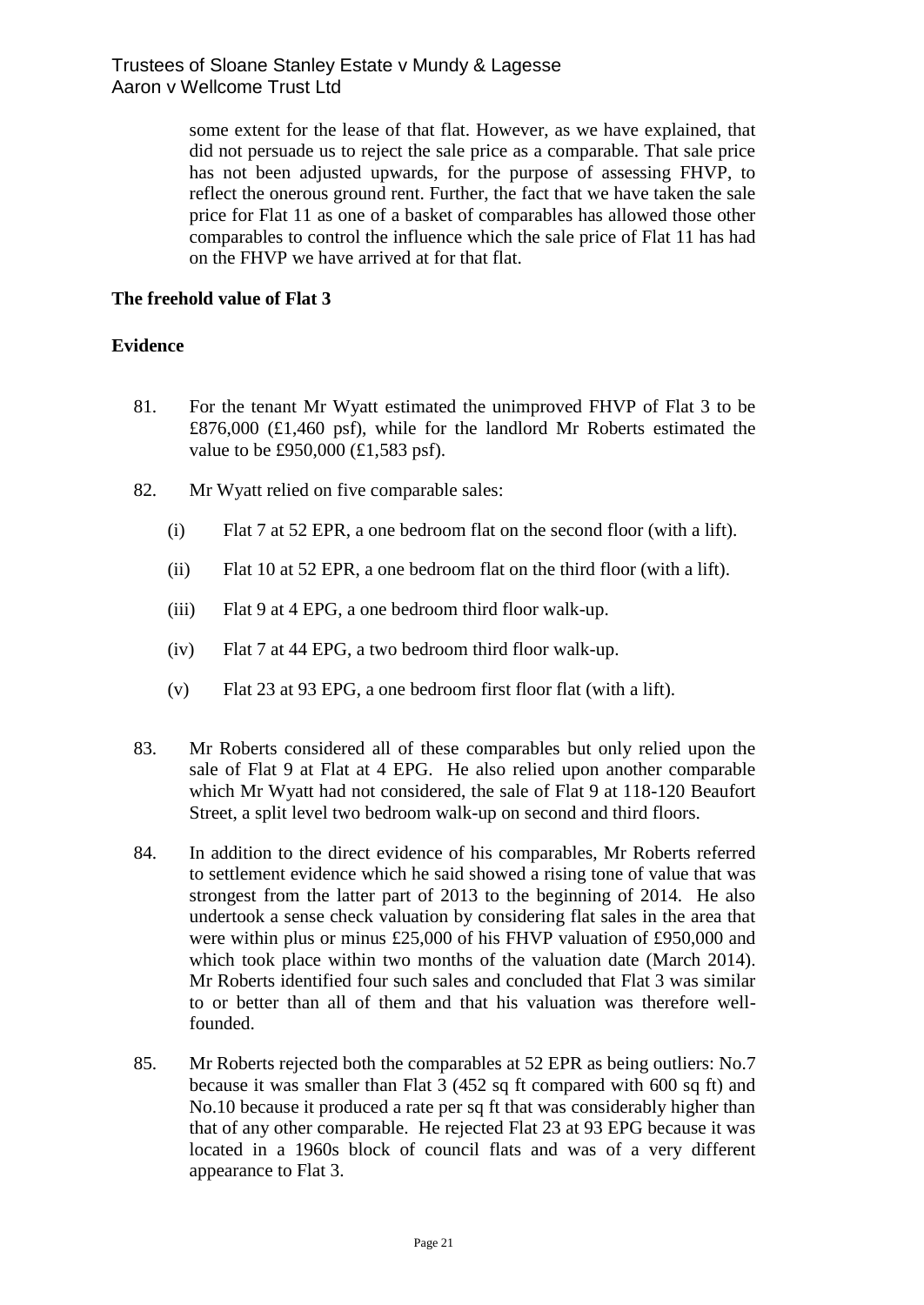some extent for the lease of that flat. However, as we have explained, that did not persuade us to reject the sale price as a comparable. That sale price has not been adjusted upwards, for the purpose of assessing FHVP, to reflect the onerous ground rent. Further, the fact that we have taken the sale price for Flat 11 as one of a basket of comparables has allowed those other comparables to control the influence which the sale price of Flat 11 has had on the FHVP we have arrived at for that flat.

# **The freehold value of Flat 3**

## **Evidence**

- 81. For the tenant Mr Wyatt estimated the unimproved FHVP of Flat 3 to be £876,000 (£1,460 psf), while for the landlord Mr Roberts estimated the value to be £950,000 (£1,583 psf).
- 82. Mr Wyatt relied on five comparable sales:
	- (i) Flat 7 at 52 EPR, a one bedroom flat on the second floor (with a lift).
	- (ii) Flat 10 at 52 EPR, a one bedroom flat on the third floor (with a lift).
	- (iii) Flat 9 at 4 EPG, a one bedroom third floor walk-up.
	- (iv) Flat 7 at 44 EPG, a two bedroom third floor walk-up.
	- (v) Flat 23 at 93 EPG, a one bedroom first floor flat (with a lift).
- 83. Mr Roberts considered all of these comparables but only relied upon the sale of Flat 9 at Flat at 4 EPG. He also relied upon another comparable which Mr Wyatt had not considered, the sale of Flat 9 at 118-120 Beaufort Street, a split level two bedroom walk-up on second and third floors.
- 84. In addition to the direct evidence of his comparables, Mr Roberts referred to settlement evidence which he said showed a rising tone of value that was strongest from the latter part of 2013 to the beginning of 2014. He also undertook a sense check valuation by considering flat sales in the area that were within plus or minus £25,000 of his FHVP valuation of £950,000 and which took place within two months of the valuation date (March 2014). Mr Roberts identified four such sales and concluded that Flat 3 was similar to or better than all of them and that his valuation was therefore wellfounded.
- 85. Mr Roberts rejected both the comparables at 52 EPR as being outliers: No.7 because it was smaller than Flat 3 (452 sq ft compared with 600 sq ft) and No.10 because it produced a rate per sq ft that was considerably higher than that of any other comparable. He rejected Flat 23 at 93 EPG because it was located in a 1960s block of council flats and was of a very different appearance to Flat 3.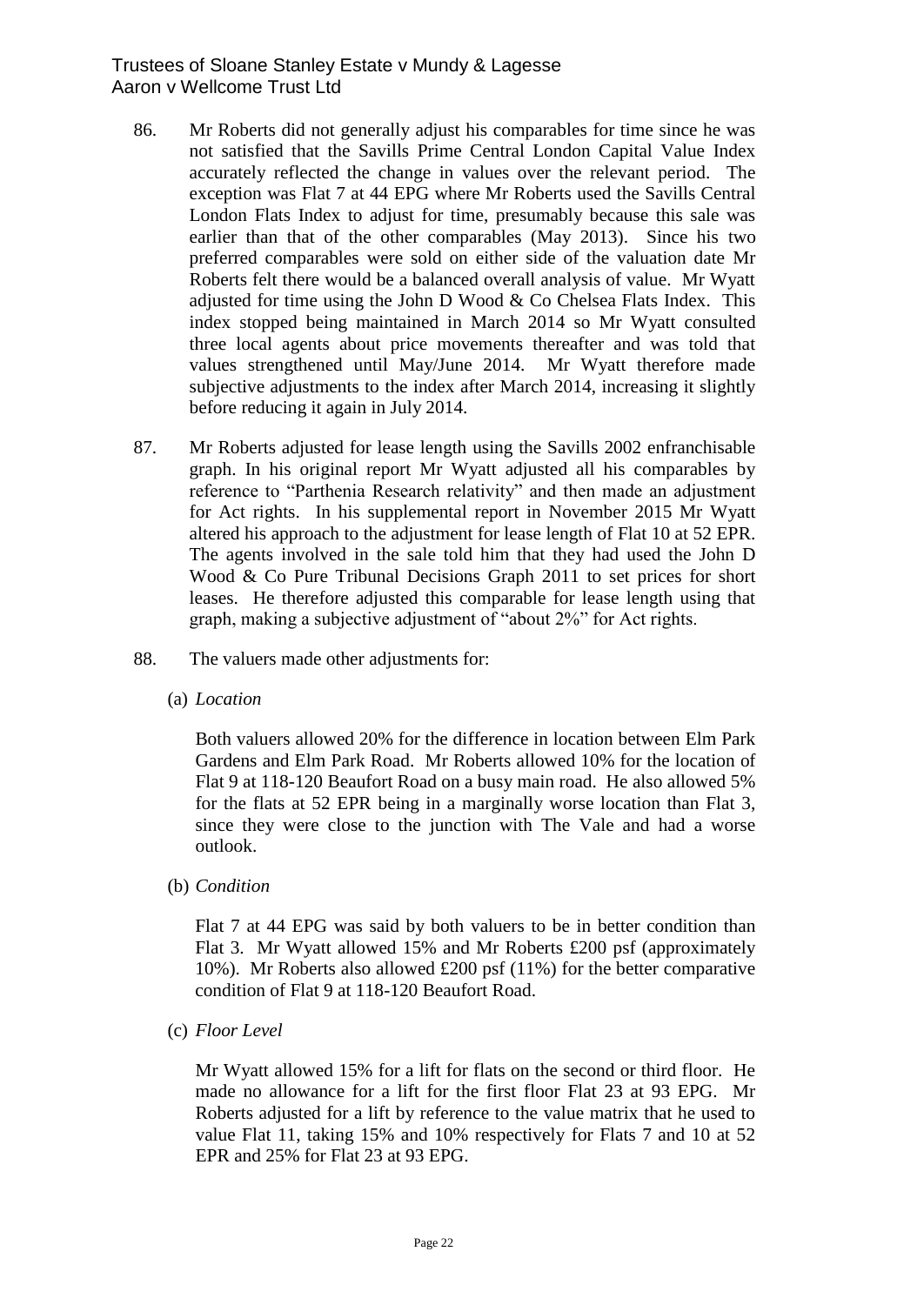## Trustees of Sloane Stanley Estate v Mundy & Lagesse Aaron v Wellcome Trust Ltd

- 86. Mr Roberts did not generally adjust his comparables for time since he was not satisfied that the Savills Prime Central London Capital Value Index accurately reflected the change in values over the relevant period. The exception was Flat 7 at 44 EPG where Mr Roberts used the Savills Central London Flats Index to adjust for time, presumably because this sale was earlier than that of the other comparables (May 2013). Since his two preferred comparables were sold on either side of the valuation date Mr Roberts felt there would be a balanced overall analysis of value. Mr Wyatt adjusted for time using the John D Wood & Co Chelsea Flats Index. This index stopped being maintained in March 2014 so Mr Wyatt consulted three local agents about price movements thereafter and was told that values strengthened until May/June 2014. Mr Wyatt therefore made subjective adjustments to the index after March 2014, increasing it slightly before reducing it again in July 2014.
- 87. Mr Roberts adjusted for lease length using the Savills 2002 enfranchisable graph. In his original report Mr Wyatt adjusted all his comparables by reference to "Parthenia Research relativity" and then made an adjustment for Act rights. In his supplemental report in November 2015 Mr Wyatt altered his approach to the adjustment for lease length of Flat 10 at 52 EPR. The agents involved in the sale told him that they had used the John D Wood & Co Pure Tribunal Decisions Graph 2011 to set prices for short leases. He therefore adjusted this comparable for lease length using that graph, making a subjective adjustment of "about 2%" for Act rights.
- 88. The valuers made other adjustments for:
	- (a) *Location*

Both valuers allowed 20% for the difference in location between Elm Park Gardens and Elm Park Road. Mr Roberts allowed 10% for the location of Flat 9 at 118-120 Beaufort Road on a busy main road. He also allowed 5% for the flats at 52 EPR being in a marginally worse location than Flat 3, since they were close to the junction with The Vale and had a worse outlook.

(b) *Condition*

Flat 7 at 44 EPG was said by both valuers to be in better condition than Flat 3. Mr Wyatt allowed 15% and Mr Roberts £200 psf (approximately 10%). Mr Roberts also allowed £200 psf (11%) for the better comparative condition of Flat 9 at 118-120 Beaufort Road.

(c) *Floor Level*

Mr Wyatt allowed 15% for a lift for flats on the second or third floor. He made no allowance for a lift for the first floor Flat 23 at 93 EPG. Mr Roberts adjusted for a lift by reference to the value matrix that he used to value Flat 11, taking 15% and 10% respectively for Flats 7 and 10 at 52 EPR and 25% for Flat 23 at 93 EPG.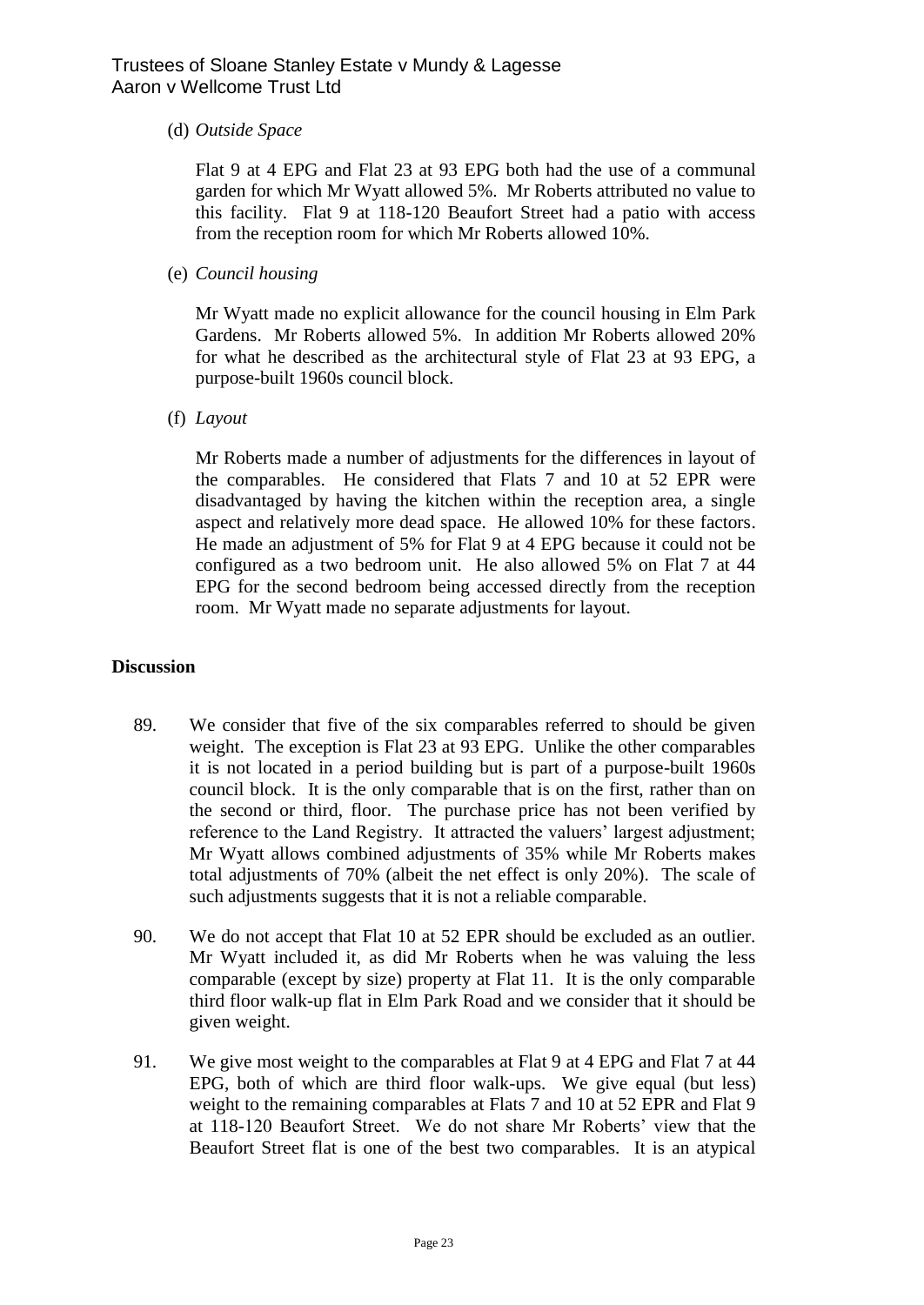## (d) *Outside Space*

Flat 9 at 4 EPG and Flat 23 at 93 EPG both had the use of a communal garden for which Mr Wyatt allowed 5%. Mr Roberts attributed no value to this facility. Flat 9 at 118-120 Beaufort Street had a patio with access from the reception room for which Mr Roberts allowed 10%.

## (e) *Council housing*

Mr Wyatt made no explicit allowance for the council housing in Elm Park Gardens. Mr Roberts allowed 5%. In addition Mr Roberts allowed 20% for what he described as the architectural style of Flat 23 at 93 EPG, a purpose-built 1960s council block.

## (f) *Layout*

Mr Roberts made a number of adjustments for the differences in layout of the comparables. He considered that Flats 7 and 10 at 52 EPR were disadvantaged by having the kitchen within the reception area, a single aspect and relatively more dead space. He allowed 10% for these factors. He made an adjustment of 5% for Flat 9 at 4 EPG because it could not be configured as a two bedroom unit. He also allowed 5% on Flat 7 at 44 EPG for the second bedroom being accessed directly from the reception room. Mr Wyatt made no separate adjustments for layout.

#### **Discussion**

- 89. We consider that five of the six comparables referred to should be given weight. The exception is Flat 23 at 93 EPG. Unlike the other comparables it is not located in a period building but is part of a purpose-built 1960s council block. It is the only comparable that is on the first, rather than on the second or third, floor. The purchase price has not been verified by reference to the Land Registry. It attracted the valuers' largest adjustment; Mr Wyatt allows combined adjustments of 35% while Mr Roberts makes total adjustments of 70% (albeit the net effect is only 20%). The scale of such adjustments suggests that it is not a reliable comparable.
- 90. We do not accept that Flat 10 at 52 EPR should be excluded as an outlier. Mr Wyatt included it, as did Mr Roberts when he was valuing the less comparable (except by size) property at Flat 11. It is the only comparable third floor walk-up flat in Elm Park Road and we consider that it should be given weight.
- 91. We give most weight to the comparables at Flat 9 at 4 EPG and Flat 7 at 44 EPG, both of which are third floor walk-ups. We give equal (but less) weight to the remaining comparables at Flats 7 and 10 at 52 EPR and Flat 9 at 118-120 Beaufort Street. We do not share Mr Roberts' view that the Beaufort Street flat is one of the best two comparables. It is an atypical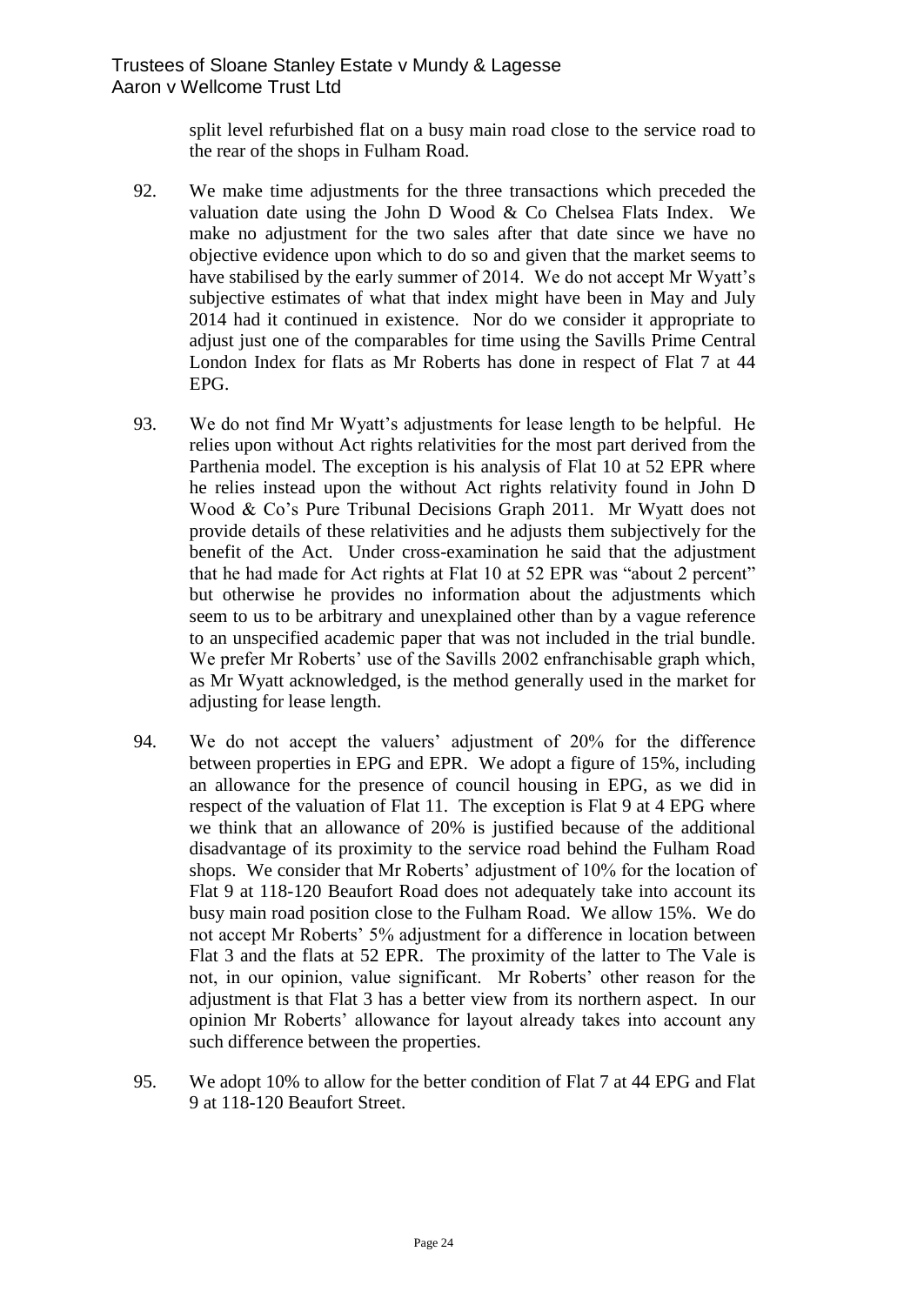split level refurbished flat on a busy main road close to the service road to the rear of the shops in Fulham Road.

- 92. We make time adjustments for the three transactions which preceded the valuation date using the John D Wood & Co Chelsea Flats Index. We make no adjustment for the two sales after that date since we have no objective evidence upon which to do so and given that the market seems to have stabilised by the early summer of 2014. We do not accept Mr Wyatt's subjective estimates of what that index might have been in May and July 2014 had it continued in existence. Nor do we consider it appropriate to adjust just one of the comparables for time using the Savills Prime Central London Index for flats as Mr Roberts has done in respect of Flat 7 at 44 EPG.
- 93. We do not find Mr Wyatt's adjustments for lease length to be helpful. He relies upon without Act rights relativities for the most part derived from the Parthenia model. The exception is his analysis of Flat 10 at 52 EPR where he relies instead upon the without Act rights relativity found in John D Wood & Co's Pure Tribunal Decisions Graph 2011. Mr Wyatt does not provide details of these relativities and he adjusts them subjectively for the benefit of the Act. Under cross-examination he said that the adjustment that he had made for Act rights at Flat 10 at 52 EPR was "about 2 percent" but otherwise he provides no information about the adjustments which seem to us to be arbitrary and unexplained other than by a vague reference to an unspecified academic paper that was not included in the trial bundle. We prefer Mr Roberts' use of the Savills 2002 enfranchisable graph which, as Mr Wyatt acknowledged, is the method generally used in the market for adjusting for lease length.
- 94. We do not accept the valuers' adjustment of 20% for the difference between properties in EPG and EPR. We adopt a figure of 15%, including an allowance for the presence of council housing in EPG, as we did in respect of the valuation of Flat 11. The exception is Flat 9 at 4 EPG where we think that an allowance of 20% is justified because of the additional disadvantage of its proximity to the service road behind the Fulham Road shops. We consider that Mr Roberts' adjustment of 10% for the location of Flat 9 at 118-120 Beaufort Road does not adequately take into account its busy main road position close to the Fulham Road. We allow 15%. We do not accept Mr Roberts' 5% adjustment for a difference in location between Flat 3 and the flats at 52 EPR. The proximity of the latter to The Vale is not, in our opinion, value significant. Mr Roberts' other reason for the adjustment is that Flat 3 has a better view from its northern aspect. In our opinion Mr Roberts' allowance for layout already takes into account any such difference between the properties.
- 95. We adopt 10% to allow for the better condition of Flat 7 at 44 EPG and Flat 9 at 118-120 Beaufort Street.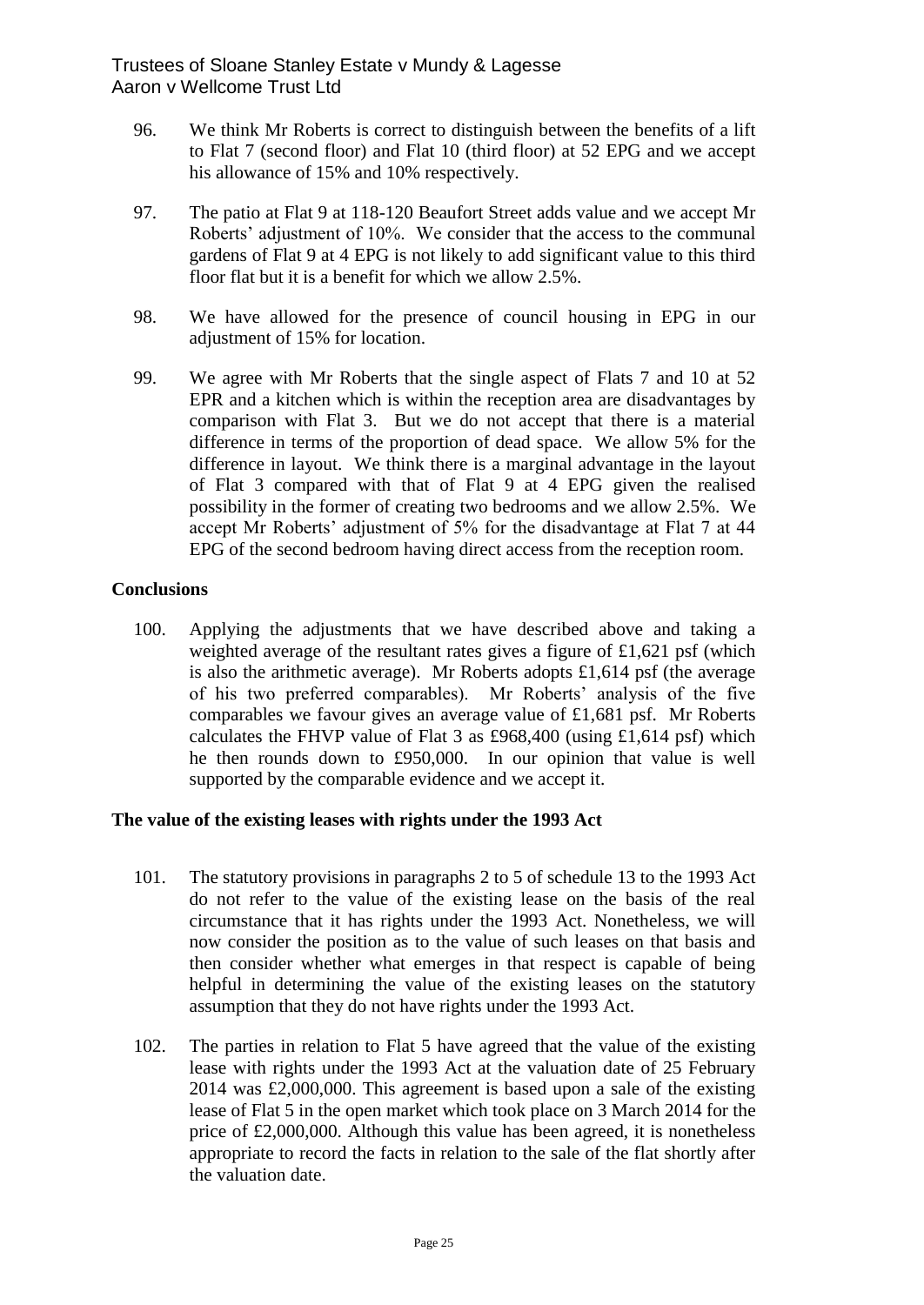- 96. We think Mr Roberts is correct to distinguish between the benefits of a lift to Flat 7 (second floor) and Flat 10 (third floor) at 52 EPG and we accept his allowance of 15% and 10% respectively.
- 97. The patio at Flat 9 at 118-120 Beaufort Street adds value and we accept Mr Roberts' adjustment of 10%. We consider that the access to the communal gardens of Flat 9 at 4 EPG is not likely to add significant value to this third floor flat but it is a benefit for which we allow 2.5%.
- 98. We have allowed for the presence of council housing in EPG in our adjustment of 15% for location.
- 99. We agree with Mr Roberts that the single aspect of Flats 7 and 10 at 52 EPR and a kitchen which is within the reception area are disadvantages by comparison with Flat 3. But we do not accept that there is a material difference in terms of the proportion of dead space. We allow 5% for the difference in layout. We think there is a marginal advantage in the layout of Flat 3 compared with that of Flat 9 at 4 EPG given the realised possibility in the former of creating two bedrooms and we allow 2.5%. We accept Mr Roberts' adjustment of 5% for the disadvantage at Flat 7 at 44 EPG of the second bedroom having direct access from the reception room.

## **Conclusions**

100. Applying the adjustments that we have described above and taking a weighted average of the resultant rates gives a figure of £1,621 psf (which is also the arithmetic average). Mr Roberts adopts £1,614 psf (the average of his two preferred comparables). Mr Roberts' analysis of the five comparables we favour gives an average value of £1,681 psf. Mr Roberts calculates the FHVP value of Flat 3 as £968,400 (using £1,614 psf) which he then rounds down to £950,000. In our opinion that value is well supported by the comparable evidence and we accept it.

#### **The value of the existing leases with rights under the 1993 Act**

- 101. The statutory provisions in paragraphs 2 to 5 of schedule 13 to the 1993 Act do not refer to the value of the existing lease on the basis of the real circumstance that it has rights under the 1993 Act. Nonetheless, we will now consider the position as to the value of such leases on that basis and then consider whether what emerges in that respect is capable of being helpful in determining the value of the existing leases on the statutory assumption that they do not have rights under the 1993 Act.
- 102. The parties in relation to Flat 5 have agreed that the value of the existing lease with rights under the 1993 Act at the valuation date of 25 February 2014 was £2,000,000. This agreement is based upon a sale of the existing lease of Flat 5 in the open market which took place on 3 March 2014 for the price of £2,000,000. Although this value has been agreed, it is nonetheless appropriate to record the facts in relation to the sale of the flat shortly after the valuation date.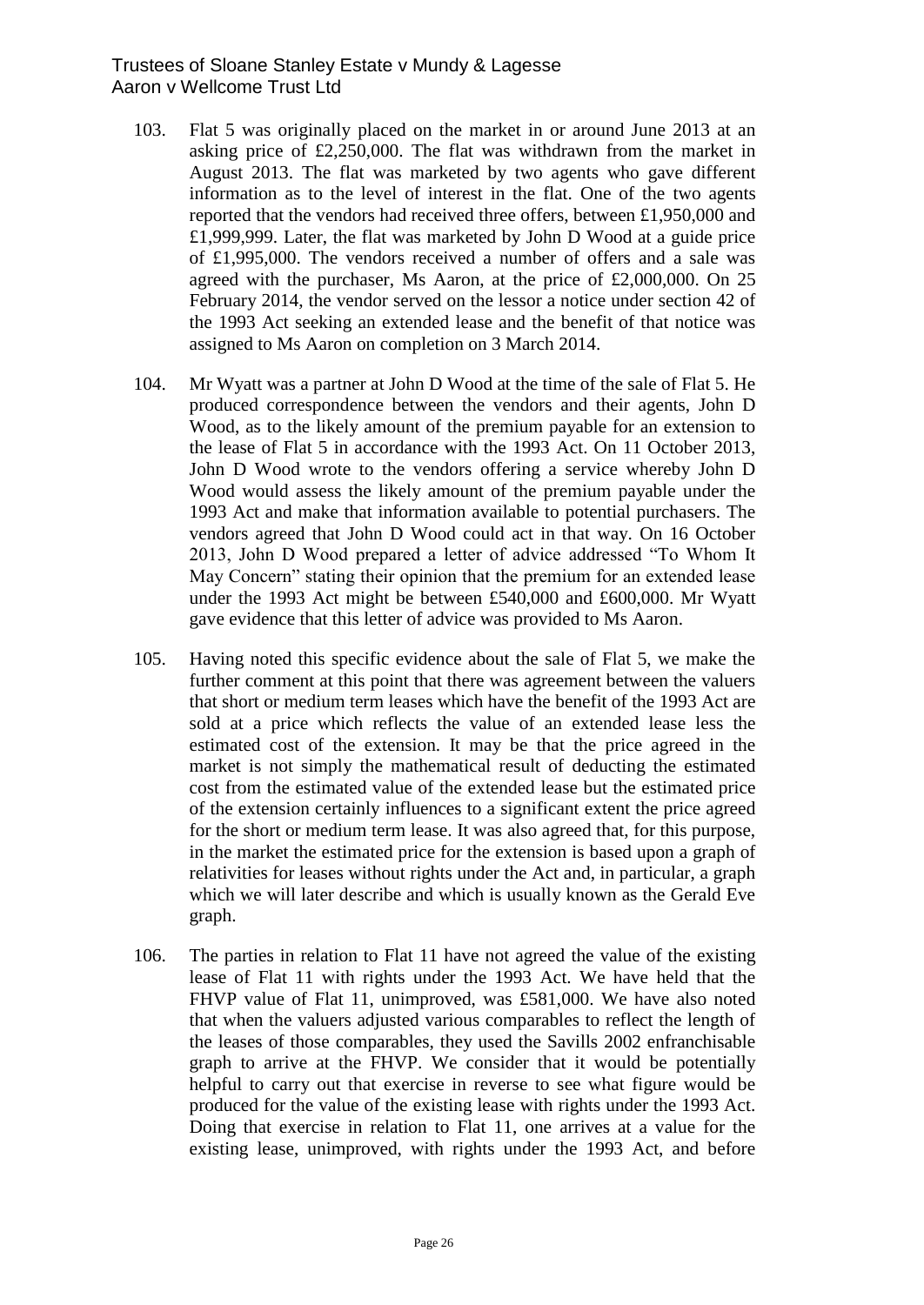- 103. Flat 5 was originally placed on the market in or around June 2013 at an asking price of £2,250,000. The flat was withdrawn from the market in August 2013. The flat was marketed by two agents who gave different information as to the level of interest in the flat. One of the two agents reported that the vendors had received three offers, between £1,950,000 and £1,999,999. Later, the flat was marketed by John D Wood at a guide price of £1,995,000. The vendors received a number of offers and a sale was agreed with the purchaser, Ms Aaron, at the price of £2,000,000. On 25 February 2014, the vendor served on the lessor a notice under section 42 of the 1993 Act seeking an extended lease and the benefit of that notice was assigned to Ms Aaron on completion on 3 March 2014.
- 104. Mr Wyatt was a partner at John D Wood at the time of the sale of Flat 5. He produced correspondence between the vendors and their agents, John D Wood, as to the likely amount of the premium payable for an extension to the lease of Flat 5 in accordance with the 1993 Act. On 11 October 2013, John D Wood wrote to the vendors offering a service whereby John D Wood would assess the likely amount of the premium payable under the 1993 Act and make that information available to potential purchasers. The vendors agreed that John D Wood could act in that way. On 16 October 2013, John D Wood prepared a letter of advice addressed "To Whom It May Concern" stating their opinion that the premium for an extended lease under the 1993 Act might be between £540,000 and £600,000. Mr Wyatt gave evidence that this letter of advice was provided to Ms Aaron.
- 105. Having noted this specific evidence about the sale of Flat 5, we make the further comment at this point that there was agreement between the valuers that short or medium term leases which have the benefit of the 1993 Act are sold at a price which reflects the value of an extended lease less the estimated cost of the extension. It may be that the price agreed in the market is not simply the mathematical result of deducting the estimated cost from the estimated value of the extended lease but the estimated price of the extension certainly influences to a significant extent the price agreed for the short or medium term lease. It was also agreed that, for this purpose, in the market the estimated price for the extension is based upon a graph of relativities for leases without rights under the Act and, in particular, a graph which we will later describe and which is usually known as the Gerald Eve graph.
- 106. The parties in relation to Flat 11 have not agreed the value of the existing lease of Flat 11 with rights under the 1993 Act. We have held that the FHVP value of Flat 11, unimproved, was £581,000. We have also noted that when the valuers adjusted various comparables to reflect the length of the leases of those comparables, they used the Savills 2002 enfranchisable graph to arrive at the FHVP. We consider that it would be potentially helpful to carry out that exercise in reverse to see what figure would be produced for the value of the existing lease with rights under the 1993 Act. Doing that exercise in relation to Flat 11, one arrives at a value for the existing lease, unimproved, with rights under the 1993 Act, and before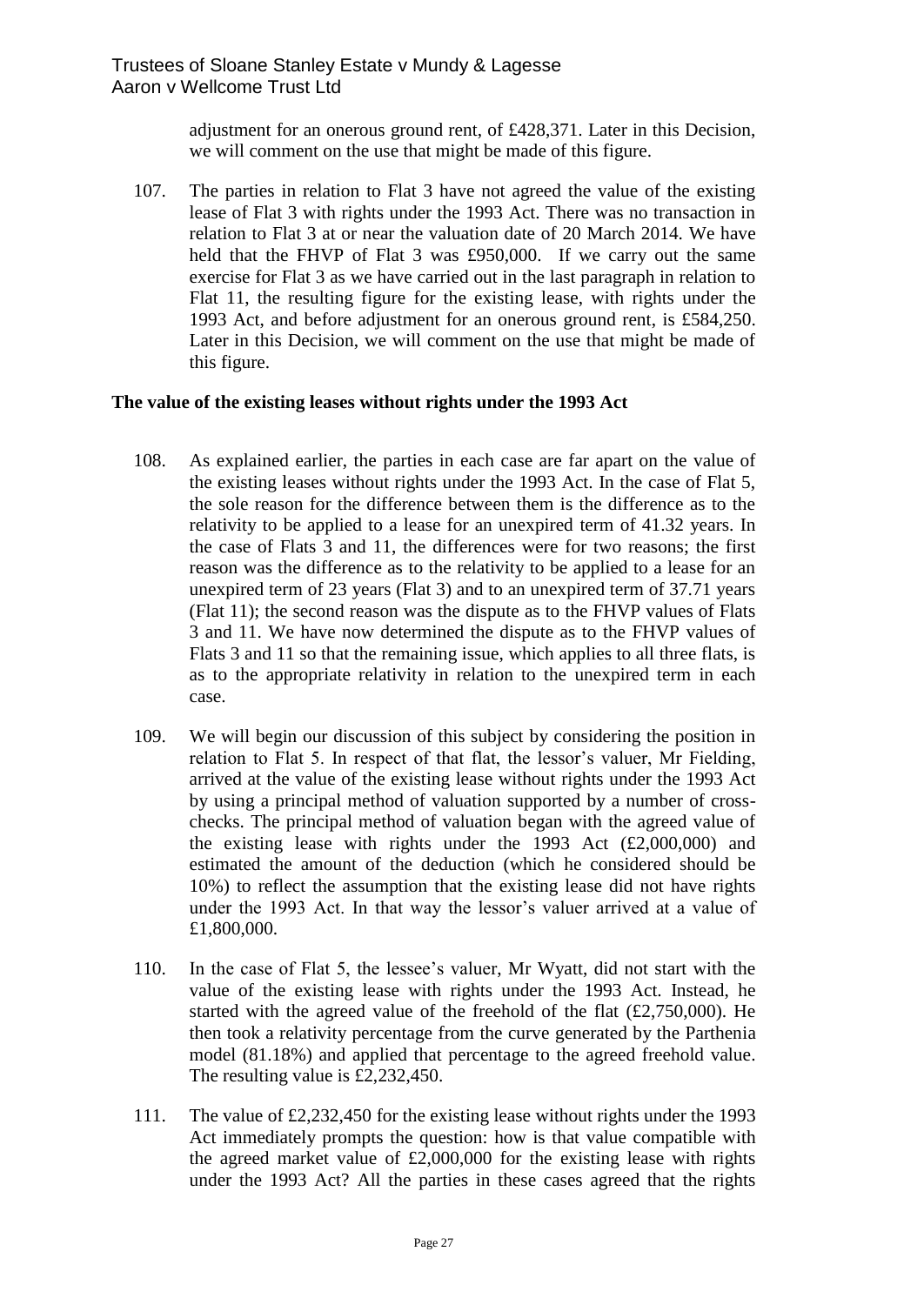adjustment for an onerous ground rent, of £428,371. Later in this Decision, we will comment on the use that might be made of this figure.

107. The parties in relation to Flat 3 have not agreed the value of the existing lease of Flat 3 with rights under the 1993 Act. There was no transaction in relation to Flat 3 at or near the valuation date of 20 March 2014. We have held that the FHVP of Flat 3 was £950,000. If we carry out the same exercise for Flat 3 as we have carried out in the last paragraph in relation to Flat 11, the resulting figure for the existing lease, with rights under the 1993 Act, and before adjustment for an onerous ground rent, is £584,250. Later in this Decision, we will comment on the use that might be made of this figure.

# **The value of the existing leases without rights under the 1993 Act**

- 108. As explained earlier, the parties in each case are far apart on the value of the existing leases without rights under the 1993 Act. In the case of Flat 5, the sole reason for the difference between them is the difference as to the relativity to be applied to a lease for an unexpired term of 41.32 years. In the case of Flats 3 and 11, the differences were for two reasons; the first reason was the difference as to the relativity to be applied to a lease for an unexpired term of 23 years (Flat 3) and to an unexpired term of 37.71 years (Flat 11); the second reason was the dispute as to the FHVP values of Flats 3 and 11. We have now determined the dispute as to the FHVP values of Flats 3 and 11 so that the remaining issue, which applies to all three flats, is as to the appropriate relativity in relation to the unexpired term in each case.
- 109. We will begin our discussion of this subject by considering the position in relation to Flat 5. In respect of that flat, the lessor's valuer, Mr Fielding, arrived at the value of the existing lease without rights under the 1993 Act by using a principal method of valuation supported by a number of crosschecks. The principal method of valuation began with the agreed value of the existing lease with rights under the 1993 Act (£2,000,000) and estimated the amount of the deduction (which he considered should be 10%) to reflect the assumption that the existing lease did not have rights under the 1993 Act. In that way the lessor's valuer arrived at a value of £1,800,000.
- 110. In the case of Flat 5, the lessee's valuer, Mr Wyatt, did not start with the value of the existing lease with rights under the 1993 Act. Instead, he started with the agreed value of the freehold of the flat  $(\text{\pounds}2,750,000)$ . He then took a relativity percentage from the curve generated by the Parthenia model (81.18%) and applied that percentage to the agreed freehold value. The resulting value is £2,232,450.
- 111. The value of £2,232,450 for the existing lease without rights under the 1993 Act immediately prompts the question: how is that value compatible with the agreed market value of  $£2,000,000$  for the existing lease with rights under the 1993 Act? All the parties in these cases agreed that the rights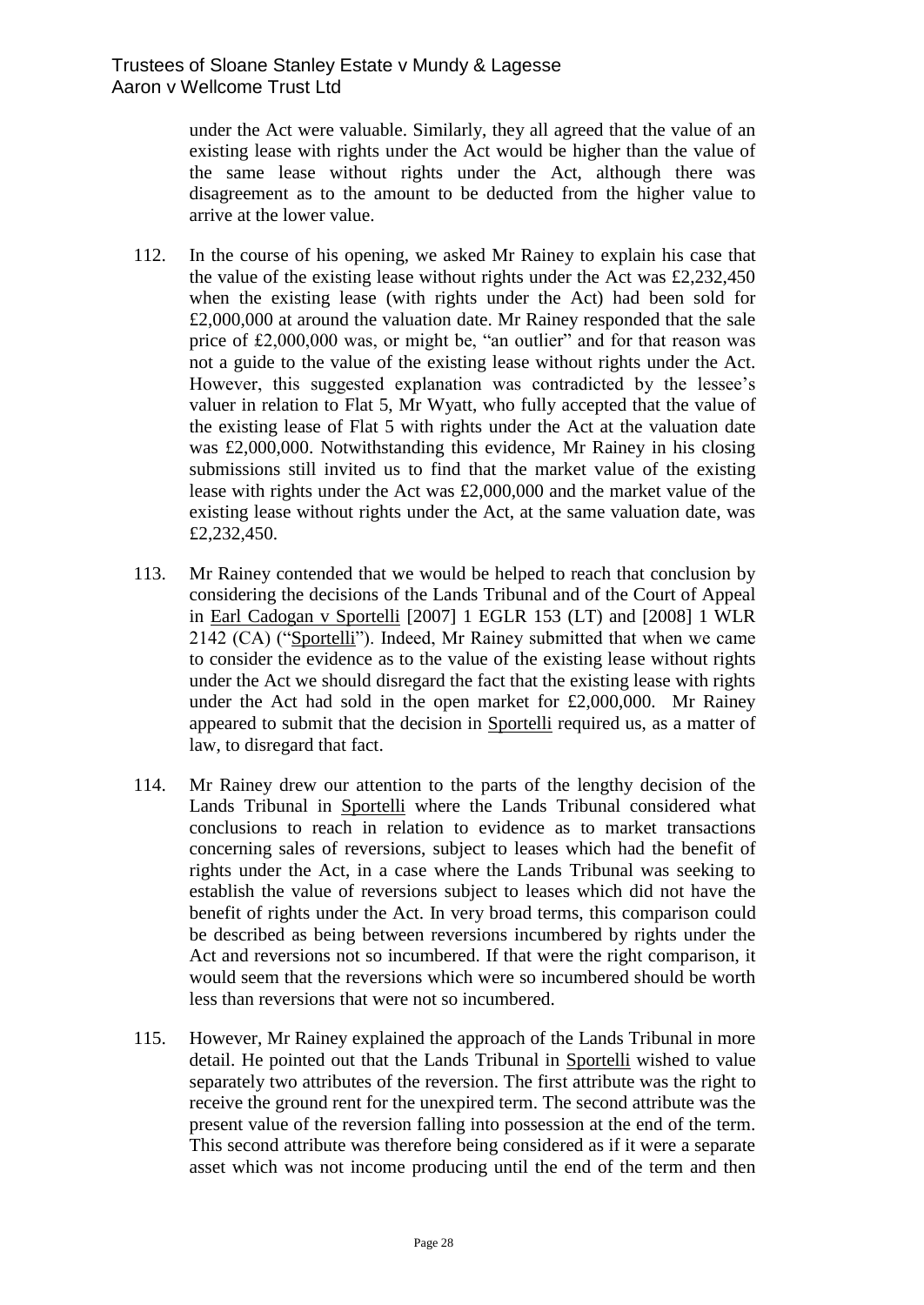under the Act were valuable. Similarly, they all agreed that the value of an existing lease with rights under the Act would be higher than the value of the same lease without rights under the Act, although there was disagreement as to the amount to be deducted from the higher value to arrive at the lower value.

- 112. In the course of his opening, we asked Mr Rainey to explain his case that the value of the existing lease without rights under the Act was £2,232,450 when the existing lease (with rights under the Act) had been sold for £2,000,000 at around the valuation date. Mr Rainey responded that the sale price of £2,000,000 was, or might be, "an outlier" and for that reason was not a guide to the value of the existing lease without rights under the Act. However, this suggested explanation was contradicted by the lessee's valuer in relation to Flat 5, Mr Wyatt, who fully accepted that the value of the existing lease of Flat 5 with rights under the Act at the valuation date was £2,000,000. Notwithstanding this evidence, Mr Rainey in his closing submissions still invited us to find that the market value of the existing lease with rights under the Act was £2,000,000 and the market value of the existing lease without rights under the Act, at the same valuation date, was £2,232,450.
- 113. Mr Rainey contended that we would be helped to reach that conclusion by considering the decisions of the Lands Tribunal and of the Court of Appeal in Earl Cadogan v Sportelli [2007] 1 EGLR 153 (LT) and [2008] 1 WLR 2142 (CA) ("Sportelli"). Indeed, Mr Rainey submitted that when we came to consider the evidence as to the value of the existing lease without rights under the Act we should disregard the fact that the existing lease with rights under the Act had sold in the open market for £2,000,000. Mr Rainey appeared to submit that the decision in Sportelli required us, as a matter of law, to disregard that fact.
- 114. Mr Rainey drew our attention to the parts of the lengthy decision of the Lands Tribunal in Sportelli where the Lands Tribunal considered what conclusions to reach in relation to evidence as to market transactions concerning sales of reversions, subject to leases which had the benefit of rights under the Act, in a case where the Lands Tribunal was seeking to establish the value of reversions subject to leases which did not have the benefit of rights under the Act. In very broad terms, this comparison could be described as being between reversions incumbered by rights under the Act and reversions not so incumbered. If that were the right comparison, it would seem that the reversions which were so incumbered should be worth less than reversions that were not so incumbered.
- 115. However, Mr Rainey explained the approach of the Lands Tribunal in more detail. He pointed out that the Lands Tribunal in Sportelli wished to value separately two attributes of the reversion. The first attribute was the right to receive the ground rent for the unexpired term. The second attribute was the present value of the reversion falling into possession at the end of the term. This second attribute was therefore being considered as if it were a separate asset which was not income producing until the end of the term and then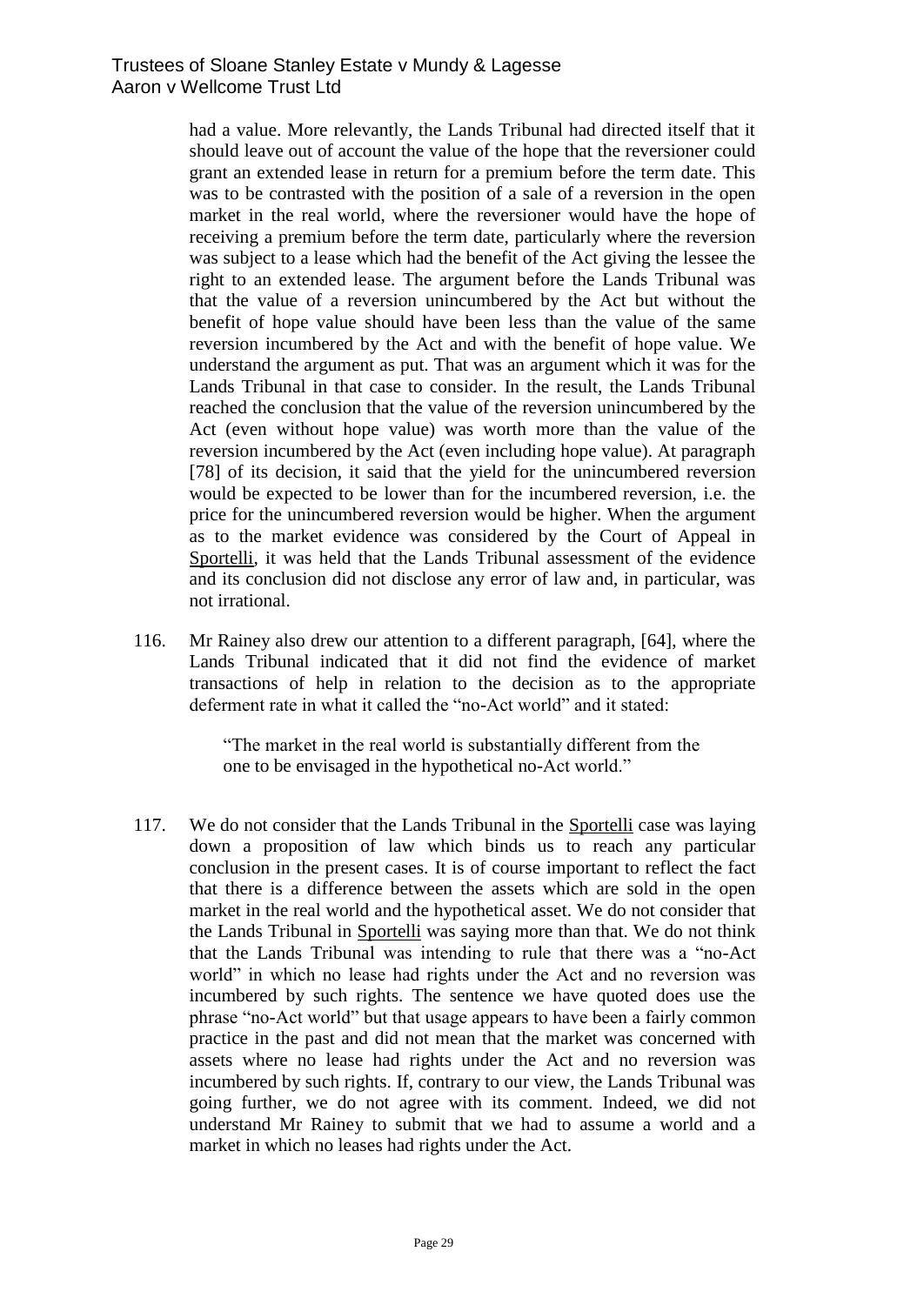had a value. More relevantly, the Lands Tribunal had directed itself that it should leave out of account the value of the hope that the reversioner could grant an extended lease in return for a premium before the term date. This was to be contrasted with the position of a sale of a reversion in the open market in the real world, where the reversioner would have the hope of receiving a premium before the term date, particularly where the reversion was subject to a lease which had the benefit of the Act giving the lessee the right to an extended lease. The argument before the Lands Tribunal was that the value of a reversion unincumbered by the Act but without the benefit of hope value should have been less than the value of the same reversion incumbered by the Act and with the benefit of hope value. We understand the argument as put. That was an argument which it was for the Lands Tribunal in that case to consider. In the result, the Lands Tribunal reached the conclusion that the value of the reversion unincumbered by the Act (even without hope value) was worth more than the value of the reversion incumbered by the Act (even including hope value). At paragraph [78] of its decision, it said that the yield for the unincumbered reversion would be expected to be lower than for the incumbered reversion, i.e. the price for the unincumbered reversion would be higher. When the argument as to the market evidence was considered by the Court of Appeal in Sportelli, it was held that the Lands Tribunal assessment of the evidence and its conclusion did not disclose any error of law and, in particular, was not irrational.

116. Mr Rainey also drew our attention to a different paragraph, [64], where the Lands Tribunal indicated that it did not find the evidence of market transactions of help in relation to the decision as to the appropriate deferment rate in what it called the "no-Act world" and it stated:

> "The market in the real world is substantially different from the one to be envisaged in the hypothetical no-Act world."

117. We do not consider that the Lands Tribunal in the Sportelli case was laying down a proposition of law which binds us to reach any particular conclusion in the present cases. It is of course important to reflect the fact that there is a difference between the assets which are sold in the open market in the real world and the hypothetical asset. We do not consider that the Lands Tribunal in Sportelli was saying more than that. We do not think that the Lands Tribunal was intending to rule that there was a "no-Act world" in which no lease had rights under the Act and no reversion was incumbered by such rights. The sentence we have quoted does use the phrase "no-Act world" but that usage appears to have been a fairly common practice in the past and did not mean that the market was concerned with assets where no lease had rights under the Act and no reversion was incumbered by such rights. If, contrary to our view, the Lands Tribunal was going further, we do not agree with its comment. Indeed, we did not understand Mr Rainey to submit that we had to assume a world and a market in which no leases had rights under the Act.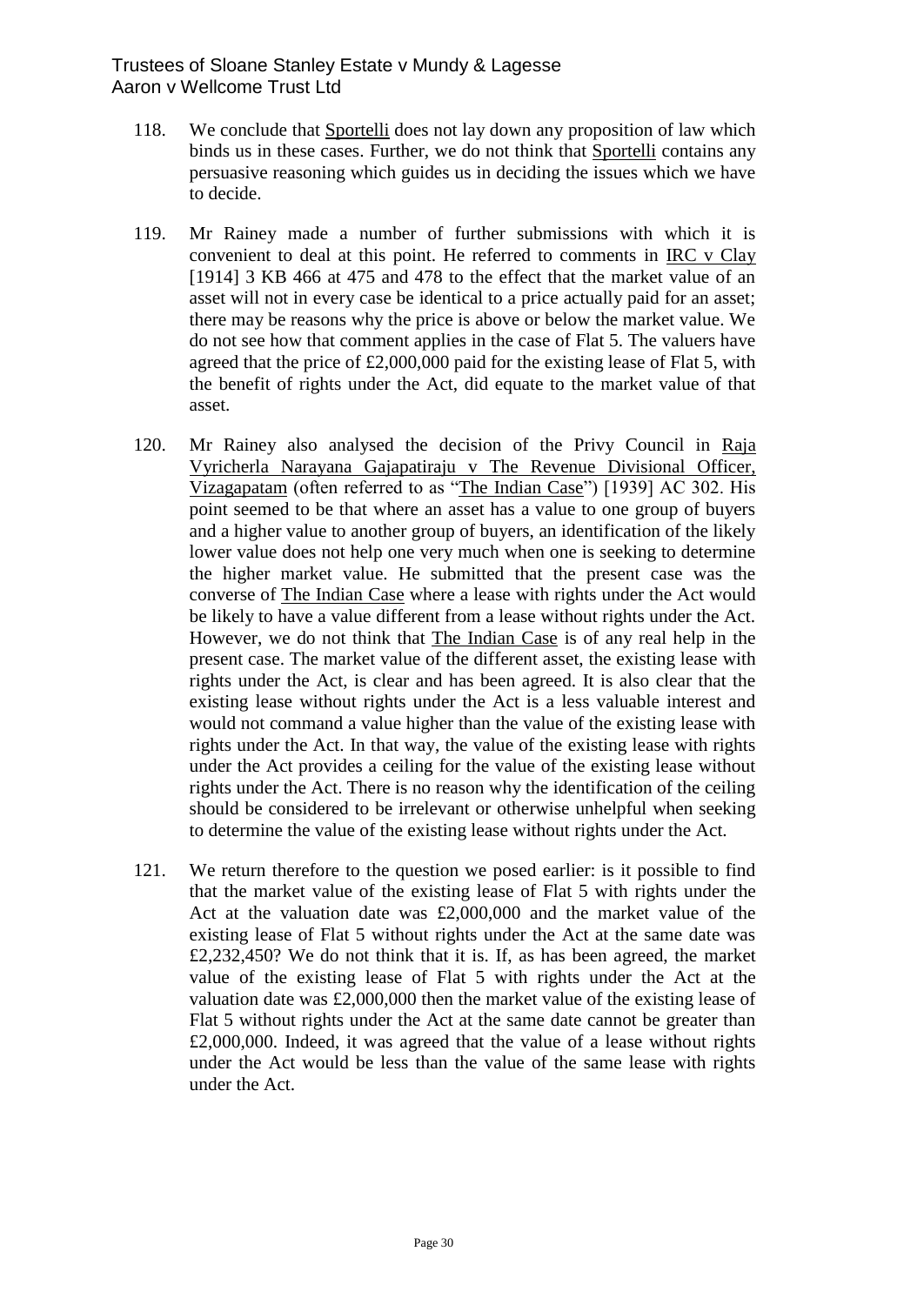- 118. We conclude that Sportelli does not lay down any proposition of law which binds us in these cases. Further, we do not think that Sportelli contains any persuasive reasoning which guides us in deciding the issues which we have to decide.
- 119. Mr Rainey made a number of further submissions with which it is convenient to deal at this point. He referred to comments in IRC v Clay [1914] 3 KB 466 at 475 and 478 to the effect that the market value of an asset will not in every case be identical to a price actually paid for an asset; there may be reasons why the price is above or below the market value. We do not see how that comment applies in the case of Flat 5. The valuers have agreed that the price of £2,000,000 paid for the existing lease of Flat 5, with the benefit of rights under the Act, did equate to the market value of that asset.
- 120. Mr Rainey also analysed the decision of the Privy Council in Raja Vyricherla Narayana Gajapatiraju v The Revenue Divisional Officer, Vizagapatam (often referred to as "The Indian Case") [1939] AC 302. His point seemed to be that where an asset has a value to one group of buyers and a higher value to another group of buyers, an identification of the likely lower value does not help one very much when one is seeking to determine the higher market value. He submitted that the present case was the converse of The Indian Case where a lease with rights under the Act would be likely to have a value different from a lease without rights under the Act. However, we do not think that The Indian Case is of any real help in the present case. The market value of the different asset, the existing lease with rights under the Act, is clear and has been agreed. It is also clear that the existing lease without rights under the Act is a less valuable interest and would not command a value higher than the value of the existing lease with rights under the Act. In that way, the value of the existing lease with rights under the Act provides a ceiling for the value of the existing lease without rights under the Act. There is no reason why the identification of the ceiling should be considered to be irrelevant or otherwise unhelpful when seeking to determine the value of the existing lease without rights under the Act.
- 121. We return therefore to the question we posed earlier: is it possible to find that the market value of the existing lease of Flat 5 with rights under the Act at the valuation date was £2,000,000 and the market value of the existing lease of Flat 5 without rights under the Act at the same date was £2,232,450? We do not think that it is. If, as has been agreed, the market value of the existing lease of Flat 5 with rights under the Act at the valuation date was £2,000,000 then the market value of the existing lease of Flat 5 without rights under the Act at the same date cannot be greater than £2,000,000. Indeed, it was agreed that the value of a lease without rights under the Act would be less than the value of the same lease with rights under the Act.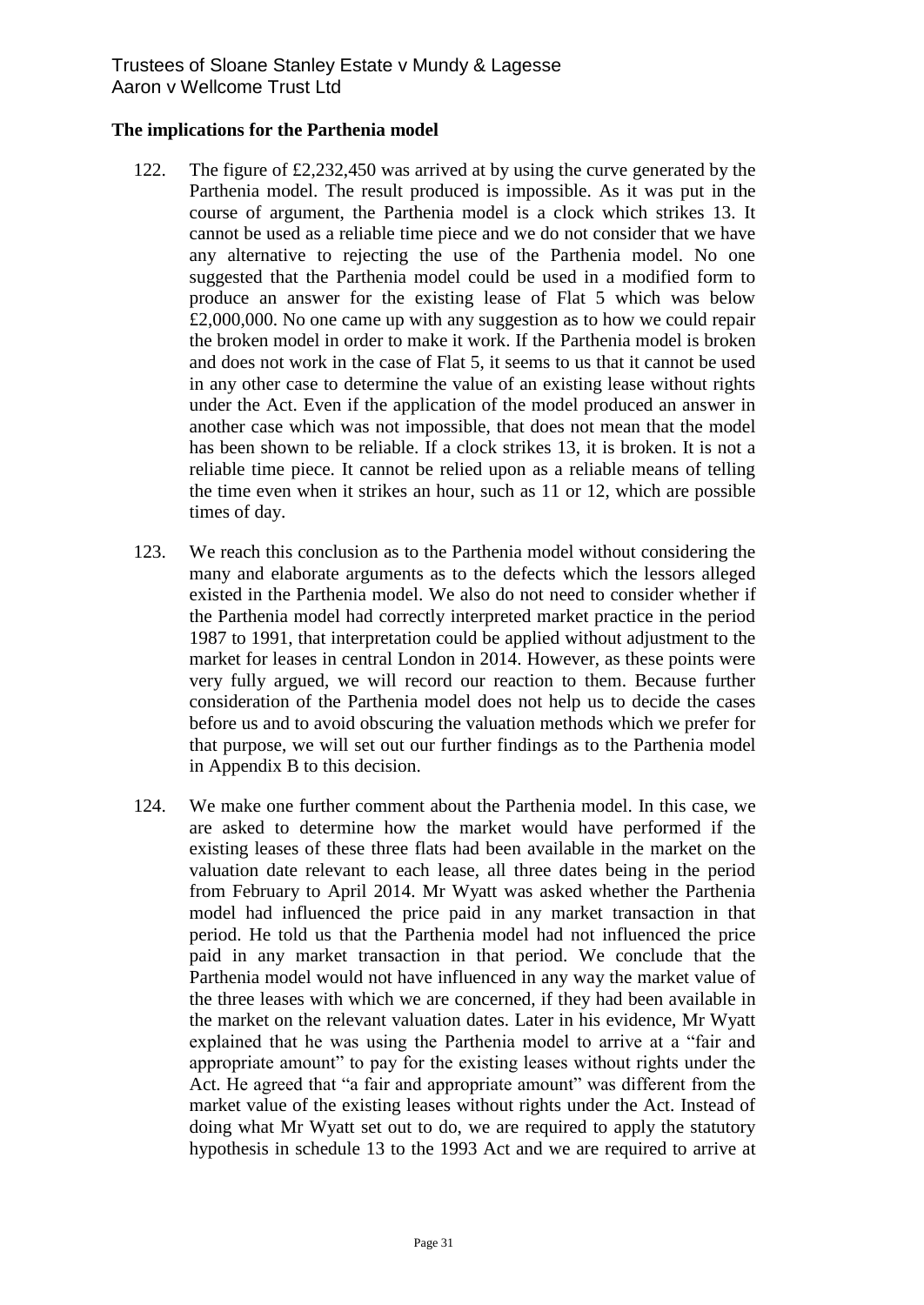# Trustees of Sloane Stanley Estate v Mundy & Lagesse Aaron v Wellcome Trust Ltd

## **The implications for the Parthenia model**

- 122. The figure of £2,232,450 was arrived at by using the curve generated by the Parthenia model. The result produced is impossible. As it was put in the course of argument, the Parthenia model is a clock which strikes 13. It cannot be used as a reliable time piece and we do not consider that we have any alternative to rejecting the use of the Parthenia model. No one suggested that the Parthenia model could be used in a modified form to produce an answer for the existing lease of Flat 5 which was below £2,000,000. No one came up with any suggestion as to how we could repair the broken model in order to make it work. If the Parthenia model is broken and does not work in the case of Flat 5, it seems to us that it cannot be used in any other case to determine the value of an existing lease without rights under the Act. Even if the application of the model produced an answer in another case which was not impossible, that does not mean that the model has been shown to be reliable. If a clock strikes 13, it is broken. It is not a reliable time piece. It cannot be relied upon as a reliable means of telling the time even when it strikes an hour, such as 11 or 12, which are possible times of day.
- 123. We reach this conclusion as to the Parthenia model without considering the many and elaborate arguments as to the defects which the lessors alleged existed in the Parthenia model. We also do not need to consider whether if the Parthenia model had correctly interpreted market practice in the period 1987 to 1991, that interpretation could be applied without adjustment to the market for leases in central London in 2014. However, as these points were very fully argued, we will record our reaction to them. Because further consideration of the Parthenia model does not help us to decide the cases before us and to avoid obscuring the valuation methods which we prefer for that purpose, we will set out our further findings as to the Parthenia model in Appendix B to this decision.
- 124. We make one further comment about the Parthenia model. In this case, we are asked to determine how the market would have performed if the existing leases of these three flats had been available in the market on the valuation date relevant to each lease, all three dates being in the period from February to April 2014. Mr Wyatt was asked whether the Parthenia model had influenced the price paid in any market transaction in that period. He told us that the Parthenia model had not influenced the price paid in any market transaction in that period. We conclude that the Parthenia model would not have influenced in any way the market value of the three leases with which we are concerned, if they had been available in the market on the relevant valuation dates. Later in his evidence, Mr Wyatt explained that he was using the Parthenia model to arrive at a "fair and appropriate amount" to pay for the existing leases without rights under the Act. He agreed that "a fair and appropriate amount" was different from the market value of the existing leases without rights under the Act. Instead of doing what Mr Wyatt set out to do, we are required to apply the statutory hypothesis in schedule 13 to the 1993 Act and we are required to arrive at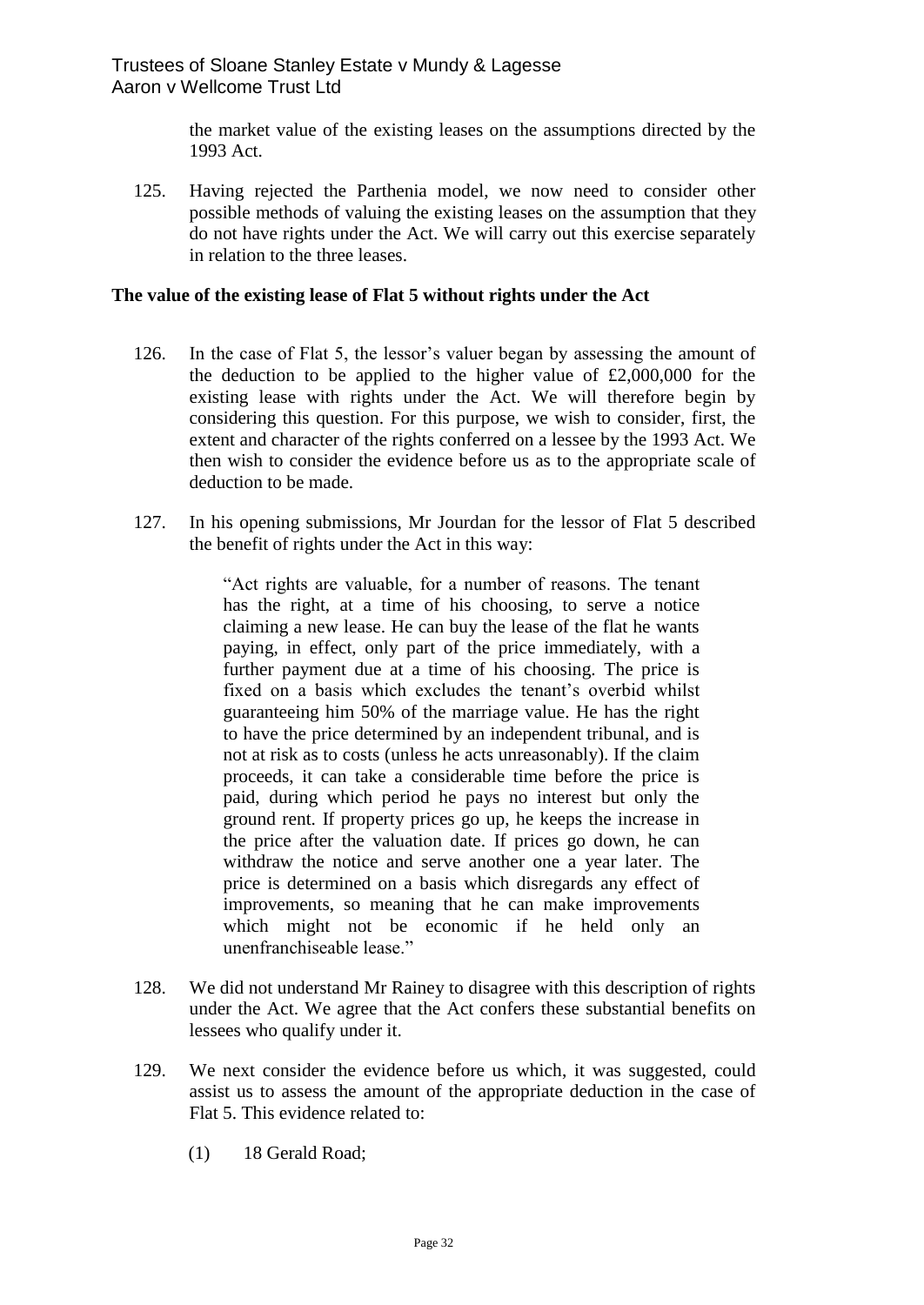the market value of the existing leases on the assumptions directed by the 1993 Act.

125. Having rejected the Parthenia model, we now need to consider other possible methods of valuing the existing leases on the assumption that they do not have rights under the Act. We will carry out this exercise separately in relation to the three leases.

#### **The value of the existing lease of Flat 5 without rights under the Act**

- 126. In the case of Flat 5, the lessor's valuer began by assessing the amount of the deduction to be applied to the higher value of £2,000,000 for the existing lease with rights under the Act. We will therefore begin by considering this question. For this purpose, we wish to consider, first, the extent and character of the rights conferred on a lessee by the 1993 Act. We then wish to consider the evidence before us as to the appropriate scale of deduction to be made.
- 127. In his opening submissions, Mr Jourdan for the lessor of Flat 5 described the benefit of rights under the Act in this way:

"Act rights are valuable, for a number of reasons. The tenant has the right, at a time of his choosing, to serve a notice claiming a new lease. He can buy the lease of the flat he wants paying, in effect, only part of the price immediately, with a further payment due at a time of his choosing. The price is fixed on a basis which excludes the tenant's overbid whilst guaranteeing him 50% of the marriage value. He has the right to have the price determined by an independent tribunal, and is not at risk as to costs (unless he acts unreasonably). If the claim proceeds, it can take a considerable time before the price is paid, during which period he pays no interest but only the ground rent. If property prices go up, he keeps the increase in the price after the valuation date. If prices go down, he can withdraw the notice and serve another one a year later. The price is determined on a basis which disregards any effect of improvements, so meaning that he can make improvements which might not be economic if he held only an unenfranchiseable lease."

- 128. We did not understand Mr Rainey to disagree with this description of rights under the Act. We agree that the Act confers these substantial benefits on lessees who qualify under it.
- 129. We next consider the evidence before us which, it was suggested, could assist us to assess the amount of the appropriate deduction in the case of Flat 5. This evidence related to:
	- (1) 18 Gerald Road;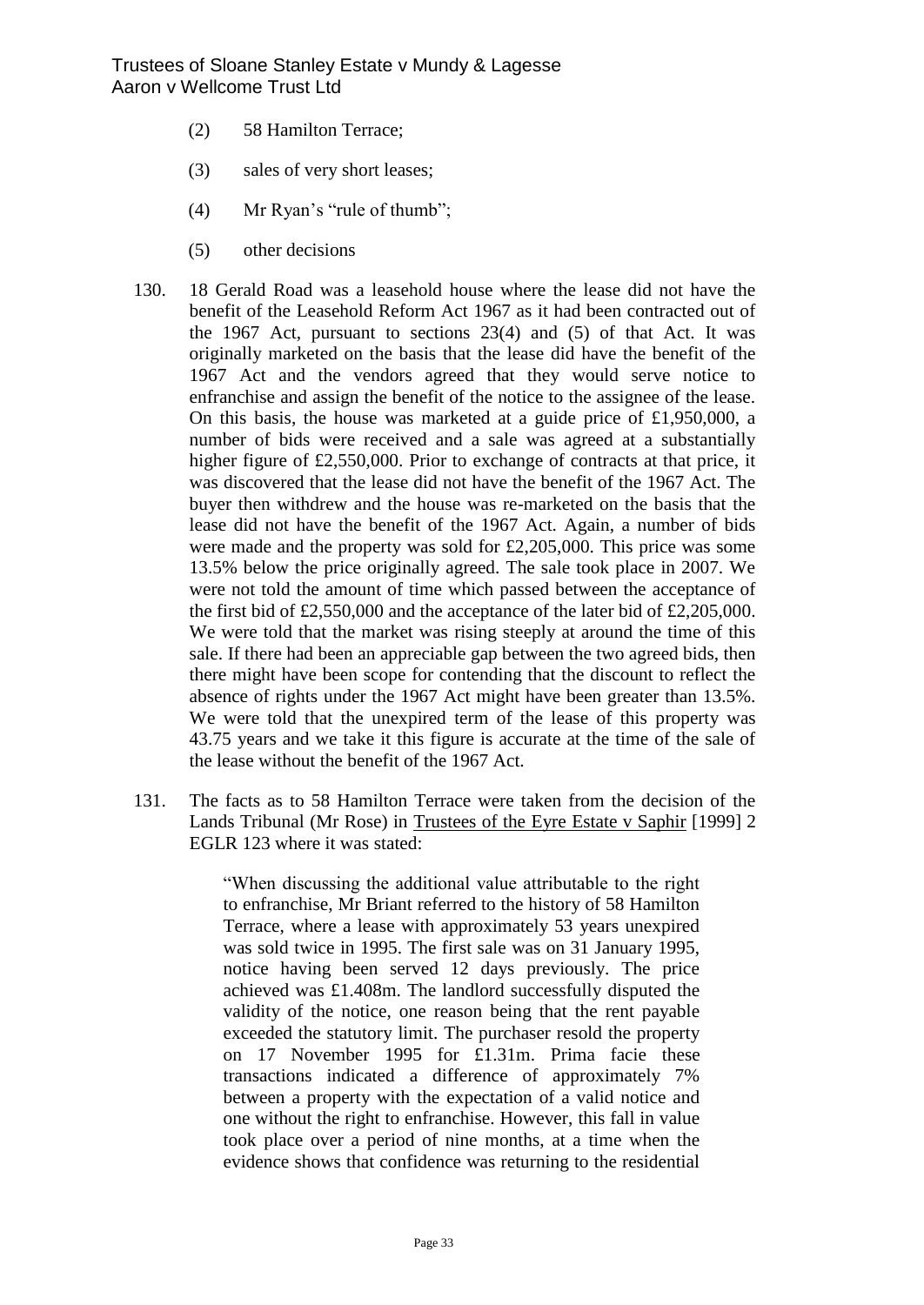- (2) 58 Hamilton Terrace;
- (3) sales of very short leases;
- (4) Mr Ryan's "rule of thumb";
- (5) other decisions
- 130. 18 Gerald Road was a leasehold house where the lease did not have the benefit of the Leasehold Reform Act 1967 as it had been contracted out of the 1967 Act, pursuant to sections 23(4) and (5) of that Act. It was originally marketed on the basis that the lease did have the benefit of the 1967 Act and the vendors agreed that they would serve notice to enfranchise and assign the benefit of the notice to the assignee of the lease. On this basis, the house was marketed at a guide price of £1,950,000, a number of bids were received and a sale was agreed at a substantially higher figure of £2,550,000. Prior to exchange of contracts at that price, it was discovered that the lease did not have the benefit of the 1967 Act. The buyer then withdrew and the house was re-marketed on the basis that the lease did not have the benefit of the 1967 Act. Again, a number of bids were made and the property was sold for £2,205,000. This price was some 13.5% below the price originally agreed. The sale took place in 2007. We were not told the amount of time which passed between the acceptance of the first bid of £2,550,000 and the acceptance of the later bid of £2,205,000. We were told that the market was rising steeply at around the time of this sale. If there had been an appreciable gap between the two agreed bids, then there might have been scope for contending that the discount to reflect the absence of rights under the 1967 Act might have been greater than 13.5%. We were told that the unexpired term of the lease of this property was 43.75 years and we take it this figure is accurate at the time of the sale of the lease without the benefit of the 1967 Act.
- 131. The facts as to 58 Hamilton Terrace were taken from the decision of the Lands Tribunal (Mr Rose) in Trustees of the Eyre Estate v Saphir [1999] 2 EGLR 123 where it was stated:

"When discussing the additional value attributable to the right to enfranchise, Mr Briant referred to the history of 58 Hamilton Terrace, where a lease with approximately 53 years unexpired was sold twice in 1995. The first sale was on 31 January 1995, notice having been served 12 days previously. The price achieved was £1.408m. The landlord successfully disputed the validity of the notice, one reason being that the rent payable exceeded the statutory limit. The purchaser resold the property on 17 November 1995 for £1.31m. Prima facie these transactions indicated a difference of approximately 7% between a property with the expectation of a valid notice and one without the right to enfranchise. However, this fall in value took place over a period of nine months, at a time when the evidence shows that confidence was returning to the residential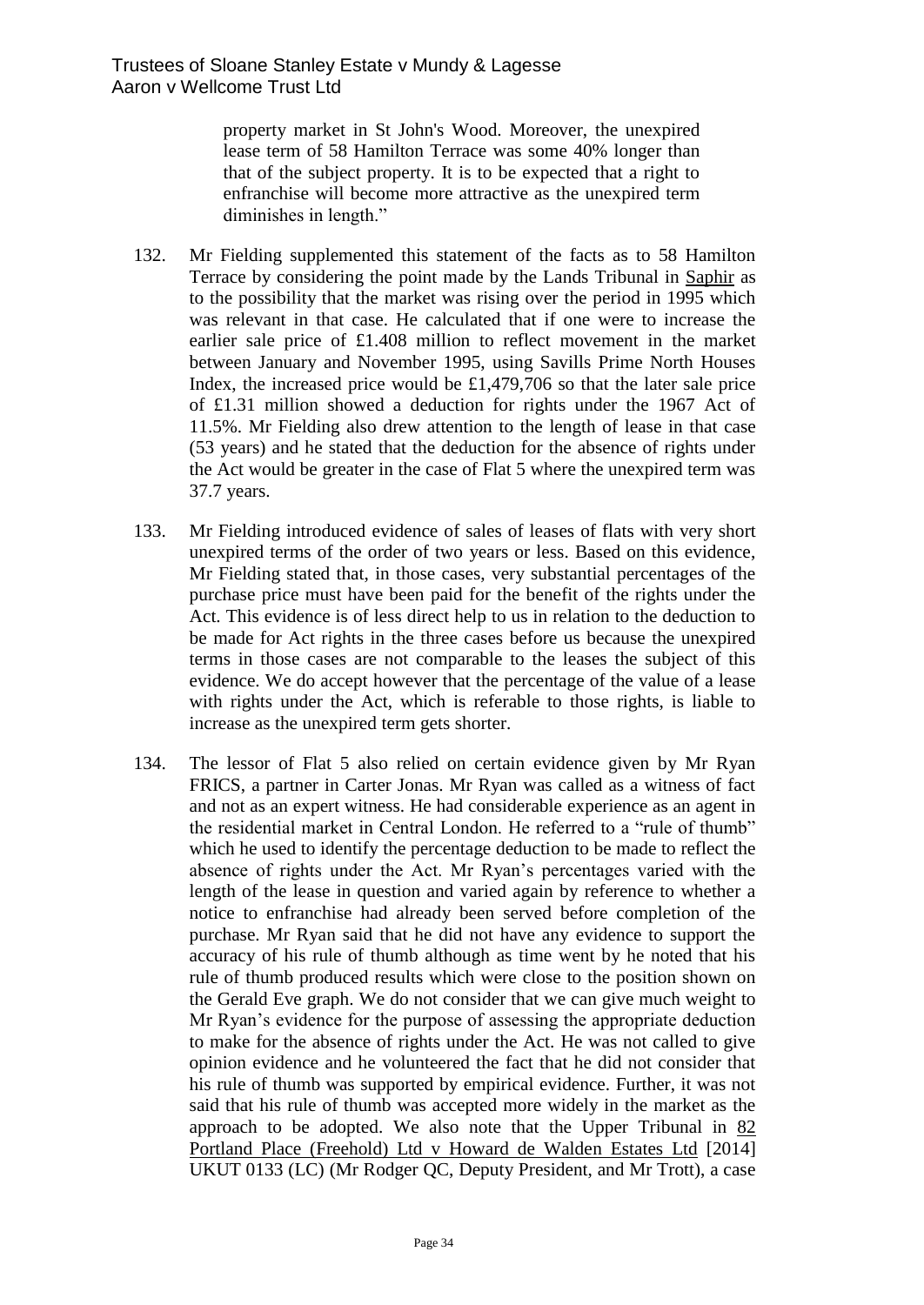property market in St John's Wood. Moreover, the unexpired lease term of 58 Hamilton Terrace was some 40% longer than that of the subject property. It is to be expected that a right to enfranchise will become more attractive as the unexpired term diminishes in length."

- 132. Mr Fielding supplemented this statement of the facts as to 58 Hamilton Terrace by considering the point made by the Lands Tribunal in Saphir as to the possibility that the market was rising over the period in 1995 which was relevant in that case. He calculated that if one were to increase the earlier sale price of £1.408 million to reflect movement in the market between January and November 1995, using Savills Prime North Houses Index, the increased price would be £1,479,706 so that the later sale price of £1.31 million showed a deduction for rights under the 1967 Act of 11.5%. Mr Fielding also drew attention to the length of lease in that case (53 years) and he stated that the deduction for the absence of rights under the Act would be greater in the case of Flat 5 where the unexpired term was 37.7 years.
- 133. Mr Fielding introduced evidence of sales of leases of flats with very short unexpired terms of the order of two years or less. Based on this evidence, Mr Fielding stated that, in those cases, very substantial percentages of the purchase price must have been paid for the benefit of the rights under the Act. This evidence is of less direct help to us in relation to the deduction to be made for Act rights in the three cases before us because the unexpired terms in those cases are not comparable to the leases the subject of this evidence. We do accept however that the percentage of the value of a lease with rights under the Act, which is referable to those rights, is liable to increase as the unexpired term gets shorter.
- 134. The lessor of Flat 5 also relied on certain evidence given by Mr Ryan FRICS, a partner in Carter Jonas. Mr Ryan was called as a witness of fact and not as an expert witness. He had considerable experience as an agent in the residential market in Central London. He referred to a "rule of thumb" which he used to identify the percentage deduction to be made to reflect the absence of rights under the Act. Mr Ryan's percentages varied with the length of the lease in question and varied again by reference to whether a notice to enfranchise had already been served before completion of the purchase. Mr Ryan said that he did not have any evidence to support the accuracy of his rule of thumb although as time went by he noted that his rule of thumb produced results which were close to the position shown on the Gerald Eve graph. We do not consider that we can give much weight to Mr Ryan's evidence for the purpose of assessing the appropriate deduction to make for the absence of rights under the Act. He was not called to give opinion evidence and he volunteered the fact that he did not consider that his rule of thumb was supported by empirical evidence. Further, it was not said that his rule of thumb was accepted more widely in the market as the approach to be adopted. We also note that the Upper Tribunal in 82 Portland Place (Freehold) Ltd v Howard de Walden Estates Ltd [2014] UKUT 0133 (LC) (Mr Rodger QC, Deputy President, and Mr Trott), a case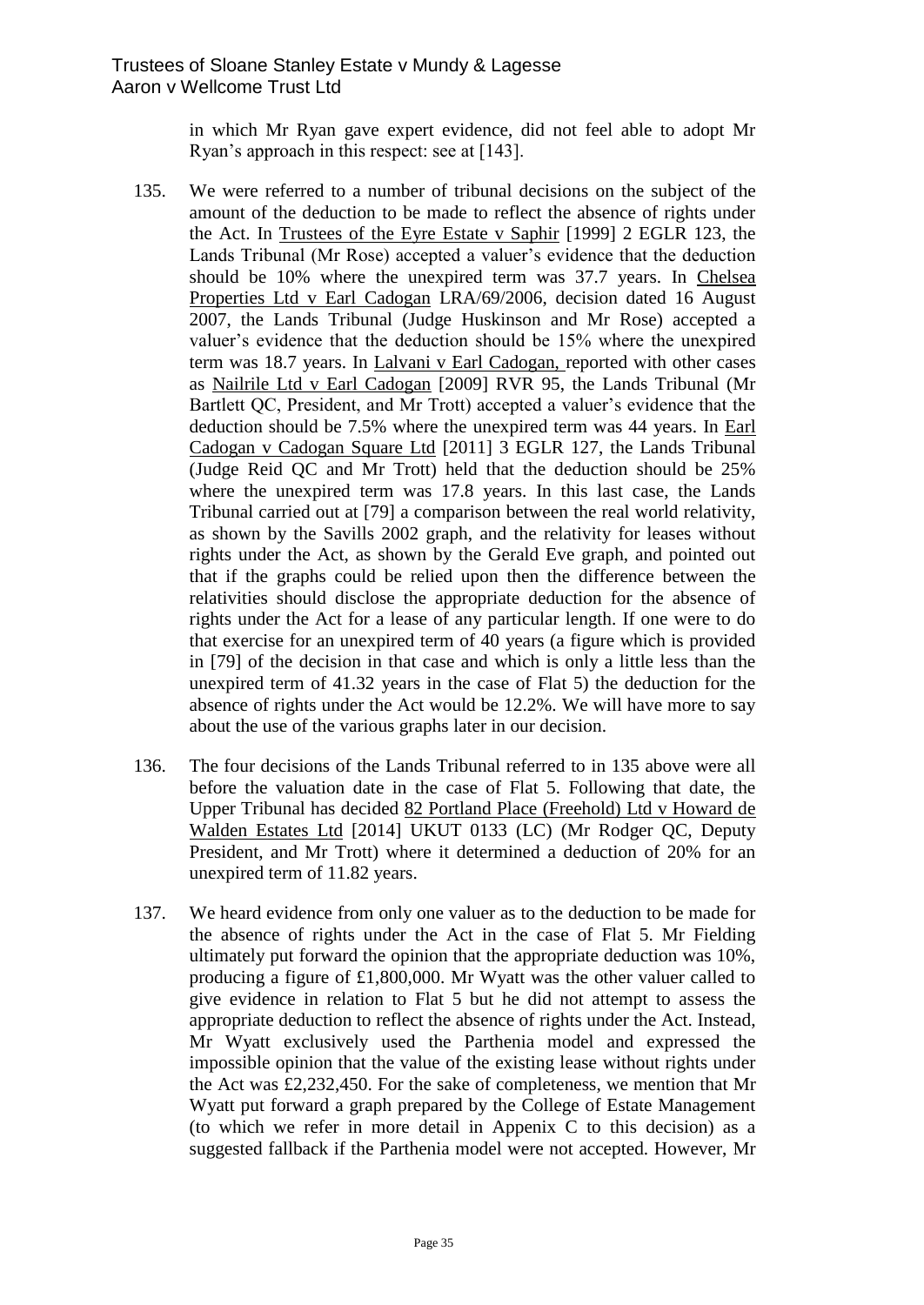in which Mr Ryan gave expert evidence, did not feel able to adopt Mr Ryan's approach in this respect: see at [143].

- 135. We were referred to a number of tribunal decisions on the subject of the amount of the deduction to be made to reflect the absence of rights under the Act. In Trustees of the Eyre Estate v Saphir [1999] 2 EGLR 123, the Lands Tribunal (Mr Rose) accepted a valuer's evidence that the deduction should be 10% where the unexpired term was 37.7 years. In Chelsea Properties Ltd v Earl Cadogan LRA/69/2006, decision dated 16 August 2007, the Lands Tribunal (Judge Huskinson and Mr Rose) accepted a valuer's evidence that the deduction should be 15% where the unexpired term was 18.7 years. In Lalvani v Earl Cadogan, reported with other cases as Nailrile Ltd v Earl Cadogan [2009] RVR 95, the Lands Tribunal (Mr Bartlett QC, President, and Mr Trott) accepted a valuer's evidence that the deduction should be 7.5% where the unexpired term was 44 years. In Earl Cadogan v Cadogan Square Ltd [2011] 3 EGLR 127, the Lands Tribunal (Judge Reid QC and Mr Trott) held that the deduction should be 25% where the unexpired term was 17.8 years. In this last case, the Lands Tribunal carried out at [79] a comparison between the real world relativity, as shown by the Savills 2002 graph, and the relativity for leases without rights under the Act, as shown by the Gerald Eve graph, and pointed out that if the graphs could be relied upon then the difference between the relativities should disclose the appropriate deduction for the absence of rights under the Act for a lease of any particular length. If one were to do that exercise for an unexpired term of 40 years (a figure which is provided in [79] of the decision in that case and which is only a little less than the unexpired term of 41.32 years in the case of Flat 5) the deduction for the absence of rights under the Act would be 12.2%. We will have more to say about the use of the various graphs later in our decision.
- 136. The four decisions of the Lands Tribunal referred to in 135 above were all before the valuation date in the case of Flat 5. Following that date, the Upper Tribunal has decided 82 Portland Place (Freehold) Ltd v Howard de Walden Estates Ltd [2014] UKUT 0133 (LC) (Mr Rodger QC, Deputy President, and Mr Trott) where it determined a deduction of 20% for an unexpired term of 11.82 years.
- 137. We heard evidence from only one valuer as to the deduction to be made for the absence of rights under the Act in the case of Flat 5. Mr Fielding ultimately put forward the opinion that the appropriate deduction was 10%, producing a figure of £1,800,000. Mr Wyatt was the other valuer called to give evidence in relation to Flat 5 but he did not attempt to assess the appropriate deduction to reflect the absence of rights under the Act. Instead, Mr Wyatt exclusively used the Parthenia model and expressed the impossible opinion that the value of the existing lease without rights under the Act was £2,232,450. For the sake of completeness, we mention that Mr Wyatt put forward a graph prepared by the College of Estate Management (to which we refer in more detail in Appenix C to this decision) as a suggested fallback if the Parthenia model were not accepted. However, Mr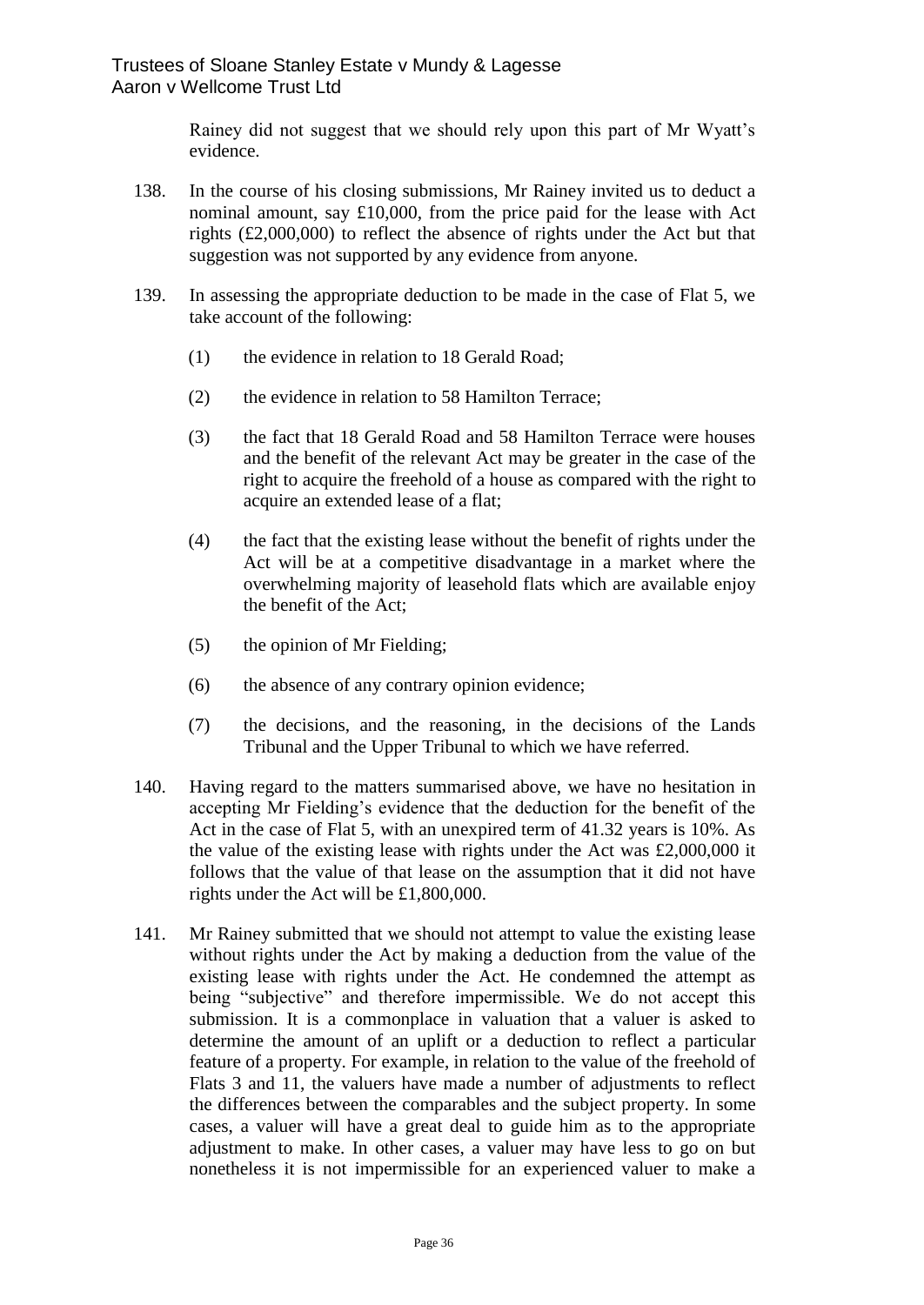Rainey did not suggest that we should rely upon this part of Mr Wyatt's evidence.

- 138. In the course of his closing submissions, Mr Rainey invited us to deduct a nominal amount, say £10,000, from the price paid for the lease with Act rights (£2,000,000) to reflect the absence of rights under the Act but that suggestion was not supported by any evidence from anyone.
- 139. In assessing the appropriate deduction to be made in the case of Flat 5, we take account of the following:
	- (1) the evidence in relation to 18 Gerald Road;
	- (2) the evidence in relation to 58 Hamilton Terrace;
	- (3) the fact that 18 Gerald Road and 58 Hamilton Terrace were houses and the benefit of the relevant Act may be greater in the case of the right to acquire the freehold of a house as compared with the right to acquire an extended lease of a flat;
	- (4) the fact that the existing lease without the benefit of rights under the Act will be at a competitive disadvantage in a market where the overwhelming majority of leasehold flats which are available enjoy the benefit of the Act;
	- (5) the opinion of Mr Fielding;
	- (6) the absence of any contrary opinion evidence;
	- (7) the decisions, and the reasoning, in the decisions of the Lands Tribunal and the Upper Tribunal to which we have referred.
- 140. Having regard to the matters summarised above, we have no hesitation in accepting Mr Fielding's evidence that the deduction for the benefit of the Act in the case of Flat 5, with an unexpired term of 41.32 years is 10%. As the value of the existing lease with rights under the Act was £2,000,000 it follows that the value of that lease on the assumption that it did not have rights under the Act will be £1,800,000.
- 141. Mr Rainey submitted that we should not attempt to value the existing lease without rights under the Act by making a deduction from the value of the existing lease with rights under the Act. He condemned the attempt as being "subjective" and therefore impermissible. We do not accept this submission. It is a commonplace in valuation that a valuer is asked to determine the amount of an uplift or a deduction to reflect a particular feature of a property. For example, in relation to the value of the freehold of Flats 3 and 11, the valuers have made a number of adjustments to reflect the differences between the comparables and the subject property. In some cases, a valuer will have a great deal to guide him as to the appropriate adjustment to make. In other cases, a valuer may have less to go on but nonetheless it is not impermissible for an experienced valuer to make a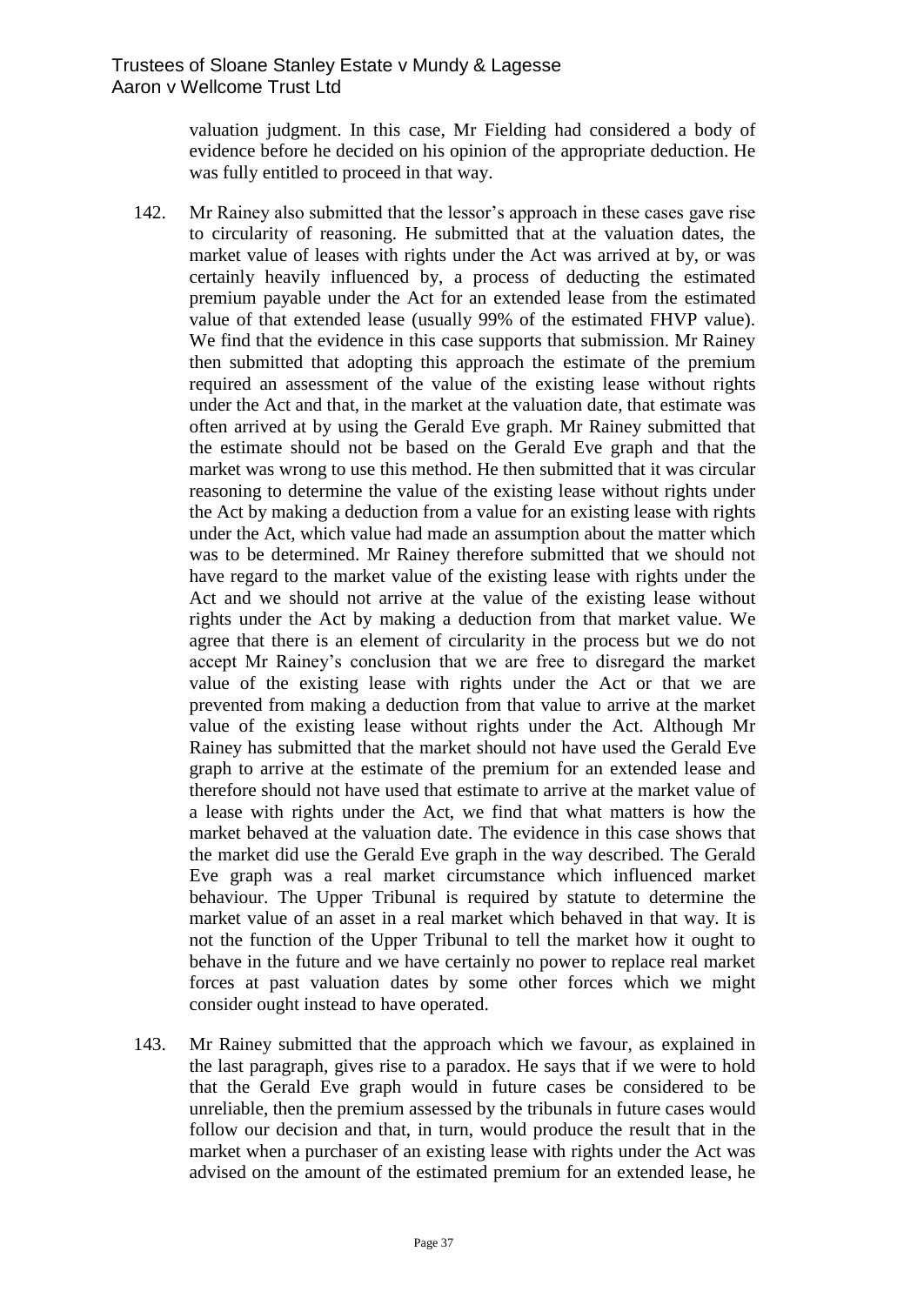valuation judgment. In this case, Mr Fielding had considered a body of evidence before he decided on his opinion of the appropriate deduction. He was fully entitled to proceed in that way.

- 142. Mr Rainey also submitted that the lessor's approach in these cases gave rise to circularity of reasoning. He submitted that at the valuation dates, the market value of leases with rights under the Act was arrived at by, or was certainly heavily influenced by, a process of deducting the estimated premium payable under the Act for an extended lease from the estimated value of that extended lease (usually 99% of the estimated FHVP value). We find that the evidence in this case supports that submission. Mr Rainey then submitted that adopting this approach the estimate of the premium required an assessment of the value of the existing lease without rights under the Act and that, in the market at the valuation date, that estimate was often arrived at by using the Gerald Eve graph. Mr Rainey submitted that the estimate should not be based on the Gerald Eve graph and that the market was wrong to use this method. He then submitted that it was circular reasoning to determine the value of the existing lease without rights under the Act by making a deduction from a value for an existing lease with rights under the Act, which value had made an assumption about the matter which was to be determined. Mr Rainey therefore submitted that we should not have regard to the market value of the existing lease with rights under the Act and we should not arrive at the value of the existing lease without rights under the Act by making a deduction from that market value. We agree that there is an element of circularity in the process but we do not accept Mr Rainey's conclusion that we are free to disregard the market value of the existing lease with rights under the Act or that we are prevented from making a deduction from that value to arrive at the market value of the existing lease without rights under the Act. Although Mr Rainey has submitted that the market should not have used the Gerald Eve graph to arrive at the estimate of the premium for an extended lease and therefore should not have used that estimate to arrive at the market value of a lease with rights under the Act, we find that what matters is how the market behaved at the valuation date. The evidence in this case shows that the market did use the Gerald Eve graph in the way described. The Gerald Eve graph was a real market circumstance which influenced market behaviour. The Upper Tribunal is required by statute to determine the market value of an asset in a real market which behaved in that way. It is not the function of the Upper Tribunal to tell the market how it ought to behave in the future and we have certainly no power to replace real market forces at past valuation dates by some other forces which we might consider ought instead to have operated.
- 143. Mr Rainey submitted that the approach which we favour, as explained in the last paragraph, gives rise to a paradox. He says that if we were to hold that the Gerald Eve graph would in future cases be considered to be unreliable, then the premium assessed by the tribunals in future cases would follow our decision and that, in turn, would produce the result that in the market when a purchaser of an existing lease with rights under the Act was advised on the amount of the estimated premium for an extended lease, he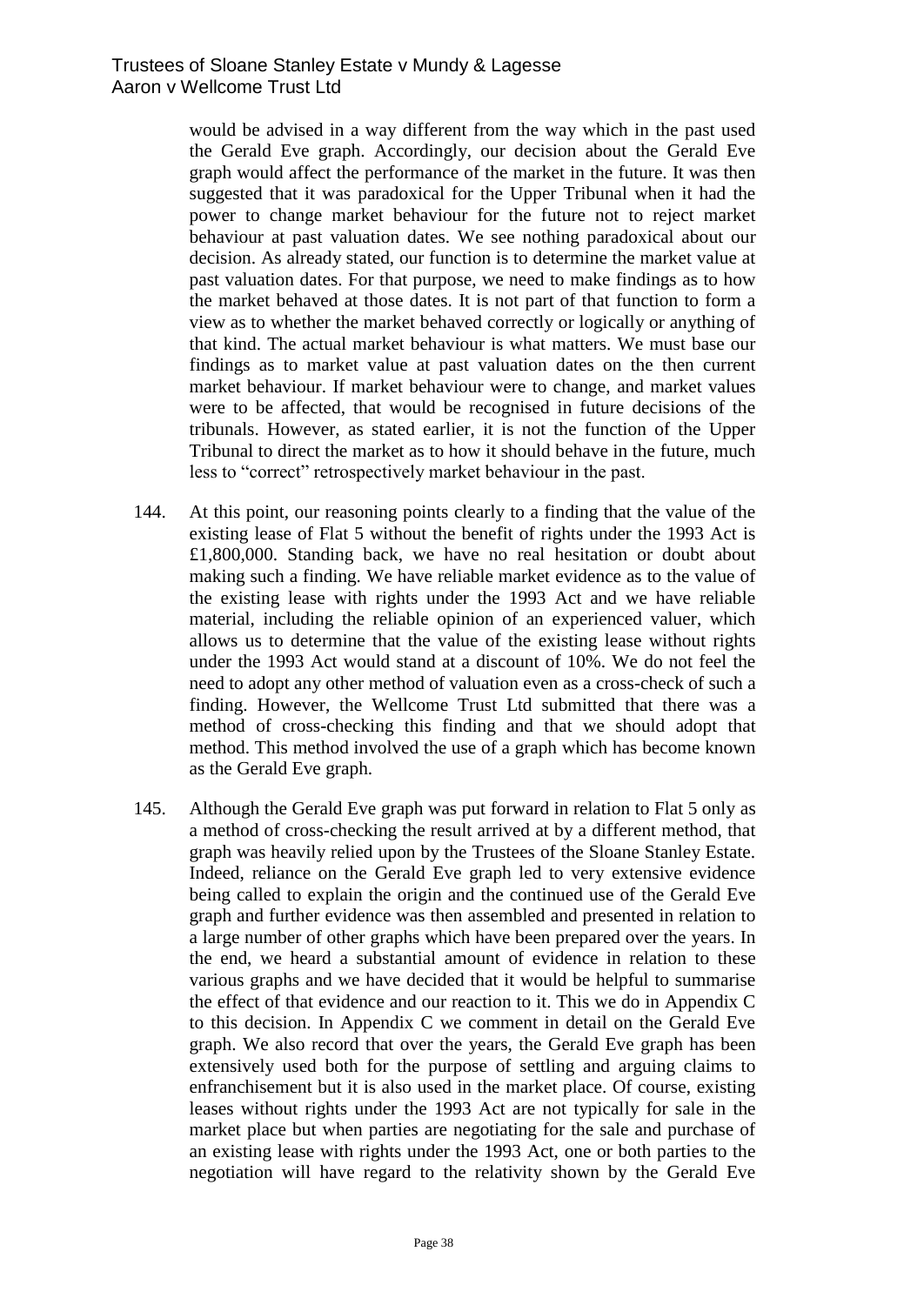would be advised in a way different from the way which in the past used the Gerald Eve graph. Accordingly, our decision about the Gerald Eve graph would affect the performance of the market in the future. It was then suggested that it was paradoxical for the Upper Tribunal when it had the power to change market behaviour for the future not to reject market behaviour at past valuation dates. We see nothing paradoxical about our decision. As already stated, our function is to determine the market value at past valuation dates. For that purpose, we need to make findings as to how the market behaved at those dates. It is not part of that function to form a view as to whether the market behaved correctly or logically or anything of that kind. The actual market behaviour is what matters. We must base our findings as to market value at past valuation dates on the then current market behaviour. If market behaviour were to change, and market values were to be affected, that would be recognised in future decisions of the tribunals. However, as stated earlier, it is not the function of the Upper Tribunal to direct the market as to how it should behave in the future, much less to "correct" retrospectively market behaviour in the past.

- 144. At this point, our reasoning points clearly to a finding that the value of the existing lease of Flat 5 without the benefit of rights under the 1993 Act is £1,800,000. Standing back, we have no real hesitation or doubt about making such a finding. We have reliable market evidence as to the value of the existing lease with rights under the 1993 Act and we have reliable material, including the reliable opinion of an experienced valuer, which allows us to determine that the value of the existing lease without rights under the 1993 Act would stand at a discount of 10%. We do not feel the need to adopt any other method of valuation even as a cross-check of such a finding. However, the Wellcome Trust Ltd submitted that there was a method of cross-checking this finding and that we should adopt that method. This method involved the use of a graph which has become known as the Gerald Eve graph.
- 145. Although the Gerald Eve graph was put forward in relation to Flat 5 only as a method of cross-checking the result arrived at by a different method, that graph was heavily relied upon by the Trustees of the Sloane Stanley Estate. Indeed, reliance on the Gerald Eve graph led to very extensive evidence being called to explain the origin and the continued use of the Gerald Eve graph and further evidence was then assembled and presented in relation to a large number of other graphs which have been prepared over the years. In the end, we heard a substantial amount of evidence in relation to these various graphs and we have decided that it would be helpful to summarise the effect of that evidence and our reaction to it. This we do in Appendix C to this decision. In Appendix C we comment in detail on the Gerald Eve graph. We also record that over the years, the Gerald Eve graph has been extensively used both for the purpose of settling and arguing claims to enfranchisement but it is also used in the market place. Of course, existing leases without rights under the 1993 Act are not typically for sale in the market place but when parties are negotiating for the sale and purchase of an existing lease with rights under the 1993 Act, one or both parties to the negotiation will have regard to the relativity shown by the Gerald Eve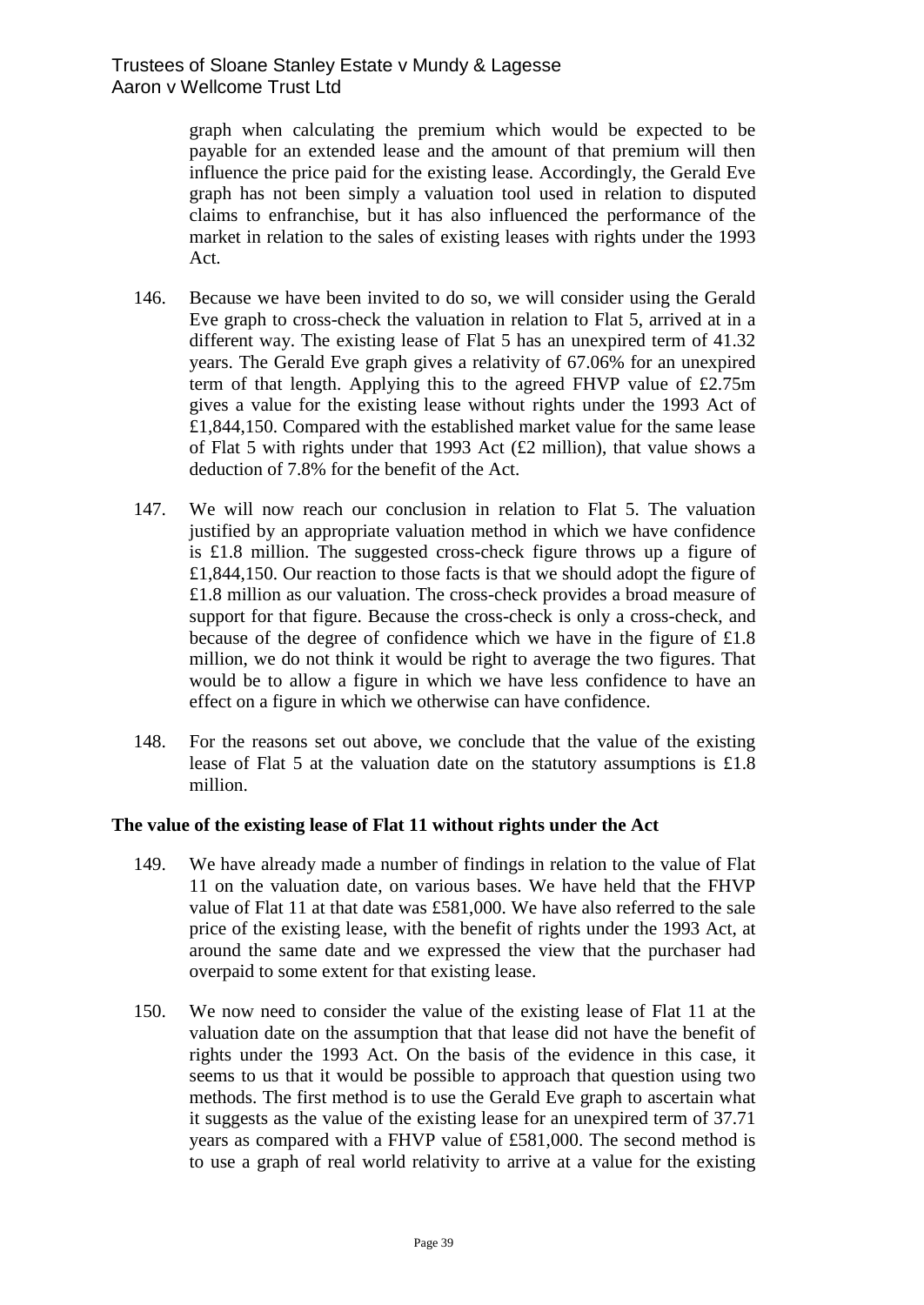graph when calculating the premium which would be expected to be payable for an extended lease and the amount of that premium will then influence the price paid for the existing lease. Accordingly, the Gerald Eve graph has not been simply a valuation tool used in relation to disputed claims to enfranchise, but it has also influenced the performance of the market in relation to the sales of existing leases with rights under the 1993 Act.

- 146. Because we have been invited to do so, we will consider using the Gerald Eve graph to cross-check the valuation in relation to Flat 5, arrived at in a different way. The existing lease of Flat 5 has an unexpired term of 41.32 years. The Gerald Eve graph gives a relativity of 67.06% for an unexpired term of that length. Applying this to the agreed FHVP value of  $\text{\pounds}2.75\text{m}$ gives a value for the existing lease without rights under the 1993 Act of £1,844,150. Compared with the established market value for the same lease of Flat 5 with rights under that 1993 Act (£2 million), that value shows a deduction of 7.8% for the benefit of the Act.
- 147. We will now reach our conclusion in relation to Flat 5. The valuation justified by an appropriate valuation method in which we have confidence is £1.8 million. The suggested cross-check figure throws up a figure of £1,844,150. Our reaction to those facts is that we should adopt the figure of £1.8 million as our valuation. The cross-check provides a broad measure of support for that figure. Because the cross-check is only a cross-check, and because of the degree of confidence which we have in the figure of £1.8 million, we do not think it would be right to average the two figures. That would be to allow a figure in which we have less confidence to have an effect on a figure in which we otherwise can have confidence.
- 148. For the reasons set out above, we conclude that the value of the existing lease of Flat 5 at the valuation date on the statutory assumptions is £1.8 million.

### **The value of the existing lease of Flat 11 without rights under the Act**

- 149. We have already made a number of findings in relation to the value of Flat 11 on the valuation date, on various bases. We have held that the FHVP value of Flat 11 at that date was £581,000. We have also referred to the sale price of the existing lease, with the benefit of rights under the 1993 Act, at around the same date and we expressed the view that the purchaser had overpaid to some extent for that existing lease.
- 150. We now need to consider the value of the existing lease of Flat 11 at the valuation date on the assumption that that lease did not have the benefit of rights under the 1993 Act. On the basis of the evidence in this case, it seems to us that it would be possible to approach that question using two methods. The first method is to use the Gerald Eve graph to ascertain what it suggests as the value of the existing lease for an unexpired term of 37.71 years as compared with a FHVP value of £581,000. The second method is to use a graph of real world relativity to arrive at a value for the existing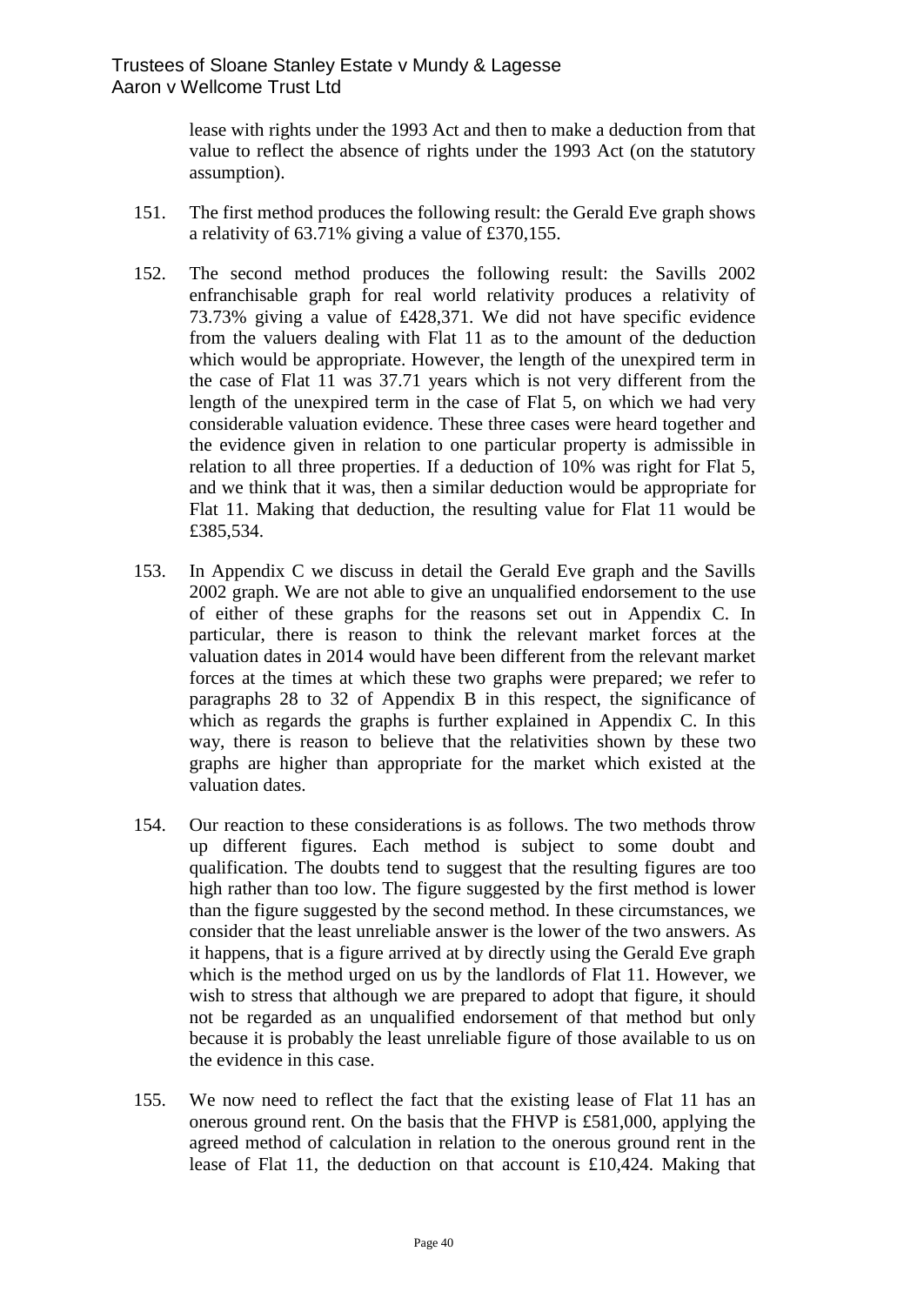lease with rights under the 1993 Act and then to make a deduction from that value to reflect the absence of rights under the 1993 Act (on the statutory assumption).

- 151. The first method produces the following result: the Gerald Eve graph shows a relativity of 63.71% giving a value of £370,155.
- 152. The second method produces the following result: the Savills 2002 enfranchisable graph for real world relativity produces a relativity of 73.73% giving a value of £428,371. We did not have specific evidence from the valuers dealing with Flat 11 as to the amount of the deduction which would be appropriate. However, the length of the unexpired term in the case of Flat 11 was 37.71 years which is not very different from the length of the unexpired term in the case of Flat 5, on which we had very considerable valuation evidence. These three cases were heard together and the evidence given in relation to one particular property is admissible in relation to all three properties. If a deduction of 10% was right for Flat 5, and we think that it was, then a similar deduction would be appropriate for Flat 11. Making that deduction, the resulting value for Flat 11 would be £385,534.
- 153. In Appendix C we discuss in detail the Gerald Eve graph and the Savills 2002 graph. We are not able to give an unqualified endorsement to the use of either of these graphs for the reasons set out in Appendix C. In particular, there is reason to think the relevant market forces at the valuation dates in 2014 would have been different from the relevant market forces at the times at which these two graphs were prepared; we refer to paragraphs 28 to 32 of Appendix B in this respect, the significance of which as regards the graphs is further explained in Appendix C. In this way, there is reason to believe that the relativities shown by these two graphs are higher than appropriate for the market which existed at the valuation dates.
- 154. Our reaction to these considerations is as follows. The two methods throw up different figures. Each method is subject to some doubt and qualification. The doubts tend to suggest that the resulting figures are too high rather than too low. The figure suggested by the first method is lower than the figure suggested by the second method. In these circumstances, we consider that the least unreliable answer is the lower of the two answers. As it happens, that is a figure arrived at by directly using the Gerald Eve graph which is the method urged on us by the landlords of Flat 11. However, we wish to stress that although we are prepared to adopt that figure, it should not be regarded as an unqualified endorsement of that method but only because it is probably the least unreliable figure of those available to us on the evidence in this case.
- 155. We now need to reflect the fact that the existing lease of Flat 11 has an onerous ground rent. On the basis that the FHVP is £581,000, applying the agreed method of calculation in relation to the onerous ground rent in the lease of Flat 11, the deduction on that account is £10,424. Making that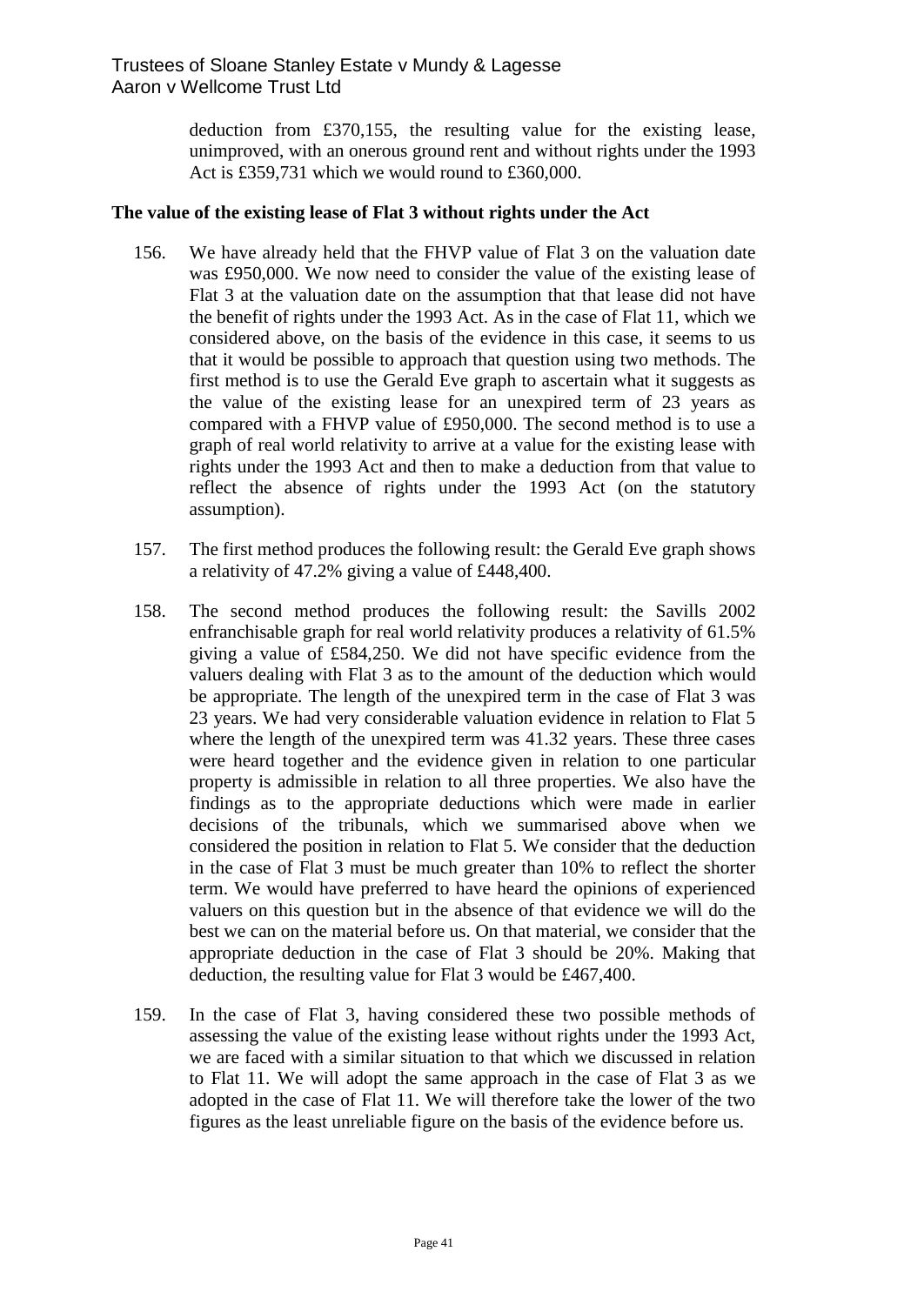deduction from £370,155, the resulting value for the existing lease, unimproved, with an onerous ground rent and without rights under the 1993 Act is £359,731 which we would round to £360,000.

### **The value of the existing lease of Flat 3 without rights under the Act**

- 156. We have already held that the FHVP value of Flat 3 on the valuation date was £950,000. We now need to consider the value of the existing lease of Flat 3 at the valuation date on the assumption that that lease did not have the benefit of rights under the 1993 Act. As in the case of Flat 11, which we considered above, on the basis of the evidence in this case, it seems to us that it would be possible to approach that question using two methods. The first method is to use the Gerald Eve graph to ascertain what it suggests as the value of the existing lease for an unexpired term of 23 years as compared with a FHVP value of £950,000. The second method is to use a graph of real world relativity to arrive at a value for the existing lease with rights under the 1993 Act and then to make a deduction from that value to reflect the absence of rights under the 1993 Act (on the statutory assumption).
- 157. The first method produces the following result: the Gerald Eve graph shows a relativity of 47.2% giving a value of £448,400.
- 158. The second method produces the following result: the Savills 2002 enfranchisable graph for real world relativity produces a relativity of 61.5% giving a value of £584,250. We did not have specific evidence from the valuers dealing with Flat 3 as to the amount of the deduction which would be appropriate. The length of the unexpired term in the case of Flat 3 was 23 years. We had very considerable valuation evidence in relation to Flat 5 where the length of the unexpired term was 41.32 years. These three cases were heard together and the evidence given in relation to one particular property is admissible in relation to all three properties. We also have the findings as to the appropriate deductions which were made in earlier decisions of the tribunals, which we summarised above when we considered the position in relation to Flat 5. We consider that the deduction in the case of Flat 3 must be much greater than 10% to reflect the shorter term. We would have preferred to have heard the opinions of experienced valuers on this question but in the absence of that evidence we will do the best we can on the material before us. On that material, we consider that the appropriate deduction in the case of Flat 3 should be 20%. Making that deduction, the resulting value for Flat 3 would be £467,400.
- 159. In the case of Flat 3, having considered these two possible methods of assessing the value of the existing lease without rights under the 1993 Act, we are faced with a similar situation to that which we discussed in relation to Flat 11. We will adopt the same approach in the case of Flat 3 as we adopted in the case of Flat 11. We will therefore take the lower of the two figures as the least unreliable figure on the basis of the evidence before us.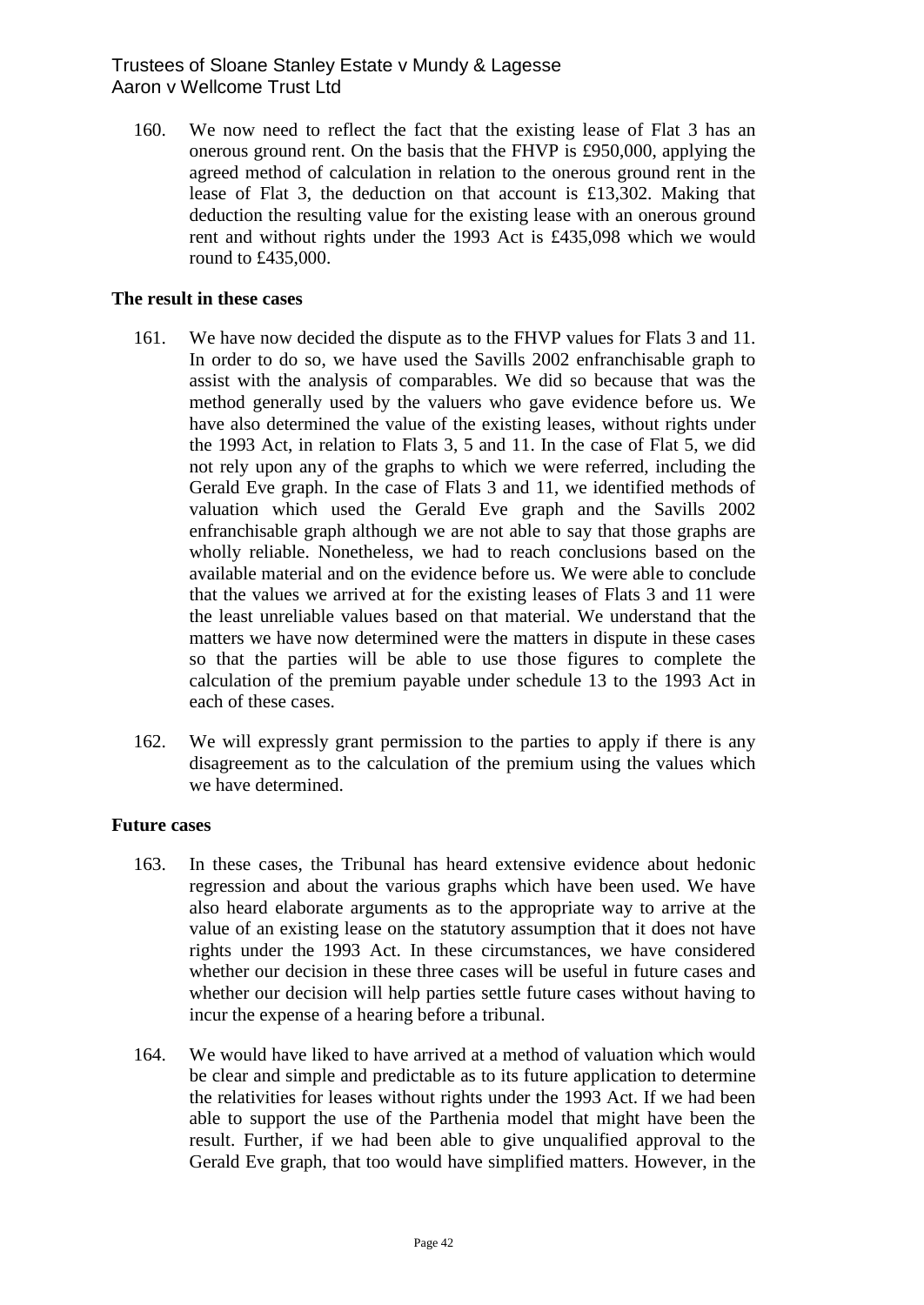160. We now need to reflect the fact that the existing lease of Flat 3 has an onerous ground rent. On the basis that the FHVP is £950,000, applying the agreed method of calculation in relation to the onerous ground rent in the lease of Flat 3, the deduction on that account is £13,302. Making that deduction the resulting value for the existing lease with an onerous ground rent and without rights under the 1993 Act is £435,098 which we would round to £435,000.

#### **The result in these cases**

- 161. We have now decided the dispute as to the FHVP values for Flats 3 and 11. In order to do so, we have used the Savills 2002 enfranchisable graph to assist with the analysis of comparables. We did so because that was the method generally used by the valuers who gave evidence before us. We have also determined the value of the existing leases, without rights under the 1993 Act, in relation to Flats 3, 5 and 11. In the case of Flat 5, we did not rely upon any of the graphs to which we were referred, including the Gerald Eve graph. In the case of Flats 3 and 11, we identified methods of valuation which used the Gerald Eve graph and the Savills 2002 enfranchisable graph although we are not able to say that those graphs are wholly reliable. Nonetheless, we had to reach conclusions based on the available material and on the evidence before us. We were able to conclude that the values we arrived at for the existing leases of Flats 3 and 11 were the least unreliable values based on that material. We understand that the matters we have now determined were the matters in dispute in these cases so that the parties will be able to use those figures to complete the calculation of the premium payable under schedule 13 to the 1993 Act in each of these cases.
- 162. We will expressly grant permission to the parties to apply if there is any disagreement as to the calculation of the premium using the values which we have determined.

#### **Future cases**

- 163. In these cases, the Tribunal has heard extensive evidence about hedonic regression and about the various graphs which have been used. We have also heard elaborate arguments as to the appropriate way to arrive at the value of an existing lease on the statutory assumption that it does not have rights under the 1993 Act. In these circumstances, we have considered whether our decision in these three cases will be useful in future cases and whether our decision will help parties settle future cases without having to incur the expense of a hearing before a tribunal.
- 164. We would have liked to have arrived at a method of valuation which would be clear and simple and predictable as to its future application to determine the relativities for leases without rights under the 1993 Act. If we had been able to support the use of the Parthenia model that might have been the result. Further, if we had been able to give unqualified approval to the Gerald Eve graph, that too would have simplified matters. However, in the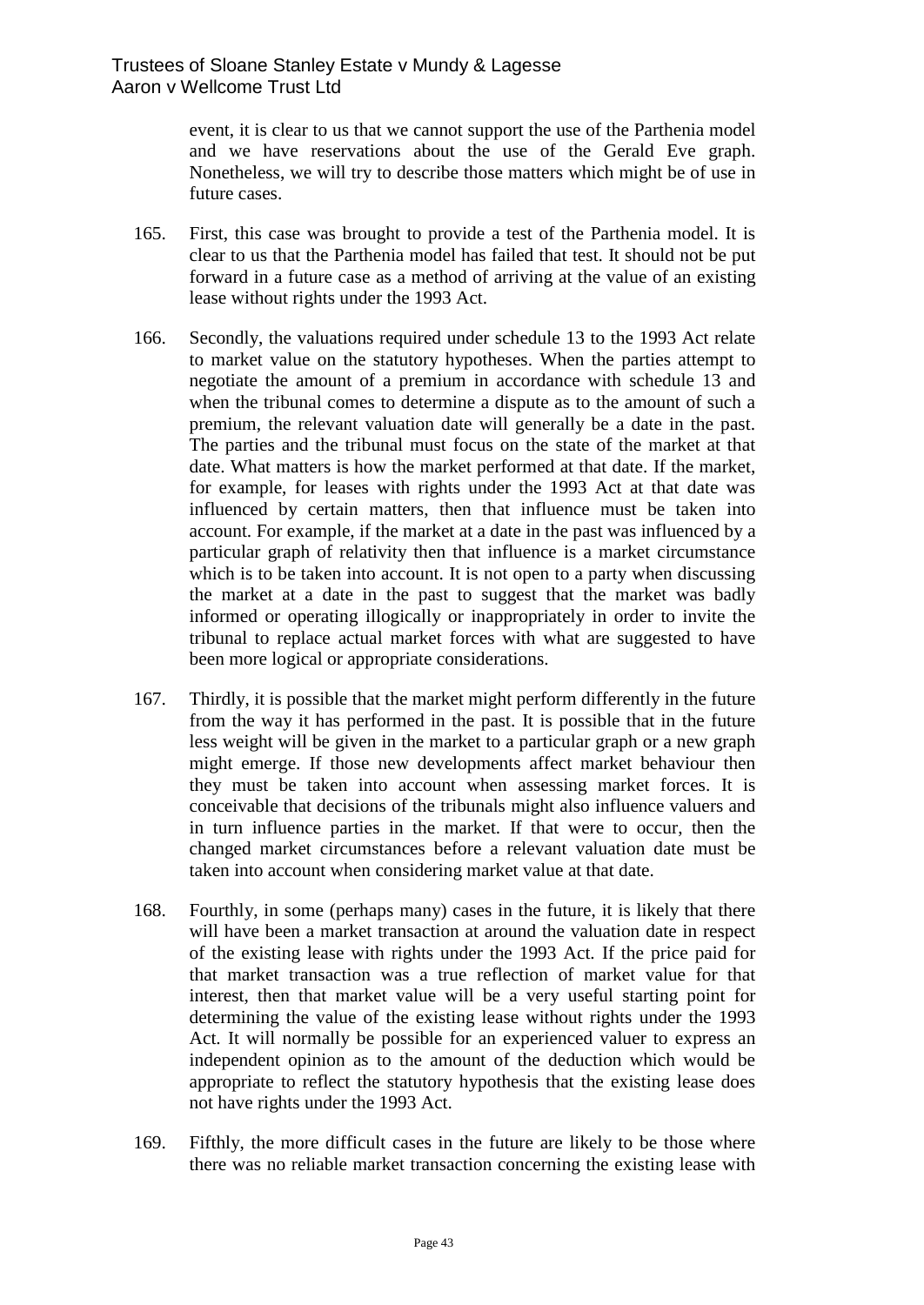event, it is clear to us that we cannot support the use of the Parthenia model and we have reservations about the use of the Gerald Eve graph. Nonetheless, we will try to describe those matters which might be of use in future cases.

- 165. First, this case was brought to provide a test of the Parthenia model. It is clear to us that the Parthenia model has failed that test. It should not be put forward in a future case as a method of arriving at the value of an existing lease without rights under the 1993 Act.
- 166. Secondly, the valuations required under schedule 13 to the 1993 Act relate to market value on the statutory hypotheses. When the parties attempt to negotiate the amount of a premium in accordance with schedule 13 and when the tribunal comes to determine a dispute as to the amount of such a premium, the relevant valuation date will generally be a date in the past. The parties and the tribunal must focus on the state of the market at that date. What matters is how the market performed at that date. If the market, for example, for leases with rights under the 1993 Act at that date was influenced by certain matters, then that influence must be taken into account. For example, if the market at a date in the past was influenced by a particular graph of relativity then that influence is a market circumstance which is to be taken into account. It is not open to a party when discussing the market at a date in the past to suggest that the market was badly informed or operating illogically or inappropriately in order to invite the tribunal to replace actual market forces with what are suggested to have been more logical or appropriate considerations.
- 167. Thirdly, it is possible that the market might perform differently in the future from the way it has performed in the past. It is possible that in the future less weight will be given in the market to a particular graph or a new graph might emerge. If those new developments affect market behaviour then they must be taken into account when assessing market forces. It is conceivable that decisions of the tribunals might also influence valuers and in turn influence parties in the market. If that were to occur, then the changed market circumstances before a relevant valuation date must be taken into account when considering market value at that date.
- 168. Fourthly, in some (perhaps many) cases in the future, it is likely that there will have been a market transaction at around the valuation date in respect of the existing lease with rights under the 1993 Act. If the price paid for that market transaction was a true reflection of market value for that interest, then that market value will be a very useful starting point for determining the value of the existing lease without rights under the 1993 Act. It will normally be possible for an experienced valuer to express an independent opinion as to the amount of the deduction which would be appropriate to reflect the statutory hypothesis that the existing lease does not have rights under the 1993 Act.
- 169. Fifthly, the more difficult cases in the future are likely to be those where there was no reliable market transaction concerning the existing lease with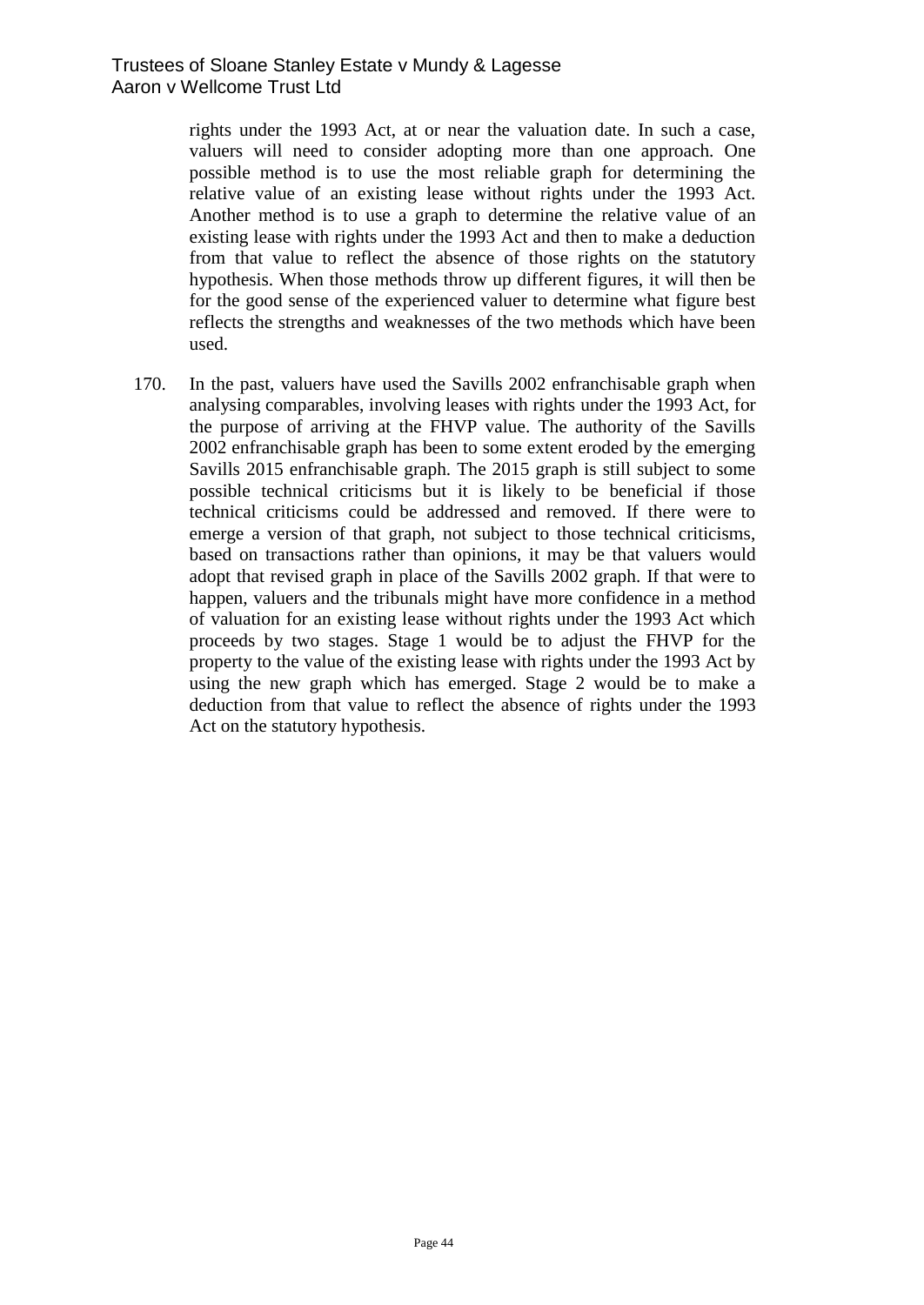rights under the 1993 Act, at or near the valuation date. In such a case, valuers will need to consider adopting more than one approach. One possible method is to use the most reliable graph for determining the relative value of an existing lease without rights under the 1993 Act. Another method is to use a graph to determine the relative value of an existing lease with rights under the 1993 Act and then to make a deduction from that value to reflect the absence of those rights on the statutory hypothesis. When those methods throw up different figures, it will then be for the good sense of the experienced valuer to determine what figure best reflects the strengths and weaknesses of the two methods which have been used.

170. In the past, valuers have used the Savills 2002 enfranchisable graph when analysing comparables, involving leases with rights under the 1993 Act, for the purpose of arriving at the FHVP value. The authority of the Savills 2002 enfranchisable graph has been to some extent eroded by the emerging Savills 2015 enfranchisable graph. The 2015 graph is still subject to some possible technical criticisms but it is likely to be beneficial if those technical criticisms could be addressed and removed. If there were to emerge a version of that graph, not subject to those technical criticisms, based on transactions rather than opinions, it may be that valuers would adopt that revised graph in place of the Savills 2002 graph. If that were to happen, valuers and the tribunals might have more confidence in a method of valuation for an existing lease without rights under the 1993 Act which proceeds by two stages. Stage 1 would be to adjust the FHVP for the property to the value of the existing lease with rights under the 1993 Act by using the new graph which has emerged. Stage 2 would be to make a deduction from that value to reflect the absence of rights under the 1993 Act on the statutory hypothesis.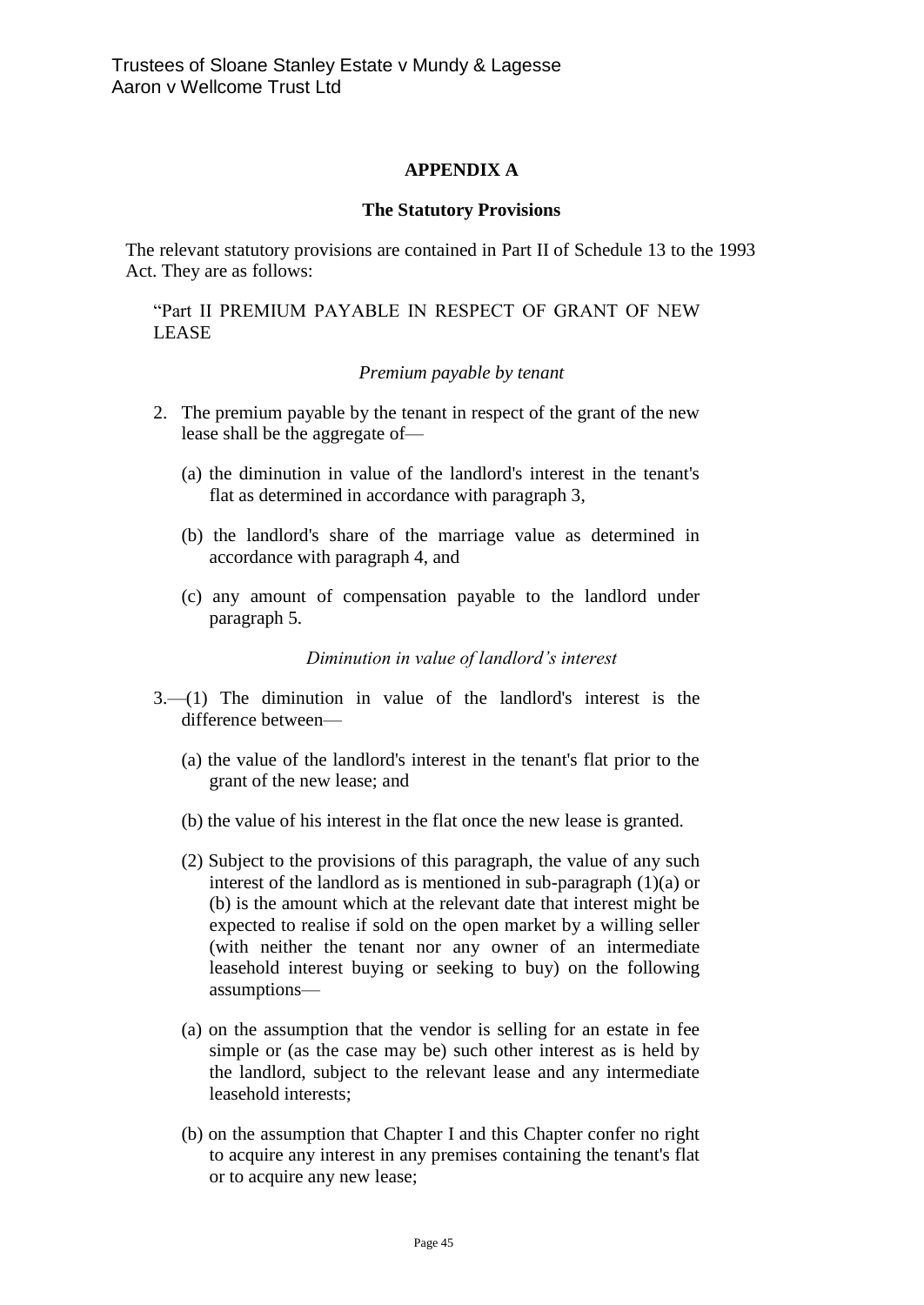## **APPENDIX A**

#### **The Statutory Provisions**

The relevant statutory provisions are contained in Part II of Schedule 13 to the 1993 Act. They are as follows:

"Part II PREMIUM PAYABLE IN RESPECT OF GRANT OF NEW LEASE

#### *Premium payable by tenant*

- 2. The premium payable by the tenant in respect of the grant of the new lease shall be the aggregate of—
	- (a) the diminution in value of the landlord's interest in the tenant's flat as determined in accordance with paragraph 3,
	- (b) the landlord's share of the marriage value as determined in accordance with paragraph 4, and
	- (c) any amount of compensation payable to the landlord under paragraph 5.

*Diminution in value of landlord's interest*

- 3.—(1) The diminution in value of the landlord's interest is the difference between—
	- (a) the value of the landlord's interest in the tenant's flat prior to the grant of the new lease; and
	- (b) the value of his interest in the flat once the new lease is granted.
	- (2) Subject to the provisions of this paragraph, the value of any such interest of the landlord as is mentioned in sub-paragraph (1)(a) or (b) is the amount which at the relevant date that interest might be expected to realise if sold on the open market by a willing seller (with neither the tenant nor any owner of an intermediate leasehold interest buying or seeking to buy) on the following assumptions—
	- (a) on the assumption that the vendor is selling for an estate in fee simple or (as the case may be) such other interest as is held by the landlord, subject to the relevant lease and any intermediate leasehold interests;
	- (b) on the assumption that Chapter I and this Chapter confer no right to acquire any interest in any premises containing the tenant's flat or to acquire any new lease;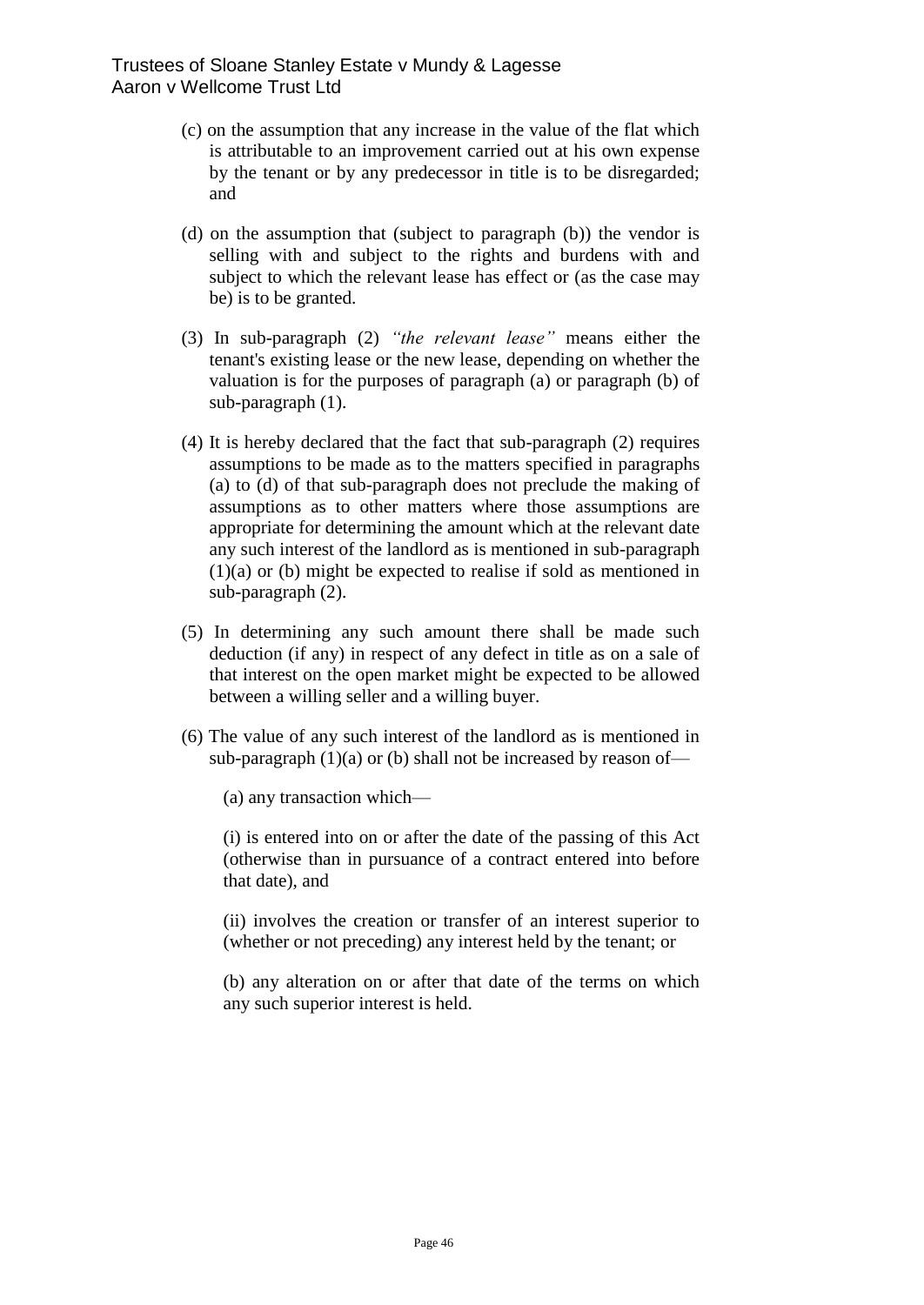- (c) on the assumption that any increase in the value of the flat which is attributable to an improvement carried out at his own expense by the tenant or by any predecessor in title is to be disregarded; and
- (d) on the assumption that (subject to paragraph (b)) the vendor is selling with and subject to the rights and burdens with and subject to which the relevant lease has effect or (as the case may be) is to be granted.
- (3) In sub-paragraph (2) *"the relevant lease"* means either the tenant's existing lease or the new lease, depending on whether the valuation is for the purposes of paragraph (a) or paragraph (b) of sub-paragraph (1).
- (4) It is hereby declared that the fact that sub-paragraph (2) requires assumptions to be made as to the matters specified in paragraphs (a) to (d) of that sub-paragraph does not preclude the making of assumptions as to other matters where those assumptions are appropriate for determining the amount which at the relevant date any such interest of the landlord as is mentioned in sub-paragraph (1)(a) or (b) might be expected to realise if sold as mentioned in sub-paragraph (2).
- (5) In determining any such amount there shall be made such deduction (if any) in respect of any defect in title as on a sale of that interest on the open market might be expected to be allowed between a willing seller and a willing buyer.
- (6) The value of any such interest of the landlord as is mentioned in sub-paragraph  $(1)(a)$  or  $(b)$  shall not be increased by reason of-

(a) any transaction which—

(i) is entered into on or after the date of the passing of this Act (otherwise than in pursuance of a contract entered into before that date), and

(ii) involves the creation or transfer of an interest superior to (whether or not preceding) any interest held by the tenant; or

(b) any alteration on or after that date of the terms on which any such superior interest is held.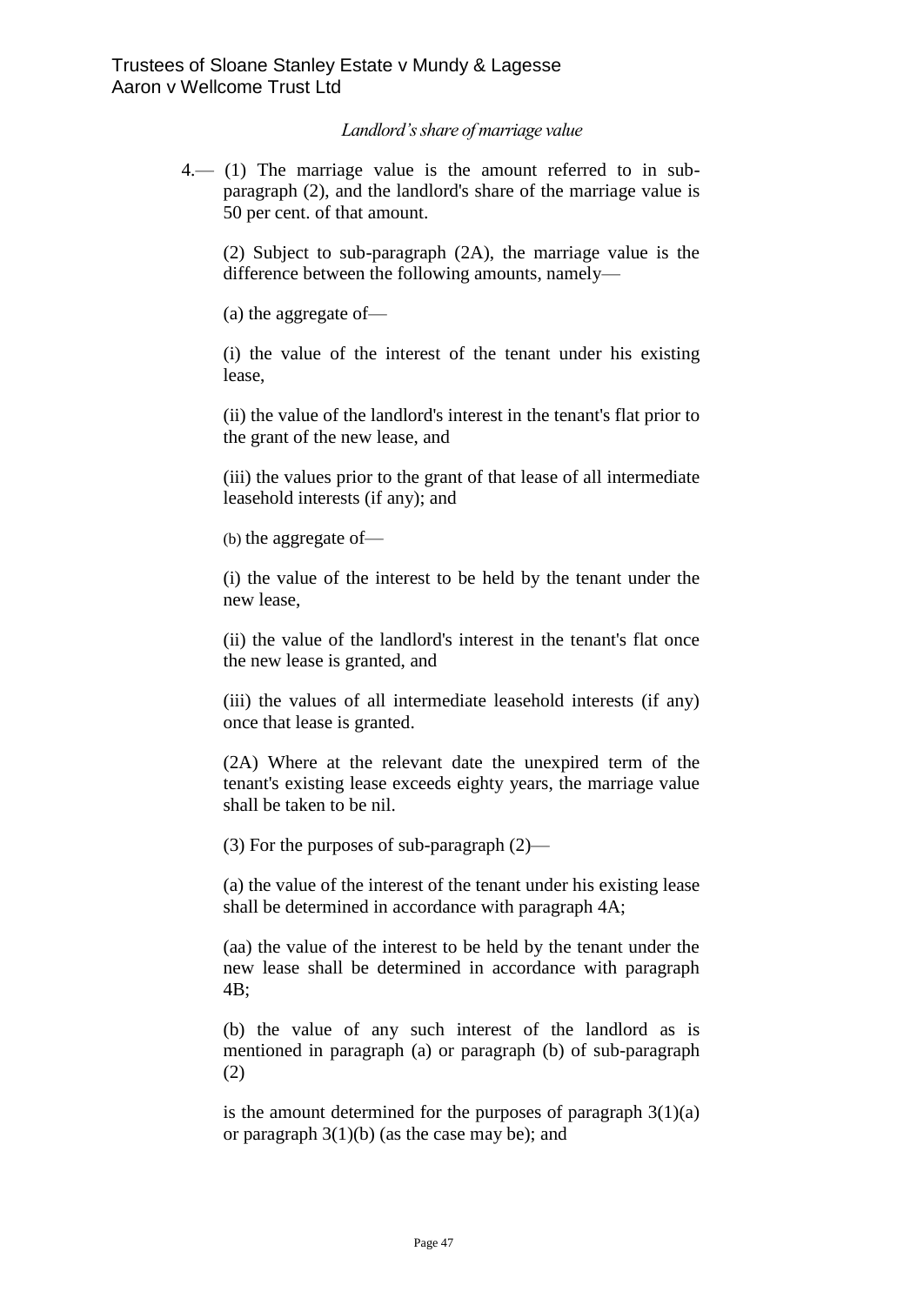### *Landlord's share of marriage value*

4.— (1) The marriage value is the amount referred to in subparagraph (2), and the landlord's share of the marriage value is 50 per cent. of that amount.

(2) Subject to sub-paragraph (2A), the marriage value is the difference between the following amounts, namely—

(a) the aggregate of—

(i) the value of the interest of the tenant under his existing lease,

(ii) the value of the landlord's interest in the tenant's flat prior to the grant of the new lease, and

(iii) the values prior to the grant of that lease of all intermediate leasehold interests (if any); and

(b) the aggregate of—

(i) the value of the interest to be held by the tenant under the new lease,

(ii) the value of the landlord's interest in the tenant's flat once the new lease is granted, and

(iii) the values of all intermediate leasehold interests (if any) once that lease is granted.

(2A) Where at the relevant date the unexpired term of the tenant's existing lease exceeds eighty years, the marriage value shall be taken to be nil.

(3) For the purposes of sub-paragraph (2)—

(a) the value of the interest of the tenant under his existing lease shall be determined in accordance with paragraph 4A;

(aa) the value of the interest to be held by the tenant under the new lease shall be determined in accordance with paragraph 4B;

(b) the value of any such interest of the landlord as is mentioned in paragraph (a) or paragraph (b) of sub-paragraph (2)

is the amount determined for the purposes of paragraph  $3(1)(a)$ or paragraph  $3(1)(b)$  (as the case may be); and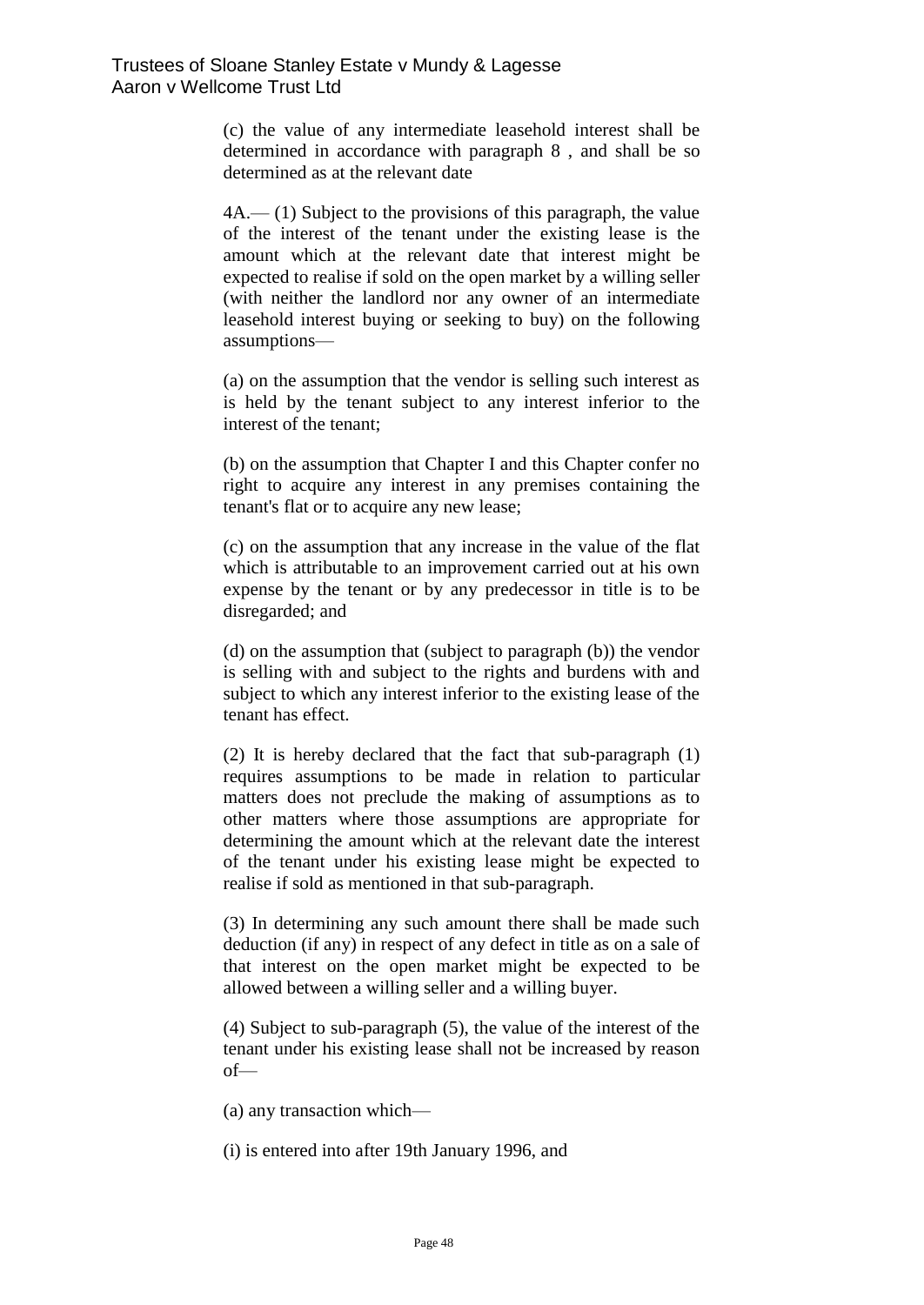(c) the value of any intermediate leasehold interest shall be determined in accordance with paragraph 8 , and shall be so determined as at the relevant date

4A.— (1) Subject to the provisions of this paragraph, the value of the interest of the tenant under the existing lease is the amount which at the relevant date that interest might be expected to realise if sold on the open market by a willing seller (with neither the landlord nor any owner of an intermediate leasehold interest buying or seeking to buy) on the following assumptions—

(a) on the assumption that the vendor is selling such interest as is held by the tenant subject to any interest inferior to the interest of the tenant;

(b) on the assumption that Chapter I and this Chapter confer no right to acquire any interest in any premises containing the tenant's flat or to acquire any new lease;

(c) on the assumption that any increase in the value of the flat which is attributable to an improvement carried out at his own expense by the tenant or by any predecessor in title is to be disregarded; and

(d) on the assumption that (subject to paragraph (b)) the vendor is selling with and subject to the rights and burdens with and subject to which any interest inferior to the existing lease of the tenant has effect.

(2) It is hereby declared that the fact that sub-paragraph (1) requires assumptions to be made in relation to particular matters does not preclude the making of assumptions as to other matters where those assumptions are appropriate for determining the amount which at the relevant date the interest of the tenant under his existing lease might be expected to realise if sold as mentioned in that sub-paragraph.

(3) In determining any such amount there shall be made such deduction (if any) in respect of any defect in title as on a sale of that interest on the open market might be expected to be allowed between a willing seller and a willing buyer.

(4) Subject to sub-paragraph (5), the value of the interest of the tenant under his existing lease shall not be increased by reason of—

(a) any transaction which—

(i) is entered into after 19th January 1996, and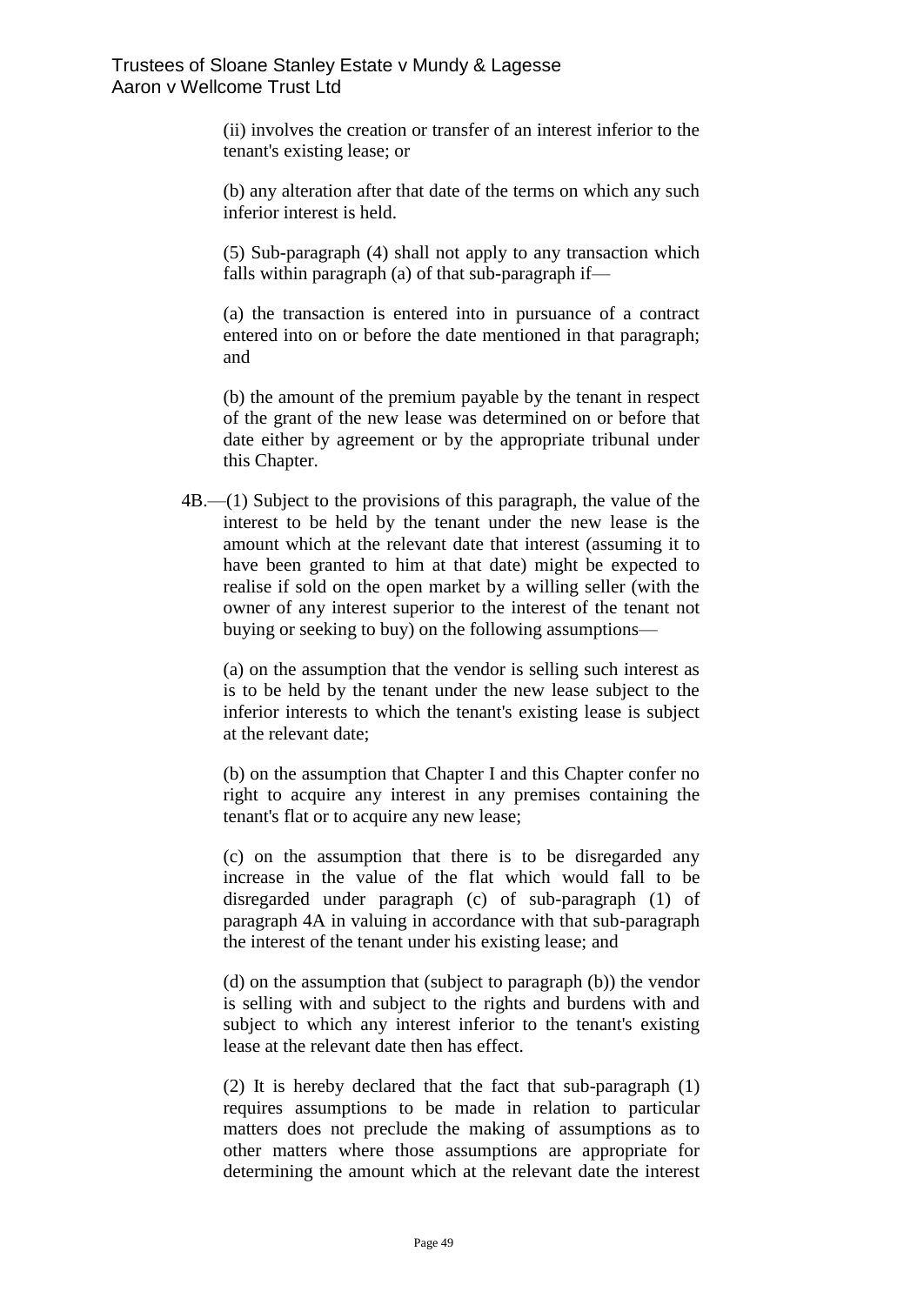(ii) involves the creation or transfer of an interest inferior to the tenant's existing lease; or

(b) any alteration after that date of the terms on which any such inferior interest is held.

(5) Sub-paragraph (4) shall not apply to any transaction which falls within paragraph (a) of that sub-paragraph if—

(a) the transaction is entered into in pursuance of a contract entered into on or before the date mentioned in that paragraph; and

(b) the amount of the premium payable by the tenant in respect of the grant of the new lease was determined on or before that date either by agreement or by the appropriate tribunal under this Chapter.

4B.—(1) Subject to the provisions of this paragraph, the value of the interest to be held by the tenant under the new lease is the amount which at the relevant date that interest (assuming it to have been granted to him at that date) might be expected to realise if sold on the open market by a willing seller (with the owner of any interest superior to the interest of the tenant not buying or seeking to buy) on the following assumptions—

(a) on the assumption that the vendor is selling such interest as is to be held by the tenant under the new lease subject to the inferior interests to which the tenant's existing lease is subject at the relevant date;

(b) on the assumption that Chapter I and this Chapter confer no right to acquire any interest in any premises containing the tenant's flat or to acquire any new lease;

(c) on the assumption that there is to be disregarded any increase in the value of the flat which would fall to be disregarded under paragraph (c) of sub-paragraph (1) of paragraph 4A in valuing in accordance with that sub-paragraph the interest of the tenant under his existing lease; and

(d) on the assumption that (subject to paragraph (b)) the vendor is selling with and subject to the rights and burdens with and subject to which any interest inferior to the tenant's existing lease at the relevant date then has effect.

(2) It is hereby declared that the fact that sub-paragraph (1) requires assumptions to be made in relation to particular matters does not preclude the making of assumptions as to other matters where those assumptions are appropriate for determining the amount which at the relevant date the interest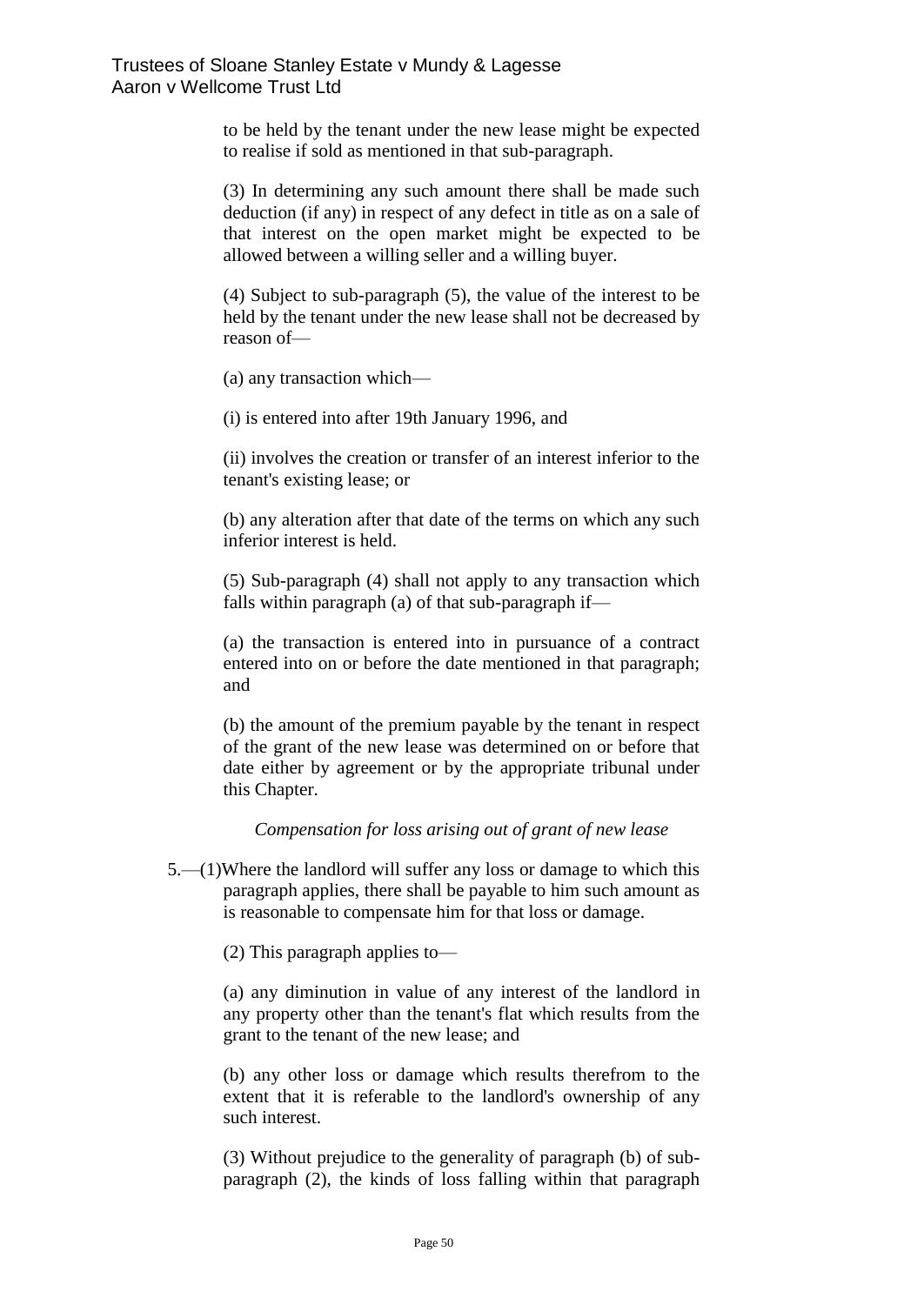to be held by the tenant under the new lease might be expected to realise if sold as mentioned in that sub-paragraph.

(3) In determining any such amount there shall be made such deduction (if any) in respect of any defect in title as on a sale of that interest on the open market might be expected to be allowed between a willing seller and a willing buyer.

(4) Subject to sub-paragraph (5), the value of the interest to be held by the tenant under the new lease shall not be decreased by reason of—

(a) any transaction which—

(i) is entered into after 19th January 1996, and

(ii) involves the creation or transfer of an interest inferior to the tenant's existing lease; or

(b) any alteration after that date of the terms on which any such inferior interest is held.

(5) Sub-paragraph (4) shall not apply to any transaction which falls within paragraph (a) of that sub-paragraph if—

(a) the transaction is entered into in pursuance of a contract entered into on or before the date mentioned in that paragraph; and

(b) the amount of the premium payable by the tenant in respect of the grant of the new lease was determined on or before that date either by agreement or by the appropriate tribunal under this Chapter.

*Compensation for loss arising out of grant of new lease*

5.—(1)Where the landlord will suffer any loss or damage to which this paragraph applies, there shall be payable to him such amount as is reasonable to compensate him for that loss or damage.

(2) This paragraph applies to—

(a) any diminution in value of any interest of the landlord in any property other than the tenant's flat which results from the grant to the tenant of the new lease; and

(b) any other loss or damage which results therefrom to the extent that it is referable to the landlord's ownership of any such interest.

(3) Without prejudice to the generality of paragraph (b) of subparagraph (2), the kinds of loss falling within that paragraph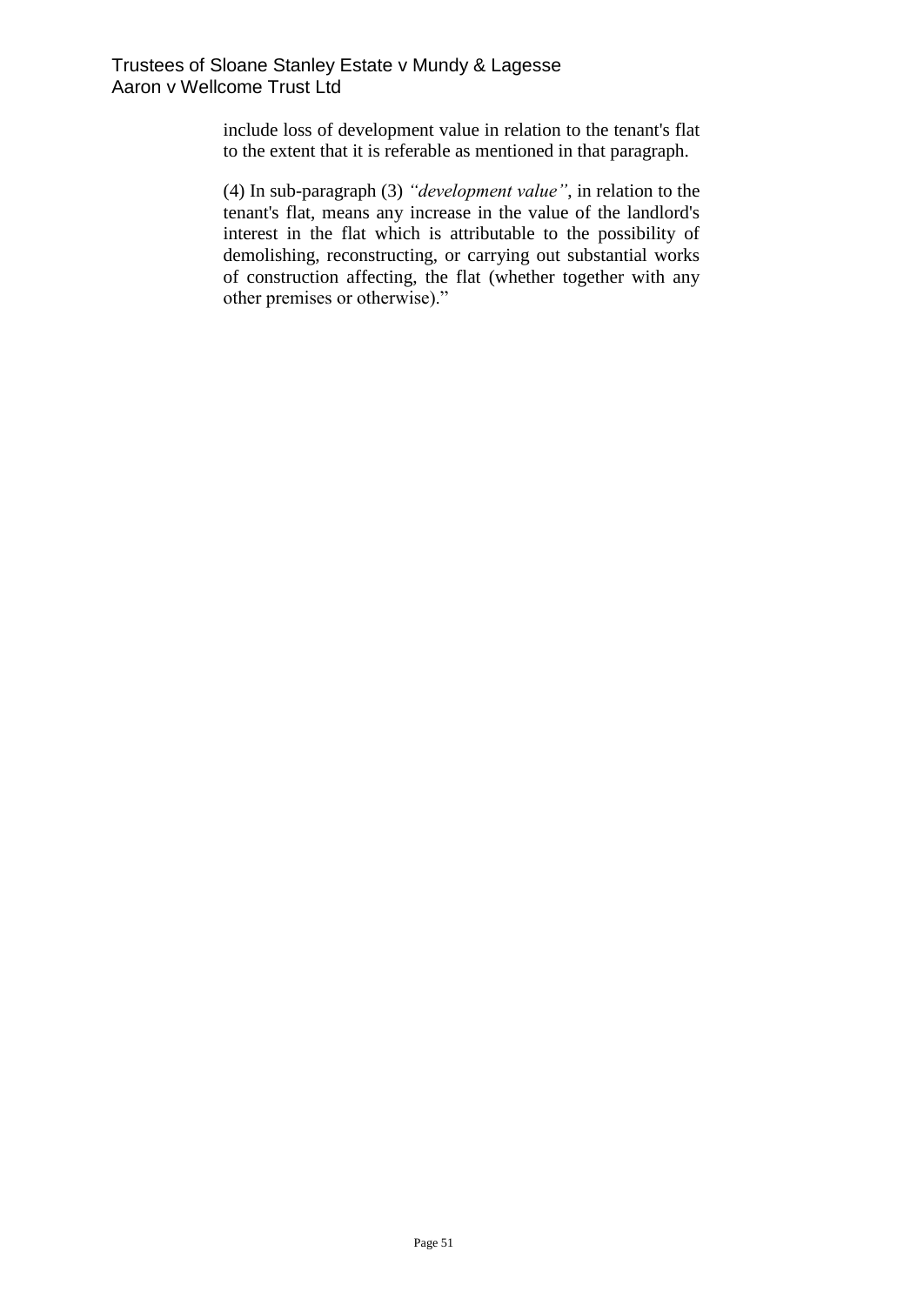include loss of development value in relation to the tenant's flat to the extent that it is referable as mentioned in that paragraph.

(4) In sub-paragraph (3) *"development value"*, in relation to the tenant's flat, means any increase in the value of the landlord's interest in the flat which is attributable to the possibility of demolishing, reconstructing, or carrying out substantial works of construction affecting, the flat (whether together with any other premises or otherwise)."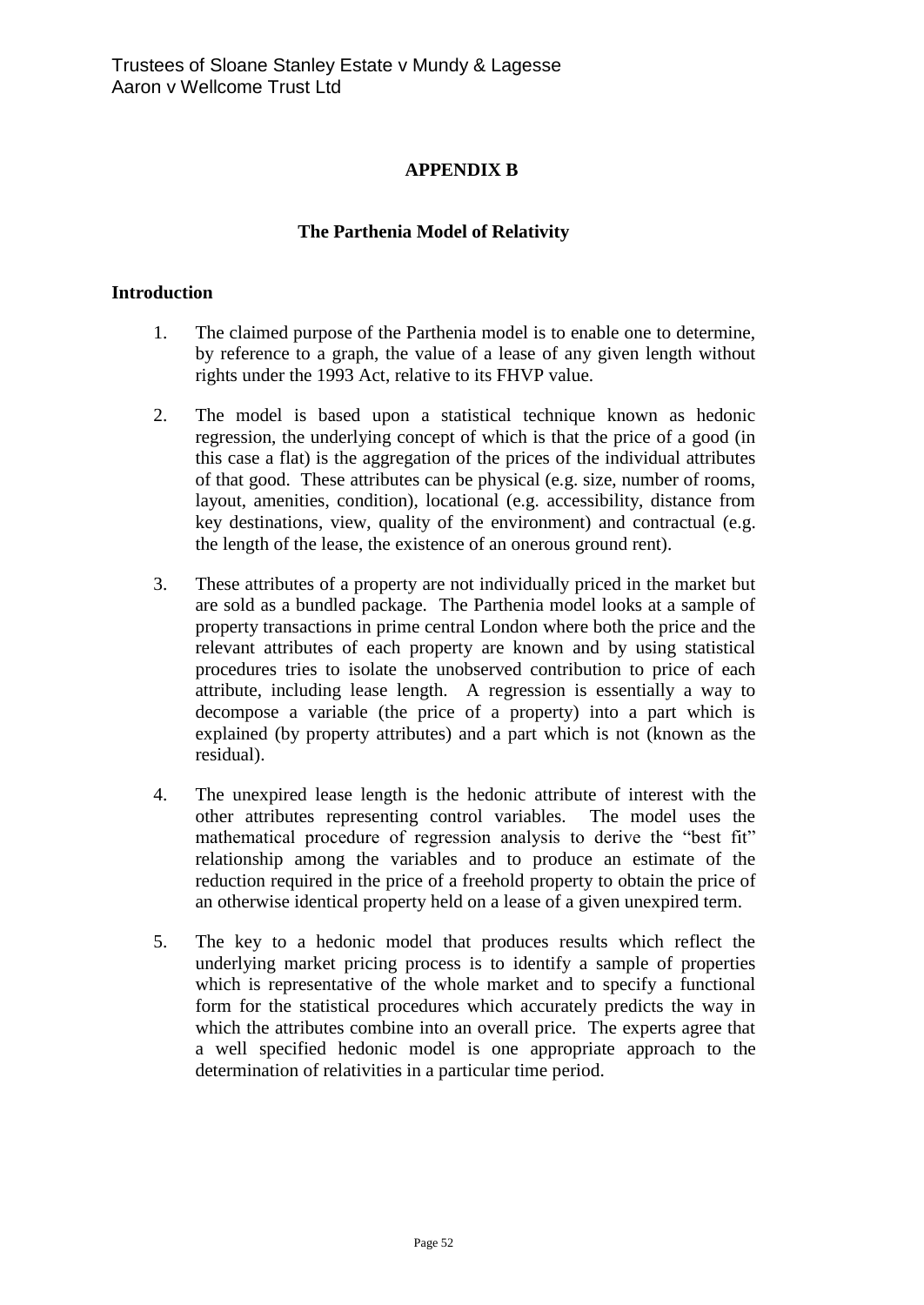# **APPENDIX B**

## **The Parthenia Model of Relativity**

#### **Introduction**

- 1. The claimed purpose of the Parthenia model is to enable one to determine, by reference to a graph, the value of a lease of any given length without rights under the 1993 Act, relative to its FHVP value.
- 2. The model is based upon a statistical technique known as hedonic regression, the underlying concept of which is that the price of a good (in this case a flat) is the aggregation of the prices of the individual attributes of that good. These attributes can be physical (e.g. size, number of rooms, layout, amenities, condition), locational (e.g. accessibility, distance from key destinations, view, quality of the environment) and contractual (e.g. the length of the lease, the existence of an onerous ground rent).
- 3. These attributes of a property are not individually priced in the market but are sold as a bundled package. The Parthenia model looks at a sample of property transactions in prime central London where both the price and the relevant attributes of each property are known and by using statistical procedures tries to isolate the unobserved contribution to price of each attribute, including lease length. A regression is essentially a way to decompose a variable (the price of a property) into a part which is explained (by property attributes) and a part which is not (known as the residual).
- 4. The unexpired lease length is the hedonic attribute of interest with the other attributes representing control variables. The model uses the mathematical procedure of regression analysis to derive the "best fit" relationship among the variables and to produce an estimate of the reduction required in the price of a freehold property to obtain the price of an otherwise identical property held on a lease of a given unexpired term.
- 5. The key to a hedonic model that produces results which reflect the underlying market pricing process is to identify a sample of properties which is representative of the whole market and to specify a functional form for the statistical procedures which accurately predicts the way in which the attributes combine into an overall price. The experts agree that a well specified hedonic model is one appropriate approach to the determination of relativities in a particular time period.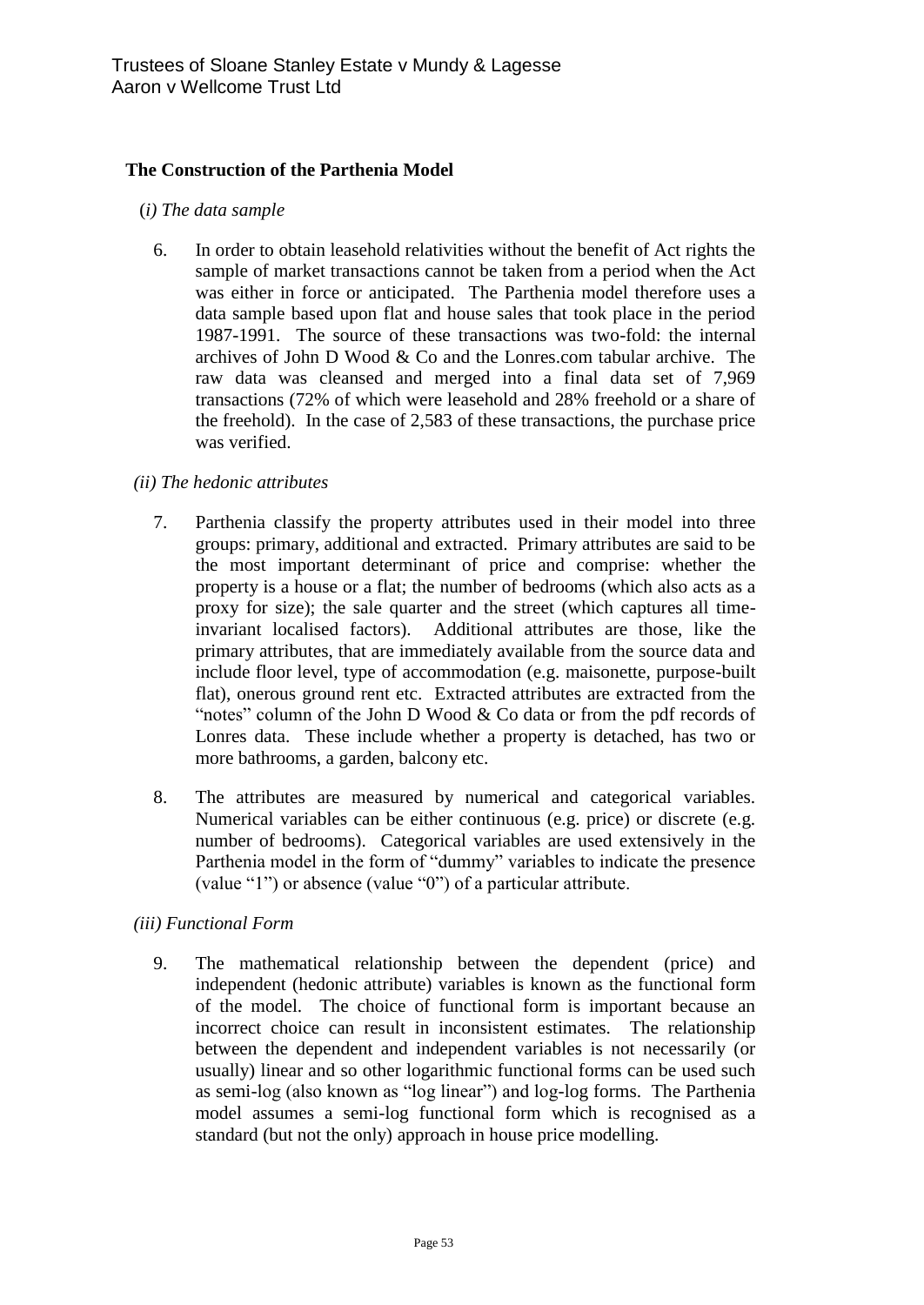## **The Construction of the Parthenia Model**

#### (*i) The data sample*

6. In order to obtain leasehold relativities without the benefit of Act rights the sample of market transactions cannot be taken from a period when the Act was either in force or anticipated. The Parthenia model therefore uses a data sample based upon flat and house sales that took place in the period 1987-1991. The source of these transactions was two-fold: the internal archives of John D Wood & Co and the Lonres.com tabular archive. The raw data was cleansed and merged into a final data set of 7,969 transactions (72% of which were leasehold and 28% freehold or a share of the freehold). In the case of 2,583 of these transactions, the purchase price was verified.

### *(ii) The hedonic attributes*

- 7. Parthenia classify the property attributes used in their model into three groups: primary, additional and extracted. Primary attributes are said to be the most important determinant of price and comprise: whether the property is a house or a flat; the number of bedrooms (which also acts as a proxy for size); the sale quarter and the street (which captures all timeinvariant localised factors). Additional attributes are those, like the primary attributes, that are immediately available from the source data and include floor level, type of accommodation (e.g. maisonette, purpose-built flat), onerous ground rent etc. Extracted attributes are extracted from the "notes" column of the John D Wood & Co data or from the pdf records of Lonres data. These include whether a property is detached, has two or more bathrooms, a garden, balcony etc.
- 8. The attributes are measured by numerical and categorical variables. Numerical variables can be either continuous (e.g. price) or discrete (e.g. number of bedrooms). Categorical variables are used extensively in the Parthenia model in the form of "dummy" variables to indicate the presence (value "1") or absence (value "0") of a particular attribute.

### *(iii) Functional Form*

9. The mathematical relationship between the dependent (price) and independent (hedonic attribute) variables is known as the functional form of the model. The choice of functional form is important because an incorrect choice can result in inconsistent estimates. The relationship between the dependent and independent variables is not necessarily (or usually) linear and so other logarithmic functional forms can be used such as semi-log (also known as "log linear") and log-log forms. The Parthenia model assumes a semi-log functional form which is recognised as a standard (but not the only) approach in house price modelling.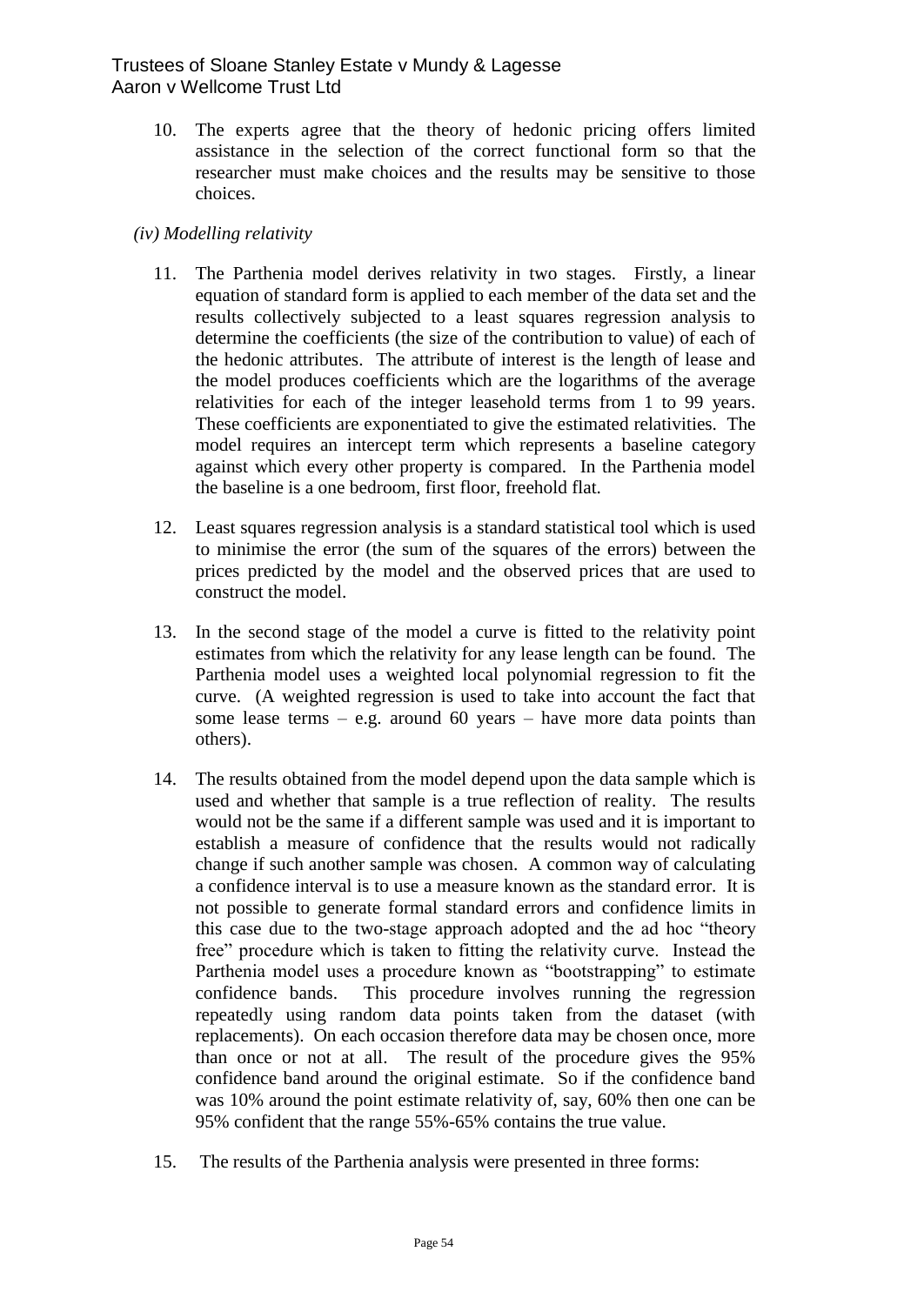10. The experts agree that the theory of hedonic pricing offers limited assistance in the selection of the correct functional form so that the researcher must make choices and the results may be sensitive to those choices.

## *(iv) Modelling relativity*

- 11. The Parthenia model derives relativity in two stages. Firstly, a linear equation of standard form is applied to each member of the data set and the results collectively subjected to a least squares regression analysis to determine the coefficients (the size of the contribution to value) of each of the hedonic attributes. The attribute of interest is the length of lease and the model produces coefficients which are the logarithms of the average relativities for each of the integer leasehold terms from 1 to 99 years. These coefficients are exponentiated to give the estimated relativities. The model requires an intercept term which represents a baseline category against which every other property is compared. In the Parthenia model the baseline is a one bedroom, first floor, freehold flat.
- 12. Least squares regression analysis is a standard statistical tool which is used to minimise the error (the sum of the squares of the errors) between the prices predicted by the model and the observed prices that are used to construct the model.
- 13. In the second stage of the model a curve is fitted to the relativity point estimates from which the relativity for any lease length can be found. The Parthenia model uses a weighted local polynomial regression to fit the curve. (A weighted regression is used to take into account the fact that some lease terms – e.g. around 60 years – have more data points than others).
- 14. The results obtained from the model depend upon the data sample which is used and whether that sample is a true reflection of reality. The results would not be the same if a different sample was used and it is important to establish a measure of confidence that the results would not radically change if such another sample was chosen. A common way of calculating a confidence interval is to use a measure known as the standard error. It is not possible to generate formal standard errors and confidence limits in this case due to the two-stage approach adopted and the ad hoc "theory free" procedure which is taken to fitting the relativity curve. Instead the Parthenia model uses a procedure known as "bootstrapping" to estimate confidence bands. This procedure involves running the regression repeatedly using random data points taken from the dataset (with replacements). On each occasion therefore data may be chosen once, more than once or not at all. The result of the procedure gives the 95% confidence band around the original estimate. So if the confidence band was 10% around the point estimate relativity of, say, 60% then one can be 95% confident that the range 55%-65% contains the true value.
- 15. The results of the Parthenia analysis were presented in three forms: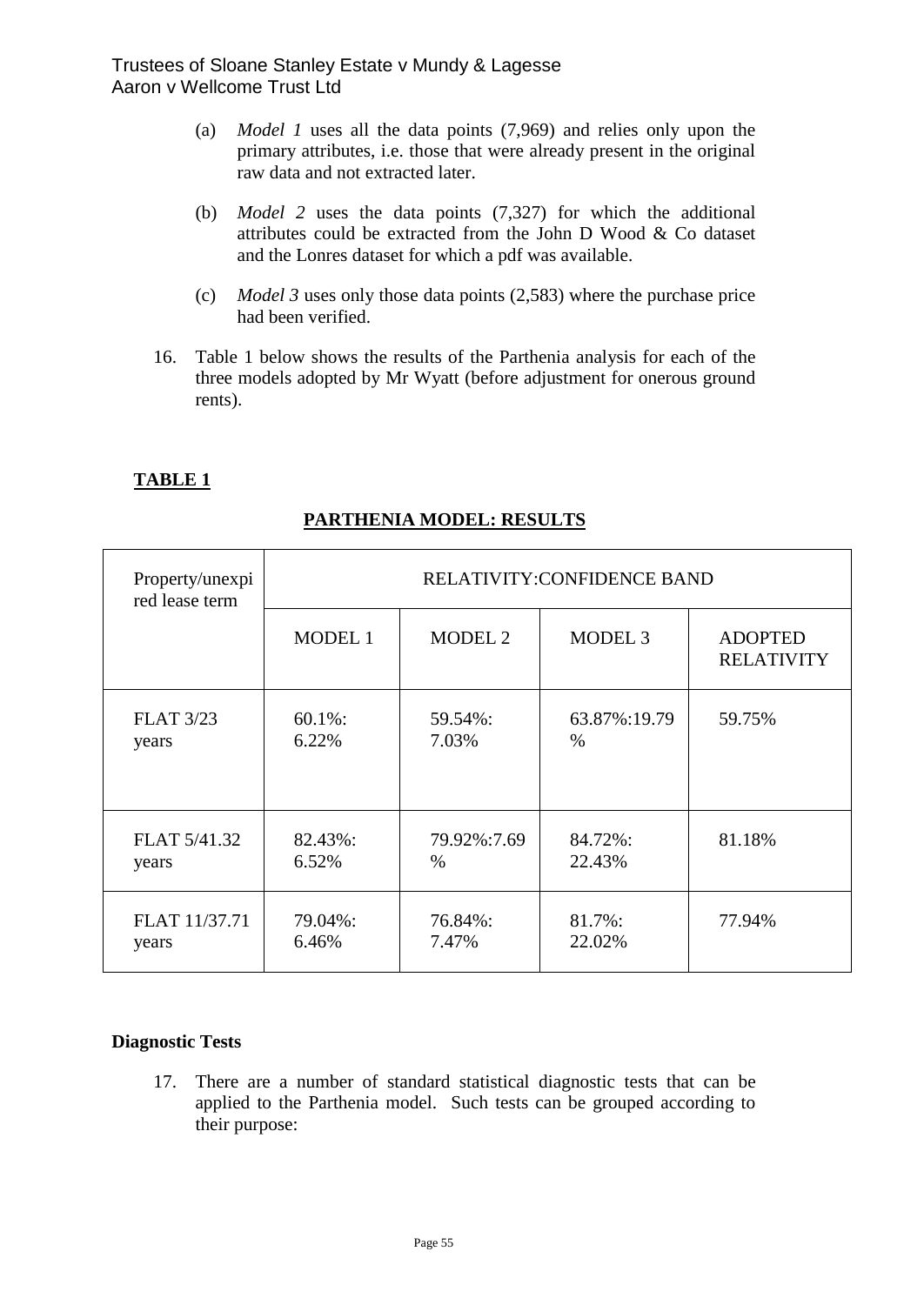- (a) *Model 1* uses all the data points (7,969) and relies only upon the primary attributes, i.e. those that were already present in the original raw data and not extracted later.
- (b) *Model 2* uses the data points (7,327) for which the additional attributes could be extracted from the John D Wood & Co dataset and the Lonres dataset for which a pdf was available.
- (c) *Model 3* uses only those data points (2,583) where the purchase price had been verified.
- 16. Table 1 below shows the results of the Parthenia analysis for each of the three models adopted by Mr Wyatt (before adjustment for onerous ground rents).

# **TABLE 1**

| Property/unexpi<br>red lease term | RELATIVITY:CONFIDENCE BAND |                    |                    |                                     |
|-----------------------------------|----------------------------|--------------------|--------------------|-------------------------------------|
|                                   | <b>MODEL 1</b>             | MODEL <sub>2</sub> | MODEL <sub>3</sub> | <b>ADOPTED</b><br><b>RELATIVITY</b> |
| <b>FLAT 3/23</b>                  | $60.1\%$ :                 | 59.54%:            | 63.87%:19.79       | 59.75%                              |
| years                             | 6.22%                      | 7.03%              | $\%$               |                                     |
| FLAT 5/41.32                      | 82.43%:                    | 79.92%:7.69        | 84.72%:            | 81.18%                              |
| years                             | 6.52%                      | $\%$               | 22.43%             |                                     |
| FLAT 11/37.71                     | 79.04%:                    | 76.84%:            | 81.7%:             | 77.94%                              |
| years                             | 6.46%                      | 7.47%              | 22.02%             |                                     |

# **PARTHENIA MODEL: RESULTS**

## **Diagnostic Tests**

17. There are a number of standard statistical diagnostic tests that can be applied to the Parthenia model. Such tests can be grouped according to their purpose: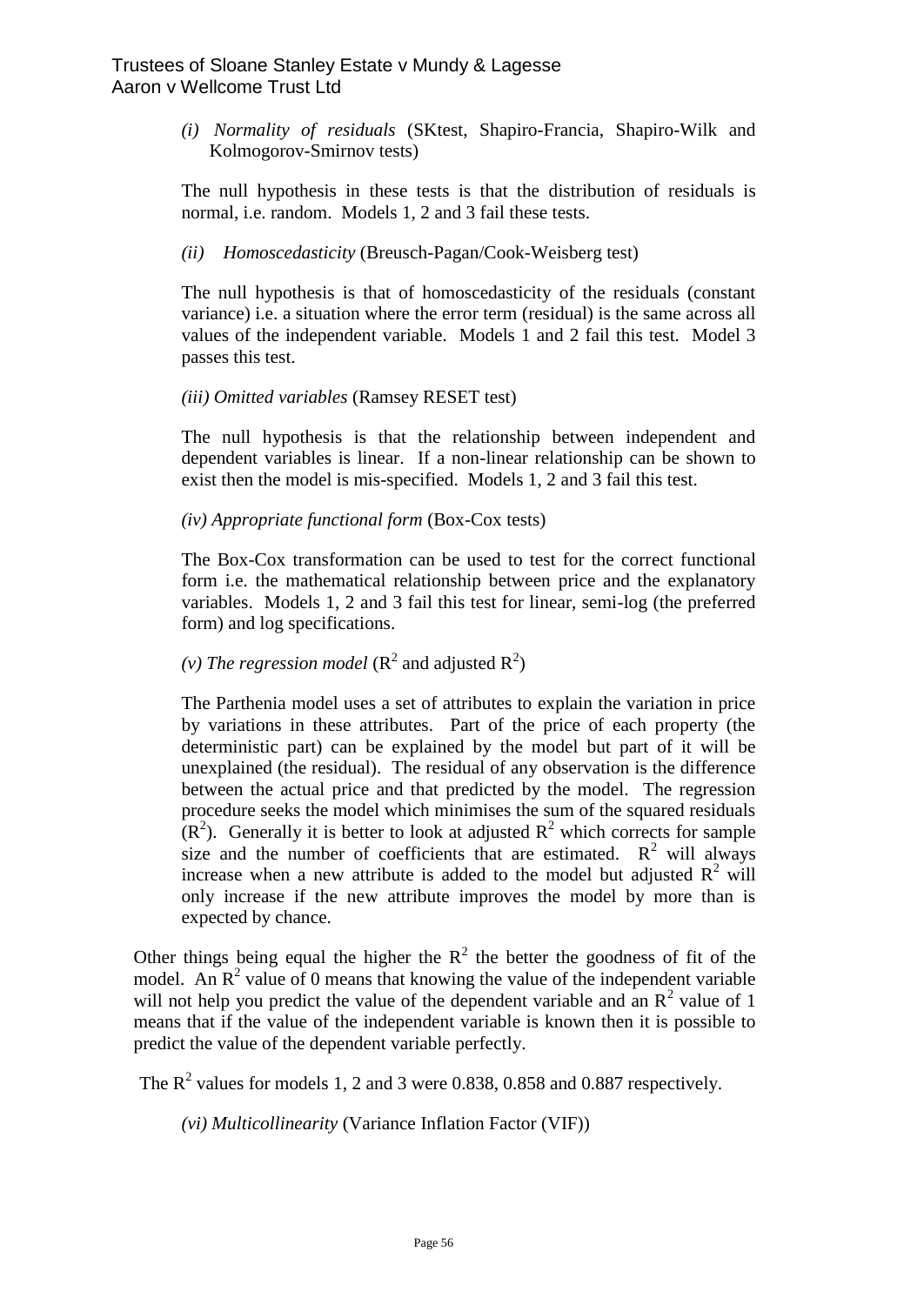*(i) Normality of residuals* (SKtest, Shapiro-Francia, Shapiro-Wilk and Kolmogorov-Smirnov tests)

The null hypothesis in these tests is that the distribution of residuals is normal, i.e. random. Models 1, 2 and 3 fail these tests.

*(ii) Homoscedasticity* (Breusch-Pagan/Cook-Weisberg test)

The null hypothesis is that of homoscedasticity of the residuals (constant variance) i.e. a situation where the error term (residual) is the same across all values of the independent variable. Models 1 and 2 fail this test. Model 3 passes this test.

## *(iii) Omitted variables* (Ramsey RESET test)

The null hypothesis is that the relationship between independent and dependent variables is linear. If a non-linear relationship can be shown to exist then the model is mis-specified. Models 1, 2 and 3 fail this test.

## *(iv) Appropriate functional form* (Box-Cox tests)

The Box-Cox transformation can be used to test for the correct functional form i.e. the mathematical relationship between price and the explanatory variables. Models 1, 2 and 3 fail this test for linear, semi-log (the preferred form) and log specifications.

# (*v*) The regression model ( $R^2$  and adjusted  $R^2$ )

The Parthenia model uses a set of attributes to explain the variation in price by variations in these attributes. Part of the price of each property (the deterministic part) can be explained by the model but part of it will be unexplained (the residual). The residual of any observation is the difference between the actual price and that predicted by the model. The regression procedure seeks the model which minimises the sum of the squared residuals  $(R<sup>2</sup>)$ . Generally it is better to look at adjusted  $R<sup>2</sup>$  which corrects for sample size and the number of coefficients that are estimated.  $R^2$  will always increase when a new attribute is added to the model but adjusted  $\mathbb{R}^2$  will only increase if the new attribute improves the model by more than is expected by chance.

Other things being equal the higher the  $R^2$  the better the goodness of fit of the model. An  $R^2$  value of 0 means that knowing the value of the independent variable will not help you predict the value of the dependent variable and an  $\mathbb{R}^2$  value of 1 means that if the value of the independent variable is known then it is possible to predict the value of the dependent variable perfectly.

The  $R^2$  values for models 1, 2 and 3 were 0.838, 0.858 and 0.887 respectively.

*(vi) Multicollinearity* (Variance Inflation Factor (VIF))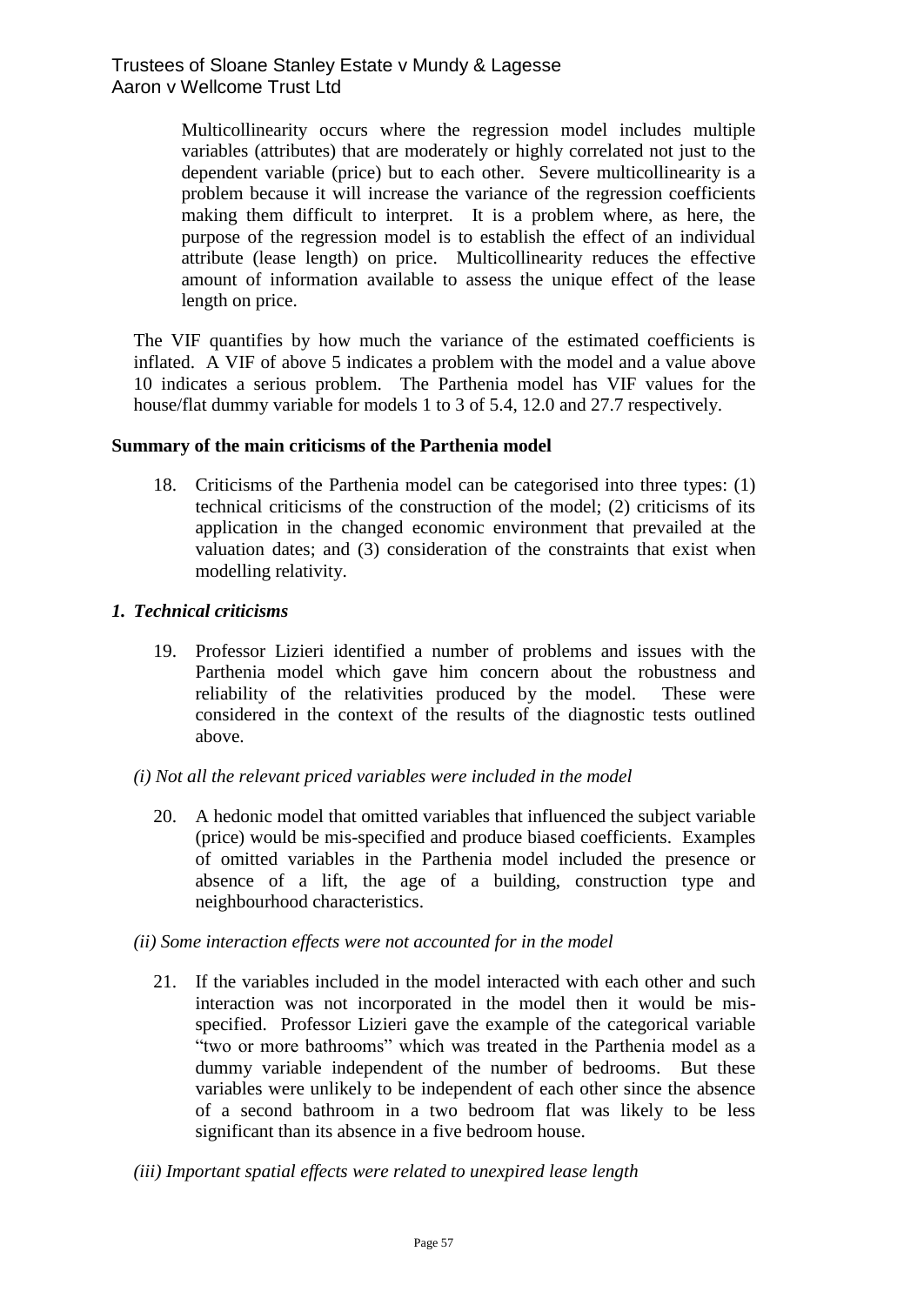Multicollinearity occurs where the regression model includes multiple variables (attributes) that are moderately or highly correlated not just to the dependent variable (price) but to each other. Severe multicollinearity is a problem because it will increase the variance of the regression coefficients making them difficult to interpret. It is a problem where, as here, the purpose of the regression model is to establish the effect of an individual attribute (lease length) on price. Multicollinearity reduces the effective amount of information available to assess the unique effect of the lease length on price.

The VIF quantifies by how much the variance of the estimated coefficients is inflated. A VIF of above 5 indicates a problem with the model and a value above 10 indicates a serious problem. The Parthenia model has VIF values for the house/flat dummy variable for models 1 to 3 of 5.4, 12.0 and 27.7 respectively.

#### **Summary of the main criticisms of the Parthenia model**

18. Criticisms of the Parthenia model can be categorised into three types: (1) technical criticisms of the construction of the model; (2) criticisms of its application in the changed economic environment that prevailed at the valuation dates; and (3) consideration of the constraints that exist when modelling relativity.

### *1. Technical criticisms*

- 19. Professor Lizieri identified a number of problems and issues with the Parthenia model which gave him concern about the robustness and reliability of the relativities produced by the model. These were considered in the context of the results of the diagnostic tests outlined above.
- *(i) Not all the relevant priced variables were included in the model*
	- 20. A hedonic model that omitted variables that influenced the subject variable (price) would be mis-specified and produce biased coefficients. Examples of omitted variables in the Parthenia model included the presence or absence of a lift, the age of a building, construction type and neighbourhood characteristics.
- *(ii) Some interaction effects were not accounted for in the model*
	- 21. If the variables included in the model interacted with each other and such interaction was not incorporated in the model then it would be misspecified. Professor Lizieri gave the example of the categorical variable "two or more bathrooms" which was treated in the Parthenia model as a dummy variable independent of the number of bedrooms. But these variables were unlikely to be independent of each other since the absence of a second bathroom in a two bedroom flat was likely to be less significant than its absence in a five bedroom house.
- *(iii) Important spatial effects were related to unexpired lease length*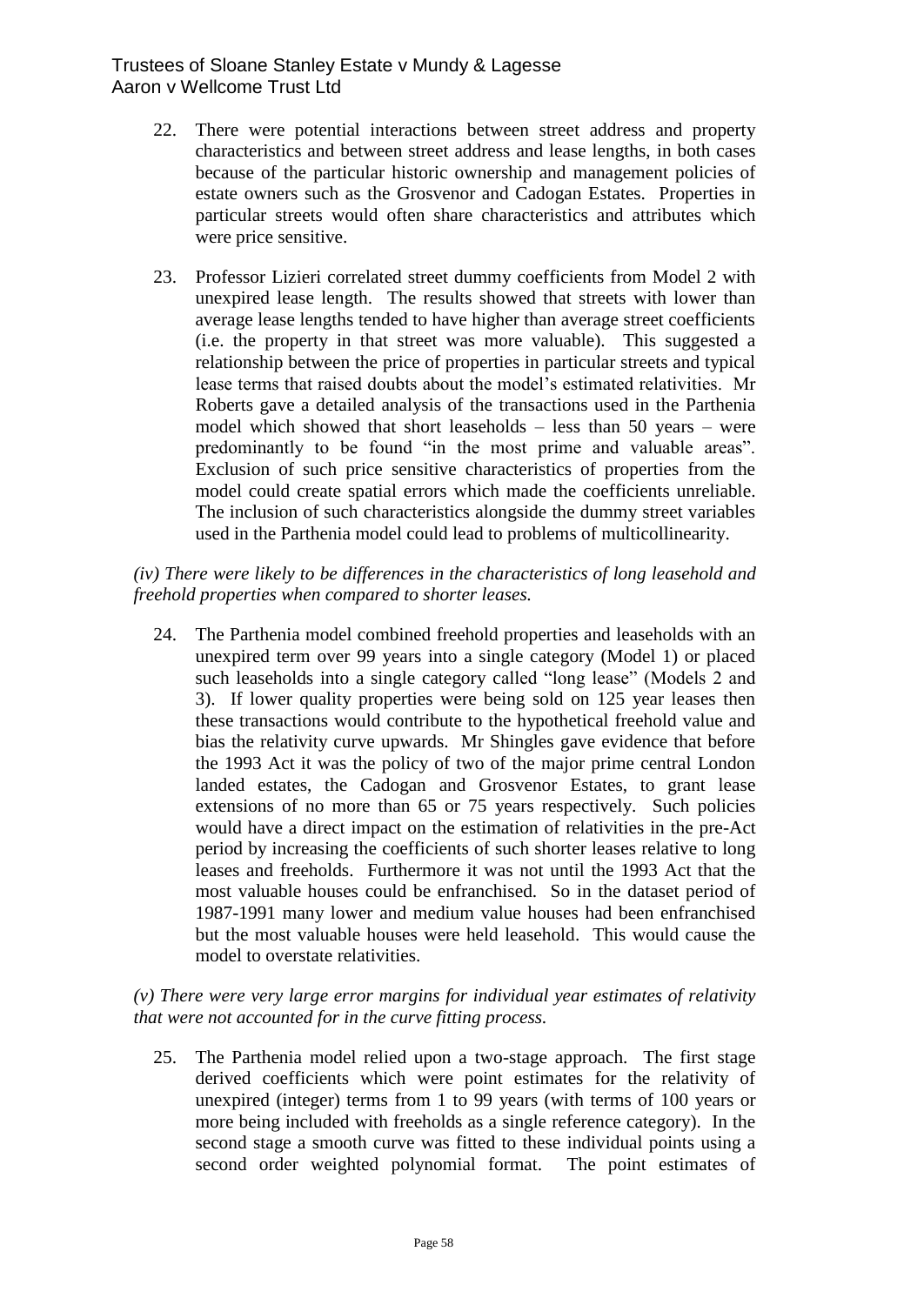Trustees of Sloane Stanley Estate v Mundy & Lagesse Aaron v Wellcome Trust Ltd

- 22. There were potential interactions between street address and property characteristics and between street address and lease lengths, in both cases because of the particular historic ownership and management policies of estate owners such as the Grosvenor and Cadogan Estates. Properties in particular streets would often share characteristics and attributes which were price sensitive.
- 23. Professor Lizieri correlated street dummy coefficients from Model 2 with unexpired lease length. The results showed that streets with lower than average lease lengths tended to have higher than average street coefficients (i.e. the property in that street was more valuable). This suggested a relationship between the price of properties in particular streets and typical lease terms that raised doubts about the model's estimated relativities. Mr Roberts gave a detailed analysis of the transactions used in the Parthenia model which showed that short leaseholds – less than 50 years – were predominantly to be found "in the most prime and valuable areas". Exclusion of such price sensitive characteristics of properties from the model could create spatial errors which made the coefficients unreliable. The inclusion of such characteristics alongside the dummy street variables used in the Parthenia model could lead to problems of multicollinearity.

*(iv) There were likely to be differences in the characteristics of long leasehold and freehold properties when compared to shorter leases.*

24. The Parthenia model combined freehold properties and leaseholds with an unexpired term over 99 years into a single category (Model 1) or placed such leaseholds into a single category called "long lease" (Models 2 and 3). If lower quality properties were being sold on 125 year leases then these transactions would contribute to the hypothetical freehold value and bias the relativity curve upwards. Mr Shingles gave evidence that before the 1993 Act it was the policy of two of the major prime central London landed estates, the Cadogan and Grosvenor Estates, to grant lease extensions of no more than 65 or 75 years respectively. Such policies would have a direct impact on the estimation of relativities in the pre-Act period by increasing the coefficients of such shorter leases relative to long leases and freeholds. Furthermore it was not until the 1993 Act that the most valuable houses could be enfranchised. So in the dataset period of 1987-1991 many lower and medium value houses had been enfranchised but the most valuable houses were held leasehold. This would cause the model to overstate relativities.

## *(v) There were very large error margins for individual year estimates of relativity that were not accounted for in the curve fitting process.*

25. The Parthenia model relied upon a two-stage approach. The first stage derived coefficients which were point estimates for the relativity of unexpired (integer) terms from 1 to 99 years (with terms of 100 years or more being included with freeholds as a single reference category). In the second stage a smooth curve was fitted to these individual points using a second order weighted polynomial format. The point estimates of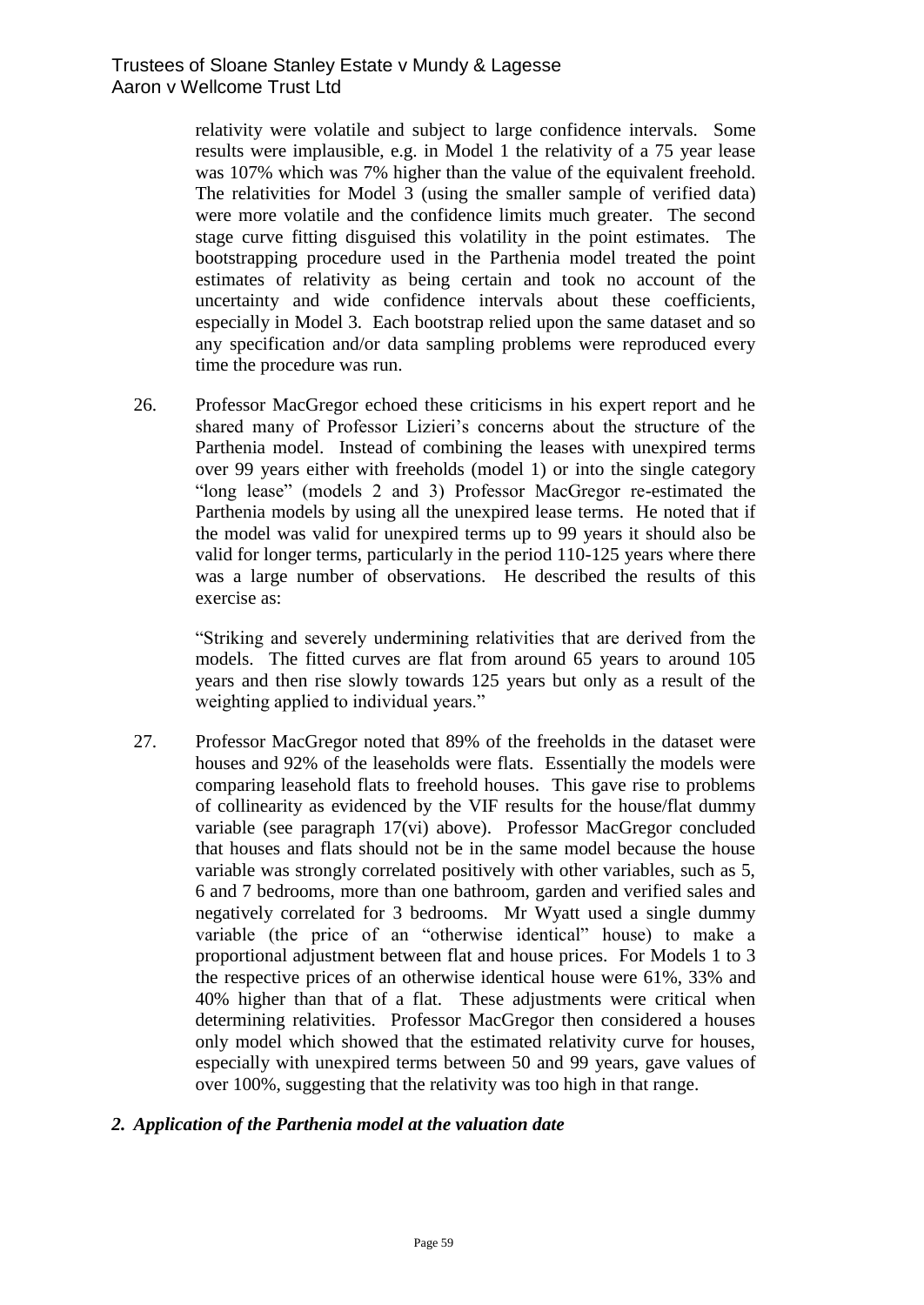relativity were volatile and subject to large confidence intervals. Some results were implausible, e.g. in Model 1 the relativity of a 75 year lease was 107% which was 7% higher than the value of the equivalent freehold. The relativities for Model 3 (using the smaller sample of verified data) were more volatile and the confidence limits much greater. The second stage curve fitting disguised this volatility in the point estimates. The bootstrapping procedure used in the Parthenia model treated the point estimates of relativity as being certain and took no account of the uncertainty and wide confidence intervals about these coefficients, especially in Model 3. Each bootstrap relied upon the same dataset and so any specification and/or data sampling problems were reproduced every time the procedure was run.

26. Professor MacGregor echoed these criticisms in his expert report and he shared many of Professor Lizieri's concerns about the structure of the Parthenia model. Instead of combining the leases with unexpired terms over 99 years either with freeholds (model 1) or into the single category "long lease" (models 2 and 3) Professor MacGregor re-estimated the Parthenia models by using all the unexpired lease terms. He noted that if the model was valid for unexpired terms up to 99 years it should also be valid for longer terms, particularly in the period 110-125 years where there was a large number of observations. He described the results of this exercise as:

"Striking and severely undermining relativities that are derived from the models. The fitted curves are flat from around 65 years to around 105 years and then rise slowly towards 125 years but only as a result of the weighting applied to individual years."

27. Professor MacGregor noted that 89% of the freeholds in the dataset were houses and 92% of the leaseholds were flats. Essentially the models were comparing leasehold flats to freehold houses. This gave rise to problems of collinearity as evidenced by the VIF results for the house/flat dummy variable (see paragraph 17(vi) above). Professor MacGregor concluded that houses and flats should not be in the same model because the house variable was strongly correlated positively with other variables, such as 5, 6 and 7 bedrooms, more than one bathroom, garden and verified sales and negatively correlated for 3 bedrooms. Mr Wyatt used a single dummy variable (the price of an "otherwise identical" house) to make a proportional adjustment between flat and house prices. For Models 1 to 3 the respective prices of an otherwise identical house were 61%, 33% and 40% higher than that of a flat. These adjustments were critical when determining relativities. Professor MacGregor then considered a houses only model which showed that the estimated relativity curve for houses, especially with unexpired terms between 50 and 99 years, gave values of over 100%, suggesting that the relativity was too high in that range.

### *2. Application of the Parthenia model at the valuation date*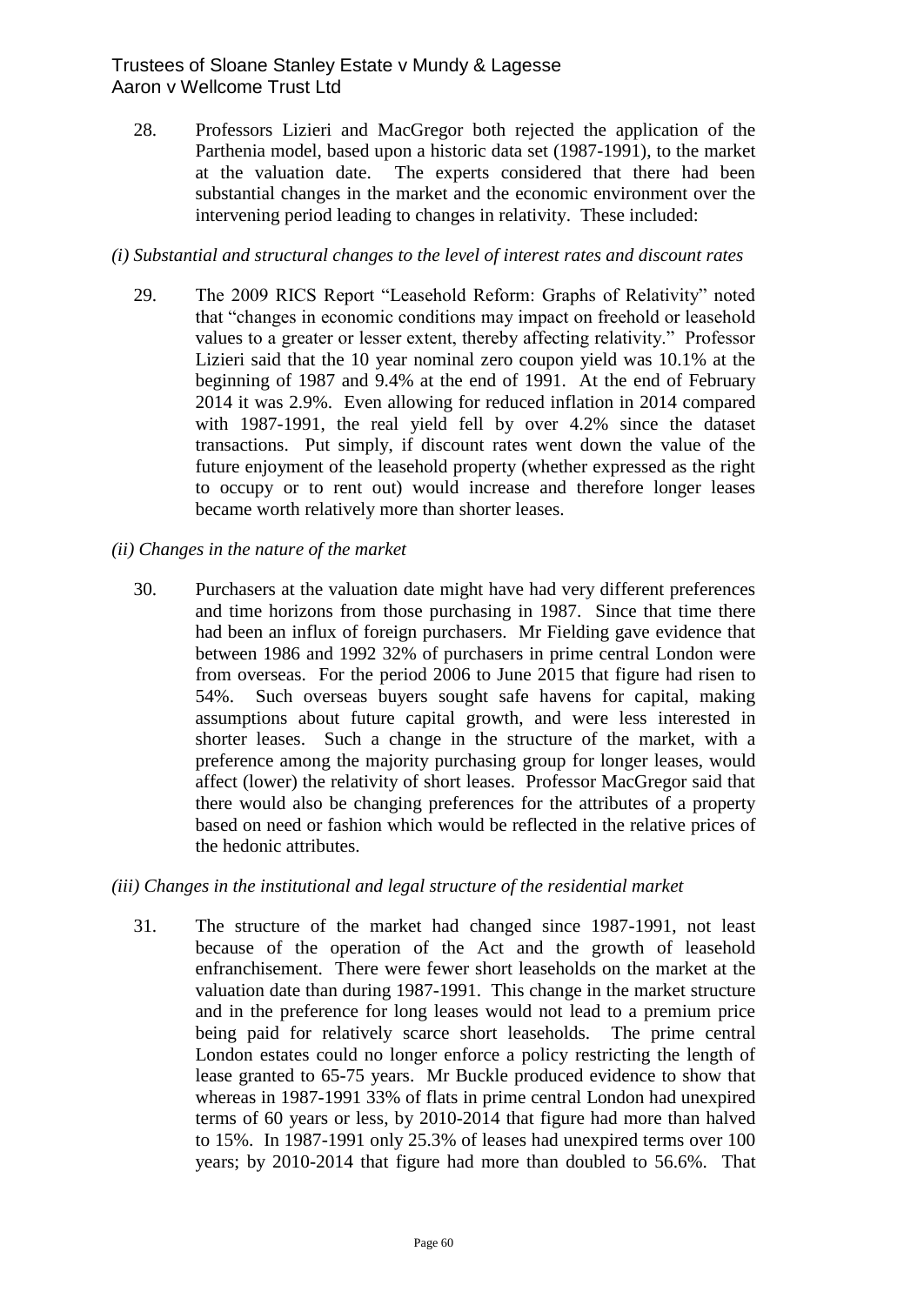28. Professors Lizieri and MacGregor both rejected the application of the Parthenia model, based upon a historic data set (1987-1991), to the market at the valuation date. The experts considered that there had been substantial changes in the market and the economic environment over the intervening period leading to changes in relativity. These included:

### *(i) Substantial and structural changes to the level of interest rates and discount rates*

- 29. The 2009 RICS Report "Leasehold Reform: Graphs of Relativity" noted that "changes in economic conditions may impact on freehold or leasehold values to a greater or lesser extent, thereby affecting relativity." Professor Lizieri said that the 10 year nominal zero coupon yield was 10.1% at the beginning of 1987 and 9.4% at the end of 1991. At the end of February 2014 it was 2.9%. Even allowing for reduced inflation in 2014 compared with 1987-1991, the real yield fell by over 4.2% since the dataset transactions. Put simply, if discount rates went down the value of the future enjoyment of the leasehold property (whether expressed as the right to occupy or to rent out) would increase and therefore longer leases became worth relatively more than shorter leases.
- *(ii) Changes in the nature of the market*
	- 30. Purchasers at the valuation date might have had very different preferences and time horizons from those purchasing in 1987. Since that time there had been an influx of foreign purchasers. Mr Fielding gave evidence that between 1986 and 1992 32% of purchasers in prime central London were from overseas. For the period 2006 to June 2015 that figure had risen to 54%. Such overseas buyers sought safe havens for capital, making assumptions about future capital growth, and were less interested in shorter leases. Such a change in the structure of the market, with a preference among the majority purchasing group for longer leases, would affect (lower) the relativity of short leases. Professor MacGregor said that there would also be changing preferences for the attributes of a property based on need or fashion which would be reflected in the relative prices of the hedonic attributes.

### *(iii) Changes in the institutional and legal structure of the residential market*

31. The structure of the market had changed since 1987-1991, not least because of the operation of the Act and the growth of leasehold enfranchisement. There were fewer short leaseholds on the market at the valuation date than during 1987-1991. This change in the market structure and in the preference for long leases would not lead to a premium price being paid for relatively scarce short leaseholds. The prime central London estates could no longer enforce a policy restricting the length of lease granted to 65-75 years. Mr Buckle produced evidence to show that whereas in 1987-1991 33% of flats in prime central London had unexpired terms of 60 years or less, by 2010-2014 that figure had more than halved to 15%. In 1987-1991 only 25.3% of leases had unexpired terms over 100 years; by 2010-2014 that figure had more than doubled to 56.6%. That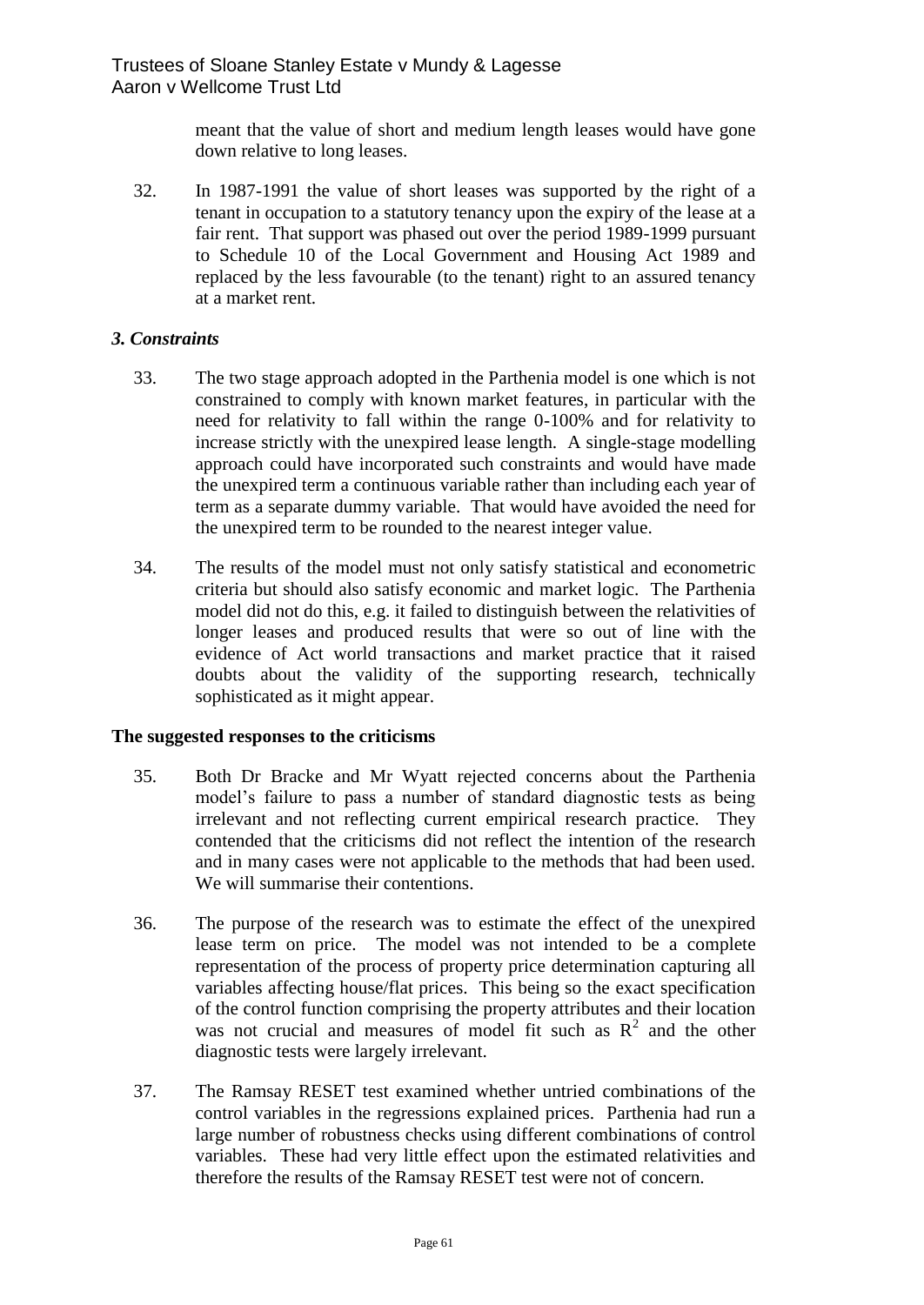meant that the value of short and medium length leases would have gone down relative to long leases.

32. In 1987-1991 the value of short leases was supported by the right of a tenant in occupation to a statutory tenancy upon the expiry of the lease at a fair rent. That support was phased out over the period 1989-1999 pursuant to Schedule 10 of the Local Government and Housing Act 1989 and replaced by the less favourable (to the tenant) right to an assured tenancy at a market rent.

## *3. Constraints*

- 33. The two stage approach adopted in the Parthenia model is one which is not constrained to comply with known market features, in particular with the need for relativity to fall within the range 0-100% and for relativity to increase strictly with the unexpired lease length. A single-stage modelling approach could have incorporated such constraints and would have made the unexpired term a continuous variable rather than including each year of term as a separate dummy variable. That would have avoided the need for the unexpired term to be rounded to the nearest integer value.
- 34. The results of the model must not only satisfy statistical and econometric criteria but should also satisfy economic and market logic. The Parthenia model did not do this, e.g. it failed to distinguish between the relativities of longer leases and produced results that were so out of line with the evidence of Act world transactions and market practice that it raised doubts about the validity of the supporting research, technically sophisticated as it might appear.

### **The suggested responses to the criticisms**

- 35. Both Dr Bracke and Mr Wyatt rejected concerns about the Parthenia model's failure to pass a number of standard diagnostic tests as being irrelevant and not reflecting current empirical research practice. They contended that the criticisms did not reflect the intention of the research and in many cases were not applicable to the methods that had been used. We will summarise their contentions.
- 36. The purpose of the research was to estimate the effect of the unexpired lease term on price. The model was not intended to be a complete representation of the process of property price determination capturing all variables affecting house/flat prices. This being so the exact specification of the control function comprising the property attributes and their location was not crucial and measures of model fit such as  $R^2$  and the other diagnostic tests were largely irrelevant.
- 37. The Ramsay RESET test examined whether untried combinations of the control variables in the regressions explained prices. Parthenia had run a large number of robustness checks using different combinations of control variables. These had very little effect upon the estimated relativities and therefore the results of the Ramsay RESET test were not of concern.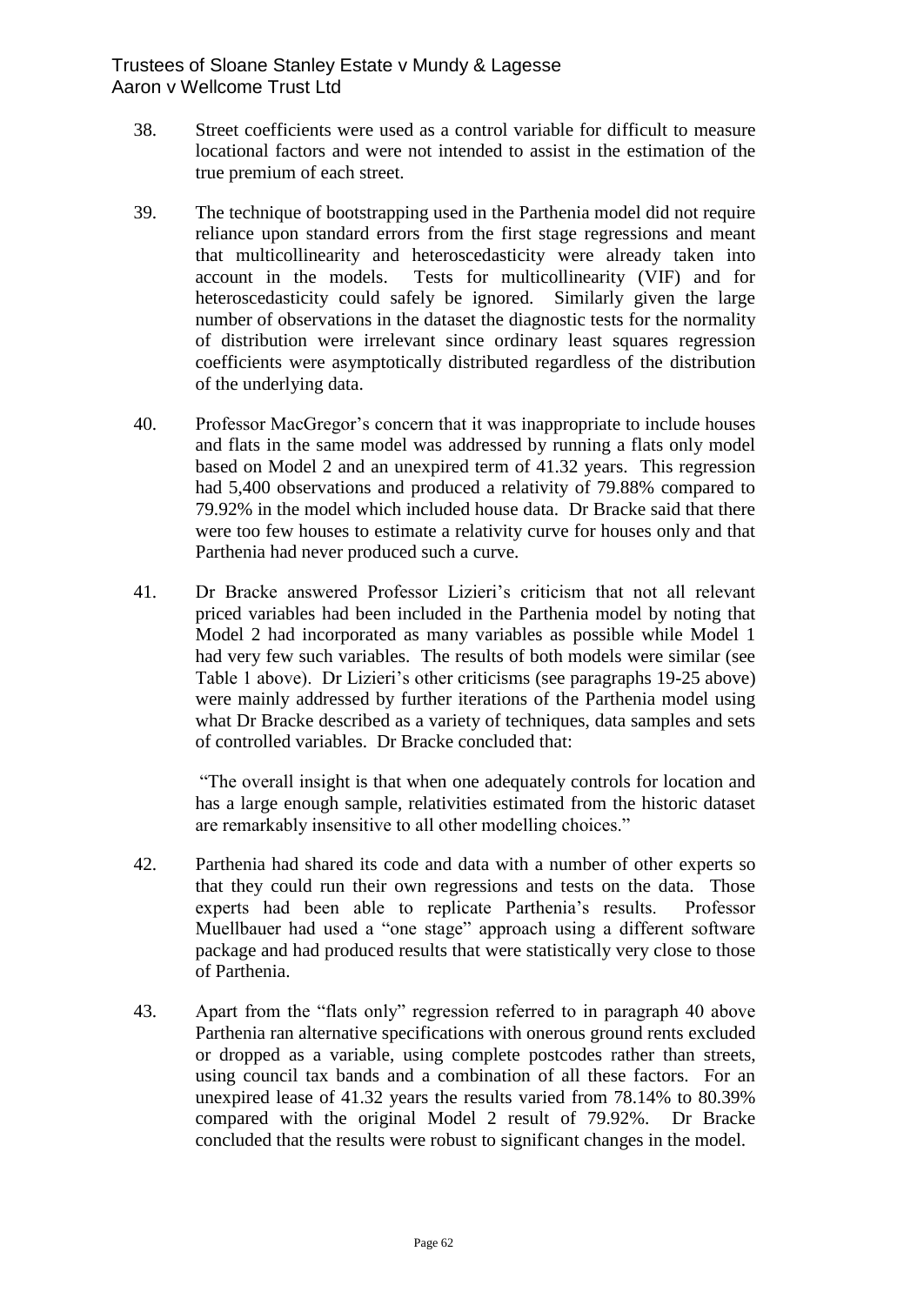- 38. Street coefficients were used as a control variable for difficult to measure locational factors and were not intended to assist in the estimation of the true premium of each street.
- 39. The technique of bootstrapping used in the Parthenia model did not require reliance upon standard errors from the first stage regressions and meant that multicollinearity and heteroscedasticity were already taken into account in the models. Tests for multicollinearity (VIF) and for heteroscedasticity could safely be ignored. Similarly given the large number of observations in the dataset the diagnostic tests for the normality of distribution were irrelevant since ordinary least squares regression coefficients were asymptotically distributed regardless of the distribution of the underlying data.
- 40. Professor MacGregor's concern that it was inappropriate to include houses and flats in the same model was addressed by running a flats only model based on Model 2 and an unexpired term of 41.32 years. This regression had 5,400 observations and produced a relativity of 79.88% compared to 79.92% in the model which included house data. Dr Bracke said that there were too few houses to estimate a relativity curve for houses only and that Parthenia had never produced such a curve.
- 41. Dr Bracke answered Professor Lizieri's criticism that not all relevant priced variables had been included in the Parthenia model by noting that Model 2 had incorporated as many variables as possible while Model 1 had very few such variables. The results of both models were similar (see Table 1 above). Dr Lizieri's other criticisms (see paragraphs 19-25 above) were mainly addressed by further iterations of the Parthenia model using what Dr Bracke described as a variety of techniques, data samples and sets of controlled variables. Dr Bracke concluded that:

"The overall insight is that when one adequately controls for location and has a large enough sample, relativities estimated from the historic dataset are remarkably insensitive to all other modelling choices."

- 42. Parthenia had shared its code and data with a number of other experts so that they could run their own regressions and tests on the data. Those experts had been able to replicate Parthenia's results. Professor Muellbauer had used a "one stage" approach using a different software package and had produced results that were statistically very close to those of Parthenia.
- 43. Apart from the "flats only" regression referred to in paragraph 40 above Parthenia ran alternative specifications with onerous ground rents excluded or dropped as a variable, using complete postcodes rather than streets, using council tax bands and a combination of all these factors. For an unexpired lease of 41.32 years the results varied from 78.14% to 80.39% compared with the original Model 2 result of 79.92%. Dr Bracke concluded that the results were robust to significant changes in the model.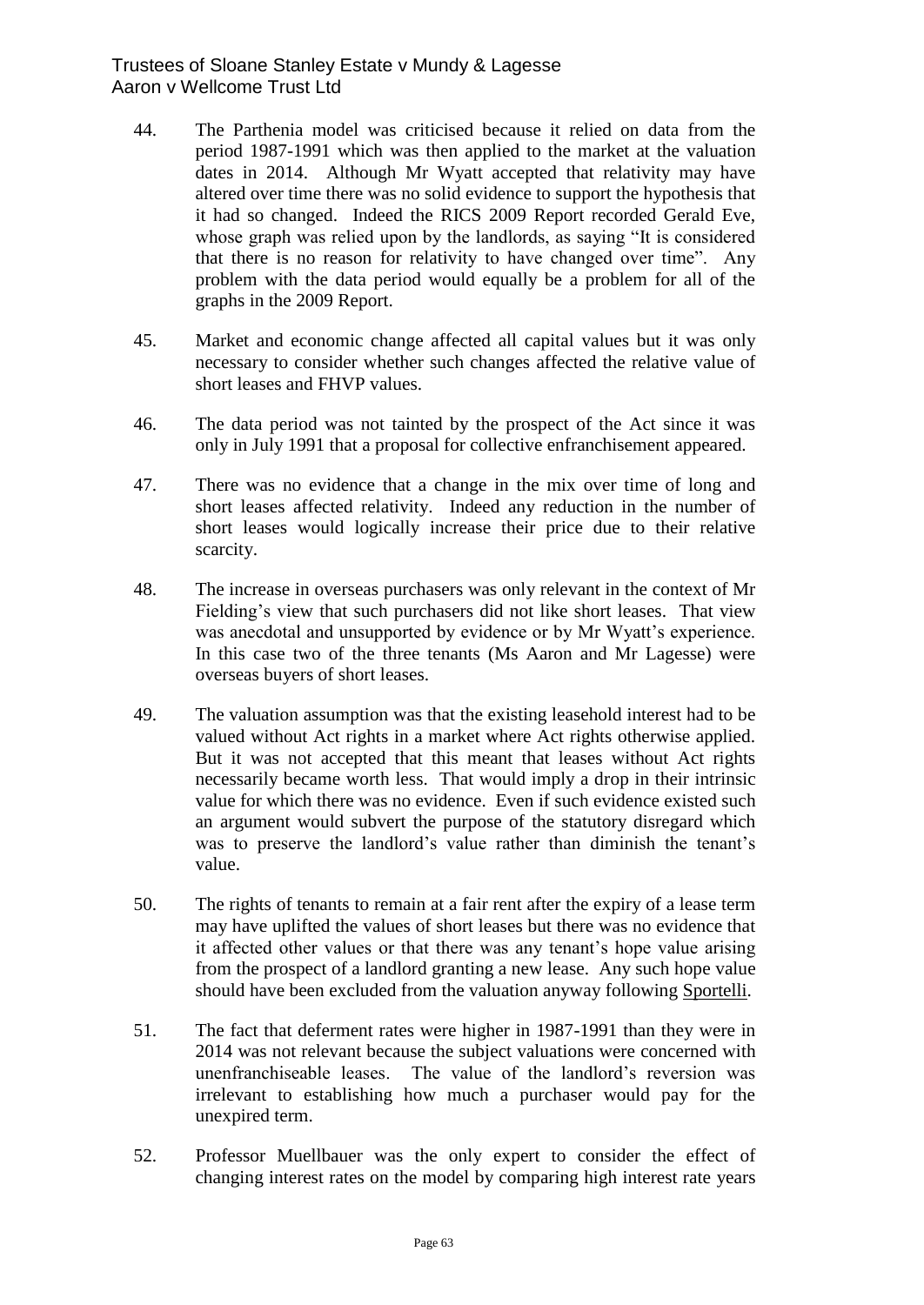- 44. The Parthenia model was criticised because it relied on data from the period 1987-1991 which was then applied to the market at the valuation dates in 2014. Although Mr Wyatt accepted that relativity may have altered over time there was no solid evidence to support the hypothesis that it had so changed. Indeed the RICS 2009 Report recorded Gerald Eve, whose graph was relied upon by the landlords, as saying "It is considered that there is no reason for relativity to have changed over time". Any problem with the data period would equally be a problem for all of the graphs in the 2009 Report.
- 45. Market and economic change affected all capital values but it was only necessary to consider whether such changes affected the relative value of short leases and FHVP values.
- 46. The data period was not tainted by the prospect of the Act since it was only in July 1991 that a proposal for collective enfranchisement appeared.
- 47. There was no evidence that a change in the mix over time of long and short leases affected relativity. Indeed any reduction in the number of short leases would logically increase their price due to their relative scarcity.
- 48. The increase in overseas purchasers was only relevant in the context of Mr Fielding's view that such purchasers did not like short leases. That view was anecdotal and unsupported by evidence or by Mr Wyatt's experience. In this case two of the three tenants (Ms Aaron and Mr Lagesse) were overseas buyers of short leases.
- 49. The valuation assumption was that the existing leasehold interest had to be valued without Act rights in a market where Act rights otherwise applied. But it was not accepted that this meant that leases without Act rights necessarily became worth less. That would imply a drop in their intrinsic value for which there was no evidence. Even if such evidence existed such an argument would subvert the purpose of the statutory disregard which was to preserve the landlord's value rather than diminish the tenant's value.
- 50. The rights of tenants to remain at a fair rent after the expiry of a lease term may have uplifted the values of short leases but there was no evidence that it affected other values or that there was any tenant's hope value arising from the prospect of a landlord granting a new lease. Any such hope value should have been excluded from the valuation anyway following Sportelli.
- 51. The fact that deferment rates were higher in 1987-1991 than they were in 2014 was not relevant because the subject valuations were concerned with unenfranchiseable leases. The value of the landlord's reversion was irrelevant to establishing how much a purchaser would pay for the unexpired term.
- 52. Professor Muellbauer was the only expert to consider the effect of changing interest rates on the model by comparing high interest rate years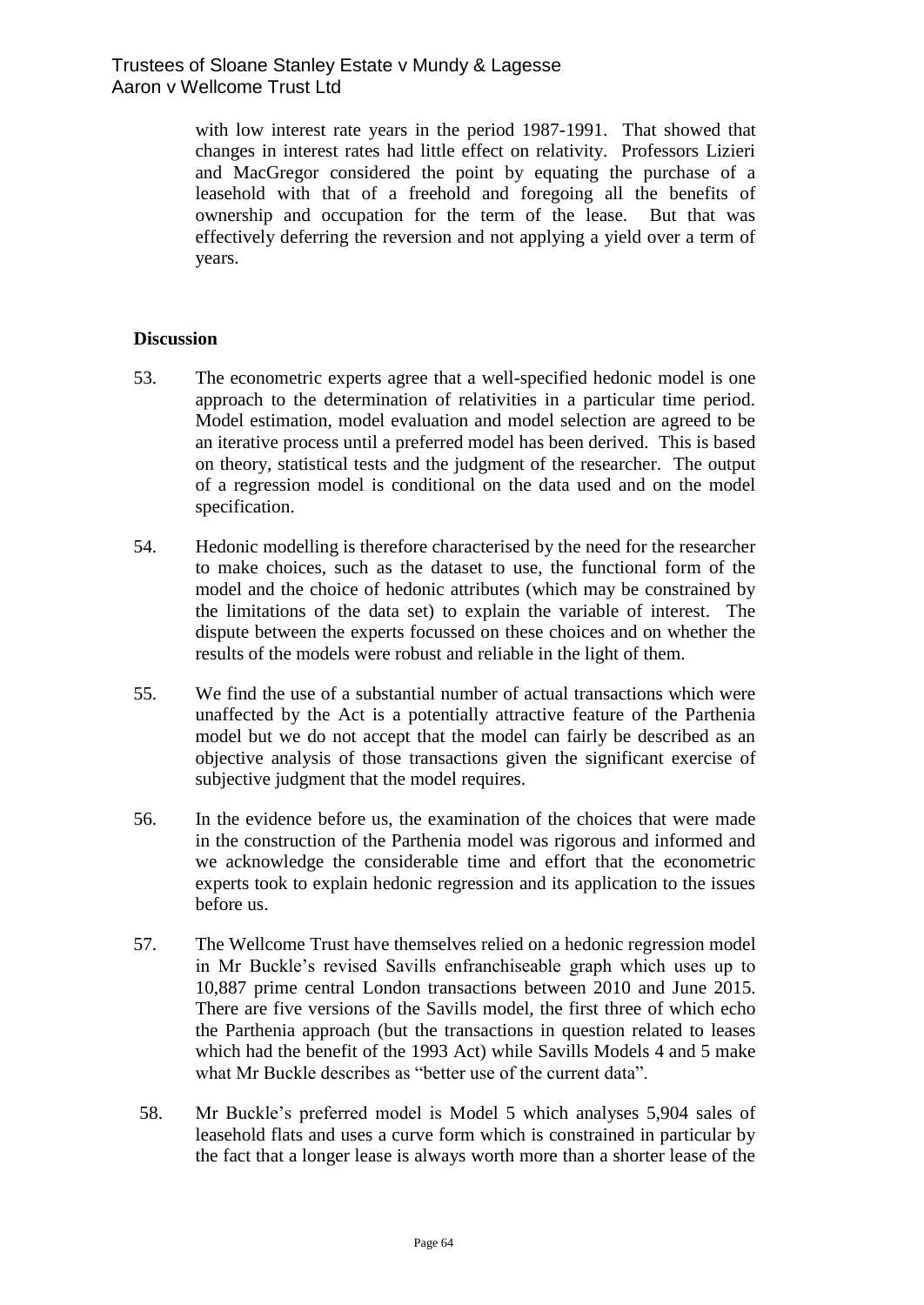with low interest rate years in the period 1987-1991. That showed that changes in interest rates had little effect on relativity. Professors Lizieri and MacGregor considered the point by equating the purchase of a leasehold with that of a freehold and foregoing all the benefits of ownership and occupation for the term of the lease. But that was effectively deferring the reversion and not applying a yield over a term of years.

## **Discussion**

- 53. The econometric experts agree that a well-specified hedonic model is one approach to the determination of relativities in a particular time period. Model estimation, model evaluation and model selection are agreed to be an iterative process until a preferred model has been derived. This is based on theory, statistical tests and the judgment of the researcher. The output of a regression model is conditional on the data used and on the model specification.
- 54. Hedonic modelling is therefore characterised by the need for the researcher to make choices, such as the dataset to use, the functional form of the model and the choice of hedonic attributes (which may be constrained by the limitations of the data set) to explain the variable of interest. The dispute between the experts focussed on these choices and on whether the results of the models were robust and reliable in the light of them.
- 55. We find the use of a substantial number of actual transactions which were unaffected by the Act is a potentially attractive feature of the Parthenia model but we do not accept that the model can fairly be described as an objective analysis of those transactions given the significant exercise of subjective judgment that the model requires.
- 56. In the evidence before us, the examination of the choices that were made in the construction of the Parthenia model was rigorous and informed and we acknowledge the considerable time and effort that the econometric experts took to explain hedonic regression and its application to the issues before us.
- 57. The Wellcome Trust have themselves relied on a hedonic regression model in Mr Buckle's revised Savills enfranchiseable graph which uses up to 10,887 prime central London transactions between 2010 and June 2015. There are five versions of the Savills model, the first three of which echo the Parthenia approach (but the transactions in question related to leases which had the benefit of the 1993 Act) while Savills Models 4 and 5 make what Mr Buckle describes as "better use of the current data".
- 58. Mr Buckle's preferred model is Model 5 which analyses 5,904 sales of leasehold flats and uses a curve form which is constrained in particular by the fact that a longer lease is always worth more than a shorter lease of the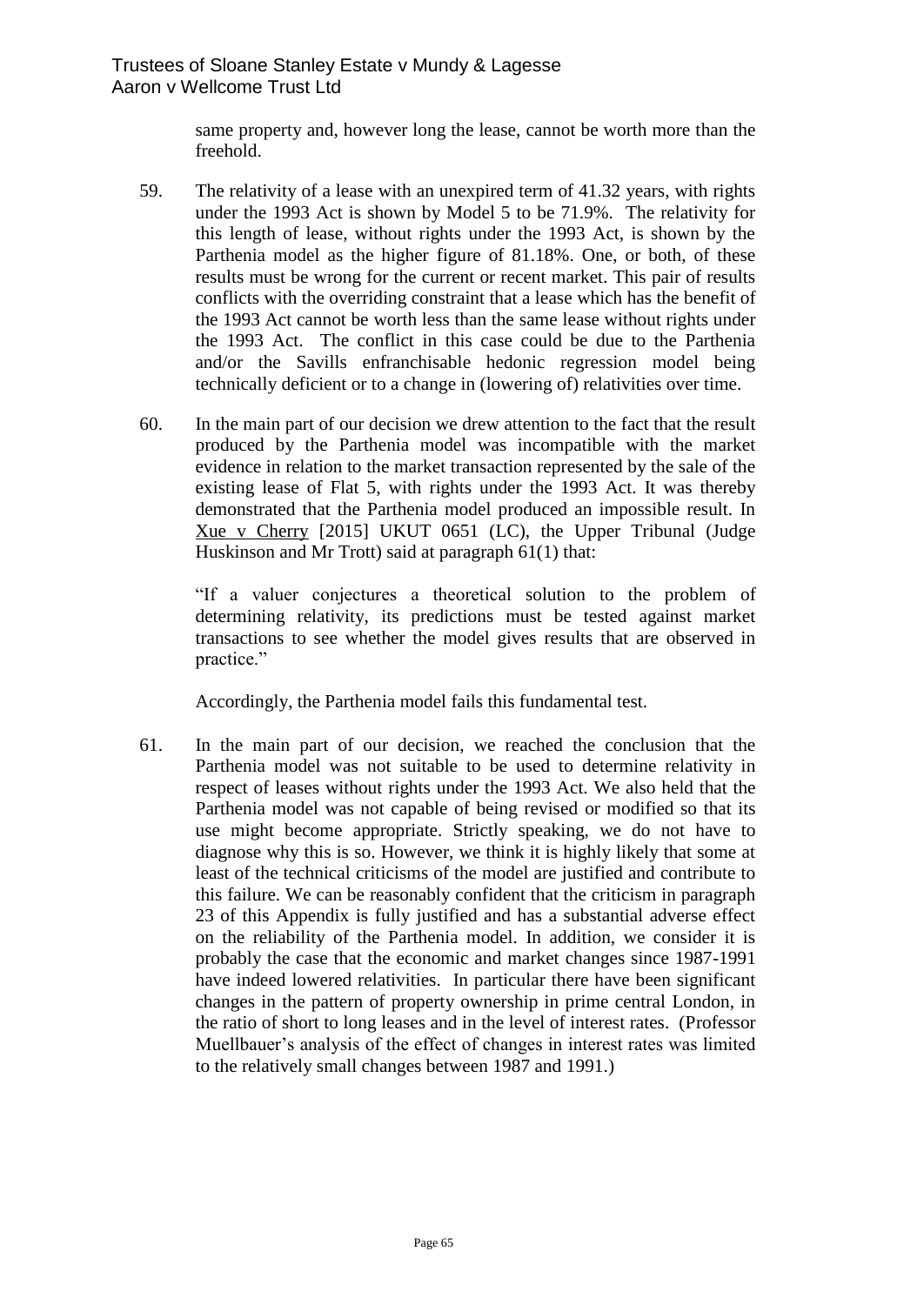same property and, however long the lease, cannot be worth more than the freehold.

- 59. The relativity of a lease with an unexpired term of 41.32 years, with rights under the 1993 Act is shown by Model 5 to be 71.9%. The relativity for this length of lease, without rights under the 1993 Act, is shown by the Parthenia model as the higher figure of 81.18%. One, or both, of these results must be wrong for the current or recent market. This pair of results conflicts with the overriding constraint that a lease which has the benefit of the 1993 Act cannot be worth less than the same lease without rights under the 1993 Act. The conflict in this case could be due to the Parthenia and/or the Savills enfranchisable hedonic regression model being technically deficient or to a change in (lowering of) relativities over time.
- 60. In the main part of our decision we drew attention to the fact that the result produced by the Parthenia model was incompatible with the market evidence in relation to the market transaction represented by the sale of the existing lease of Flat 5, with rights under the 1993 Act. It was thereby demonstrated that the Parthenia model produced an impossible result. In Xue v Cherry [2015] UKUT 0651 (LC), the Upper Tribunal (Judge Huskinson and Mr Trott) said at paragraph 61(1) that:

"If a valuer conjectures a theoretical solution to the problem of determining relativity, its predictions must be tested against market transactions to see whether the model gives results that are observed in practice."

Accordingly, the Parthenia model fails this fundamental test.

61. In the main part of our decision, we reached the conclusion that the Parthenia model was not suitable to be used to determine relativity in respect of leases without rights under the 1993 Act. We also held that the Parthenia model was not capable of being revised or modified so that its use might become appropriate. Strictly speaking, we do not have to diagnose why this is so. However, we think it is highly likely that some at least of the technical criticisms of the model are justified and contribute to this failure. We can be reasonably confident that the criticism in paragraph 23 of this Appendix is fully justified and has a substantial adverse effect on the reliability of the Parthenia model. In addition, we consider it is probably the case that the economic and market changes since 1987-1991 have indeed lowered relativities. In particular there have been significant changes in the pattern of property ownership in prime central London, in the ratio of short to long leases and in the level of interest rates. (Professor Muellbauer's analysis of the effect of changes in interest rates was limited to the relatively small changes between 1987 and 1991.)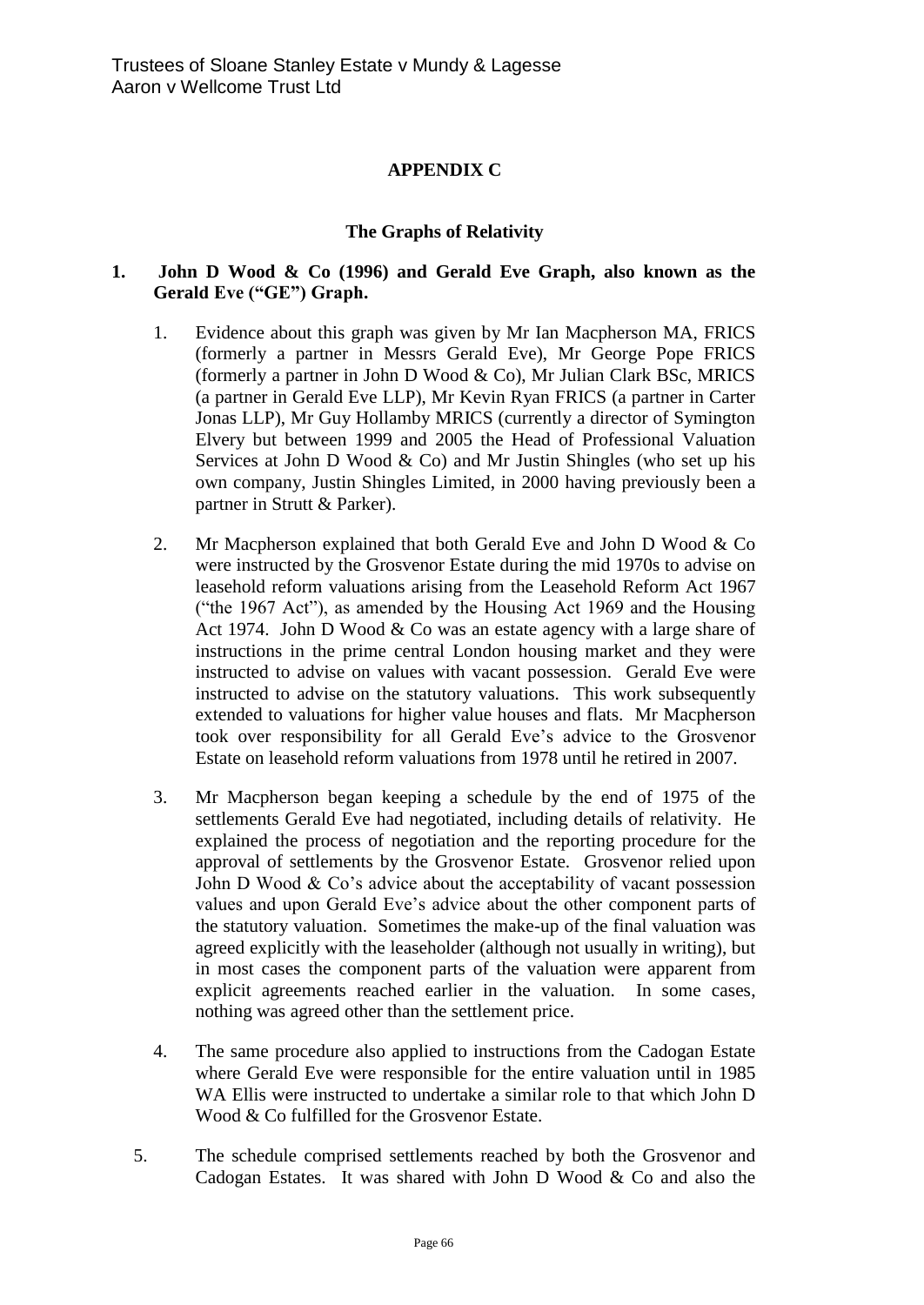## **APPENDIX C**

### **The Graphs of Relativity**

### **1. John D Wood & Co (1996) and Gerald Eve Graph, also known as the Gerald Eve ("GE") Graph.**

- 1. Evidence about this graph was given by Mr Ian Macpherson MA, FRICS (formerly a partner in Messrs Gerald Eve), Mr George Pope FRICS (formerly a partner in John D Wood & Co), Mr Julian Clark BSc, MRICS (a partner in Gerald Eve LLP), Mr Kevin Ryan FRICS (a partner in Carter Jonas LLP), Mr Guy Hollamby MRICS (currently a director of Symington Elvery but between 1999 and 2005 the Head of Professional Valuation Services at John D Wood & Co) and Mr Justin Shingles (who set up his own company, Justin Shingles Limited, in 2000 having previously been a partner in Strutt & Parker).
- 2. Mr Macpherson explained that both Gerald Eve and John D Wood & Co were instructed by the Grosvenor Estate during the mid 1970s to advise on leasehold reform valuations arising from the Leasehold Reform Act 1967 ("the 1967 Act"), as amended by the Housing Act 1969 and the Housing Act 1974. John D Wood & Co was an estate agency with a large share of instructions in the prime central London housing market and they were instructed to advise on values with vacant possession. Gerald Eve were instructed to advise on the statutory valuations. This work subsequently extended to valuations for higher value houses and flats. Mr Macpherson took over responsibility for all Gerald Eve's advice to the Grosvenor Estate on leasehold reform valuations from 1978 until he retired in 2007.
- 3. Mr Macpherson began keeping a schedule by the end of 1975 of the settlements Gerald Eve had negotiated, including details of relativity. He explained the process of negotiation and the reporting procedure for the approval of settlements by the Grosvenor Estate. Grosvenor relied upon John D Wood & Co's advice about the acceptability of vacant possession values and upon Gerald Eve's advice about the other component parts of the statutory valuation. Sometimes the make-up of the final valuation was agreed explicitly with the leaseholder (although not usually in writing), but in most cases the component parts of the valuation were apparent from explicit agreements reached earlier in the valuation. In some cases, nothing was agreed other than the settlement price.
- 4. The same procedure also applied to instructions from the Cadogan Estate where Gerald Eve were responsible for the entire valuation until in 1985 WA Ellis were instructed to undertake a similar role to that which John D Wood & Co fulfilled for the Grosvenor Estate.
- 5. The schedule comprised settlements reached by both the Grosvenor and Cadogan Estates. It was shared with John D Wood & Co and also the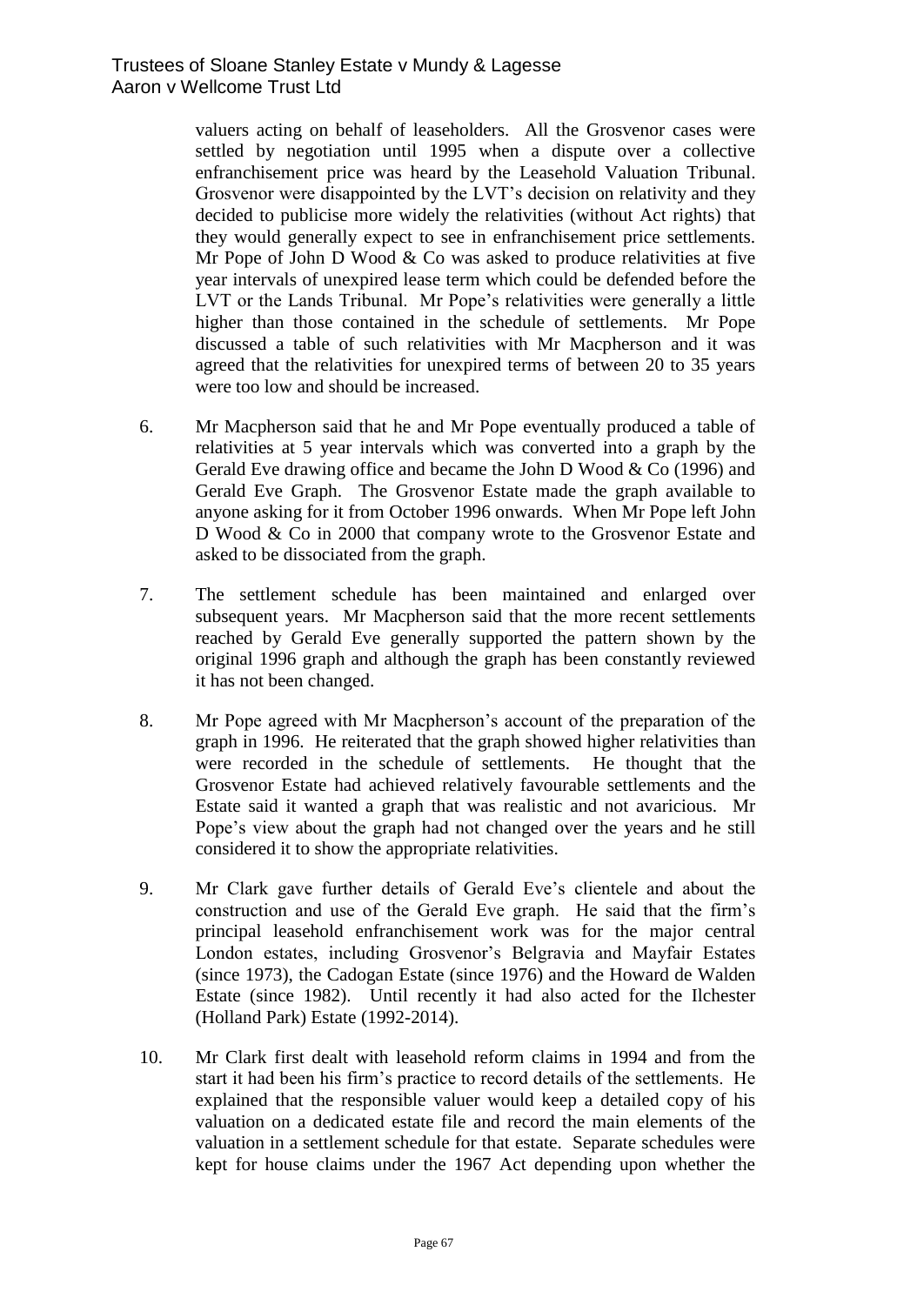valuers acting on behalf of leaseholders. All the Grosvenor cases were settled by negotiation until 1995 when a dispute over a collective enfranchisement price was heard by the Leasehold Valuation Tribunal. Grosvenor were disappointed by the LVT's decision on relativity and they decided to publicise more widely the relativities (without Act rights) that they would generally expect to see in enfranchisement price settlements. Mr Pope of John D Wood & Co was asked to produce relativities at five year intervals of unexpired lease term which could be defended before the LVT or the Lands Tribunal. Mr Pope's relativities were generally a little higher than those contained in the schedule of settlements. Mr Pope discussed a table of such relativities with Mr Macpherson and it was agreed that the relativities for unexpired terms of between 20 to 35 years were too low and should be increased.

- 6. Mr Macpherson said that he and Mr Pope eventually produced a table of relativities at 5 year intervals which was converted into a graph by the Gerald Eve drawing office and became the John D Wood & Co (1996) and Gerald Eve Graph. The Grosvenor Estate made the graph available to anyone asking for it from October 1996 onwards. When Mr Pope left John D Wood & Co in 2000 that company wrote to the Grosvenor Estate and asked to be dissociated from the graph.
- 7. The settlement schedule has been maintained and enlarged over subsequent years. Mr Macpherson said that the more recent settlements reached by Gerald Eve generally supported the pattern shown by the original 1996 graph and although the graph has been constantly reviewed it has not been changed.
- 8. Mr Pope agreed with Mr Macpherson's account of the preparation of the graph in 1996. He reiterated that the graph showed higher relativities than were recorded in the schedule of settlements. He thought that the Grosvenor Estate had achieved relatively favourable settlements and the Estate said it wanted a graph that was realistic and not avaricious. Mr Pope's view about the graph had not changed over the years and he still considered it to show the appropriate relativities.
- 9. Mr Clark gave further details of Gerald Eve's clientele and about the construction and use of the Gerald Eve graph. He said that the firm's principal leasehold enfranchisement work was for the major central London estates, including Grosvenor's Belgravia and Mayfair Estates (since 1973), the Cadogan Estate (since 1976) and the Howard de Walden Estate (since 1982). Until recently it had also acted for the Ilchester (Holland Park) Estate (1992-2014).
- 10. Mr Clark first dealt with leasehold reform claims in 1994 and from the start it had been his firm's practice to record details of the settlements. He explained that the responsible valuer would keep a detailed copy of his valuation on a dedicated estate file and record the main elements of the valuation in a settlement schedule for that estate. Separate schedules were kept for house claims under the 1967 Act depending upon whether the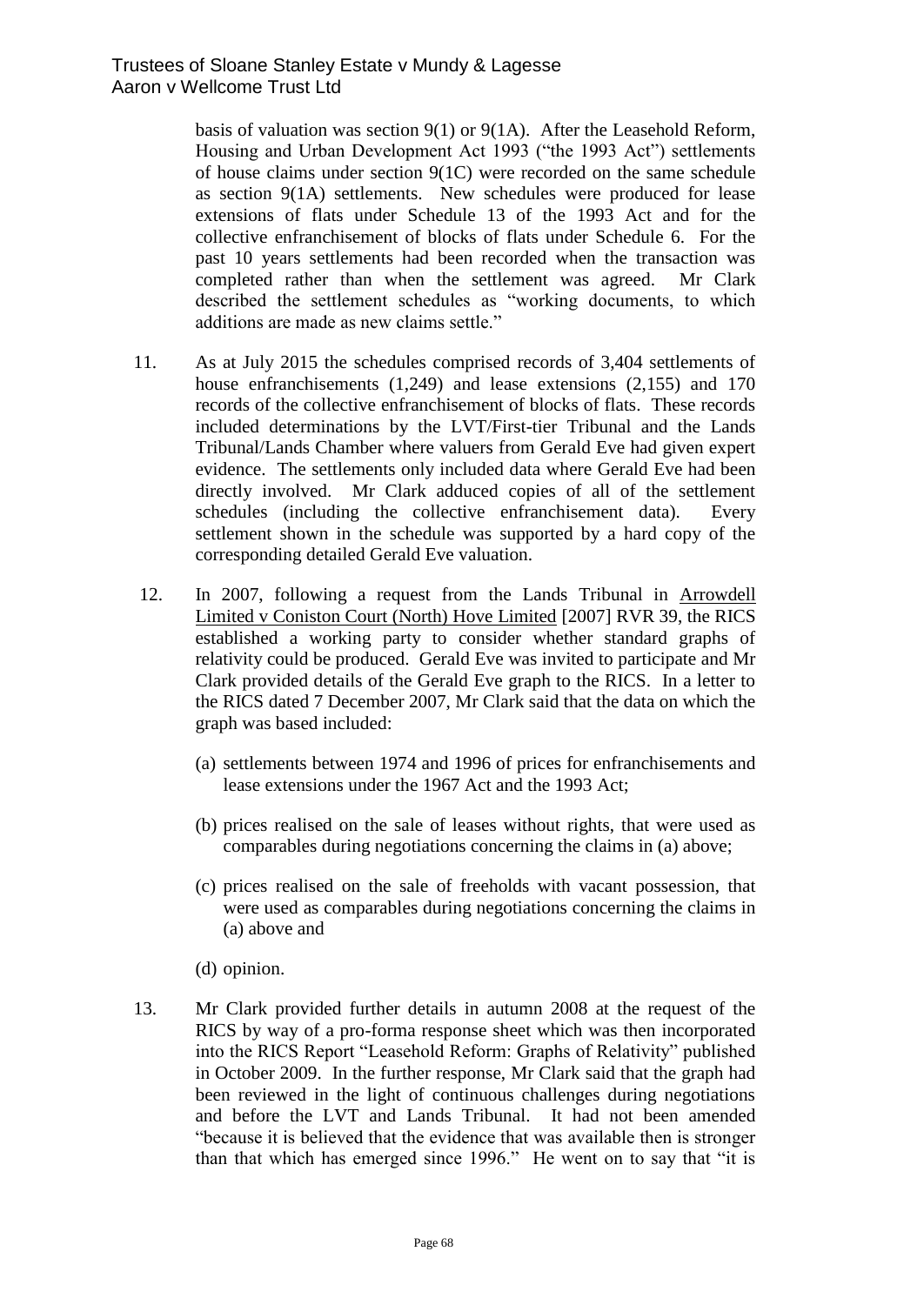basis of valuation was section 9(1) or 9(1A). After the Leasehold Reform, Housing and Urban Development Act 1993 ("the 1993 Act") settlements of house claims under section 9(1C) were recorded on the same schedule as section 9(1A) settlements. New schedules were produced for lease extensions of flats under Schedule 13 of the 1993 Act and for the collective enfranchisement of blocks of flats under Schedule 6. For the past 10 years settlements had been recorded when the transaction was completed rather than when the settlement was agreed. Mr Clark described the settlement schedules as "working documents, to which additions are made as new claims settle."

- 11. As at July 2015 the schedules comprised records of 3,404 settlements of house enfranchisements (1,249) and lease extensions (2,155) and 170 records of the collective enfranchisement of blocks of flats. These records included determinations by the LVT/First-tier Tribunal and the Lands Tribunal/Lands Chamber where valuers from Gerald Eve had given expert evidence. The settlements only included data where Gerald Eve had been directly involved. Mr Clark adduced copies of all of the settlement schedules (including the collective enfranchisement data). Every settlement shown in the schedule was supported by a hard copy of the corresponding detailed Gerald Eve valuation.
- 12. In 2007, following a request from the Lands Tribunal in Arrowdell Limited v Coniston Court (North) Hove Limited [2007] RVR 39, the RICS established a working party to consider whether standard graphs of relativity could be produced. Gerald Eve was invited to participate and Mr Clark provided details of the Gerald Eve graph to the RICS. In a letter to the RICS dated 7 December 2007, Mr Clark said that the data on which the graph was based included:
	- (a) settlements between 1974 and 1996 of prices for enfranchisements and lease extensions under the 1967 Act and the 1993 Act;
	- (b) prices realised on the sale of leases without rights, that were used as comparables during negotiations concerning the claims in (a) above;
	- (c) prices realised on the sale of freeholds with vacant possession, that were used as comparables during negotiations concerning the claims in (a) above and
	- (d) opinion.
- 13. Mr Clark provided further details in autumn 2008 at the request of the RICS by way of a pro-forma response sheet which was then incorporated into the RICS Report "Leasehold Reform: Graphs of Relativity" published in October 2009. In the further response, Mr Clark said that the graph had been reviewed in the light of continuous challenges during negotiations and before the LVT and Lands Tribunal. It had not been amended "because it is believed that the evidence that was available then is stronger than that which has emerged since 1996." He went on to say that "it is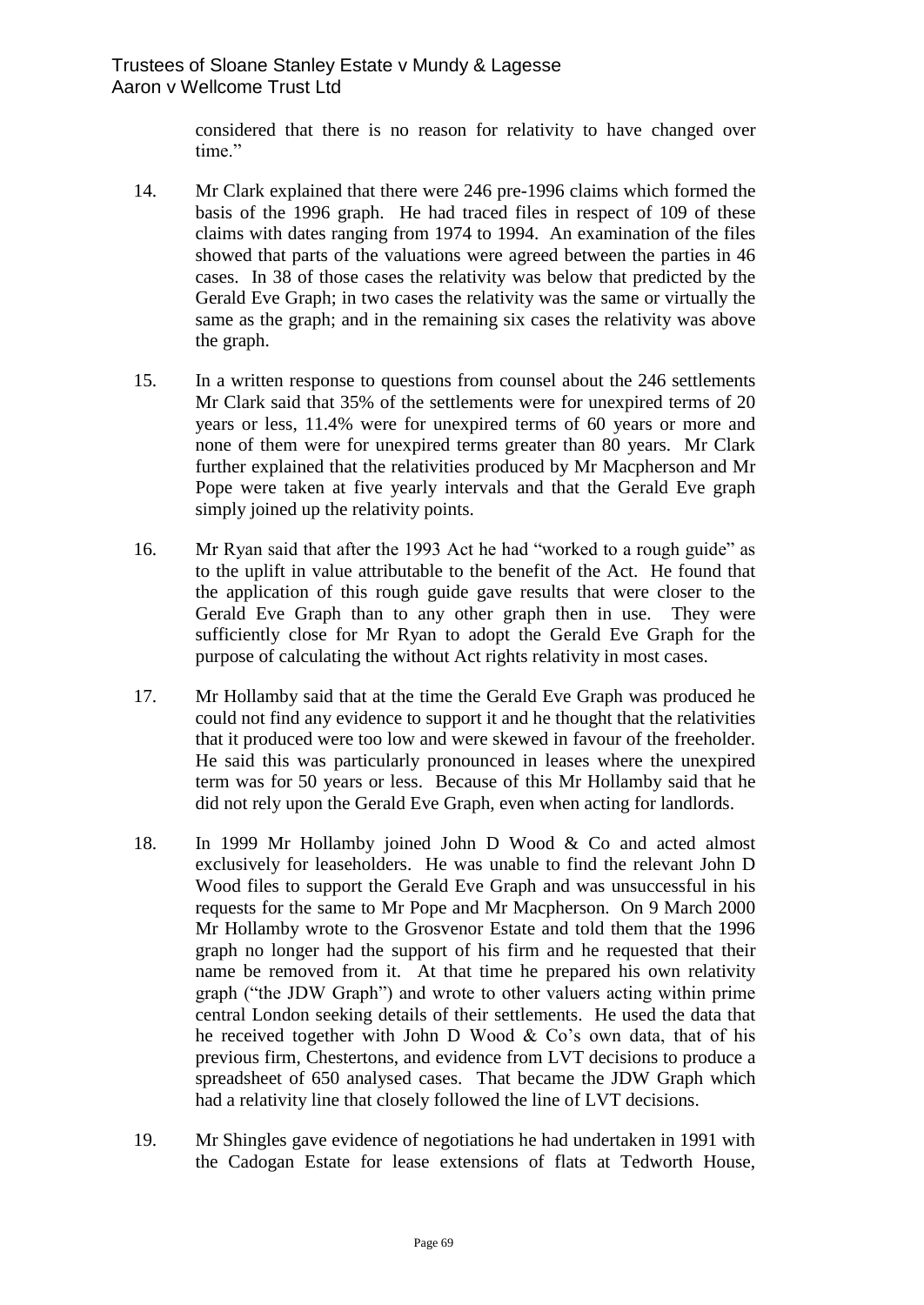considered that there is no reason for relativity to have changed over time"

- 14. Mr Clark explained that there were 246 pre-1996 claims which formed the basis of the 1996 graph. He had traced files in respect of 109 of these claims with dates ranging from 1974 to 1994. An examination of the files showed that parts of the valuations were agreed between the parties in 46 cases. In 38 of those cases the relativity was below that predicted by the Gerald Eve Graph; in two cases the relativity was the same or virtually the same as the graph; and in the remaining six cases the relativity was above the graph.
- 15. In a written response to questions from counsel about the 246 settlements Mr Clark said that 35% of the settlements were for unexpired terms of 20 years or less, 11.4% were for unexpired terms of 60 years or more and none of them were for unexpired terms greater than 80 years. Mr Clark further explained that the relativities produced by Mr Macpherson and Mr Pope were taken at five yearly intervals and that the Gerald Eve graph simply joined up the relativity points.
- 16. Mr Ryan said that after the 1993 Act he had "worked to a rough guide" as to the uplift in value attributable to the benefit of the Act. He found that the application of this rough guide gave results that were closer to the Gerald Eve Graph than to any other graph then in use. They were sufficiently close for Mr Ryan to adopt the Gerald Eve Graph for the purpose of calculating the without Act rights relativity in most cases.
- 17. Mr Hollamby said that at the time the Gerald Eve Graph was produced he could not find any evidence to support it and he thought that the relativities that it produced were too low and were skewed in favour of the freeholder. He said this was particularly pronounced in leases where the unexpired term was for 50 years or less. Because of this Mr Hollamby said that he did not rely upon the Gerald Eve Graph, even when acting for landlords.
- 18. In 1999 Mr Hollamby joined John D Wood & Co and acted almost exclusively for leaseholders. He was unable to find the relevant John D Wood files to support the Gerald Eve Graph and was unsuccessful in his requests for the same to Mr Pope and Mr Macpherson. On 9 March 2000 Mr Hollamby wrote to the Grosvenor Estate and told them that the 1996 graph no longer had the support of his firm and he requested that their name be removed from it. At that time he prepared his own relativity graph ("the JDW Graph") and wrote to other valuers acting within prime central London seeking details of their settlements. He used the data that he received together with John D Wood & Co's own data, that of his previous firm, Chestertons, and evidence from LVT decisions to produce a spreadsheet of 650 analysed cases. That became the JDW Graph which had a relativity line that closely followed the line of LVT decisions.
- 19. Mr Shingles gave evidence of negotiations he had undertaken in 1991 with the Cadogan Estate for lease extensions of flats at Tedworth House,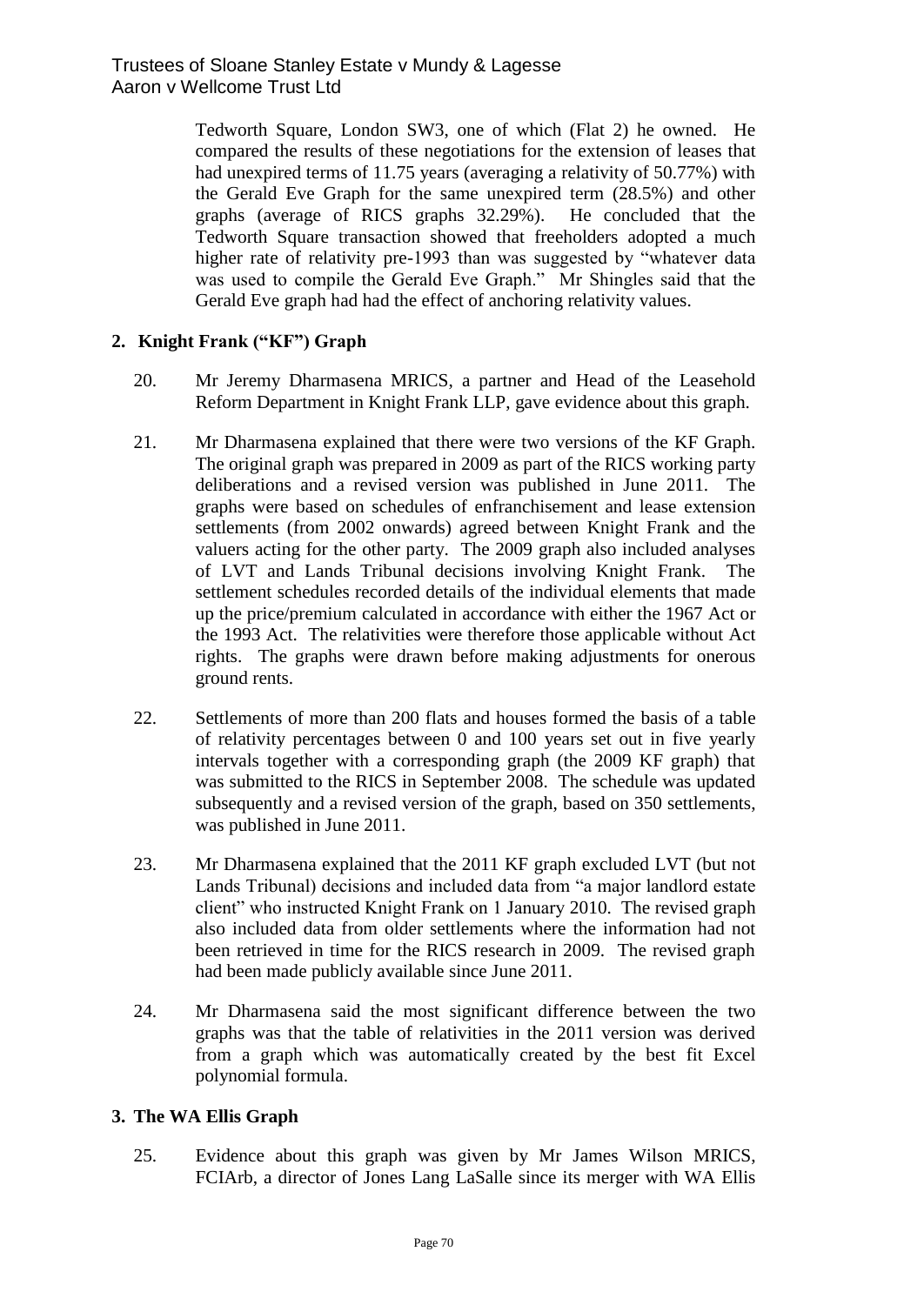Tedworth Square, London SW3, one of which (Flat 2) he owned. He compared the results of these negotiations for the extension of leases that had unexpired terms of 11.75 years (averaging a relativity of 50.77%) with the Gerald Eve Graph for the same unexpired term (28.5%) and other graphs (average of RICS graphs 32.29%). He concluded that the Tedworth Square transaction showed that freeholders adopted a much higher rate of relativity pre-1993 than was suggested by "whatever data was used to compile the Gerald Eve Graph." Mr Shingles said that the Gerald Eve graph had had the effect of anchoring relativity values.

# **2. Knight Frank ("KF") Graph**

- 20. Mr Jeremy Dharmasena MRICS, a partner and Head of the Leasehold Reform Department in Knight Frank LLP, gave evidence about this graph.
- 21. Mr Dharmasena explained that there were two versions of the KF Graph. The original graph was prepared in 2009 as part of the RICS working party deliberations and a revised version was published in June 2011. The graphs were based on schedules of enfranchisement and lease extension settlements (from 2002 onwards) agreed between Knight Frank and the valuers acting for the other party. The 2009 graph also included analyses of LVT and Lands Tribunal decisions involving Knight Frank. The settlement schedules recorded details of the individual elements that made up the price/premium calculated in accordance with either the 1967 Act or the 1993 Act. The relativities were therefore those applicable without Act rights. The graphs were drawn before making adjustments for onerous ground rents.
- 22. Settlements of more than 200 flats and houses formed the basis of a table of relativity percentages between 0 and 100 years set out in five yearly intervals together with a corresponding graph (the 2009 KF graph) that was submitted to the RICS in September 2008. The schedule was updated subsequently and a revised version of the graph, based on 350 settlements, was published in June 2011.
- 23. Mr Dharmasena explained that the 2011 KF graph excluded LVT (but not Lands Tribunal) decisions and included data from "a major landlord estate client" who instructed Knight Frank on 1 January 2010. The revised graph also included data from older settlements where the information had not been retrieved in time for the RICS research in 2009. The revised graph had been made publicly available since June 2011.
- 24. Mr Dharmasena said the most significant difference between the two graphs was that the table of relativities in the 2011 version was derived from a graph which was automatically created by the best fit Excel polynomial formula.

## **3. The WA Ellis Graph**

25. Evidence about this graph was given by Mr James Wilson MRICS, FCIArb, a director of Jones Lang LaSalle since its merger with WA Ellis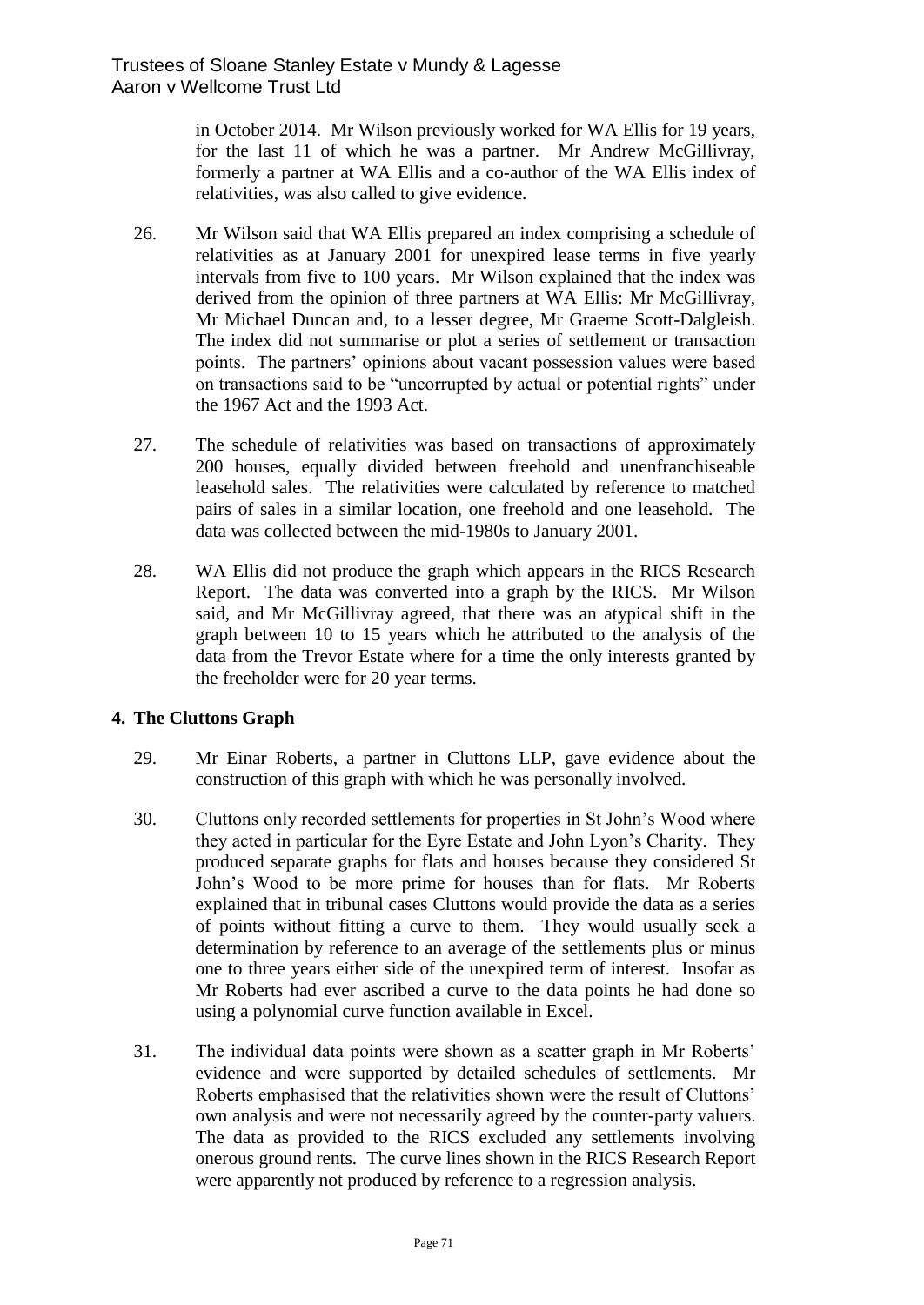in October 2014. Mr Wilson previously worked for WA Ellis for 19 years, for the last 11 of which he was a partner. Mr Andrew McGillivray, formerly a partner at WA Ellis and a co-author of the WA Ellis index of relativities, was also called to give evidence.

- 26. Mr Wilson said that WA Ellis prepared an index comprising a schedule of relativities as at January 2001 for unexpired lease terms in five yearly intervals from five to 100 years. Mr Wilson explained that the index was derived from the opinion of three partners at WA Ellis: Mr McGillivray, Mr Michael Duncan and, to a lesser degree, Mr Graeme Scott-Dalgleish. The index did not summarise or plot a series of settlement or transaction points. The partners' opinions about vacant possession values were based on transactions said to be "uncorrupted by actual or potential rights" under the 1967 Act and the 1993 Act.
- 27. The schedule of relativities was based on transactions of approximately 200 houses, equally divided between freehold and unenfranchiseable leasehold sales. The relativities were calculated by reference to matched pairs of sales in a similar location, one freehold and one leasehold. The data was collected between the mid-1980s to January 2001.
- 28. WA Ellis did not produce the graph which appears in the RICS Research Report. The data was converted into a graph by the RICS. Mr Wilson said, and Mr McGillivray agreed, that there was an atypical shift in the graph between 10 to 15 years which he attributed to the analysis of the data from the Trevor Estate where for a time the only interests granted by the freeholder were for 20 year terms.

## **4. The Cluttons Graph**

- 29. Mr Einar Roberts, a partner in Cluttons LLP, gave evidence about the construction of this graph with which he was personally involved.
- 30. Cluttons only recorded settlements for properties in St John's Wood where they acted in particular for the Eyre Estate and John Lyon's Charity. They produced separate graphs for flats and houses because they considered St John's Wood to be more prime for houses than for flats. Mr Roberts explained that in tribunal cases Cluttons would provide the data as a series of points without fitting a curve to them. They would usually seek a determination by reference to an average of the settlements plus or minus one to three years either side of the unexpired term of interest. Insofar as Mr Roberts had ever ascribed a curve to the data points he had done so using a polynomial curve function available in Excel.
- 31. The individual data points were shown as a scatter graph in Mr Roberts' evidence and were supported by detailed schedules of settlements. Mr Roberts emphasised that the relativities shown were the result of Cluttons' own analysis and were not necessarily agreed by the counter-party valuers. The data as provided to the RICS excluded any settlements involving onerous ground rents. The curve lines shown in the RICS Research Report were apparently not produced by reference to a regression analysis.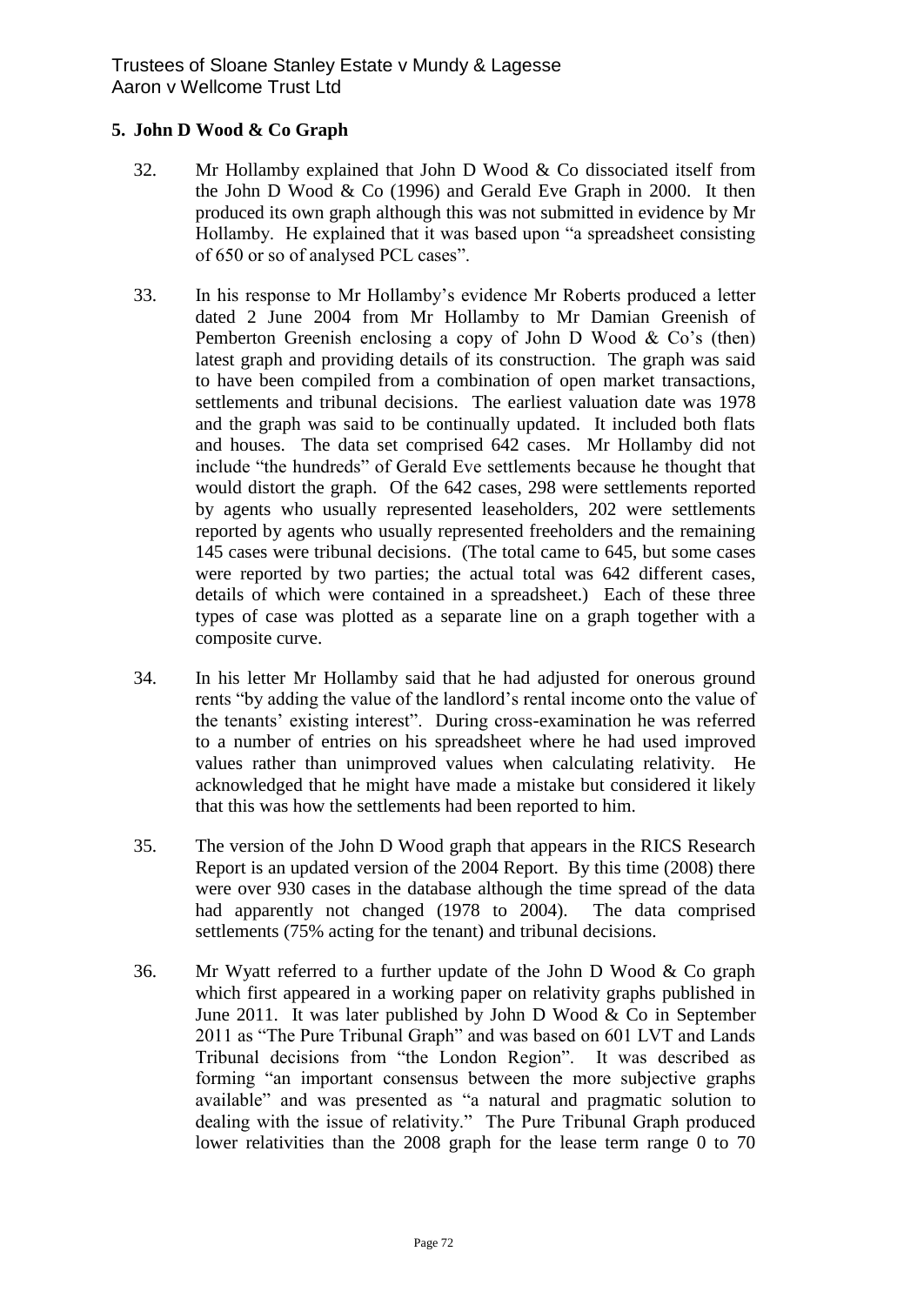# **5. John D Wood & Co Graph**

- 32. Mr Hollamby explained that John D Wood & Co dissociated itself from the John D Wood & Co (1996) and Gerald Eve Graph in 2000. It then produced its own graph although this was not submitted in evidence by Mr Hollamby. He explained that it was based upon "a spreadsheet consisting of 650 or so of analysed PCL cases".
- 33. In his response to Mr Hollamby's evidence Mr Roberts produced a letter dated 2 June 2004 from Mr Hollamby to Mr Damian Greenish of Pemberton Greenish enclosing a copy of John D Wood & Co's (then) latest graph and providing details of its construction. The graph was said to have been compiled from a combination of open market transactions, settlements and tribunal decisions. The earliest valuation date was 1978 and the graph was said to be continually updated. It included both flats and houses. The data set comprised 642 cases. Mr Hollamby did not include "the hundreds" of Gerald Eve settlements because he thought that would distort the graph. Of the 642 cases, 298 were settlements reported by agents who usually represented leaseholders, 202 were settlements reported by agents who usually represented freeholders and the remaining 145 cases were tribunal decisions. (The total came to 645, but some cases were reported by two parties; the actual total was 642 different cases, details of which were contained in a spreadsheet.) Each of these three types of case was plotted as a separate line on a graph together with a composite curve.
- 34. In his letter Mr Hollamby said that he had adjusted for onerous ground rents "by adding the value of the landlord's rental income onto the value of the tenants' existing interest". During cross-examination he was referred to a number of entries on his spreadsheet where he had used improved values rather than unimproved values when calculating relativity. He acknowledged that he might have made a mistake but considered it likely that this was how the settlements had been reported to him.
- 35. The version of the John D Wood graph that appears in the RICS Research Report is an updated version of the 2004 Report. By this time (2008) there were over 930 cases in the database although the time spread of the data had apparently not changed (1978 to 2004). The data comprised settlements (75% acting for the tenant) and tribunal decisions.
- 36. Mr Wyatt referred to a further update of the John D Wood & Co graph which first appeared in a working paper on relativity graphs published in June 2011. It was later published by John D Wood & Co in September 2011 as "The Pure Tribunal Graph" and was based on 601 LVT and Lands Tribunal decisions from "the London Region". It was described as forming "an important consensus between the more subjective graphs available" and was presented as "a natural and pragmatic solution to dealing with the issue of relativity." The Pure Tribunal Graph produced lower relativities than the 2008 graph for the lease term range 0 to 70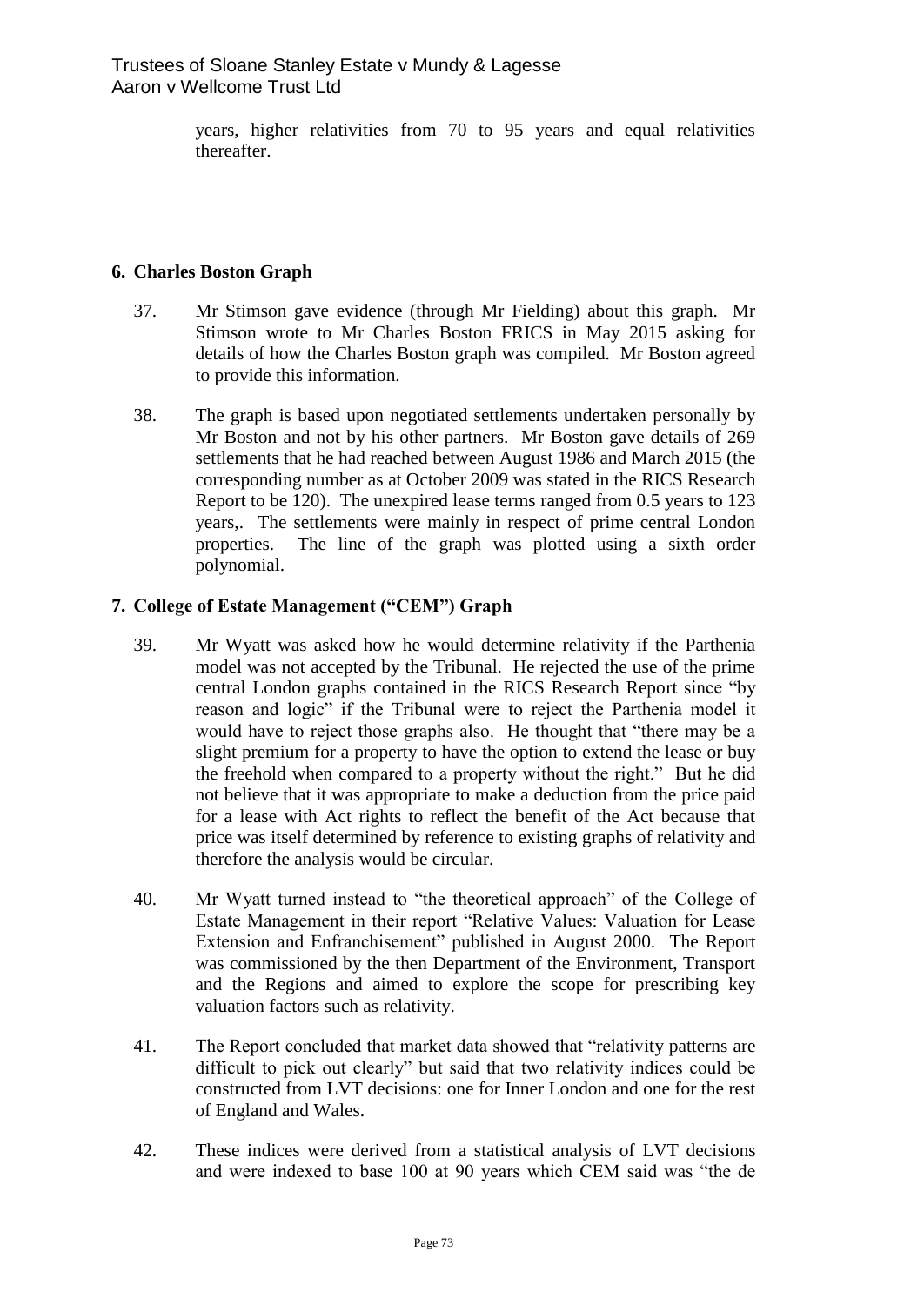years, higher relativities from 70 to 95 years and equal relativities thereafter.

# **6. Charles Boston Graph**

- 37. Mr Stimson gave evidence (through Mr Fielding) about this graph. Mr Stimson wrote to Mr Charles Boston FRICS in May 2015 asking for details of how the Charles Boston graph was compiled. Mr Boston agreed to provide this information.
- 38. The graph is based upon negotiated settlements undertaken personally by Mr Boston and not by his other partners. Mr Boston gave details of 269 settlements that he had reached between August 1986 and March 2015 (the corresponding number as at October 2009 was stated in the RICS Research Report to be 120). The unexpired lease terms ranged from 0.5 years to 123 years,. The settlements were mainly in respect of prime central London properties. The line of the graph was plotted using a sixth order polynomial.

# **7. College of Estate Management ("CEM") Graph**

- 39. Mr Wyatt was asked how he would determine relativity if the Parthenia model was not accepted by the Tribunal. He rejected the use of the prime central London graphs contained in the RICS Research Report since "by reason and logic" if the Tribunal were to reject the Parthenia model it would have to reject those graphs also. He thought that "there may be a slight premium for a property to have the option to extend the lease or buy the freehold when compared to a property without the right." But he did not believe that it was appropriate to make a deduction from the price paid for a lease with Act rights to reflect the benefit of the Act because that price was itself determined by reference to existing graphs of relativity and therefore the analysis would be circular.
- 40. Mr Wyatt turned instead to "the theoretical approach" of the College of Estate Management in their report "Relative Values: Valuation for Lease Extension and Enfranchisement" published in August 2000. The Report was commissioned by the then Department of the Environment, Transport and the Regions and aimed to explore the scope for prescribing key valuation factors such as relativity.
- 41. The Report concluded that market data showed that "relativity patterns are difficult to pick out clearly" but said that two relativity indices could be constructed from LVT decisions: one for Inner London and one for the rest of England and Wales.
- 42. These indices were derived from a statistical analysis of LVT decisions and were indexed to base 100 at 90 years which CEM said was "the de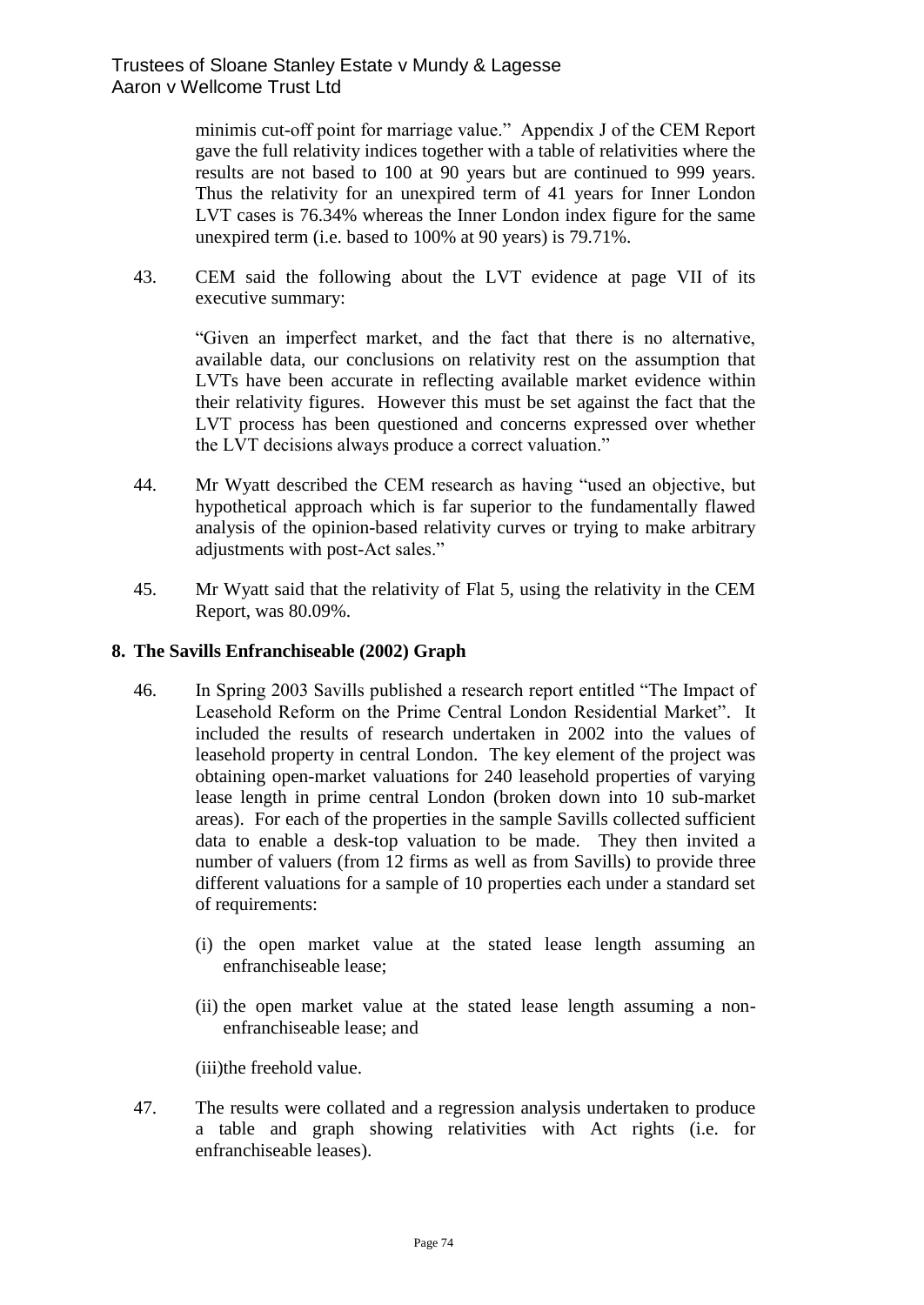minimis cut-off point for marriage value." Appendix J of the CEM Report gave the full relativity indices together with a table of relativities where the results are not based to 100 at 90 years but are continued to 999 years. Thus the relativity for an unexpired term of 41 years for Inner London LVT cases is 76.34% whereas the Inner London index figure for the same unexpired term (i.e. based to 100% at 90 years) is 79.71%.

43. CEM said the following about the LVT evidence at page VII of its executive summary:

"Given an imperfect market, and the fact that there is no alternative, available data, our conclusions on relativity rest on the assumption that LVTs have been accurate in reflecting available market evidence within their relativity figures. However this must be set against the fact that the LVT process has been questioned and concerns expressed over whether the LVT decisions always produce a correct valuation."

- 44. Mr Wyatt described the CEM research as having "used an objective, but hypothetical approach which is far superior to the fundamentally flawed analysis of the opinion-based relativity curves or trying to make arbitrary adjustments with post-Act sales."
- 45. Mr Wyatt said that the relativity of Flat 5, using the relativity in the CEM Report, was 80.09%.

### **8. The Savills Enfranchiseable (2002) Graph**

- 46. In Spring 2003 Savills published a research report entitled "The Impact of Leasehold Reform on the Prime Central London Residential Market". It included the results of research undertaken in 2002 into the values of leasehold property in central London. The key element of the project was obtaining open-market valuations for 240 leasehold properties of varying lease length in prime central London (broken down into 10 sub-market areas). For each of the properties in the sample Savills collected sufficient data to enable a desk-top valuation to be made. They then invited a number of valuers (from 12 firms as well as from Savills) to provide three different valuations for a sample of 10 properties each under a standard set of requirements:
	- (i) the open market value at the stated lease length assuming an enfranchiseable lease;
	- (ii) the open market value at the stated lease length assuming a nonenfranchiseable lease; and

(iii)the freehold value.

47. The results were collated and a regression analysis undertaken to produce a table and graph showing relativities with Act rights (i.e. for enfranchiseable leases).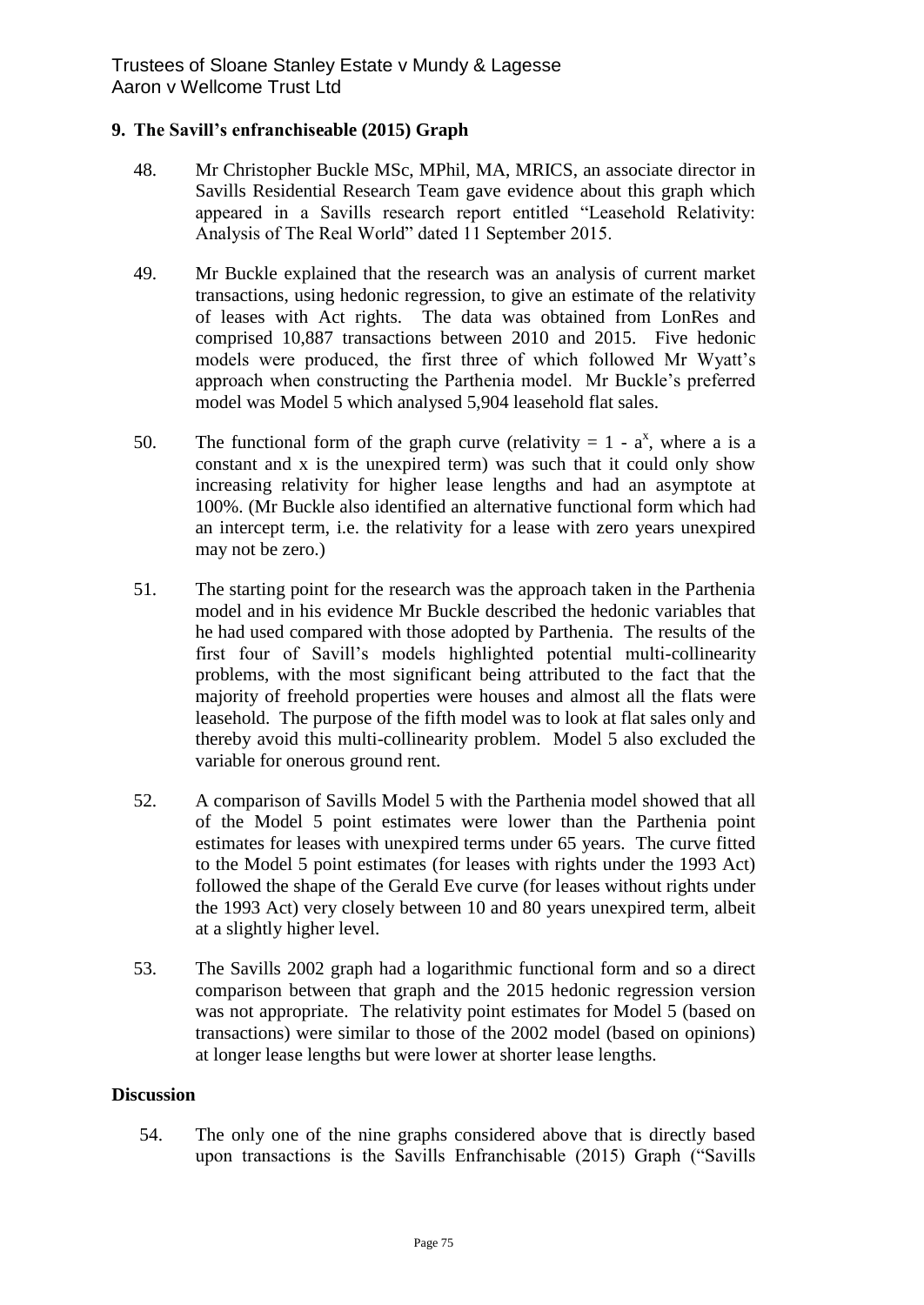### **9. The Savill's enfranchiseable (2015) Graph**

- 48. Mr Christopher Buckle MSc, MPhil, MA, MRICS, an associate director in Savills Residential Research Team gave evidence about this graph which appeared in a Savills research report entitled "Leasehold Relativity: Analysis of The Real World" dated 11 September 2015.
- 49. Mr Buckle explained that the research was an analysis of current market transactions, using hedonic regression, to give an estimate of the relativity of leases with Act rights. The data was obtained from LonRes and comprised 10,887 transactions between 2010 and 2015. Five hedonic models were produced, the first three of which followed Mr Wyatt's approach when constructing the Parthenia model. Mr Buckle's preferred model was Model 5 which analysed 5,904 leasehold flat sales.
- 50. The functional form of the graph curve (relativity =  $1 a^x$ , where a is a constant and x is the unexpired term) was such that it could only show increasing relativity for higher lease lengths and had an asymptote at 100%. (Mr Buckle also identified an alternative functional form which had an intercept term, i.e. the relativity for a lease with zero years unexpired may not be zero.)
- 51. The starting point for the research was the approach taken in the Parthenia model and in his evidence Mr Buckle described the hedonic variables that he had used compared with those adopted by Parthenia. The results of the first four of Savill's models highlighted potential multi-collinearity problems, with the most significant being attributed to the fact that the majority of freehold properties were houses and almost all the flats were leasehold. The purpose of the fifth model was to look at flat sales only and thereby avoid this multi-collinearity problem. Model 5 also excluded the variable for onerous ground rent.
- 52. A comparison of Savills Model 5 with the Parthenia model showed that all of the Model 5 point estimates were lower than the Parthenia point estimates for leases with unexpired terms under 65 years. The curve fitted to the Model 5 point estimates (for leases with rights under the 1993 Act) followed the shape of the Gerald Eve curve (for leases without rights under the 1993 Act) very closely between 10 and 80 years unexpired term, albeit at a slightly higher level.
- 53. The Savills 2002 graph had a logarithmic functional form and so a direct comparison between that graph and the 2015 hedonic regression version was not appropriate. The relativity point estimates for Model 5 (based on transactions) were similar to those of the 2002 model (based on opinions) at longer lease lengths but were lower at shorter lease lengths.

### **Discussion**

54. The only one of the nine graphs considered above that is directly based upon transactions is the Savills Enfranchisable (2015) Graph ("Savills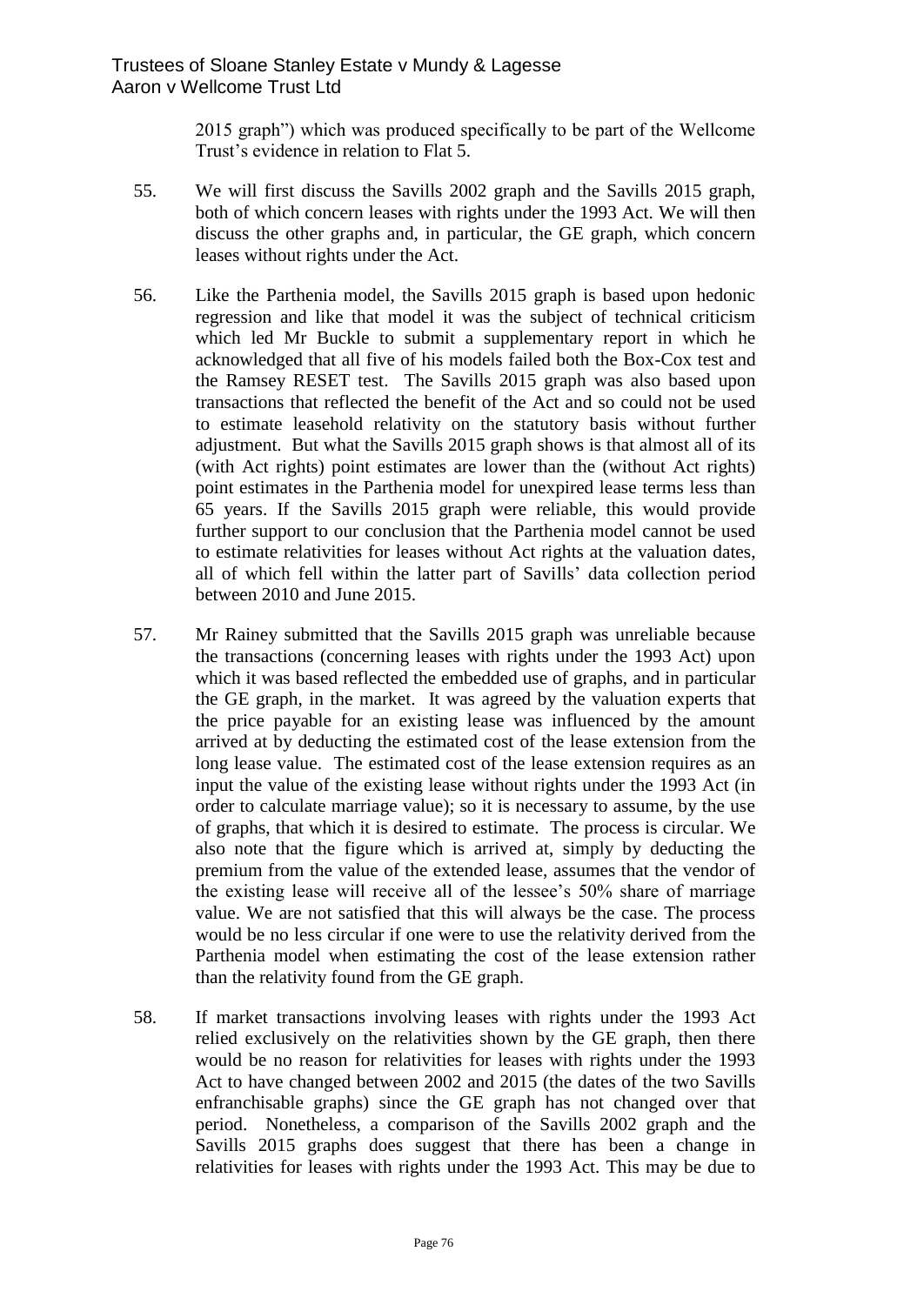2015 graph") which was produced specifically to be part of the Wellcome Trust's evidence in relation to Flat 5.

- 55. We will first discuss the Savills 2002 graph and the Savills 2015 graph, both of which concern leases with rights under the 1993 Act. We will then discuss the other graphs and, in particular, the GE graph, which concern leases without rights under the Act.
- 56. Like the Parthenia model, the Savills 2015 graph is based upon hedonic regression and like that model it was the subject of technical criticism which led Mr Buckle to submit a supplementary report in which he acknowledged that all five of his models failed both the Box-Cox test and the Ramsey RESET test. The Savills 2015 graph was also based upon transactions that reflected the benefit of the Act and so could not be used to estimate leasehold relativity on the statutory basis without further adjustment. But what the Savills 2015 graph shows is that almost all of its (with Act rights) point estimates are lower than the (without Act rights) point estimates in the Parthenia model for unexpired lease terms less than 65 years. If the Savills 2015 graph were reliable, this would provide further support to our conclusion that the Parthenia model cannot be used to estimate relativities for leases without Act rights at the valuation dates, all of which fell within the latter part of Savills' data collection period between 2010 and June 2015.
- 57. Mr Rainey submitted that the Savills 2015 graph was unreliable because the transactions (concerning leases with rights under the 1993 Act) upon which it was based reflected the embedded use of graphs, and in particular the GE graph, in the market. It was agreed by the valuation experts that the price payable for an existing lease was influenced by the amount arrived at by deducting the estimated cost of the lease extension from the long lease value. The estimated cost of the lease extension requires as an input the value of the existing lease without rights under the 1993 Act (in order to calculate marriage value); so it is necessary to assume, by the use of graphs, that which it is desired to estimate. The process is circular. We also note that the figure which is arrived at, simply by deducting the premium from the value of the extended lease, assumes that the vendor of the existing lease will receive all of the lessee's 50% share of marriage value. We are not satisfied that this will always be the case. The process would be no less circular if one were to use the relativity derived from the Parthenia model when estimating the cost of the lease extension rather than the relativity found from the GE graph.
- 58. If market transactions involving leases with rights under the 1993 Act relied exclusively on the relativities shown by the GE graph, then there would be no reason for relativities for leases with rights under the 1993 Act to have changed between 2002 and 2015 (the dates of the two Savills enfranchisable graphs) since the GE graph has not changed over that period. Nonetheless, a comparison of the Savills 2002 graph and the Savills 2015 graphs does suggest that there has been a change in relativities for leases with rights under the 1993 Act. This may be due to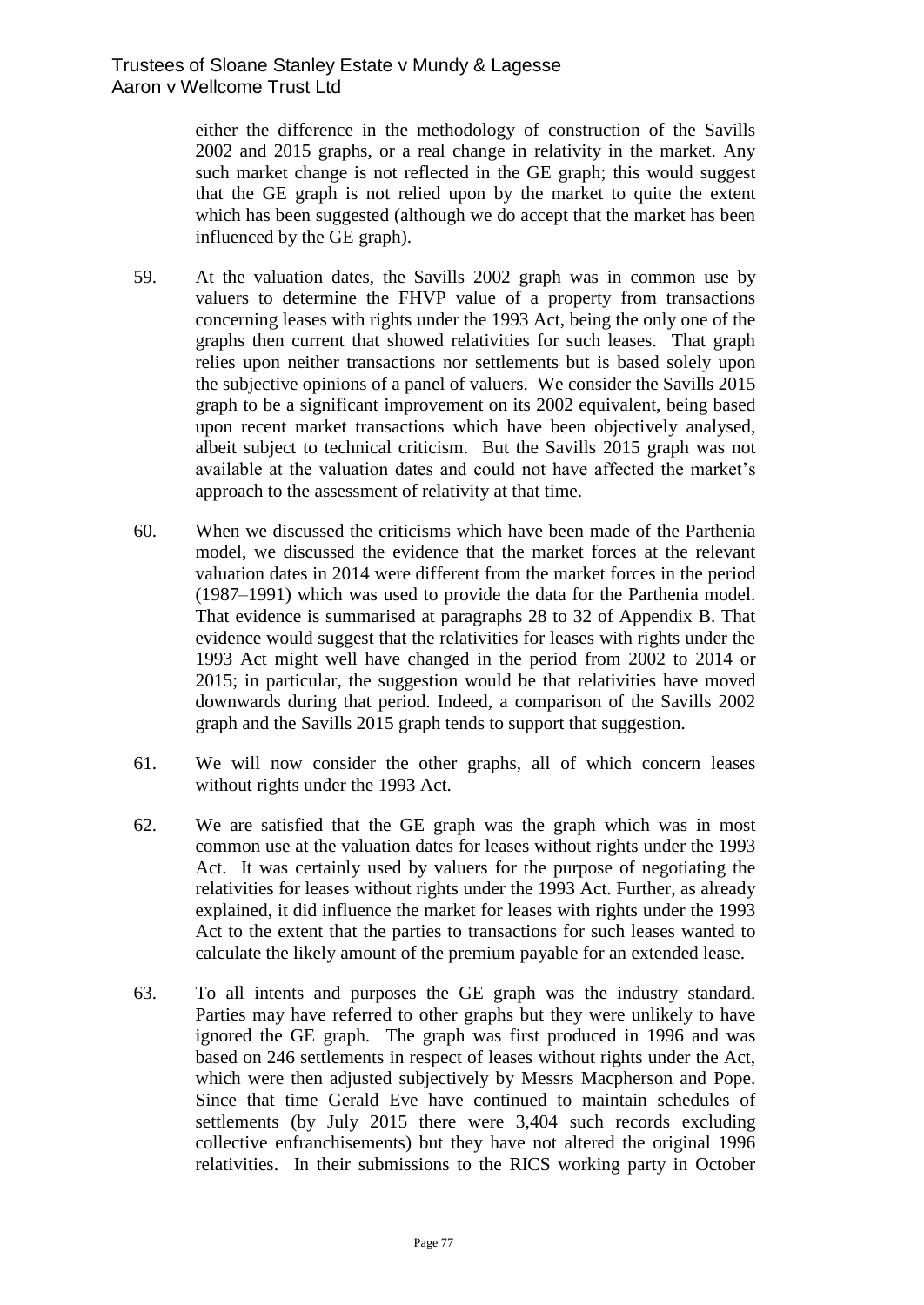either the difference in the methodology of construction of the Savills 2002 and 2015 graphs, or a real change in relativity in the market. Any such market change is not reflected in the GE graph; this would suggest that the GE graph is not relied upon by the market to quite the extent which has been suggested (although we do accept that the market has been influenced by the GE graph).

- 59. At the valuation dates, the Savills 2002 graph was in common use by valuers to determine the FHVP value of a property from transactions concerning leases with rights under the 1993 Act, being the only one of the graphs then current that showed relativities for such leases. That graph relies upon neither transactions nor settlements but is based solely upon the subjective opinions of a panel of valuers. We consider the Savills 2015 graph to be a significant improvement on its 2002 equivalent, being based upon recent market transactions which have been objectively analysed, albeit subject to technical criticism. But the Savills 2015 graph was not available at the valuation dates and could not have affected the market's approach to the assessment of relativity at that time.
- 60. When we discussed the criticisms which have been made of the Parthenia model, we discussed the evidence that the market forces at the relevant valuation dates in 2014 were different from the market forces in the period (1987–1991) which was used to provide the data for the Parthenia model. That evidence is summarised at paragraphs 28 to 32 of Appendix B. That evidence would suggest that the relativities for leases with rights under the 1993 Act might well have changed in the period from 2002 to 2014 or 2015; in particular, the suggestion would be that relativities have moved downwards during that period. Indeed, a comparison of the Savills 2002 graph and the Savills 2015 graph tends to support that suggestion.
- 61. We will now consider the other graphs, all of which concern leases without rights under the 1993 Act.
- 62. We are satisfied that the GE graph was the graph which was in most common use at the valuation dates for leases without rights under the 1993 Act. It was certainly used by valuers for the purpose of negotiating the relativities for leases without rights under the 1993 Act. Further, as already explained, it did influence the market for leases with rights under the 1993 Act to the extent that the parties to transactions for such leases wanted to calculate the likely amount of the premium payable for an extended lease.
- 63. To all intents and purposes the GE graph was the industry standard. Parties may have referred to other graphs but they were unlikely to have ignored the GE graph. The graph was first produced in 1996 and was based on 246 settlements in respect of leases without rights under the Act, which were then adjusted subjectively by Messrs Macpherson and Pope. Since that time Gerald Eve have continued to maintain schedules of settlements (by July 2015 there were 3,404 such records excluding collective enfranchisements) but they have not altered the original 1996 relativities. In their submissions to the RICS working party in October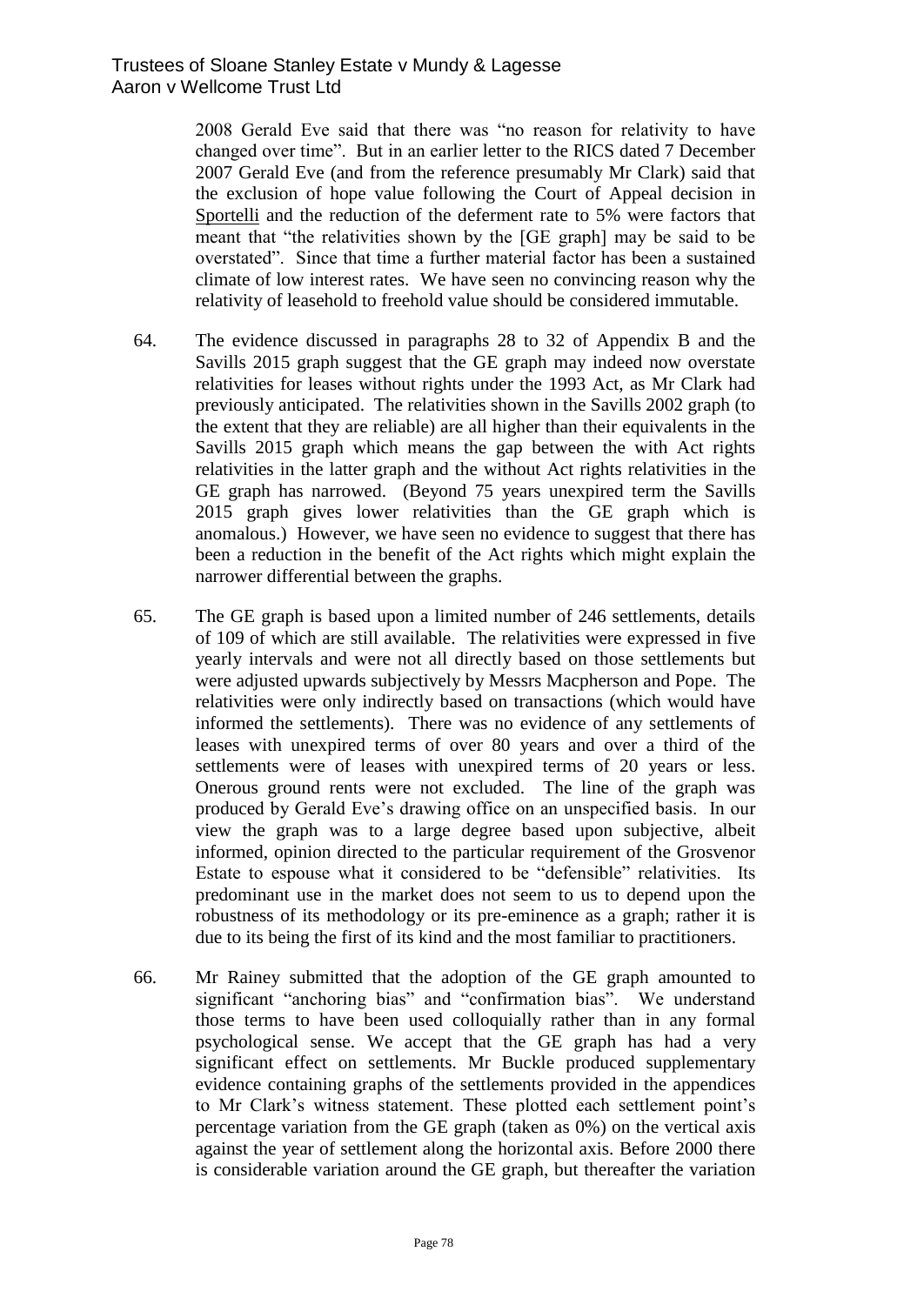2008 Gerald Eve said that there was "no reason for relativity to have changed over time". But in an earlier letter to the RICS dated 7 December 2007 Gerald Eve (and from the reference presumably Mr Clark) said that the exclusion of hope value following the Court of Appeal decision in Sportelli and the reduction of the deferment rate to 5% were factors that meant that "the relativities shown by the [GE graph] may be said to be overstated". Since that time a further material factor has been a sustained climate of low interest rates. We have seen no convincing reason why the relativity of leasehold to freehold value should be considered immutable.

- 64. The evidence discussed in paragraphs 28 to 32 of Appendix B and the Savills 2015 graph suggest that the GE graph may indeed now overstate relativities for leases without rights under the 1993 Act, as Mr Clark had previously anticipated. The relativities shown in the Savills 2002 graph (to the extent that they are reliable) are all higher than their equivalents in the Savills 2015 graph which means the gap between the with Act rights relativities in the latter graph and the without Act rights relativities in the GE graph has narrowed. (Beyond 75 years unexpired term the Savills 2015 graph gives lower relativities than the GE graph which is anomalous.) However, we have seen no evidence to suggest that there has been a reduction in the benefit of the Act rights which might explain the narrower differential between the graphs.
- 65. The GE graph is based upon a limited number of 246 settlements, details of 109 of which are still available. The relativities were expressed in five yearly intervals and were not all directly based on those settlements but were adjusted upwards subjectively by Messrs Macpherson and Pope. The relativities were only indirectly based on transactions (which would have informed the settlements). There was no evidence of any settlements of leases with unexpired terms of over 80 years and over a third of the settlements were of leases with unexpired terms of 20 years or less. Onerous ground rents were not excluded. The line of the graph was produced by Gerald Eve's drawing office on an unspecified basis. In our view the graph was to a large degree based upon subjective, albeit informed, opinion directed to the particular requirement of the Grosvenor Estate to espouse what it considered to be "defensible" relativities. Its predominant use in the market does not seem to us to depend upon the robustness of its methodology or its pre-eminence as a graph; rather it is due to its being the first of its kind and the most familiar to practitioners.
- 66. Mr Rainey submitted that the adoption of the GE graph amounted to significant "anchoring bias" and "confirmation bias". We understand those terms to have been used colloquially rather than in any formal psychological sense. We accept that the GE graph has had a very significant effect on settlements. Mr Buckle produced supplementary evidence containing graphs of the settlements provided in the appendices to Mr Clark's witness statement. These plotted each settlement point's percentage variation from the GE graph (taken as 0%) on the vertical axis against the year of settlement along the horizontal axis. Before 2000 there is considerable variation around the GE graph, but thereafter the variation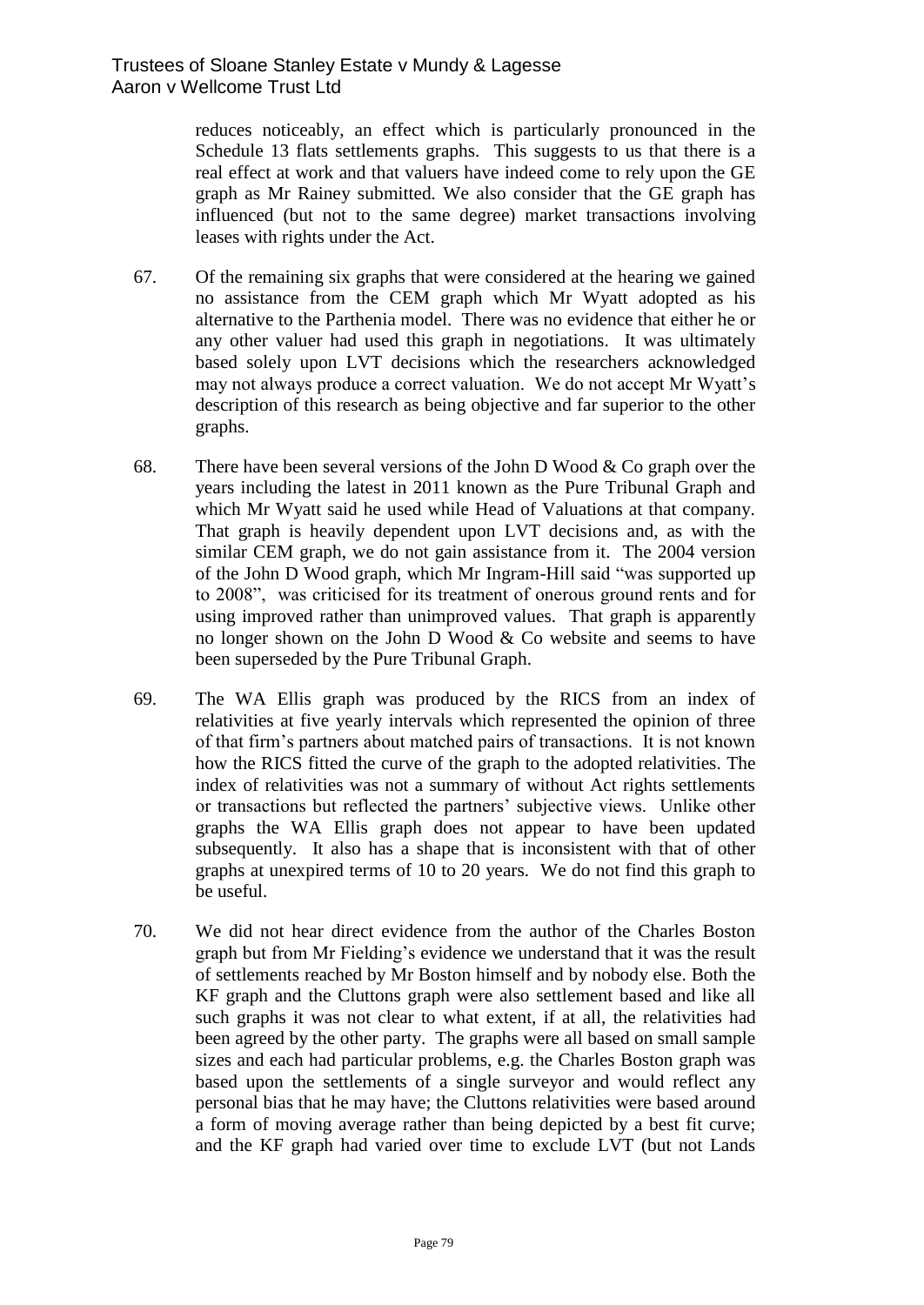reduces noticeably, an effect which is particularly pronounced in the Schedule 13 flats settlements graphs. This suggests to us that there is a real effect at work and that valuers have indeed come to rely upon the GE graph as Mr Rainey submitted. We also consider that the GE graph has influenced (but not to the same degree) market transactions involving leases with rights under the Act.

- 67. Of the remaining six graphs that were considered at the hearing we gained no assistance from the CEM graph which Mr Wyatt adopted as his alternative to the Parthenia model. There was no evidence that either he or any other valuer had used this graph in negotiations. It was ultimately based solely upon LVT decisions which the researchers acknowledged may not always produce a correct valuation. We do not accept Mr Wyatt's description of this research as being objective and far superior to the other graphs.
- 68. There have been several versions of the John D Wood  $&$  Co graph over the years including the latest in 2011 known as the Pure Tribunal Graph and which Mr Wyatt said he used while Head of Valuations at that company. That graph is heavily dependent upon LVT decisions and, as with the similar CEM graph, we do not gain assistance from it. The 2004 version of the John D Wood graph, which Mr Ingram-Hill said "was supported up to 2008", was criticised for its treatment of onerous ground rents and for using improved rather than unimproved values. That graph is apparently no longer shown on the John D Wood & Co website and seems to have been superseded by the Pure Tribunal Graph.
- 69. The WA Ellis graph was produced by the RICS from an index of relativities at five yearly intervals which represented the opinion of three of that firm's partners about matched pairs of transactions. It is not known how the RICS fitted the curve of the graph to the adopted relativities. The index of relativities was not a summary of without Act rights settlements or transactions but reflected the partners' subjective views. Unlike other graphs the WA Ellis graph does not appear to have been updated subsequently. It also has a shape that is inconsistent with that of other graphs at unexpired terms of 10 to 20 years. We do not find this graph to be useful.
- 70. We did not hear direct evidence from the author of the Charles Boston graph but from Mr Fielding's evidence we understand that it was the result of settlements reached by Mr Boston himself and by nobody else. Both the KF graph and the Cluttons graph were also settlement based and like all such graphs it was not clear to what extent, if at all, the relativities had been agreed by the other party. The graphs were all based on small sample sizes and each had particular problems, e.g. the Charles Boston graph was based upon the settlements of a single surveyor and would reflect any personal bias that he may have; the Cluttons relativities were based around a form of moving average rather than being depicted by a best fit curve; and the KF graph had varied over time to exclude LVT (but not Lands